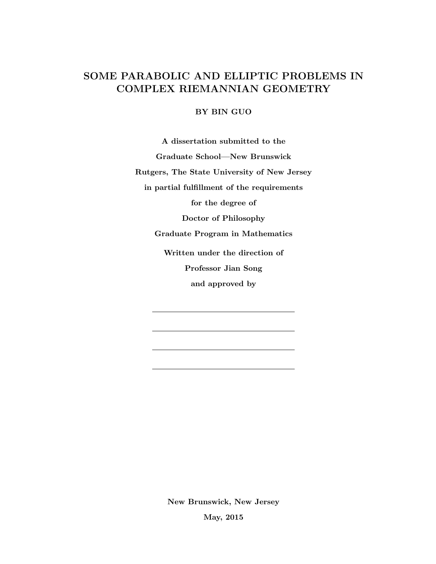# SOME PARABOLIC AND ELLIPTIC PROBLEMS IN COMPLEX RIEMANNIAN GEOMETRY

## BY BIN GUO

A dissertation submitted to the Graduate School—New Brunswick Rutgers, The State University of New Jersey in partial fulfillment of the requirements for the degree of Doctor of Philosophy Graduate Program in Mathematics Written under the direction of Professor Jian Song and approved by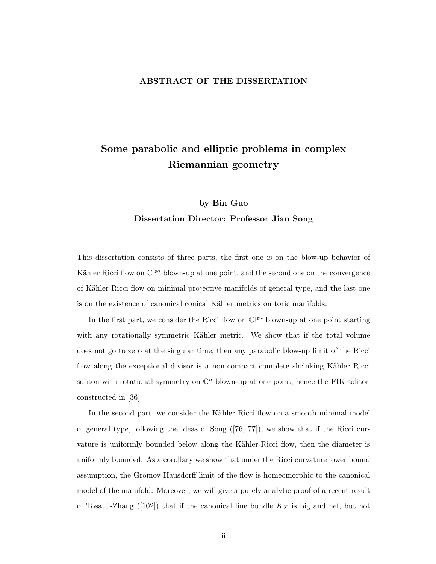## ABSTRACT OF THE DISSERTATION

# Some parabolic and elliptic problems in complex Riemannian geometry

# by Bin Guo Dissertation Director: Professor Jian Song

This dissertation consists of three parts, the first one is on the blow-up behavior of Kähler Ricci flow on  $\mathbb{CP}^n$  blown-up at one point, and the second one on the convergence of Kähler Ricci flow on minimal projective manifolds of general type, and the last one is on the existence of canonical conical Kähler metrics on toric manifolds.

In the first part, we consider the Ricci flow on  $\mathbb{CP}^n$  blown-up at one point starting with any rotationally symmetric Kähler metric. We show that if the total volume does not go to zero at the singular time, then any parabolic blow-up limit of the Ricci flow along the exceptional divisor is a non-compact complete shrinking Kähler Ricci soliton with rotational symmetry on  $\mathbb{C}^n$  blown-up at one point, hence the FIK soliton constructed in [36].

In the second part, we consider the Kähler Ricci flow on a smooth minimal model of general type, following the ideas of Song ([76, 77]), we show that if the Ricci curvature is uniformly bounded below along the Kähler-Ricci flow, then the diameter is uniformly bounded. As a corollary we show that under the Ricci curvature lower bound assumption, the Gromov-Hausdorff limit of the flow is homeomorphic to the canonical model of the manifold. Moreover, we will give a purely analytic proof of a recent result of Tosatti-Zhang ([102]) that if the canonical line bundle  $K_X$  is big and nef, but not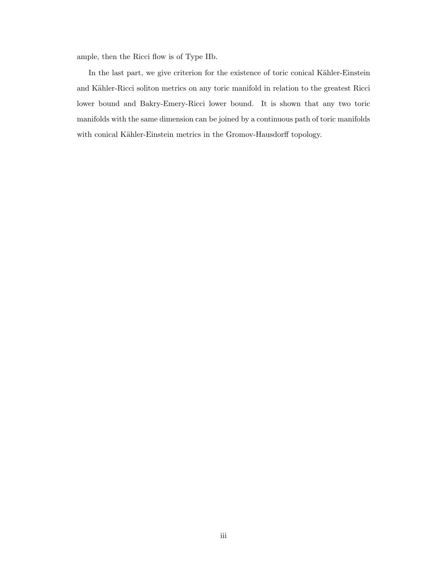ample, then the Ricci flow is of Type IIb.

In the last part, we give criterion for the existence of toric conical Kähler-Einstein and Kähler-Ricci soliton metrics on any toric manifold in relation to the greatest Ricci lower bound and Bakry-Emery-Ricci lower bound. It is shown that any two toric manifolds with the same dimension can be joined by a continuous path of toric manifolds with conical Kähler-Einstein metrics in the Gromov-Hausdorff topology.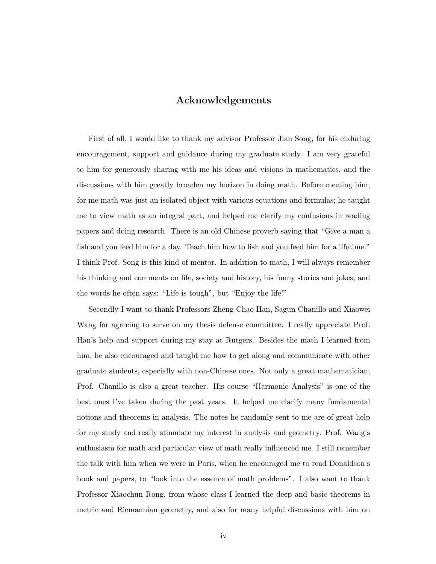# Acknowledgements

First of all, I would like to thank my advisor Professor Jian Song, for his enduring encouragement, support and guidance during my graduate study. I am very grateful to him for generously sharing with me his ideas and visions in mathematics, and the discussions with him greatly broaden my horizon in doing math. Before meeting him, for me math was just an isolated object with various equations and formulas; he taught me to view math as an integral part, and helped me clarify my confusions in reading papers and doing research. There is an old Chinese proverb saying that "Give a man a fish and you feed him for a day. Teach him how to fish and you feed him for a lifetime." I think Prof. Song is this kind of mentor. In addition to math, I will always remember his thinking and comments on life, society and history, his funny stories and jokes, and the words he often says: "Life is tough", but "Enjoy the life!"

Secondly I want to thank Professors Zheng-Chao Han, Sagun Chanillo and Xiaowei Wang for agreeing to serve on my thesis defense committee. I really appreciate Prof. Han's help and support during my stay at Rutgers. Besides the math I learned from him, he also encouraged and taught me how to get along and communicate with other graduate students, especially with non-Chinese ones. Not only a great mathematician, Prof. Chanillo is also a great teacher. His course "Harmonic Analysis" is one of the best ones I've taken during the past years. It helped me clarify many fundamental notions and theorems in analysis. The notes he randomly sent to me are of great help for my study and really stimulate my interest in analysis and geometry. Prof. Wang's enthusiasm for math and particular view of math really influenced me. I still remember the talk with him when we were in Paris, when he encouraged me to read Donaldson's book and papers, to "look into the essence of math problems". I also want to thank Professor Xiaochun Rong, from whose class I learned the deep and basic theorems in metric and Riemannian geometry, and also for many helpful discussions with him on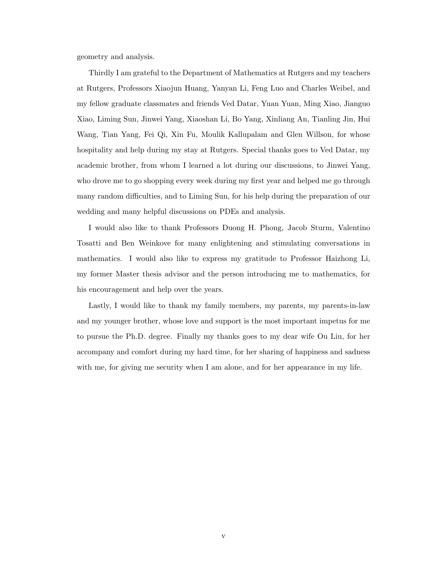geometry and analysis.

Thirdly I am grateful to the Department of Mathematics at Rutgers and my teachers at Rutgers, Professors Xiaojun Huang, Yanyan Li, Feng Luo and Charles Weibel, and my fellow graduate classmates and friends Ved Datar, Yuan Yuan, Ming Xiao, Jianguo Xiao, Liming Sun, Jinwei Yang, Xiaoshan Li, Bo Yang, Xinliang An, Tianling Jin, Hui Wang, Tian Yang, Fei Qi, Xin Fu, Moulik Kallupalam and Glen Willson, for whose hospitality and help during my stay at Rutgers. Special thanks goes to Ved Datar, my academic brother, from whom I learned a lot during our discussions, to Jinwei Yang, who drove me to go shopping every week during my first year and helped me go through many random difficulties, and to Liming Sun, for his help during the preparation of our wedding and many helpful discussions on PDEs and analysis.

I would also like to thank Professors Duong H. Phong, Jacob Sturm, Valentino Tosatti and Ben Weinkove for many enlightening and stimulating conversations in mathematics. I would also like to express my gratitude to Professor Haizhong Li, my former Master thesis advisor and the person introducing me to mathematics, for his encouragement and help over the years.

Lastly, I would like to thank my family members, my parents, my parents-in-law and my younger brother, whose love and support is the most important impetus for me to pursue the Ph.D. degree. Finally my thanks goes to my dear wife Ou Liu, for her accompany and comfort during my hard time, for her sharing of happiness and sadness with me, for giving me security when I am alone, and for her appearance in my life.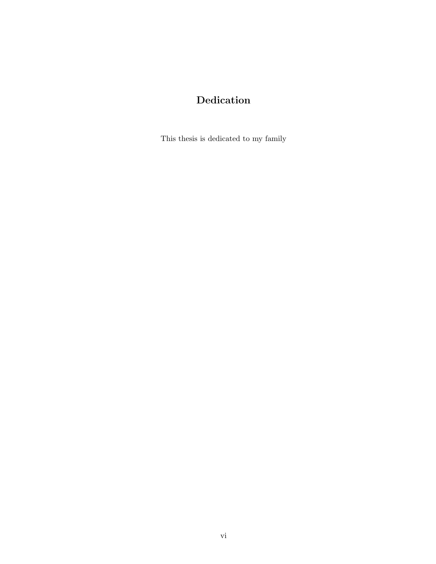# Dedication

This thesis is dedicated to my family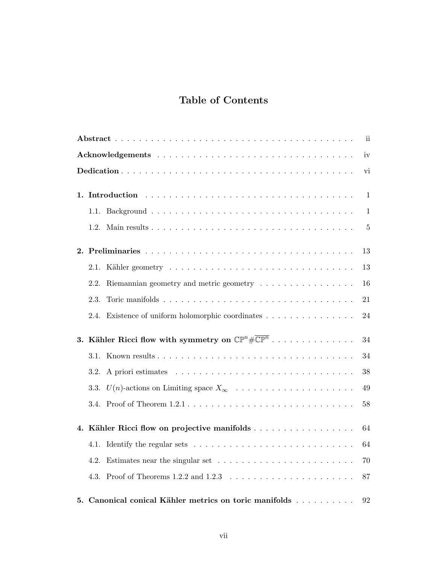# Table of Contents

| ii. |                                                                                      |                |  |  |
|-----|--------------------------------------------------------------------------------------|----------------|--|--|
|     |                                                                                      |                |  |  |
|     |                                                                                      |                |  |  |
| 1.  |                                                                                      | 1              |  |  |
|     |                                                                                      | $\mathbf{1}$   |  |  |
|     |                                                                                      | $\overline{5}$ |  |  |
|     |                                                                                      | 13             |  |  |
|     | 2.1.                                                                                 | 13             |  |  |
|     | Riemannian geometry and metric geometry $\ldots \ldots \ldots \ldots \ldots$<br>2.2. | 16             |  |  |
|     | 2.3.                                                                                 | 21             |  |  |
|     | Existence of uniform holomorphic coordinates<br>2.4.                                 | 24             |  |  |
| 3.  | Kähler Ricci flow with symmetry on $\mathbb{CP}^n \# \overline{\mathbb{CP}^n}$       | 34             |  |  |
|     |                                                                                      | 34             |  |  |
|     | 3.2.                                                                                 | 38             |  |  |
|     | 3.3. $U(n)$ -actions on Limiting space $X_{\infty}$                                  | 49             |  |  |
|     | 3.4.                                                                                 | 58             |  |  |
| 4.  | Kähler Ricci flow on projective manifolds                                            | 64             |  |  |
|     | 4.1.                                                                                 | 64             |  |  |
|     | 4.2.                                                                                 | 70             |  |  |
|     | 4.3.                                                                                 | 87             |  |  |
|     | 5. Canonical conical Kähler metrics on toric manifolds                               | 92             |  |  |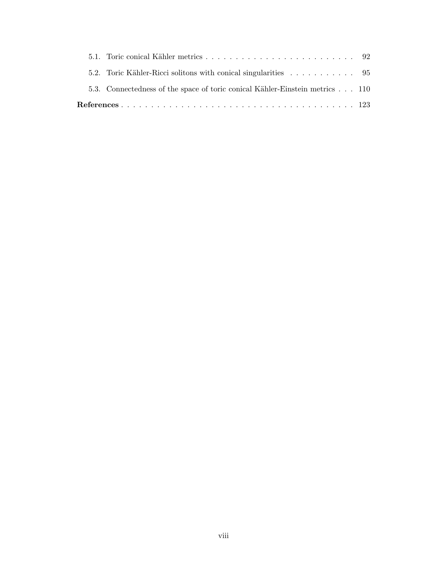|  |  | 5.3. Connectedness of the space of toric conical Kähler-Einstein metrics 110 |  |
|--|--|------------------------------------------------------------------------------|--|
|  |  |                                                                              |  |
|  |  |                                                                              |  |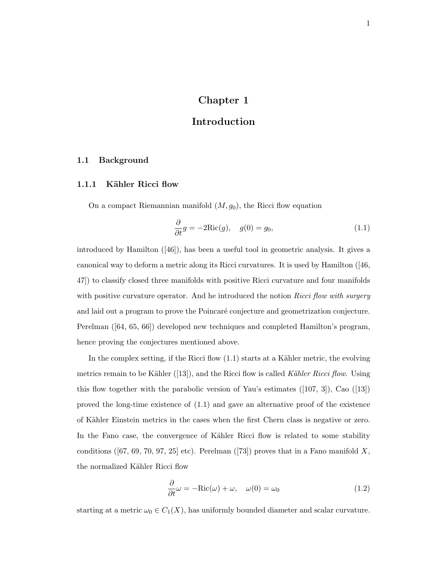# Chapter 1

# Introduction

### 1.1 Background

### 1.1.1 Kähler Ricci flow

On a compact Riemannian manifold  $(M, g_0)$ , the Ricci flow equation

$$
\frac{\partial}{\partial t}g = -2\text{Ric}(g), \quad g(0) = g_0,\tag{1.1}
$$

introduced by Hamilton ([46]), has been a useful tool in geometric analysis. It gives a canonical way to deform a metric along its Ricci curvatures. It is used by Hamilton ([46, 47]) to classify closed three manifolds with positive Ricci curvature and four manifolds with positive curvature operator. And he introduced the notion  $Ricci$  flow with surgery and laid out a program to prove the Poincaré conjecture and geometrization conjecture. Perelman ([64, 65, 66]) developed new techniques and completed Hamilton's program, hence proving the conjectures mentioned above.

In the complex setting, if the Ricci flow  $(1.1)$  starts at a Kähler metric, the evolving metrics remain to be Kähler ([13]), and the Ricci flow is called Kähler Ricci flow. Using this flow together with the parabolic version of Yau's estimates  $([107, 3])$ , Cao  $([13])$ proved the long-time existence of (1.1) and gave an alternative proof of the existence of K¨ahler Einstein metrics in the cases when the first Chern class is negative or zero. In the Fano case, the convergence of Kähler Ricci flow is related to some stability conditions ([67, 69, 70, 97, 25] etc). Perelman ([73]) proves that in a Fano manifold X, the normalized Kähler Ricci flow

$$
\frac{\partial}{\partial t}\omega = -\text{Ric}(\omega) + \omega, \quad \omega(0) = \omega_0 \tag{1.2}
$$

starting at a metric  $\omega_0 \in C_1(X)$ , has uniformly bounded diameter and scalar curvature.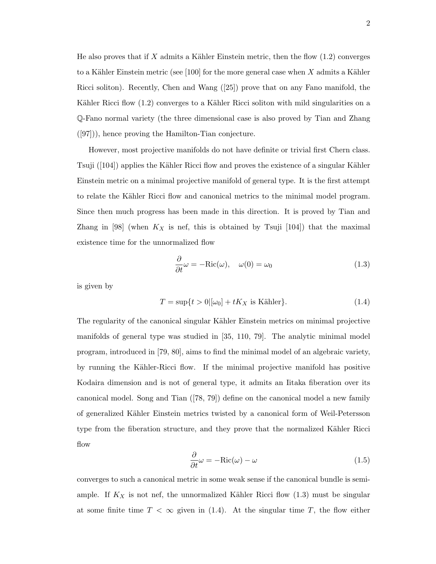He also proves that if X admits a Kähler Einstein metric, then the flow  $(1.2)$  converges to a Kähler Einstein metric (see [100] for the more general case when X admits a Kähler Ricci soliton). Recently, Chen and Wang ([25]) prove that on any Fano manifold, the Kähler Ricci flow (1.2) converges to a Kähler Ricci soliton with mild singularities on a Q-Fano normal variety (the three dimensional case is also proved by Tian and Zhang ([97])), hence proving the Hamilton-Tian conjecture.

However, most projective manifolds do not have definite or trivial first Chern class. Tsuji  $([104])$  applies the Kähler Ricci flow and proves the existence of a singular Kähler Einstein metric on a minimal projective manifold of general type. It is the first attempt to relate the Kähler Ricci flow and canonical metrics to the minimal model program. Since then much progress has been made in this direction. It is proved by Tian and Zhang in [98] (when  $K_X$  is nef, this is obtained by Tsuji [104]) that the maximal existence time for the unnormalized flow

$$
\frac{\partial}{\partial t}\omega = -\text{Ric}(\omega), \quad \omega(0) = \omega_0 \tag{1.3}
$$

is given by

$$
T = \sup\{t > 0 | [\omega_0] + tK_X \text{ is Kähler}\}. \tag{1.4}
$$

The regularity of the canonical singular Kähler Einstein metrics on minimal projective manifolds of general type was studied in [35, 110, 79]. The analytic minimal model program, introduced in [79, 80], aims to find the minimal model of an algebraic variety, by running the Kähler-Ricci flow. If the minimal projective manifold has positive Kodaira dimension and is not of general type, it admits an Iitaka fiberation over its canonical model. Song and Tian ([78, 79]) define on the canonical model a new family of generalized K¨ahler Einstein metrics twisted by a canonical form of Weil-Petersson type from the fiberation structure, and they prove that the normalized Kähler Ricci flow

$$
\frac{\partial}{\partial t}\omega = -\text{Ric}(\omega) - \omega \tag{1.5}
$$

converges to such a canonical metric in some weak sense if the canonical bundle is semiample. If  $K_X$  is not nef, the unnormalized Kähler Ricci flow  $(1.3)$  must be singular at some finite time  $T < \infty$  given in (1.4). At the singular time T, the flow either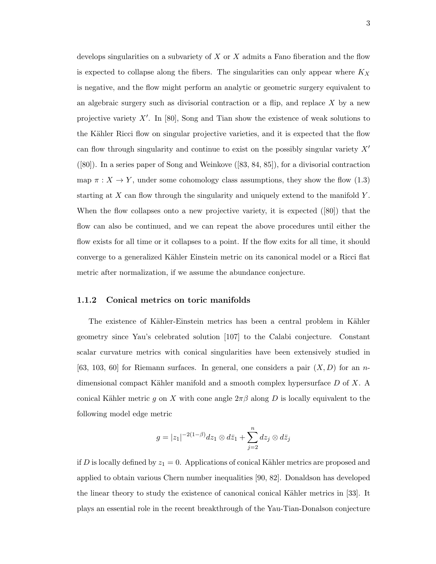develops singularities on a subvariety of  $X$  or  $X$  admits a Fano fiberation and the flow is expected to collapse along the fibers. The singularities can only appear where  $K_X$ is negative, and the flow might perform an analytic or geometric surgery equivalent to an algebraic surgery such as divisorial contraction or a flip, and replace  $X$  by a new projective variety  $X'$ . In [80], Song and Tian show the existence of weak solutions to the Kähler Ricci flow on singular projective varieties, and it is expected that the flow can flow through singularity and continue to exist on the possibly singular variety  $X'$ ([80]). In a series paper of Song and Weinkove ([83, 84, 85]), for a divisorial contraction map  $\pi : X \to Y$ , under some cohomology class assumptions, they show the flow (1.3) starting at  $X$  can flow through the singularity and uniquely extend to the manifold  $Y$ . When the flow collapses onto a new projective variety, it is expected ([80]) that the flow can also be continued, and we can repeat the above procedures until either the flow exists for all time or it collapses to a point. If the flow exits for all time, it should converge to a generalized Kähler Einstein metric on its canonical model or a Ricci flat metric after normalization, if we assume the abundance conjecture.

#### 1.1.2 Conical metrics on toric manifolds

The existence of Kähler-Einstein metrics has been a central problem in Kähler geometry since Yau's celebrated solution [107] to the Calabi conjecture. Constant scalar curvature metrics with conical singularities have been extensively studied in [63, 103, 60] for Riemann surfaces. In general, one considers a pair  $(X, D)$  for an ndimensional compact Kähler manifold and a smooth complex hypersurface  $D$  of  $X$ . A conical Kähler metric g on X with cone angle  $2\pi\beta$  along D is locally equivalent to the following model edge metric

$$
g = |z_1|^{-2(1-\beta)} dz_1 \otimes d\overline{z}_1 + \sum_{j=2}^n dz_j \otimes d\overline{z}_j
$$

if D is locally defined by  $z_1 = 0$ . Applications of conical Kähler metrics are proposed and applied to obtain various Chern number inequalities [90, 82]. Donaldson has developed the linear theory to study the existence of canonical conical Kähler metrics in [33]. It plays an essential role in the recent breakthrough of the Yau-Tian-Donalson conjecture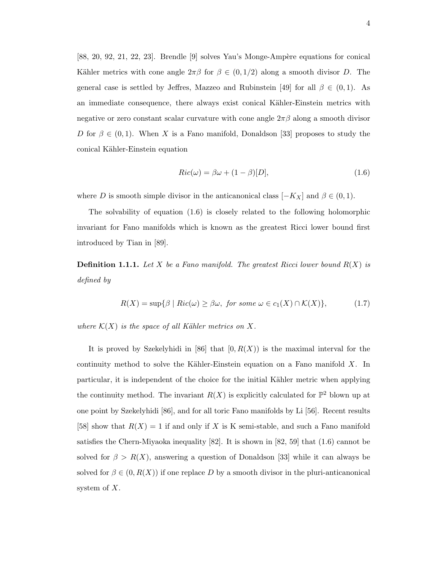$[88, 20, 92, 21, 22, 23]$ . Brendle  $[9]$  solves Yau's Monge-Ampère equations for conical Kähler metrics with cone angle  $2\pi\beta$  for  $\beta \in (0, 1/2)$  along a smooth divisor D. The general case is settled by Jeffres, Mazzeo and Rubinstein [49] for all  $\beta \in (0,1)$ . As an immediate consequence, there always exist conical Kähler-Einstein metrics with negative or zero constant scalar curvature with cone angle  $2\pi\beta$  along a smooth divisor D for  $\beta \in (0,1)$ . When X is a Fano manifold, Donaldson [33] proposes to study the conical Kähler-Einstein equation

$$
Ric(\omega) = \beta\omega + (1 - \beta)[D],\tag{1.6}
$$

where D is smooth simple divisor in the anticanonical class  $[-K_X]$  and  $\beta \in (0,1)$ .

The solvability of equation (1.6) is closely related to the following holomorphic invariant for Fano manifolds which is known as the greatest Ricci lower bound first introduced by Tian in [89].

**Definition 1.1.1.** Let X be a Fano manifold. The greatest Ricci lower bound  $R(X)$  is defined by

$$
R(X) = \sup \{ \beta \mid Ric(\omega) \ge \beta \omega, \text{ for some } \omega \in c_1(X) \cap \mathcal{K}(X) \},\tag{1.7}
$$

where  $\mathcal{K}(X)$  is the space of all Kähler metrics on X.

It is proved by Szekelyhidi in [86] that  $[0, R(X))$  is the maximal interval for the continuity method to solve the Kähler-Einstein equation on a Fano manifold  $X$ . In particular, it is independent of the choice for the initial Kähler metric when applying the continuity method. The invariant  $R(X)$  is explicitly calculated for  $\mathbb{P}^2$  blown up at one point by Szekelyhidi [86], and for all toric Fano manifolds by Li [56]. Recent results [58] show that  $R(X) = 1$  if and only if X is K semi-stable, and such a Fano manifold satisfies the Chern-Miyaoka inequality [82]. It is shown in [82, 59] that (1.6) cannot be solved for  $\beta > R(X)$ , answering a question of Donaldson [33] while it can always be solved for  $\beta \in (0, R(X))$  if one replace D by a smooth divisor in the pluri-anticanonical system of  $X$ .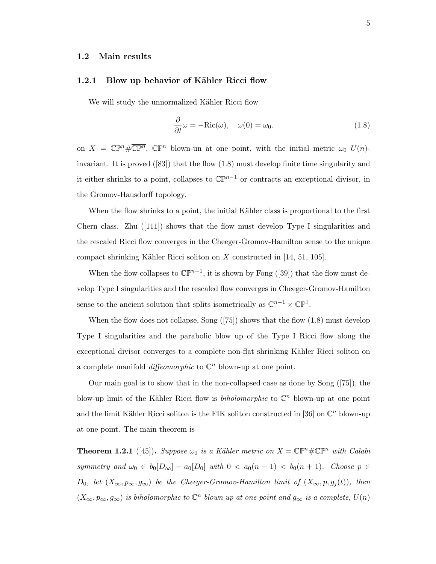### 1.2 Main results

#### 1.2.1 Blow up behavior of Kähler Ricci flow

We will study the unnormalized Kähler Ricci flow

$$
\frac{\partial}{\partial t}\omega = -\text{Ric}(\omega), \quad \omega(0) = \omega_0. \tag{1.8}
$$

on  $X = \mathbb{CP}^n \# \overline{\mathbb{CP}^n}$ ,  $\mathbb{CP}^n$  blown-un at one point, with the initial metric  $\omega_0$   $U(n)$ invariant. It is proved ([83]) that the flow (1.8) must develop finite time singularity and it either shrinks to a point, collapses to  $\mathbb{CP}^{n-1}$  or contracts an exceptional divisor, in the Gromov-Hausdorff topology.

When the flow shrinks to a point, the initial Kähler class is proportional to the first Chern class. Zhu  $(111)$  shows that the flow must develop Type I singularities and the rescaled Ricci flow converges in the Cheeger-Gromov-Hamilton sense to the unique compact shrinking Kähler Ricci soliton on X constructed in [14, 51, 105].

When the flow collapses to  $\mathbb{CP}^{n-1}$ , it is shown by Fong ([39]) that the flow must develop Type I singularities and the rescaled flow converges in Cheeger-Gromov-Hamilton sense to the ancient solution that splits isometrically as  $\mathbb{C}^{n-1}\times\mathbb{CP}^1$ .

When the flow does not collapse, Song ([75]) shows that the flow (1.8) must develop Type I singularities and the parabolic blow up of the Type I Ricci flow along the exceptional divisor converges to a complete non-flat shrinking Kähler Ricci soliton on a complete manifold *diffeomorphic* to  $\mathbb{C}^n$  blown-up at one point.

Our main goal is to show that in the non-collapsed case as done by Song ([75]), the blow-up limit of the Kähler Ricci flow is *biholomorphic* to  $\mathbb{C}^n$  blown-up at one point and the limit Kähler Ricci soliton is the FIK soliton constructed in [36] on  $\mathbb{C}^n$  blown-up at one point. The main theorem is

**Theorem 1.2.1** ([45]). Suppose  $\omega_0$  is a Kähler metric on  $X = \mathbb{CP}^n \# \overline{\mathbb{CP}^n}$  with Calabi symmetry and  $\omega_0 \in b_0[D_\infty] - a_0[D_0]$  with  $0 < a_0(n-1) < b_0(n+1)$ . Choose  $p \in$ D<sub>0</sub>, let  $(X_{\infty}, p_{\infty}, g_{\infty})$  be the Cheeger-Gromov-Hamilton limit of  $(X_{\infty}, p, g_j(t))$ , then  $(X_{\infty}, p_{\infty}, g_{\infty})$  is biholomorphic to  $\mathbb{C}^n$  blown up at one point and  $g_{\infty}$  is a complete,  $U(n)$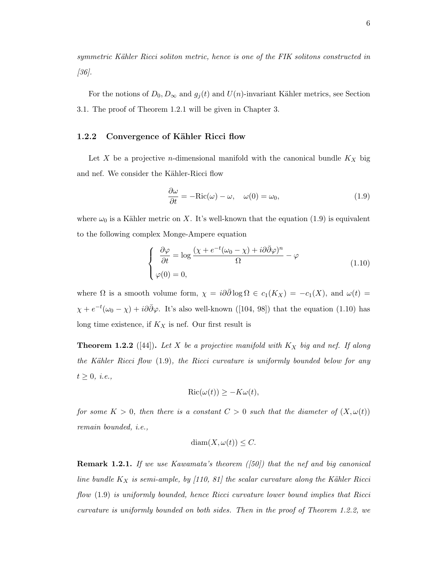symmetric Kähler Ricci soliton metric, hence is one of the FIK solitons constructed in  $|36|$ .

For the notions of  $D_0, D_\infty$  and  $g_j(t)$  and  $U(n)$ -invariant Kähler metrics, see Section 3.1. The proof of Theorem 1.2.1 will be given in Chapter 3.

### 1.2.2 Convergence of Kähler Ricci flow

Let X be a projective *n*-dimensional manifold with the canonical bundle  $K_X$  big and nef. We consider the Kähler-Ricci flow

$$
\frac{\partial \omega}{\partial t} = -\text{Ric}(\omega) - \omega, \quad \omega(0) = \omega_0,\tag{1.9}
$$

where  $\omega_0$  is a Kähler metric on X. It's well-known that the equation (1.9) is equivalent to the following complex Monge-Ampere equation

$$
\begin{cases}\n\frac{\partial \varphi}{\partial t} = \log \frac{(\chi + e^{-t}(\omega_0 - \chi) + i\partial \bar{\partial} \varphi)^n}{\Omega} - \varphi \\
\varphi(0) = 0,\n\end{cases}
$$
\n(1.10)

where  $\Omega$  is a smooth volume form,  $\chi = i\partial\bar{\partial}\log\Omega \in c_1(K_X) = -c_1(X)$ , and  $\omega(t) =$  $\chi + e^{-t}(\omega_0 - \chi) + i\partial\bar{\partial}\varphi$ . It's also well-known ([104, 98]) that the equation (1.10) has long time existence, if  $K_X$  is nef. Our first result is

**Theorem 1.2.2** ([44]). Let X be a projective manifold with  $K_X$  big and nef. If along the Kähler Ricci flow  $(1.9)$ , the Ricci curvature is uniformly bounded below for any  $t \geq 0$ , *i.e.*,

$$
Ric(\omega(t)) \ge -K\omega(t),
$$

for some  $K > 0$ , then there is a constant  $C > 0$  such that the diameter of  $(X, \omega(t))$ remain bounded, i.e.,

$$
diam(X, \omega(t)) \leq C.
$$

**Remark 1.2.1.** If we use Kawamata's theorem  $(50)$  that the nef and big canonical line bundle  $K_X$  is semi-ample, by [110, 81] the scalar curvature along the Kähler Ricci flow (1.9) is uniformly bounded, hence Ricci curvature lower bound implies that Ricci curvature is uniformly bounded on both sides. Then in the proof of Theorem 1.2.2, we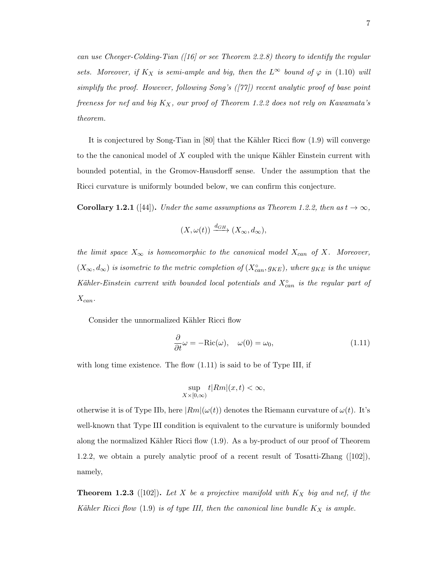can use Cheeger-Colding-Tian ([16] or see Theorem 2.2.8) theory to identify the regular sets. Moreover, if  $K_X$  is semi-ample and big, then the  $L^\infty$  bound of  $\varphi$  in (1.10) will simplify the proof. However, following Song's ([77]) recent analytic proof of base point freeness for nef and big  $K_X$ , our proof of Theorem 1.2.2 does not rely on Kawamata's theorem.

It is conjectured by Song-Tian in  $[80]$  that the Kähler Ricci flow  $(1.9)$  will converge to the the canonical model of  $X$  coupled with the unique Kähler Einstein current with bounded potential, in the Gromov-Hausdorff sense. Under the assumption that the Ricci curvature is uniformly bounded below, we can confirm this conjecture.

**Corollary 1.2.1** ([44]). Under the same assumptions as Theorem 1.2.2, then as  $t \to \infty$ ,

$$
(X,\omega(t)) \xrightarrow{d_{GH}} (X_{\infty},d_{\infty}),
$$

the limit space  $X_{\infty}$  is homeomorphic to the canonical model  $X_{can}$  of X. Moreover,  $(X_{\infty}, d_{\infty})$  is isometric to the metric completion of  $(X_{can}^{\circ}, g_{KE})$ , where  $g_{KE}$  is the unique Kähler-Einstein current with bounded local potentials and  $X_{can}^{\circ}$  is the regular part of  $X_{can}$ .

Consider the unnormalized Kähler Ricci flow

$$
\frac{\partial}{\partial t}\omega = -\text{Ric}(\omega), \quad \omega(0) = \omega_0,\tag{1.11}
$$

with long time existence. The flow  $(1.11)$  is said to be of Type III, if

$$
\sup_{X\times[0,\infty)}t|Rm|(x,t)<\infty,
$$

otherwise it is of Type IIb, here  $|Rm|(\omega(t))$  denotes the Riemann curvature of  $\omega(t)$ . It's well-known that Type III condition is equivalent to the curvature is uniformly bounded along the normalized Kähler Ricci flow (1.9). As a by-product of our proof of Theorem 1.2.2, we obtain a purely analytic proof of a recent result of Tosatti-Zhang ([102]), namely,

**Theorem 1.2.3** ([102]). Let X be a projective manifold with  $K_X$  big and nef, if the Kähler Ricci flow  $(1.9)$  is of type III, then the canonical line bundle  $K_X$  is ample.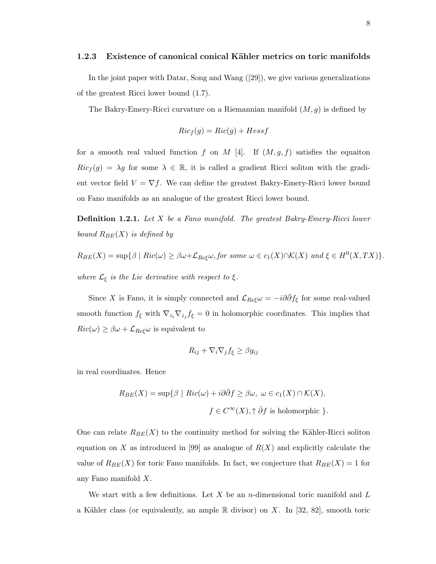#### 1.2.3 Existence of canonical conical Kähler metrics on toric manifolds

In the joint paper with Datar, Song and Wang ([29]), we give various generalizations of the greatest Ricci lower bound (1.7).

The Bakry-Emery-Ricci curvature on a Riemannian manifold  $(M, g)$  is defined by

$$
Ric_f(g) = Ric(g) + Hess f
$$

for a smooth real valued function f on M [4]. If  $(M, g, f)$  satisfies the equaiton  $Ric_f(g) = \lambda g$  for some  $\lambda \in \mathbb{R}$ , it is called a gradient Ricci soliton with the gradient vector field  $V = \nabla f$ . We can define the greatest Bakry-Emery-Ricci lower bound on Fano manifolds as an analogue of the greatest Ricci lower bound.

Definition 1.2.1. Let X be a Fano manifold. The greatest Bakry-Emery-Ricci lower bound  $R_{BE}(X)$  is defined by

$$
R_{BE}(X) = \sup \{ \beta \mid Ric(\omega) \ge \beta \omega + \mathcal{L}_{Re\xi}\omega, \text{ for some } \omega \in c_1(X) \cap \mathcal{K}(X) \text{ and } \xi \in H^0(X, TX) \}.
$$
  
where  $\mathcal{L}_{\xi}$  is the Lie derivative with respect to  $\xi$ .

Since X is Fano, it is simply connected and  $\mathcal{L}_{Re\xi}\omega = -i\partial\bar{\partial}f_{\xi}$  for some real-valued smooth function  $f_{\xi}$  with  $\nabla_{z_i} \nabla_{z_j} f_{\xi} = 0$  in holomorphic coordinates. This implies that  $Ric(\omega) \geq \beta \omega + \mathcal{L}_{Re\xi}\omega$  is equivalent to

$$
R_{ij} + \nabla_i \nabla_j f_{\xi} \ge \beta g_{ij}
$$

in real coordinates. Hence

$$
R_{BE}(X) = \sup \{ \beta \mid Ric(\omega) + i\partial \bar{\partial} f \ge \beta \omega, \ \omega \in c_1(X) \cap \mathcal{K}(X),
$$

$$
f \in C^{\infty}(X), \uparrow \bar{\partial} f \text{ is holomorphic } \}.
$$

One can relate  $R_{BE}(X)$  to the continuity method for solving the Kähler-Ricci soliton equation on X as introduced in [99] as analogue of  $R(X)$  and explicitly calculate the value of  $R_{BE}(X)$  for toric Fano manifolds. In fact, we conjecture that  $R_{BE}(X) = 1$  for any Fano manifold X.

We start with a few definitions. Let  $X$  be an n-dimensional toric manifold and  $L$ a Kähler class (or equivalently, an ample  $\mathbb R$  divisor) on X. In [32, 82], smooth toric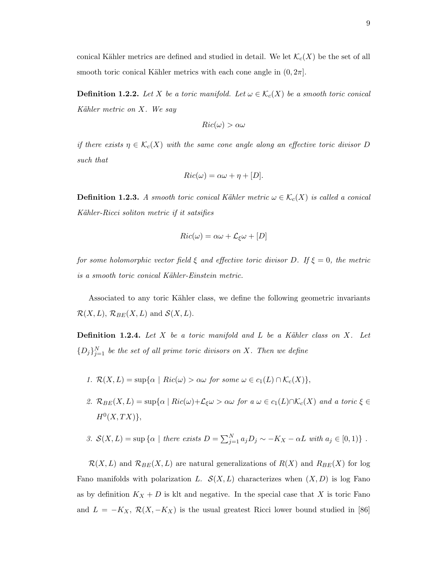conical Kähler metrics are defined and studied in detail. We let  $\mathcal{K}_c(X)$  be the set of all smooth toric conical Kähler metrics with each cone angle in  $(0, 2\pi]$ .

**Definition 1.2.2.** Let X be a toric manifold. Let  $\omega \in \mathcal{K}_c(X)$  be a smooth toric conical Kähler metric on  $X$ . We say

$$
Ric(\omega) > \alpha\omega
$$

if there exists  $\eta \in \mathcal{K}_c(X)$  with the same cone angle along an effective toric divisor D such that

$$
Ric(\omega) = \alpha\omega + \eta + [D].
$$

**Definition 1.2.3.** A smooth toric conical Kähler metric  $\omega \in \mathcal{K}_c(X)$  is called a conical Kähler-Ricci soliton metric if it satsifies

$$
Ric(\omega) = \alpha\omega + \mathcal{L}_{\xi}\omega + [D]
$$

for some holomorphic vector field  $\xi$  and effective toric divisor D. If  $\xi = 0$ , the metric is a smooth toric conical Kähler-Einstein metric.

Associated to any toric Kähler class, we define the following geometric invariants  $\mathcal{R}(X, L)$ ,  $\mathcal{R}_{BE}(X, L)$  and  $\mathcal{S}(X, L)$ .

**Definition 1.2.4.** Let X be a toric manifold and L be a Kähler class on X. Let  ${D_j}_{j=1}^N$  be the set of all prime toric divisors on X. Then we define

- 1.  $\mathcal{R}(X, L) = \sup \{ \alpha \mid Ric(\omega) > \alpha \omega \text{ for some } \omega \in c_1(L) \cap \mathcal{K}_c(X) \},$
- 2.  $\mathcal{R}_{BE}(X, L) = \sup \{ \alpha \mid Ric(\omega) + \mathcal{L}_{\xi} \omega > \alpha \omega \text{ for a } \omega \in c_1(L) \cap \mathcal{K}_c(X) \text{ and a toric } \xi \in$  $H^0(X,TX)\},\,$

3. 
$$
\mathcal{S}(X, L) = \sup \{ \alpha \mid \text{there exists } D = \sum_{j=1}^{N} a_j D_j \sim -K_X - \alpha L \text{ with } a_j \in [0, 1) \} .
$$

 $\mathcal{R}(X, L)$  and  $\mathcal{R}_{BE}(X, L)$  are natural generalizations of  $R(X)$  and  $R_{BE}(X)$  for log Fano manifolds with polarization L.  $\mathcal{S}(X, L)$  characterizes when  $(X, D)$  is log Fano as by definition  $K_X + D$  is klt and negative. In the special case that X is toric Fano and  $L = -K_X$ ,  $\mathcal{R}(X, -K_X)$  is the usual greatest Ricci lower bound studied in [86]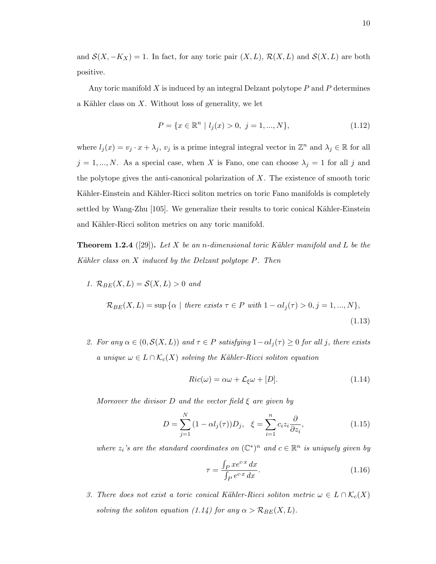and  $\mathcal{S}(X, -K_X) = 1$ . In fact, for any toric pair  $(X, L)$ ,  $\mathcal{R}(X, L)$  and  $\mathcal{S}(X, L)$  are both positive.

Any toric manifold  $X$  is induced by an integral Delzant polytope  $P$  and  $P$  determines a Kähler class on  $X$ . Without loss of generality, we let

$$
P = \{x \in \mathbb{R}^n \mid l_j(x) > 0, \ j = 1, ..., N\},\tag{1.12}
$$

where  $l_j(x) = v_j \cdot x + \lambda_j$ ,  $v_j$  is a prime integral integral vector in  $\mathbb{Z}^n$  and  $\lambda_j \in \mathbb{R}$  for all  $j = 1, ..., N$ . As a special case, when X is Fano, one can choose  $\lambda_j = 1$  for all j and the polytope gives the anti-canonical polarization of  $X$ . The existence of smooth toric Kähler-Einstein and Kähler-Ricci soliton metrics on toric Fano manifolds is completely settled by Wang-Zhu [105]. We generalize their results to toric conical Kähler-Einstein and Kähler-Ricci soliton metrics on any toric manifold.

**Theorem 1.2.4** ([29]). Let X be an n-dimensional toric Kähler manifold and L be the Kähler class on  $X$  induced by the Delzant polytope  $P$ . Then

- 1.  $\mathcal{R}_{BE}(X, L) = \mathcal{S}(X, L) > 0$  and  $\mathcal{R}_{BE}(X, L) = \sup \{ \alpha \mid \text{there exists } \tau \in P \text{ with } 1 - \alpha l_j(\tau) > 0, j = 1, ..., N \},$ (1.13)
- 2. For any  $\alpha \in (0, \mathcal{S}(X, L))$  and  $\tau \in P$  satisfying  $1 \alpha l_j(\tau) \geq 0$  for all j, there exists a unique  $\omega \in L \cap \mathcal{K}_c(X)$  solving the Kähler-Ricci soliton equation

$$
Ric(\omega) = \alpha\omega + \mathcal{L}_{\xi}\omega + [D].
$$
\n(1.14)

Moreover the divisor D and the vector field  $\xi$  are given by

$$
D = \sum_{j=1}^{N} (1 - \alpha l_j(\tau)) D_j, \quad \xi = \sum_{i=1}^{n} c_i z_i \frac{\partial}{\partial z_i}, \tag{1.15}
$$

where  $z_i$ 's are the standard coordinates on  $(\mathbb{C}^*)^n$  and  $c \in \mathbb{R}^n$  is uniquely given by

$$
\tau = \frac{\int_P x e^{cx} dx}{\int_P e^{cx} dx}.
$$
\n(1.16)

3. There does not exist a toric conical Kähler-Ricci soliton metric  $\omega \in L \cap \mathcal{K}_c(X)$ solving the soliton equation (1.14) for any  $\alpha > \mathcal{R}_{BE}(X, L)$ .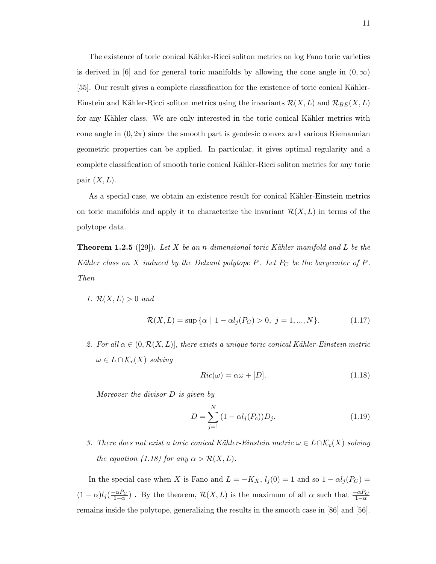The existence of toric conical Kähler-Ricci soliton metrics on log Fano toric varieties is derived in [6] and for general toric manifolds by allowing the cone angle in  $(0, \infty)$ [55]. Our result gives a complete classification for the existence of toric conical Kähler-Einstein and Kähler-Ricci soliton metrics using the invariants  $\mathcal{R}(X, L)$  and  $\mathcal{R}_{BE}(X, L)$ for any Kähler class. We are only interested in the toric conical Kähler metrics with cone angle in  $(0, 2\pi)$  since the smooth part is geodesic convex and various Riemannian geometric properties can be applied. In particular, it gives optimal regularity and a complete classification of smooth toric conical Kähler-Ricci soliton metrics for any toric pair  $(X, L)$ .

As a special case, we obtain an existence result for conical Kähler-Einstein metrics on toric manifolds and apply it to characterize the invariant  $\mathcal{R}(X, L)$  in terms of the polytope data.

**Theorem 1.2.5** ([29]). Let X be an n-dimensional toric Kähler manifold and L be the Kähler class on X induced by the Delzant polytope P. Let  $P_C$  be the barycenter of P. Then

1.  $\mathcal{R}(X,L) > 0$  and

$$
\mathcal{R}(X, L) = \sup \{ \alpha \mid 1 - \alpha l_j(P_C) > 0, \ j = 1, ..., N \}. \tag{1.17}
$$

2. For all  $\alpha \in (0, \mathcal{R}(X, L))$ , there exists a unique toric conical Kähler-Einstein metric  $\omega \in L \cap \mathcal{K}_c(X)$  solving

$$
Ric(\omega) = \alpha \omega + [D]. \tag{1.18}
$$

Moreover the divisor D is given by

$$
D = \sum_{j=1}^{N} (1 - \alpha l_j(P_c)) D_j.
$$
 (1.19)

3. There does not exist a toric conical Kähler-Einstein metric  $\omega \in L \cap \mathcal{K}_c(X)$  solving the equation (1.18) for any  $\alpha > \mathcal{R}(X, L)$ .

In the special case when X is Fano and  $L = -K_X$ ,  $l_j(0) = 1$  and so  $1 - \alpha l_j(P_C) =$  $(1-\alpha)l_j(\frac{-\alpha P_C}{1-\alpha})$ . By the theorem,  $\mathcal{R}(X,L)$  is the maximum of all  $\alpha$  such that  $\frac{-\alpha P_C}{1-\alpha}$ remains inside the polytope, generalizing the results in the smooth case in [86] and [56].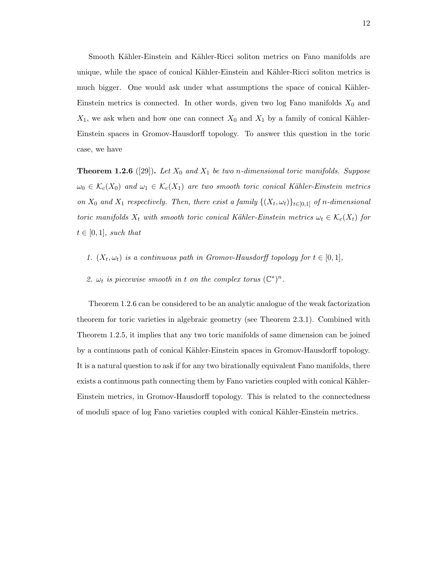Smooth Kähler-Einstein and Kähler-Ricci soliton metrics on Fano manifolds are unique, while the space of conical Kähler-Einstein and Kähler-Ricci soliton metrics is much bigger. One would ask under what assumptions the space of conical Kähler-Einstein metrics is connected. In other words, given two log Fano manifolds  $X_0$  and  $X_1$ , we ask when and how one can connect  $X_0$  and  $X_1$  by a family of conical Kähler-Einstein spaces in Gromov-Hausdorff topology. To answer this question in the toric case, we have

**Theorem 1.2.6** ([29]). Let  $X_0$  and  $X_1$  be two n-dimensional toric manifolds. Suppose  $\omega_0 \in \mathcal{K}_c(X_0)$  and  $\omega_1 \in \mathcal{K}_c(X_1)$  are two smooth toric conical Kähler-Einstein metrics on  $X_0$  and  $X_1$  respectively. Then, there exist a family  $\{(X_t, \omega_t)\}_{t \in [0,1]}$  of n-dimensional toric manifolds  $X_t$  with smooth toric conical Kähler-Einstein metrics  $\omega_t \in \mathcal{K}_c(X_t)$  for  $t \in [0,1]$ , such that

- 1.  $(X_t, \omega_t)$  is a continuous path in Gromov-Hausdorff topology for  $t \in [0, 1]$ ,
- 2.  $\omega_t$  is piecewise smooth in t on the complex torus  $(\mathbb{C}^*)^n$ .

Theorem 1.2.6 can be considered to be an analytic analogue of the weak factorization theorem for toric varieties in algebraic geometry (see Theorem 2.3.1). Combined with Theorem 1.2.5, it implies that any two toric manifolds of same dimension can be joined by a continuous path of conical Kähler-Einstein spaces in Gromov-Hausdorff topology. It is a natural question to ask if for any two birationally equivalent Fano manifolds, there exists a continuous path connecting them by Fano varieties coupled with conical Kähler-Einstein metrics, in Gromov-Hausdorff topology. This is related to the connectedness of moduli space of log Fano varieties coupled with conical K¨ahler-Einstein metrics.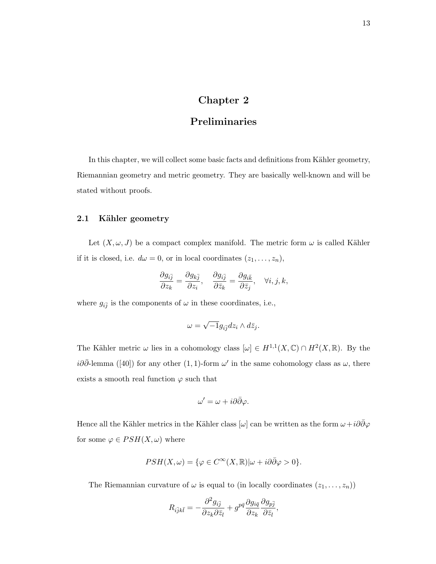# Chapter 2

# Preliminaries

In this chapter, we will collect some basic facts and definitions from Kähler geometry, Riemannian geometry and metric geometry. They are basically well-known and will be stated without proofs.

## 2.1 Kähler geometry

Let  $(X, \omega, J)$  be a compact complex manifold. The metric form  $\omega$  is called Kähler if it is closed, i.e.  $d\omega = 0$ , or in local coordinates  $(z_1, \ldots, z_n)$ ,

$$
\frac{\partial g_{i\bar{j}}}{\partial z_k}=\frac{\partial g_{k\bar{j}}}{\partial z_i},\quad \frac{\partial g_{i\bar{j}}}{\partial \bar{z}_k}=\frac{\partial g_{i\bar{k}}}{\partial \bar{z}_j},\quad \forall i,j,k,
$$

where  $g_{i\bar{j}}$  is the components of  $\omega$  in these coordinates, i.e.,

$$
\omega=\sqrt{-1}g_{i\bar{j}}dz_i\wedge d\bar{z}_j.
$$

The Kähler metric  $\omega$  lies in a cohomology class  $[\omega] \in H^{1,1}(X,\mathbb{C}) \cap H^2(X,\mathbb{R})$ . By the  $i\partial\bar{\partial}$ -lemma ([40]) for any other (1,1)-form  $\omega'$  in the same cohomology class as  $\omega$ , there exists a smooth real function  $\varphi$  such that

$$
\omega' = \omega + i\partial\bar{\partial}\varphi.
$$

Hence all the Kähler metrics in the Kähler class  $[\omega]$  can be written as the form  $\omega+i\partial\bar{\partial}\varphi$ for some  $\varphi \in PSH(X,\omega)$  where

$$
PSH(X,\omega) = \{ \varphi \in C^{\infty}(X,\mathbb{R}) | \omega + i\partial \bar{\partial} \varphi > 0 \}.
$$

The Riemannian curvature of  $\omega$  is equal to (in locally coordinates  $(z_1, \ldots, z_n)$ )

$$
R_{i\bar{j}k\bar{l}} = -\frac{\partial^2 g_{i\bar{j}}}{\partial z_k \partial \bar{z}_l} + g^{p\bar{q}} \frac{\partial g_{i\bar{q}}}{\partial z_k} \frac{\partial g_{p\bar{j}}}{\partial \bar{z}_l},
$$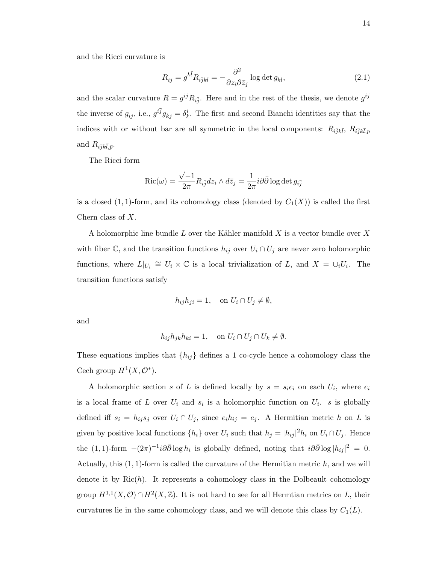and the Ricci curvature is

$$
R_{i\bar{j}} = g^{k\bar{l}} R_{i\bar{j}k\bar{l}} = -\frac{\partial^2}{\partial z_i \partial \bar{z}_j} \log \det g_{k\bar{l}},\tag{2.1}
$$

and the scalar curvature  $R = g^{i\bar{j}} R_{i\bar{j}}$ . Here and in the rest of the thesis, we denote  $g^{i\bar{j}}$ the inverse of  $g_{i\bar{j}}$ , i.e.,  $g^{i\bar{j}}g_{k\bar{j}} = \delta^i_k$ . The first and second Bianchi identities say that the indices with or without bar are all symmetric in the local components:  $R_{i\bar{j}k\bar{l}}, R_{i\bar{j}k\bar{l},p}$ and  $R_{i\bar{j}k\bar{l},\bar{p}}$ .

The Ricci form

$$
\operatorname{Ric}(\omega) = \frac{\sqrt{-1}}{2\pi} R_{i\overline{j}} dz_i \wedge d\overline{z}_j = \frac{1}{2\pi} i \partial \overline{\partial} \log \det g_{i\overline{j}}
$$

is a closed  $(1, 1)$ -form, and its cohomology class (denoted by  $C_1(X)$ ) is called the first Chern class of X.

A holomorphic line bundle L over the Kähler manifold  $X$  is a vector bundle over  $X$ with fiber C, and the transition functions  $h_{ij}$  over  $U_i \cap U_j$  are never zero holomorphic functions, where  $L|_{U_i} \cong U_i \times \mathbb{C}$  is a local trivialization of L, and  $X = \cup_i U_i$ . The transition functions satisfy

$$
h_{ij}h_{ji} = 1
$$
, on  $U_i \cap U_j \neq \emptyset$ ,

and

$$
h_{ij}h_{jk}h_{ki}=1, \quad \text{on } U_i \cap U_j \cap U_k \neq \emptyset.
$$

These equations implies that  $\{h_{ij}\}$  defines a 1 co-cycle hence a cohomology class the Cech group  $H^1(X, \mathcal{O}^*)$ .

A holomorphic section s of L is defined locally by  $s = s_i e_i$  on each  $U_i$ , where  $e_i$ is a local frame of L over  $U_i$  and  $s_i$  is a holomorphic function on  $U_i$ . s is globally defined iff  $s_i = h_{ij} s_j$  over  $U_i \cap U_j$ , since  $e_i h_{ij} = e_j$ . A Hermitian metric h on L is given by positive local functions  $\{h_i\}$  over  $U_i$  such that  $h_j = |h_{ij}|^2 h_i$  on  $U_i \cap U_j$ . Hence the  $(1,1)$ -form  $-(2\pi)^{-1}i\partial\bar{\partial}\log h_i$  is globally defined, noting that  $i\partial\bar{\partial}\log|h_{ij}|^2 = 0$ . Actually, this  $(1, 1)$ -form is called the curvature of the Hermitian metric h, and we will denote it by  $\text{Ric}(h)$ . It represents a cohomology class in the Dolbeault cohomology group  $H^{1,1}(X,\mathcal{O}) \cap H^2(X,\mathbb{Z})$ . It is not hard to see for all Hermtian metrics on L, their curvatures lie in the same cohomology class, and we will denote this class by  $C_1(L)$ .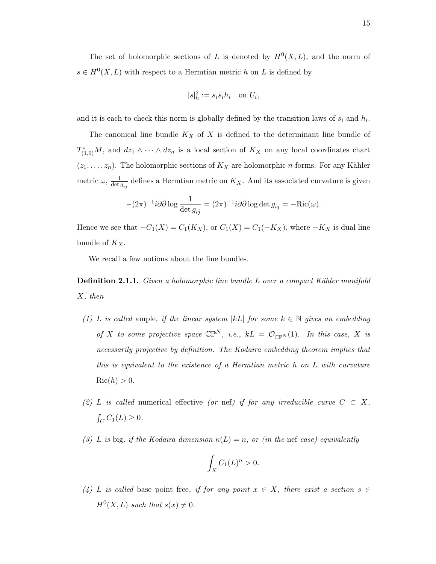The set of holomorphic sections of L is denoted by  $H^0(X, L)$ , and the norm of  $s \in H^0(X, L)$  with respect to a Hermtian metric h on L is defined by

$$
|s|^2_h := s_i \bar{s}_i h_i \quad \text{on } U_i,
$$

and it is each to check this norm is globally defined by the transition laws of  $s_i$  and  $h_i$ .

The canonical line bundle  $K_X$  of X is defined to the determinant line bundle of  $T_{(1,0)}^*M$ , and  $dz_1 \wedge \cdots \wedge dz_n$  is a local section of  $K_X$  on any local coordinates chart  $(z_1, \ldots, z_n)$ . The holomorphic sections of  $K_X$  are holomorphic *n*-forms. For any Kähler metric  $\omega$ ,  $\frac{1}{det}$  $\frac{1}{\det g_{i\bar{j}}}$  defines a Hermtian metric on  $K_X$ . And its associated curvature is given

$$
-(2\pi)^{-1}i\partial\bar{\partial}\log\frac{1}{\det g_{i\bar{j}}}=(2\pi)^{-1}i\partial\bar{\partial}\log\det g_{i\bar{j}}=-\mathrm{Ric}(\omega).
$$

Hence we see that  $-C_1(X) = C_1(K_X)$ , or  $C_1(X) = C_1(-K_X)$ , where  $-K_X$  is dual line bundle of  $K_X$ .

We recall a few notions about the line bundles.

**Definition 2.1.1.** Given a holomorphic line bundle L over a compact Kähler manifold X, then

- (1) L is called ample, if the linear system |kL| for some  $k \in \mathbb{N}$  gives an embedding of X to some projective space  $\mathbb{CP}^N$ , i.e.,  $kL = \mathcal{O}_{\mathbb{CP}^N}(1)$ . In this case, X is necessarily projective by definition. The Kodaira embedding theorem implies that this is equivalent to the existence of a Hermtian metric h on L with curvature  $Ric(h) > 0.$
- (2) L is called numerical effective (or nef) if for any irreducible curve  $C \subset X$ ,  $\int_C C_1(L) \ge 0.$
- (3) L is big, if the Kodaira dimension  $\kappa(L) = n$ , or (in the nef case) equivalently

$$
\int_X C_1(L)^n > 0.
$$

(4) L is called base point free, if for any point  $x \in X$ , there exist a section  $s \in$  $H^0(X, L)$  such that  $s(x) \neq 0$ .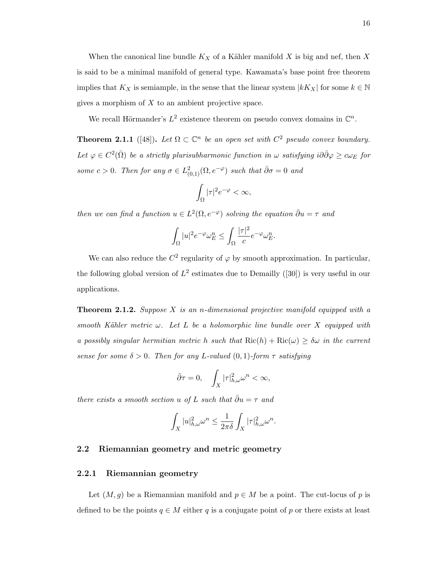When the canonical line bundle  $K_X$  of a Kähler manifold X is big and nef, then X is said to be a minimal manifold of general type. Kawamata's base point free theorem implies that  $K_X$  is semiample, in the sense that the linear system  $|kK_X|$  for some  $k \in \mathbb{N}$ gives a morphism of  $X$  to an ambient projective space.

We recall Hörmander's  $L^2$  existence theorem on pseudo convex domains in  $\mathbb{C}^n$ .

**Theorem 2.1.1** ([48]). Let  $\Omega \subset \mathbb{C}^n$  be an open set with  $C^2$  pseudo convex boundary. Let  $\varphi \in C^2(\bar{\Omega})$  be a strictly plurisubharmonic function in  $\omega$  satisfying i $\partial \bar{\partial} \varphi \geq c\omega_E$  for some  $c > 0$ . Then for any  $\sigma \in L^2_{(0,1)}(\Omega, e^{-\varphi})$  such that  $\bar{\partial}\sigma = 0$  and

$$
\int_{\Omega}|\tau|^2e^{-\varphi}<\infty,
$$

then we can find a function  $u \in L^2(\Omega, e^{-\varphi})$  solving the equation  $\bar{\partial}u = \tau$  and

$$
\int_{\Omega} |u|^2 e^{-\varphi} \omega_E^n \le \int_{\Omega} \frac{|\tau|^2}{c} e^{-\varphi} \omega_E^n.
$$

We can also reduce the  $C^2$  regularity of  $\varphi$  by smooth approximation. In particular, the following global version of  $L^2$  estimates due to Demailly ([30]) is very useful in our applications.

**Theorem 2.1.2.** Suppose X is an *n*-dimensional projective manifold equipped with a smooth Kähler metric  $\omega$ . Let L be a holomorphic line bundle over X equipped with a possibly singular hermitian metric h such that  $\text{Ric}(h) + \text{Ric}(\omega) \geq \delta \omega$  in the current sense for some  $\delta > 0$ . Then for any L-valued  $(0,1)$ -form  $\tau$  satisfying

$$
\bar{\partial}\tau=0,\quad \int_X|\tau|^2_{h,\omega}\omega^n<\infty,
$$

there exists a smooth section u of L such that  $\bar{\partial}u=\tau$  and

$$
\int_X |u|^2_{h,\omega} \omega^n \le \frac{1}{2\pi \delta} \int_X |\tau|^2_{h,\omega} \omega^n.
$$

## 2.2 Riemannian geometry and metric geometry

### 2.2.1 Riemannian geometry

Let  $(M, g)$  be a Riemannian manifold and  $p \in M$  be a point. The cut-locus of p is defined to be the points  $q \in M$  either q is a conjugate point of p or there exists at least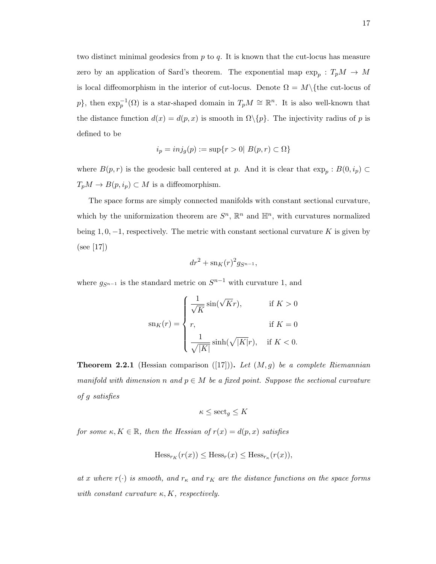two distinct minimal geodesics from  $p$  to  $q$ . It is known that the cut-locus has measure zero by an application of Sard's theorem. The exponential map  $\exp_p: T_pM \to M$ is local diffeomorphism in the interior of cut-locus. Denote  $\Omega = M\setminus\{$  the cut-locus of p}, then  $\exp_p^{-1}(\Omega)$  is a star-shaped domain in  $T_pM \cong \mathbb{R}^n$ . It is also well-known that the distance function  $d(x) = d(p, x)$  is smooth in  $\Omega \setminus \{p\}$ . The injectivity radius of p is defined to be

$$
i_p = inj_g(p) := \sup\{r > 0 \mid B(p, r) \subset \Omega\}
$$

where  $B(p,r)$  is the geodesic ball centered at p. And it is clear that  $\exp_p : B(0, i_p) \subset$  $T_pM \to B(p,i_p) \subset M$  is a diffeomorphism.

The space forms are simply connected manifolds with constant sectional curvature, which by the uniformization theorem are  $S<sup>n</sup>$ ,  $\mathbb{R}<sup>n</sup>$  and  $\mathbb{H}<sup>n</sup>$ , with curvatures normalized being 1, 0,  $-1$ , respectively. The metric with constant sectional curvature K is given by (see [17])

$$
dr^2 + \operatorname{sn}_K(r)^2 g_{S^{n-1}},
$$

where  $g_{S^{n-1}}$  is the standard metric on  $S^{n-1}$  with curvature 1, and

$$
\operatorname{sn}_K(r) = \begin{cases} \frac{1}{\sqrt{K}} \sin(\sqrt{K}r), & \text{if } K > 0 \\ r, & \text{if } K = 0 \\ \frac{1}{\sqrt{|K|}} \sinh(\sqrt{|K|}r), & \text{if } K < 0. \end{cases}
$$

**Theorem 2.2.1** (Hessian comparison ([17])). Let  $(M, g)$  be a complete Riemannian manifold with dimension n and  $p \in M$  be a fixed point. Suppose the sectional curvature of g satisfies

$$
\kappa \le \mathrm{sect}_{g} \le K
$$

for some  $\kappa, K \in \mathbb{R}$ , then the Hessian of  $r(x) = d(p, x)$  satisfies

$$
\operatorname{Hess}_{r_K}(r(x)) \le \operatorname{Hess}_r(x) \le \operatorname{Hess}_{r_K}(r(x)),
$$

at x where  $r(\cdot)$  is smooth, and  $r_K$  and  $r_K$  are the distance functions on the space forms with constant curvature  $\kappa, K$ , respectively.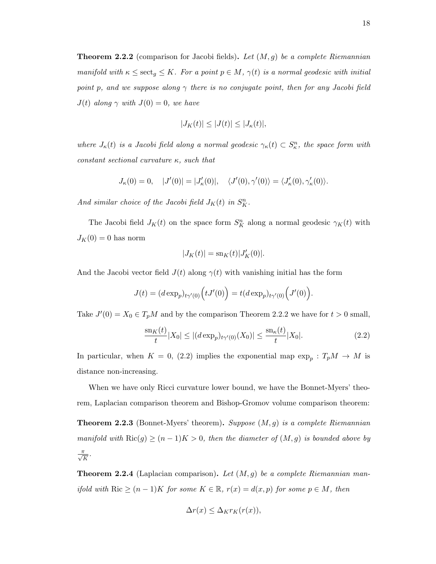**Theorem 2.2.2** (comparison for Jacobi fields). Let  $(M, g)$  be a complete Riemannian manifold with  $\kappa \leq \sec t_g \leq K$ . For a point  $p \in M$ ,  $\gamma(t)$  is a normal geodesic with initial point p, and we suppose along  $\gamma$  there is no conjugate point, then for any Jacobi field  $J(t)$  along  $\gamma$  with  $J(0) = 0$ , we have

$$
|J_K(t)| \le |J(t)| \le |J_\kappa(t)|,
$$

where  $J_{\kappa}(t)$  is a Jacobi field along a normal geodesic  $\gamma_{\kappa}(t) \subset S_{\kappa}^n$ , the space form with constant sectional curvature  $\kappa$ , such that

$$
J_{\kappa}(0) = 0, \quad |J'(0)| = |J'_{\kappa}(0)|, \quad \langle J'(0), \gamma'(0) \rangle = \langle J'_{\kappa}(0), \gamma'_{\kappa}(0) \rangle.
$$

And similar choice of the Jacobi field  $J_K(t)$  in  $S_K^n$ .

The Jacobi field  $J_K(t)$  on the space form  $S_K^n$  along a normal geodesic  $\gamma_K(t)$  with  $J_K(0) = 0$  has norm

$$
|J_K(t)| = \mathrm{sn}_K(t)|J'_K(0)|.
$$

And the Jacobi vector field  $J(t)$  along  $\gamma(t)$  with vanishing initial has the form

$$
J(t) = (d \exp_p)_{t\gamma'(0)} \Big( tJ'(0) \Big) = t (d \exp_p)_{t\gamma'(0)} \Big( J'(0) \Big).
$$

Take  $J'(0) = X_0 \in T_pM$  and by the comparison Theorem 2.2.2 we have for  $t > 0$  small,

$$
\frac{\mathrm{sn}_{K}(t)}{t}|X_{0}| \leq |(d\exp_{p})_{t\gamma'(0)}(X_{0})| \leq \frac{\mathrm{sn}_{\kappa}(t)}{t}|X_{0}|.\tag{2.2}
$$

In particular, when  $K = 0$ , (2.2) implies the exponential map  $\exp_p : T_pM \to M$  is distance non-increasing.

When we have only Ricci curvature lower bound, we have the Bonnet-Myers' theorem, Laplacian comparison theorem and Bishop-Gromov volume comparison theorem: **Theorem 2.2.3** (Bonnet-Myers' theorem). Suppose  $(M, g)$  is a complete Riemannian manifold with  $\text{Ric}(g) \ge (n-1)K > 0$ , then the diameter of  $(M, g)$  is bounded above by  $\frac{\pi}{\sqrt{K}}$ .

**Theorem 2.2.4** (Laplacian comparison). Let  $(M, g)$  be a complete Riemannian manifold with Ric  $\geq (n-1)K$  for some  $K \in \mathbb{R}$ ,  $r(x) = d(x, p)$  for some  $p \in M$ , then

$$
\Delta r(x) \leq \Delta_K r_K(r(x)),
$$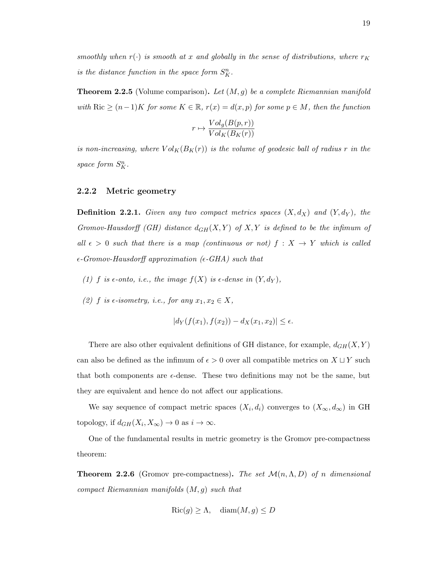smoothly when  $r(\cdot)$  is smooth at x and globally in the sense of distributions, where  $r_K$ is the distance function in the space form  $S_K^n$ .

**Theorem 2.2.5** (Volume comparison). Let  $(M, g)$  be a complete Riemannian manifold with Ric  $\geq (n-1)K$  for some  $K \in \mathbb{R}$ ,  $r(x) = d(x, p)$  for some  $p \in M$ , then the function

$$
r \mapsto \frac{Vol_g(B(p,r))}{Vol_K(B_K(r))}
$$

is non-increasing, where  $Vol_K(B_K(r))$  is the volume of geodesic ball of radius r in the space form  $S_K^n$ .

#### 2.2.2 Metric geometry

**Definition 2.2.1.** Given any two compact metrics spaces  $(X, d_X)$  and  $(Y, d_Y)$ , the Gromov-Hausdorff (GH) distance  $d_{GH}(X, Y)$  of  $X, Y$  is defined to be the infimum of all  $\epsilon > 0$  such that there is a map (continuous or not)  $f : X \rightarrow Y$  which is called  $\epsilon$ -Gromov-Hausdorff approximation ( $\epsilon$ -GHA) such that

- (1) f is  $\epsilon$ -onto, i.e., the image  $f(X)$  is  $\epsilon$ -dense in  $(Y, d_Y)$ ,
- (2) f is  $\epsilon$ -isometry, i.e., for any  $x_1, x_2 \in X$ ,

$$
|d_Y(f(x_1), f(x_2)) - d_X(x_1, x_2)| \le \epsilon.
$$

There are also other equivalent definitions of GH distance, for example,  $d_{GH}(X, Y)$ can also be defined as the infimum of  $\epsilon > 0$  over all compatible metrics on  $X \sqcup Y$  such that both components are  $\epsilon$ -dense. These two definitions may not be the same, but they are equivalent and hence do not affect our applications.

We say sequence of compact metric spaces  $(X_i, d_i)$  converges to  $(X_\infty, d_\infty)$  in GH topology, if  $d_{GH}(X_i, X_\infty) \to 0$  as  $i \to \infty$ .

One of the fundamental results in metric geometry is the Gromov pre-compactness theorem:

**Theorem 2.2.6** (Gromov pre-compactness). The set  $\mathcal{M}(n,\Lambda,D)$  of n dimensional compact Riemannian manifolds  $(M, g)$  such that

$$
Ric(g) \ge \Lambda, \quad \text{diam}(M, g) \le D
$$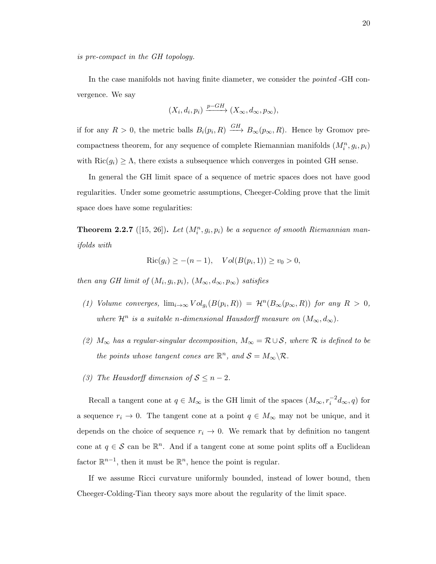is pre-compact in the GH topology.

In the case manifolds not having finite diameter, we consider the pointed -GH convergence. We say

$$
(X_i, d_i, p_i) \xrightarrow{p-GH} (X_{\infty}, d_{\infty}, p_{\infty}),
$$

if for any  $R > 0$ , the metric balls  $B_i(p_i, R) \xrightarrow{GH} B_\infty(p_\infty, R)$ . Hence by Gromov precompactness theorem, for any sequence of complete Riemannian manifolds  $(M_i^n, g_i, p_i)$ with  $\text{Ric}(g_i) \geq \Lambda$ , there exists a subsequence which converges in pointed GH sense.

In general the GH limit space of a sequence of metric spaces does not have good regularities. Under some geometric assumptions, Cheeger-Colding prove that the limit space does have some regularities:

**Theorem 2.2.7** ([15, 26]). Let  $(M_i^n, g_i, p_i)$  be a sequence of smooth Riemannian manifolds with

$$
Ric(g_i) \ge -(n-1), \quad Vol(B(p_i, 1)) \ge v_0 > 0,
$$

then any GH limit of  $(M_i, g_i, p_i)$ ,  $(M_\infty, d_\infty, p_\infty)$  satisfies

- (1) Volume converges,  $\lim_{i\to\infty} Vol_{g_i}(B(p_i,R)) = \mathcal{H}^n(B_\infty(p_\infty,R))$  for any  $R > 0$ , where  $\mathcal{H}^n$  is a suitable n-dimensional Hausdorff measure on  $(M_\infty, d_\infty)$ .
- (2)  $M_{\infty}$  has a regular-singular decomposition,  $M_{\infty} = \mathcal{R} \cup \mathcal{S}$ , where  $\mathcal{R}$  is defined to be the points whose tangent cones are  $\mathbb{R}^n$ , and  $\mathcal{S} = M_{\infty} \backslash \mathcal{R}$ .
- (3) The Hausdorff dimension of  $S \leq n-2$ .

Recall a tangent cone at  $q \in M_{\infty}$  is the GH limit of the spaces  $(M_{\infty}, r_i^{-2}d_{\infty}, q)$  for a sequence  $r_i \to 0$ . The tangent cone at a point  $q \in M_\infty$  may not be unique, and it depends on the choice of sequence  $r_i \rightarrow 0$ . We remark that by definition no tangent cone at  $q \in \mathcal{S}$  can be  $\mathbb{R}^n$ . And if a tangent cone at some point splits off a Euclidean factor  $\mathbb{R}^{n-1}$ , then it must be  $\mathbb{R}^n$ , hence the point is regular.

If we assume Ricci curvature uniformly bounded, instead of lower bound, then Cheeger-Colding-Tian theory says more about the regularity of the limit space.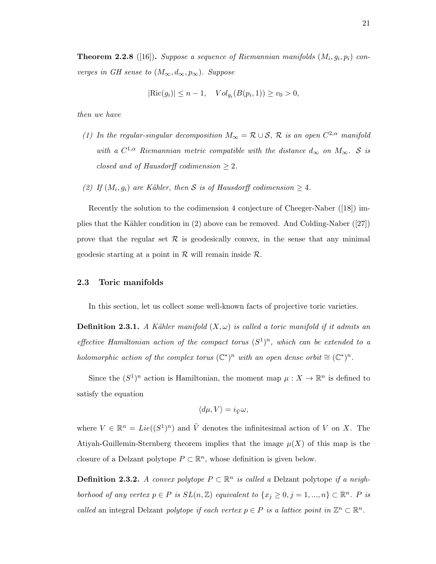**Theorem 2.2.8** ([16]). Suppose a sequence of Riemannian manifolds  $(M_i, g_i, p_i)$  converges in GH sense to  $(M_{\infty}, d_{\infty}, p_{\infty})$ . Suppose

$$
|\text{Ric}(g_i)| \le n - 1
$$
,  $Vol_{g_i}(B(p_i, 1)) \ge v_0 > 0$ ,

then we have

- (1) In the regular-singular decomposition  $M_{\infty} = \mathcal{R} \cup \mathcal{S}$ ,  $\mathcal{R}$  is an open  $C^{2,\alpha}$  manifold with a  $C^{1,\alpha}$  Riemannian metric compatible with the distance  $d_{\infty}$  on  $M_{\infty}$ . S is closed and of Hausdorff codimension  $\geq 2$ .
- (2) If  $(M_i, g_i)$  are Kähler, then S is of Hausdorff codimension  $\geq 4$ .

Recently the solution to the codimension 4 conjecture of Cheeger-Naber ([18]) implies that the Kähler condition in  $(2)$  above can be removed. And Colding-Naber  $(27)$ prove that the regular set  $\mathcal R$  is geodesically convex, in the sense that any minimal geodesic starting at a point in  $R$  will remain inside  $R$ .

### 2.3 Toric manifolds

In this section, let us collect some well-known facts of projective toric varieties.

**Definition 2.3.1.** A Kähler manifold  $(X, \omega)$  is called a toric manifold if it admits an effective Hamiltonian action of the compact torus  $(S^1)^n$ , which can be extended to a holomorphic action of the complex torus  $(\mathbb{C}^*)^n$  with an open dense orbit  $\cong (\mathbb{C}^*)^n$ .

Since the  $(S^1)^n$  action is Hamiltonian, the moment map  $\mu : X \to \mathbb{R}^n$  is defined to satisfy the equation

$$
\langle d\mu, V \rangle = i_{\tilde{V}}\omega,
$$

where  $V \in \mathbb{R}^n = Lie((S^1)^n)$  and  $\tilde{V}$  denotes the infinitesimal action of V on X. The Atiyah-Guillemin-Sternberg theorem implies that the image  $\mu(X)$  of this map is the closure of a Delzant polytope  $P \subset \mathbb{R}^n$ , whose definition is given below.

**Definition 2.3.2.** A convex polytope  $P \subset \mathbb{R}^n$  is called a Delzant polytope if a neighborhood of any vertex  $p \in P$  is  $SL(n, \mathbb{Z})$  equivalent to  $\{x_j \geq 0, j = 1, ..., n\} \subset \mathbb{R}^n$ . P is called an integral Delzant polytope if each vertex  $p \in P$  is a lattice point in  $\mathbb{Z}^n \subset \mathbb{R}^n$ .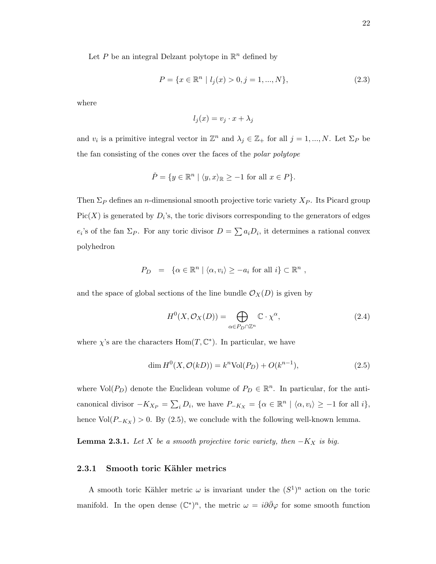Let P be an integral Delzant polytope in  $\mathbb{R}^n$  defined by

$$
P = \{x \in \mathbb{R}^n \mid l_j(x) > 0, j = 1, ..., N\},\tag{2.3}
$$

where

$$
l_j(x) = v_j \cdot x + \lambda_j
$$

and  $v_i$  is a primitive integral vector in  $\mathbb{Z}^n$  and  $\lambda_j \in \mathbb{Z}_+$  for all  $j = 1, ..., N$ . Let  $\Sigma_P$  be the fan consisting of the cones over the faces of the polar polytope

$$
\check{P} = \{ y \in \mathbb{R}^n \mid \langle y, x \rangle_{\mathbb{R}} \ge -1 \text{ for all } x \in P \}.
$$

Then  $\Sigma_P$  defines an *n*-dimensional smooth projective toric variety  $X_P$ . Its Picard group  $Pic(X)$  is generated by  $D_i$ 's, the toric divisors corresponding to the generators of edges  $e_i$ 's of the fan  $\Sigma_P$ . For any toric divisor  $D = \sum a_i D_i$ , it determines a rational convex polyhedron

$$
P_D = \{ \alpha \in \mathbb{R}^n \mid \langle \alpha, v_i \rangle \ge -a_i \text{ for all } i \} \subset \mathbb{R}^n ,
$$

and the space of global sections of the line bundle  $\mathcal{O}_X(D)$  is given by

$$
H^{0}(X, \mathcal{O}_{X}(D)) = \bigoplus_{\alpha \in P_{D} \cap \mathbb{Z}^{n}} \mathbb{C} \cdot \chi^{\alpha},\tag{2.4}
$$

where  $\chi$ 's are the characters  $Hom(T, \mathbb{C}^*)$ . In particular, we have

$$
\dim H^0(X, \mathcal{O}(kD)) = k^n \text{Vol}(P_D) + O(k^{n-1}),\tag{2.5}
$$

where  $Vol(P_D)$  denote the Euclidean volume of  $P_D \in \mathbb{R}^n$ . In particular, for the anticanonical divisor  $-K_{X_P} = \sum_i D_i$ , we have  $P_{-K_X} = \{ \alpha \in \mathbb{R}^n \mid \langle \alpha, v_i \rangle \ge -1 \text{ for all } i \},\$ hence  $Vol(P_{-K_X}) > 0$ . By (2.5), we conclude with the following well-known lemma.

**Lemma 2.3.1.** Let X be a smooth projective toric variety, then  $-K_X$  is big.

#### 2.3.1 Smooth toric Kähler metrics

A smooth toric Kähler metric  $\omega$  is invariant under the  $(S^1)^n$  action on the toric manifold. In the open dense  $(\mathbb{C}^*)^n$ , the metric  $\omega = i\partial\bar{\partial}\varphi$  for some smooth function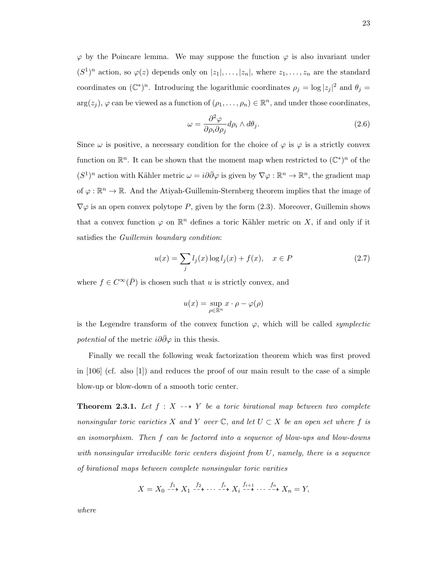$\varphi$  by the Poincare lemma. We may suppose the function  $\varphi$  is also invariant under  $(S^1)^n$  action, so  $\varphi(z)$  depends only on  $|z_1|, \ldots, |z_n|$ , where  $z_1, \ldots, z_n$  are the standard coordinates on  $(\mathbb{C}^*)^n$ . Introducing the logarithmic coordinates  $\rho_j = \log |z_j|^2$  and  $\theta_j =$  $arg(z_j)$ ,  $\varphi$  can be viewed as a function of  $(\rho_1, \ldots, \rho_n) \in \mathbb{R}^n$ , and under those coordinates,

$$
\omega = \frac{\partial^2 \varphi}{\partial \rho_i \partial \rho_j} d\rho_i \wedge d\theta_j.
$$
\n(2.6)

Since  $\omega$  is positive, a necessary condition for the choice of  $\varphi$  is  $\varphi$  is a strictly convex function on  $\mathbb{R}^n$ . It can be shown that the moment map when restricted to  $(\mathbb{C}^*)^n$  of the  $(S^1)^n$  action with Kähler metric  $\omega = i\partial\bar{\partial}\varphi$  is given by  $\nabla\varphi : \mathbb{R}^n \to \mathbb{R}^n$ , the gradient map of  $\varphi : \mathbb{R}^n \to \mathbb{R}$ . And the Atiyah-Guillemin-Sternberg theorem implies that the image of  $\nabla\varphi$  is an open convex polytope P, given by the form (2.3). Moreover, Guillemin shows that a convex function  $\varphi$  on  $\mathbb{R}^n$  defines a toric Kähler metric on X, if and only if it satisfies the Guillemin boundary condition:

$$
u(x) = \sum_{j} l_j(x) \log l_j(x) + f(x), \quad x \in P \tag{2.7}
$$

where  $f \in C^{\infty}(\overline{P})$  is chosen such that u is strictly convex, and

$$
u(x) = \sup_{\rho \in \mathbb{R}^n} x \cdot \rho - \varphi(\rho)
$$

is the Legendre transform of the convex function  $\varphi$ , which will be called *symplectic potential* of the metric  $i\partial\bar{\partial}\varphi$  in this thesis.

Finally we recall the following weak factorization theorem which was first proved in [106] (cf. also [1]) and reduces the proof of our main result to the case of a simple blow-up or blow-down of a smooth toric center.

**Theorem 2.3.1.** Let  $f : X \dashrightarrow Y$  be a toric birational map between two complete nonsingular toric varieties X and Y over  $\mathbb{C}$ , and let  $U \subset X$  be an open set where f is an isomorphism. Then f can be factored into a sequence of blow-ups and blow-downs with nonsingular irreducible toric centers disjoint from  $U$ , namely, there is a sequence of birational maps between complete nonsingular toric varities

$$
X = X_0 \xrightarrow{f_1} X_1 \xrightarrow{f_2} \cdots \xrightarrow{f_i} X_i \xrightarrow{f_{i+1}} \cdots \xrightarrow{f_n} X_n = Y,
$$

where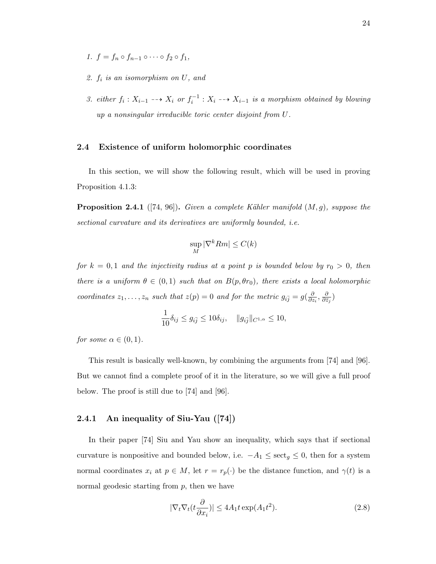- 1.  $f = f_n \circ f_{n-1} \circ \cdots \circ f_2 \circ f_1$ ,
- 2. f<sup>i</sup> is an isomorphism on U, and
- 3. either  $f_i: X_{i-1} \dashrightarrow X_i$  or  $f_i^{-1}: X_i \dashrightarrow X_{i-1}$  is a morphism obtained by blowing up a nonsingular irreducible toric center disjoint from U.

### 2.4 Existence of uniform holomorphic coordinates

In this section, we will show the following result, which will be used in proving Proposition 4.1.3:

**Proposition 2.4.1** ([74, 96]). Given a complete Kähler manifold  $(M, g)$ , suppose the sectional curvature and its derivatives are uniformly bounded, i.e.

$$
\sup_M |\nabla^k Rm| \le C(k)
$$

for  $k = 0, 1$  and the injectivity radius at a point p is bounded below by  $r_0 > 0$ , then there is a uniform  $\theta \in (0,1)$  such that on  $B(p,\theta r_0)$ , there exists a local holomorphic coordinates  $z_1, \ldots, z_n$  such that  $z(p) = 0$  and for the metric  $g_{i\bar{j}} = g(\frac{\partial}{\partial z})$  $\frac{\partial}{\partial z_i}, \frac{\partial}{\partial \bar z}$  $\frac{\partial}{\partial \bar{z}_j})$ 

$$
\frac{1}{10}\delta_{ij} \le g_{i\bar{j}} \le 10\delta_{ij}, \quad ||g_{i\bar{j}}||_{C^{1,\alpha}} \le 10,
$$

for some  $\alpha \in (0,1)$ .

This result is basically well-known, by combining the arguments from [74] and [96]. But we cannot find a complete proof of it in the literature, so we will give a full proof below. The proof is still due to [74] and [96].

## 2.4.1 An inequality of Siu-Yau ([74])

In their paper [74] Siu and Yau show an inequality, which says that if sectional curvature is nonpositive and bounded below, i.e.  $-A_1 \leq \sec t_g \leq 0$ , then for a system normal coordinates  $x_i$  at  $p \in M$ , let  $r = r_p(\cdot)$  be the distance function, and  $\gamma(t)$  is a normal geodesic starting from  $p$ , then we have

$$
|\nabla_t \nabla_t (t \frac{\partial}{\partial x_i})| \le 4A_1 t \exp(A_1 t^2). \tag{2.8}
$$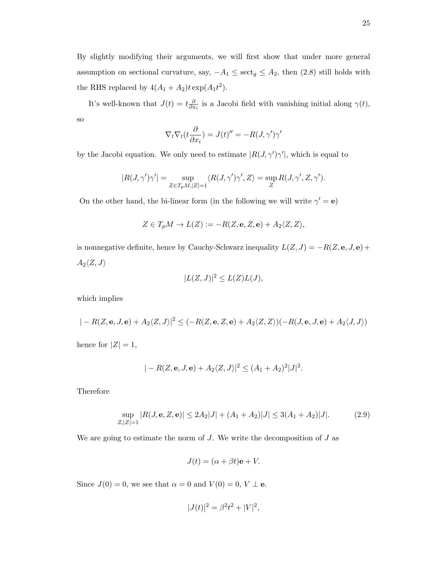By slightly modifying their arguments, we will first show that under more general assumption on sectional curvature, say,  $-A_1 \leq \sec t_g \leq A_2$ , then (2.8) still holds with the RHS replaced by  $4(A_1 + A_2)t \exp(A_1 t^2)$ .

It's well-known that  $J(t) = t \frac{\partial}{\partial x}$  $\frac{\partial}{\partial x_i}$  is a Jacobi field with vanishing initial along  $\gamma(t)$ , so

$$
\nabla_t \nabla_t (t \frac{\partial}{\partial x_i}) = J(t)'' = -R(J, \gamma')\gamma'
$$

by the Jacobi equation. We only need to estimate  $|R(J,\gamma')\gamma'|$ , which is equal to

$$
|R(J,\gamma')\gamma'| = \sup_{Z \in T_pM, |Z|=1} \langle R(J,\gamma')\gamma', Z \rangle = \sup_Z R(J,\gamma', Z, \gamma').
$$

On the other hand, the bi-linear form (in the following we will write  $\gamma' = e$ )

$$
Z \in T_pM \to L(Z):=-R(Z,\mathbf{e},Z,\mathbf{e})+A_2\langle Z,Z \rangle,
$$

is nonnegative definite, hence by Cauchy-Schwarz inequality  $L(Z, J) = -R(Z, \mathbf{e}, J, \mathbf{e}) +$  $A_2\langle Z,J\rangle$ 

$$
|L(Z,J)|^2 \le L(Z)L(J),
$$

which implies

$$
|-R(Z, \mathbf{e}, J, \mathbf{e}) + A_2 \langle Z, J \rangle|^2 \leq (-R(Z, \mathbf{e}, Z, \mathbf{e}) + A_2 \langle Z, Z \rangle)(-R(J, \mathbf{e}, J, \mathbf{e}) + A_2 \langle J, J \rangle)
$$
  
hence for  $|Z| = 1$ ,

$$
|-R(Z, \mathbf{e}, J, \mathbf{e}) + A_2 \langle Z, J \rangle|^2 \le (A_1 + A_2)^2 |J|^2.
$$

Therefore

$$
\sup_{Z,|Z|=1} |R(J, \mathbf{e}, Z, \mathbf{e})| \le 2A_2|J| + (A_1 + A_2)|J| \le 3(A_1 + A_2)|J|.
$$
 (2.9)

We are going to estimate the norm of  $J$ . We write the decomposition of  $J$  as

$$
J(t) = (\alpha + \beta t)\mathbf{e} + V.
$$

Since  $J(0) = 0$ , we see that  $\alpha = 0$  and  $V(0) = 0$ ,  $V \perp \mathbf{e}$ .

$$
|J(t)|^2 = \beta^2 t^2 + |V|^2,
$$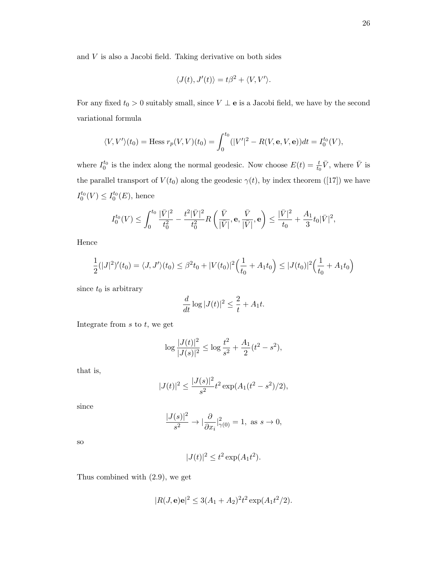and  $V$  is also a Jacobi field. Taking derivative on both sides

$$
\langle J(t), J'(t) \rangle = t\beta^2 + \langle V, V' \rangle.
$$

For any fixed  $t_0 > 0$  suitably small, since  $V \perp \mathbf{e}$  is a Jacobi field, we have by the second variational formula

$$
\langle V, V' \rangle (t_0) = \text{Hess } r_p(V, V)(t_0) = \int_0^{t_0} (|V'|^2 - R(V, \mathbf{e}, V, \mathbf{e})) dt = I_0^{t_0}(V),
$$

where  $I_0^{t_0}$  is the index along the normal geodesic. Now choose  $E(t) = \frac{t}{t_0} \overline{V}$ , where  $\overline{V}$  is the parallel transport of  $V(t_0)$  along the geodesic  $\gamma(t)$ , by index theorem ([17]) we have  $I_0^{t_0}(V) \leq I_0^{t_0}(E)$ , hence

$$
I_0^{t_0}(V) \leq \int_0^{t_0} \frac{|\bar{V}|^2}{t_0^2} - \frac{t^2 |\bar{V}|^2}{t_0^2} R\left(\frac{\bar{V}}{|\bar{V}|}, \mathbf{e}, \frac{\bar{V}}{|\bar{V}|}, \mathbf{e}\right) \leq \frac{|\bar{V}|^2}{t_0} + \frac{A_1}{3} t_0 |\bar{V}|^2,
$$

Hence

$$
\frac{1}{2}(|J|^2)'(t_0) = \langle J, J'\rangle(t_0) \le \beta^2 t_0 + |V(t_0)|^2 \Big(\frac{1}{t_0} + A_1 t_0\Big) \le |J(t_0)|^2 \Big(\frac{1}{t_0} + A_1 t_0\Big)
$$

since  $t_0$  is arbitrary

$$
\frac{d}{dt}\log|J(t)|^2 \le \frac{2}{t} + A_1 t.
$$

Integrate from  $s$  to  $t$ , we get

$$
\log \frac{|J(t)|^2}{|J(s)|^2} \le \log \frac{t^2}{s^2} + \frac{A_1}{2} (t^2 - s^2),
$$

that is,

$$
|J(t)|^2 \le \frac{|J(s)|^2}{s^2} t^2 \exp(A_1(t^2 - s^2)/2),
$$

since

$$
\frac{|J(s)|^2}{s^2} \to |\frac{\partial}{\partial x_i}|_{\gamma(0)}^2 = 1, \text{ as } s \to 0,
$$

so

$$
|J(t)|^2 \le t^2 \exp(A_1 t^2).
$$

Thus combined with (2.9), we get

$$
|R(J, \mathbf{e})\mathbf{e}|^2 \le 3(A_1 + A_2)^2 t^2 \exp(A_1 t^2 / 2).
$$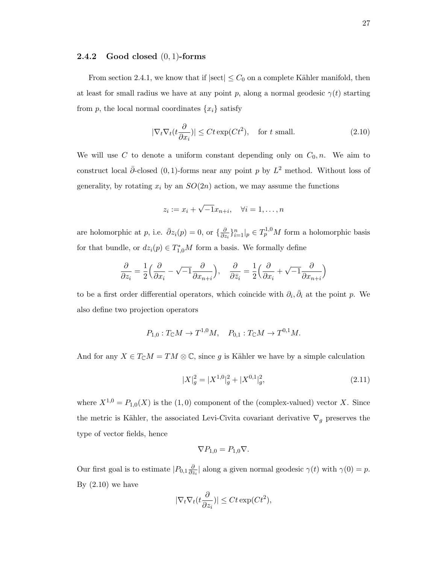### **2.4.2** Good closed  $(0, 1)$ -forms

From section 2.4.1, we know that if  $|\text{sect}| \leq C_0$  on a complete Kähler manifold, then at least for small radius we have at any point p, along a normal geodesic  $\gamma(t)$  starting from p, the local normal coordinates  $\{x_i\}$  satisfy

$$
|\nabla_t \nabla_t (t \frac{\partial}{\partial x_i})| \le C t \exp(C t^2), \quad \text{for } t \text{ small.} \tag{2.10}
$$

We will use C to denote a uniform constant depending only on  $C_0$ , n. We aim to construct local  $\bar{\partial}$ -closed (0, 1)-forms near any point p by  $L^2$  method. Without loss of generality, by rotating  $x_i$  by an  $SO(2n)$  action, we may assume the functions

$$
z_i := x_i + \sqrt{-1}x_{n+i}, \quad \forall i = 1, \dots, n
$$

are holomorphic at p, i.e.  $\bar{\partial}z_i(p) = 0$ , or  $\{\frac{\partial}{\partial z}\}$  $\frac{\partial}{\partial z_i}$ <sub>*i*</sub><sup>n</sup><sub>i</sub> =  $\left| \right|_p \in T_p^{1,0}M$  form a holomorphic basis for that bundle, or  $dz_i(p) \in T_{1,0}^*M$  form a basis. We formally define

$$
\frac{\partial}{\partial z_i} = \frac{1}{2} \left( \frac{\partial}{\partial x_i} - \sqrt{-1} \frac{\partial}{\partial x_{n+i}} \right), \quad \frac{\partial}{\partial \bar{z}_i} = \frac{1}{2} \left( \frac{\partial}{\partial x_i} + \sqrt{-1} \frac{\partial}{\partial x_{n+i}} \right)
$$

to be a first order differential operators, which coincide with  $\partial_i$ ,  $\bar{\partial}_i$  at the point p. We also define two projection operators

$$
P_{1,0}: T_{\mathbb{C}}M \to T^{1,0}M
$$
,  $P_{0,1}: T_{\mathbb{C}}M \to T^{0,1}M$ .

And for any  $X \in T_{\mathbb{C}}M = TM \otimes \mathbb{C}$ , since g is Kähler we have by a simple calculation

$$
|X|_g^2 = |X^{1,0}|_g^2 + |X^{0,1}|_g^2,\tag{2.11}
$$

where  $X^{1,0} = P_{1,0}(X)$  is the  $(1,0)$  component of the (complex-valued) vector X. Since the metric is Kähler, the associated Levi-Civita covariant derivative  $\nabla_g$  preserves the type of vector fields, hence

$$
\nabla P_{1,0} = P_{1,0} \nabla.
$$

Our first goal is to estimate  $|P_{0,1}\frac{\partial}{\partial z}|$  $\frac{\partial}{\partial z_i}$  along a given normal geodesic  $\gamma(t)$  with  $\gamma(0) = p$ . By  $(2.10)$  we have

$$
|\nabla_t \nabla_t (t \frac{\partial}{\partial z_i})| \le Ct \exp(Ct^2),
$$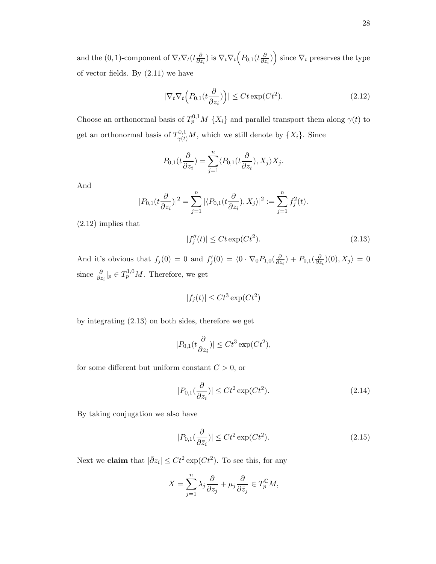and the (0, 1)-component of  $\nabla_t \nabla_t (t \frac{\partial}{\partial z})$  $\frac{\partial}{\partial z_i})$  is  $\nabla_t \nabla_t \Big( P_{0,1}(t\frac{\partial}{\partial z_i})$  $\left(\frac{\partial}{\partial z_i}\right)\right)$  since  $\nabla_t$  preserves the type of vector fields. By (2.11) we have

$$
|\nabla_t \nabla_t \left( P_{0,1}(t \frac{\partial}{\partial z_i}) \right)| \le C t \exp(C t^2). \tag{2.12}
$$

Choose an orthonormal basis of  $T_p^{0,1}M \{X_i\}$  and parallel transport them along  $\gamma(t)$  to get an orthonormal basis of  $T^{0,1}_{\gamma(t)}M$ , which we still denote by  $\{X_i\}$ . Since

$$
P_{0,1}(t\frac{\partial}{\partial z_i}) = \sum_{j=1}^n \langle P_{0,1}(t\frac{\partial}{\partial z_i}), X_j \rangle X_j.
$$

And

$$
|P_{0,1}(t\frac{\partial}{\partial z_i})|^2=\sum_{j=1}^n|\langle P_{0,1}(t\frac{\partial}{\partial z_i}),X_j\rangle|^2:=\sum_{j=1}^nf_j^2(t).
$$

(2.12) implies that

$$
|f_j''(t)| \le Ct \exp(Ct^2). \tag{2.13}
$$

And it's obvious that  $f_j(0) = 0$  and  $f'_j(0) = \langle 0 \cdot \nabla_0 P_{1,0}(\frac{\partial}{\partial z})$  $\frac{\partial}{\partial z_i}$ ) +  $P_{0,1}(\frac{\partial}{\partial z_i})$  $\frac{\partial}{\partial z_i}(0), X_j\rangle = 0$ since  $\frac{\partial}{\partial z_i}|_p \in T_p^{1,0}M$ . Therefore, we get

$$
|f_j(t)| \le Ct^3 \exp(Ct^2)
$$

by integrating (2.13) on both sides, therefore we get

$$
|P_{0,1}(t\frac{\partial}{\partial z_i})| \le Ct^3 \exp(Ct^2),
$$

for some different but uniform constant  $C > 0$ , or

$$
|P_{0,1}(\frac{\partial}{\partial z_i})| \le Ct^2 \exp(Ct^2). \tag{2.14}
$$

By taking conjugation we also have

$$
|P_{0,1}(\frac{\partial}{\partial \bar{z}_i})| \le Ct^2 \exp(Ct^2). \tag{2.15}
$$

Next we **claim** that  $|\bar{\partial}z_i| \leq Ct^2 \exp(Ct^2)$ . To see this, for any

$$
X = \sum_{j=1}^{n} \lambda_j \frac{\partial}{\partial z_j} + \mu_j \frac{\partial}{\partial \bar{z}_j} \in T_p^{\mathbb{C}} M,
$$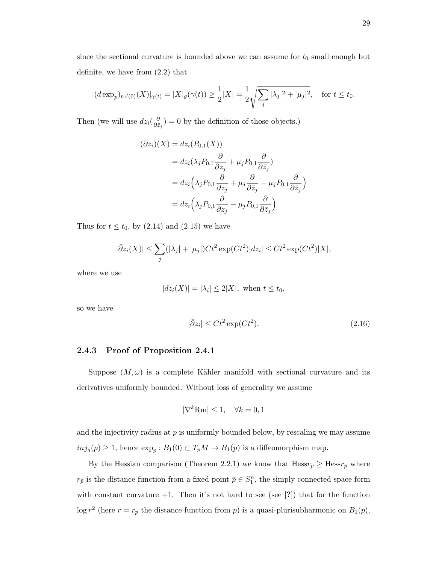since the sectional curvature is bounded above we can assume for  $t_0$  small enough but definite, we have from (2.2) that

$$
|(d \exp_p)_{t\gamma'(0)}(X)|_{\gamma(t)} = |X|_g(\gamma(t)) \ge \frac{1}{2}|X| = \frac{1}{2}\sqrt{\sum_j |\lambda_j|^2 + |\mu_j|^2}, \quad \text{for } t \le t_0.
$$

Then (we will use  $dz_i(\frac{\partial}{\partial \overline{z}})$  $\frac{\partial}{\partial \bar{z}_j}$  = 0 by the definition of those objects.)

$$
(\bar{\partial}z_i)(X) = dz_i(P_{0,1}(X))
$$
  
=  $dz_i(\lambda_j P_{0,1} \frac{\partial}{\partial z_j} + \mu_j P_{0,1} \frac{\partial}{\partial \bar{z}_j})$   
=  $dz_i(\lambda_j P_{0,1} \frac{\partial}{\partial z_j} + \mu_j \frac{\partial}{\partial \bar{z}_j} - \mu_j P_{0,1} \frac{\partial}{\partial \bar{z}_j})$   
=  $dz_i(\lambda_j P_{0,1} \frac{\partial}{\partial z_j} - \mu_j P_{0,1} \frac{\partial}{\partial \bar{z}_j})$ 

Thus for  $t \leq t_0$ , by  $(2.14)$  and  $(2.15)$  we have

$$
|\bar{\partial}z_i(X)| \leq \sum_j (|\lambda_j| + |\mu_j|)Ct^2 \exp(Ct^2)|dz_i| \leq Ct^2 \exp(Ct^2)|X|,
$$

where we use

$$
|dz_i(X)| = |\lambda_i| \le 2|X|, \text{ when } t \le t_0,
$$

so we have

$$
|\bar{\partial}z_i| \le Ct^2 \exp(Ct^2). \tag{2.16}
$$

#### 2.4.3 Proof of Proposition 2.4.1

Suppose  $(M, \omega)$  is a complete Kähler manifold with sectional curvature and its derivatives uniformly bounded. Without loss of generality we assume

$$
|\nabla^k \text{Rm}| \le 1, \quad \forall k = 0, 1
$$

and the injectivity radius at  $p$  is uniformly bounded below, by rescaling we may assume  $inj_g(p) \geq 1$ , hence  $\exp_p : B_1(0) \subset T_pM \to B_1(p)$  is a diffeomorphism map.

By the Hessian comparison (Theorem 2.2.1) we know that  $Hessr_p \geq Hessr_{\bar{p}}$  where  $r_{\bar{p}}$  is the distance function from a fixed point  $\bar{p} \in S_1^n$ , the simply connected space form with constant curvature  $+1$ . Then it's not hard to see (see [?]) that for the function  $\log r^2$  (here  $r = r_p$  the distance function from p) is a quasi-plurisubharmonic on  $B_1(p)$ ,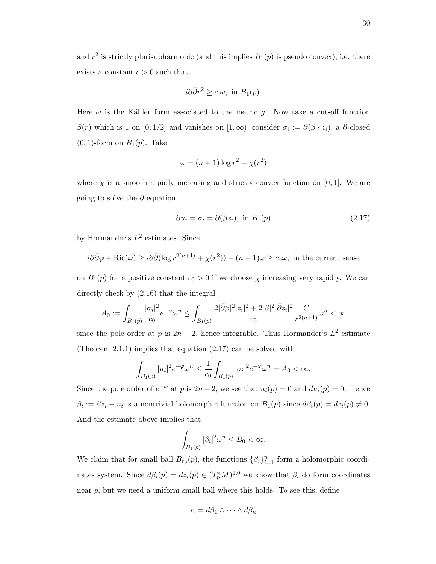and  $r^2$  is strictly plurisubharmonic (and this implies  $B_1(p)$  is pseudo convex), i.e. there exists a constant  $c > 0$  such that

$$
i\partial\bar{\partial}r^2 \geq c \,\omega, \text{ in } B_1(p).
$$

Here  $\omega$  is the Kähler form associated to the metric g. Now take a cut-off function  $\beta(r)$  which is 1 on  $[0, 1/2]$  and vanishes on  $[1, \infty)$ , consider  $\sigma_i := \overline{\partial}(\beta \cdot z_i)$ , a  $\overline{\partial}$ -closed  $(0, 1)$ -form on  $B_1(p)$ . Take

$$
\varphi = (n+1)\log r^2 + \chi(r^2)
$$

where  $\chi$  is a smooth rapidly increasing and strictly convex function on [0, 1]. We are going to solve the  $\bar{\partial}$ -equation

$$
\bar{\partial}u_i = \sigma_i = \bar{\partial}(\beta z_i), \text{ in } B_1(p) \tag{2.17}
$$

by Hormander's  $L^2$  estimates. Since

$$
i\partial\bar{\partial}\varphi + \text{Ric}(\omega) \geq i\partial\bar{\partial}(\log r^{2(n+1)} + \chi(r^2)) - (n-1)\omega \geq c_0\omega
$$
, in the current sense

on  $B_1(p)$  for a positive constant  $c_0 > 0$  if we choose  $\chi$  increasing very rapidly. We can directly check by (2.16) that the integral

$$
A_0 := \int_{B_1(p)} \frac{|\sigma_i|^2}{c_0} e^{-\varphi} \omega^n \le \int_{B_1(p)} \frac{2|\bar{\partial}\beta|^2 |z_i|^2 + 2|\beta|^2 |\bar{\partial} z_i|^2}{c_0} \frac{C}{r^{2(n+1)}} \omega^n < \infty
$$

since the pole order at p is  $2n-2$ , hence integrable. Thus Hormander's  $L^2$  estimate (Theorem 2.1.1) implies that equation (2.17) can be solved with

$$
\int_{B_1(p)} |u_i|^2 e^{-\varphi} \omega^n \le \frac{1}{c_0} \int_{B_1(p)} |\sigma_i|^2 e^{-\varphi} \omega^n = A_0 < \infty.
$$

Since the pole order of  $e^{-\varphi}$  at p is  $2n + 2$ , we see that  $u_i(p) = 0$  and  $du_i(p) = 0$ . Hence  $\beta_i := \beta z_i - u_i$  is a nontrivial holomorphic function on  $B_1(p)$  since  $d\beta_i(p) = dz_i(p) \neq 0$ . And the estimate above implies that

$$
\int_{B_1(p)} |\beta_i|^2 \omega^n \le B_0 < \infty.
$$

We claim that for small ball  $B_{r_0}(p)$ , the functions  $\{\beta_i\}_{i=1}^n$  form a holomorphic coordinates system. Since  $d\beta_i(p) = dz_i(p) \in (T_p^*M)^{1,0}$  we know that  $\beta_i$  do form coordinates near  $p$ , but we need a uniform small ball where this holds. To see this, define

$$
\alpha = d\beta_1 \wedge \cdots \wedge d\beta_n
$$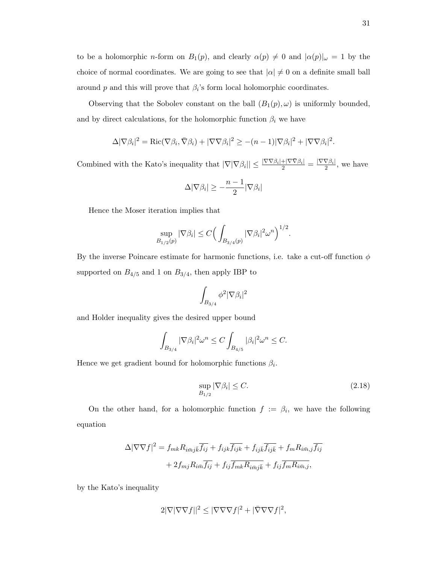to be a holomorphic *n*-form on  $B_1(p)$ , and clearly  $\alpha(p) \neq 0$  and  $|\alpha(p)|_{\omega} = 1$  by the choice of normal coordinates. We are going to see that  $|\alpha| \neq 0$  on a definite small ball around p and this will prove that  $\beta_i$ 's form local holomorphic coordinates.

Observing that the Sobolev constant on the ball  $(B_1(p), \omega)$  is uniformly bounded, and by direct calculations, for the holomorphic function  $\beta_i$  we have

$$
\Delta |\nabla \beta_i|^2 = \text{Ric}(\nabla \beta_i, \bar{\nabla} \beta_i) + |\nabla \nabla \beta_i|^2 \ge -(n-1)|\nabla \beta_i|^2 + |\nabla \nabla \beta_i|^2.
$$

Combined with the Kato's inequality that  $|\nabla |\nabla \beta_i|| \leq \frac{|\nabla \nabla \beta_i| + |\nabla \bar{\nabla} \beta_i|}{2} = \frac{|\nabla \nabla \beta_i|}{2}$  $\frac{\sqrt{p_i}}{2}$ , we have

$$
\Delta|\nabla \beta_i| \geq -\frac{n-1}{2}|\nabla \beta_i|
$$

Hence the Moser iteration implies that

$$
\sup_{B_{1/2}(p)} |\nabla \beta_i| \le C \Big( \int_{B_{3/4}(p)} |\nabla \beta_i|^2 \omega^n \Big)^{1/2}.
$$

By the inverse Poincare estimate for harmonic functions, i.e. take a cut-off function  $\phi$ supported on  $B_{4/5}$  and 1 on  $B_{3/4}$ , then apply IBP to

$$
\int_{B_{3/4}} \phi^2 |\nabla \beta_i|^2
$$

and Holder inequality gives the desired upper bound

$$
\int_{B_{3/4}} |\nabla \beta_i|^2 \omega^n \le C \int_{B_{4/5}} |\beta_i|^2 \omega^n \le C.
$$

Hence we get gradient bound for holomorphic functions  $\beta_i$ .

$$
\sup_{B_{1/2}} |\nabla \beta_i| \le C. \tag{2.18}
$$

On the other hand, for a holomorphic function  $f := \beta_i$ , we have the following equation

$$
\Delta |\nabla \nabla f|^2 = f_{mk} R_{i\bar{m}j\bar{k}} \overline{f_{ij}} + f_{ijk} \overline{f_{ijk}} + f_{ij\bar{k}} \overline{f_{ijk}} + f_m R_{i\bar{m},j} \overline{f_{ij}}
$$

$$
+ 2f_{mj} R_{i\bar{m}} \overline{f_{ij}} + f_{ij} \overline{f_{mk} R_{i\bar{m}j\bar{k}}} + f_{ij} \overline{f_m R_{i\bar{m},j}},
$$

by the Kato's inequality

$$
2|\nabla|\nabla\nabla f||^2 \le |\nabla\nabla\nabla f|^2 + |\nabla\nabla\nabla f|^2,
$$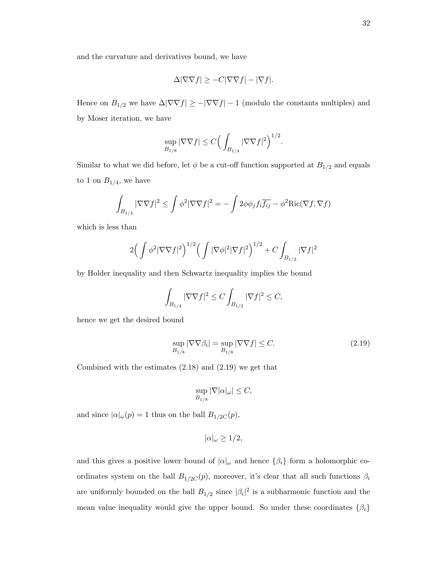$$
\Delta|\nabla\nabla f|\geq -C|\nabla\nabla f|-|\nabla f|.
$$

Hence on  $B_{1/2}$  we have  $\Delta |\nabla \nabla f| \geq -|\nabla \nabla f| - 1$  (modulo the constants multiples) and by Moser iteration, we have

$$
\sup_{B_{1/8}} |\nabla \nabla f| \le C \Big(\int_{B_{1/4}} |\nabla \nabla f|^2\Big)^{1/2}.
$$

Similar to what we did before, let  $\phi$  be a cut-off function supported at  $B_{1/2}$  and equals to 1 on  $B_{1/4}$ , we have

$$
\int_{B_{1/4}} |\nabla \nabla f|^2 \le \int \phi^2 |\nabla \nabla f|^2 = -\int 2\phi \phi_j f_i \overline{f_{ij}} - \phi^2 \text{Ric}(\nabla f, \nabla f)
$$

which is less than

$$
2\Big(\int \phi^2 |\nabla \nabla f|^2\Big)^{1/2} \Big(\int |\nabla \phi|^2 |\nabla f|^2\Big)^{1/2} + C \int_{B_{1/2}} |\nabla f|^2
$$

by Holder inequality and then Schwartz inequality implies the bound

$$
\int_{B_{1/4}} |\nabla \nabla f|^2 \le C \int_{B_{1/2}} |\nabla f|^2 \le C,
$$

hence we get the desired bound

$$
\sup_{B_{1/8}} |\nabla \nabla \beta_i| = \sup_{B_{1/8}} |\nabla \nabla f| \le C. \tag{2.19}
$$

Combined with the estimates (2.18) and (2.19) we get that

$$
\sup_{B_{1/8}} |\nabla |\alpha|_{\omega}| \leq C,
$$

and since  $|\alpha|_{\omega}(p) = 1$  thus on the ball  $B_{1/2C}(p)$ ,

$$
|\alpha|_{\omega} \ge 1/2,
$$

and this gives a positive lower bound of  $|\alpha|_{\omega}$  and hence  $\{\beta_i\}$  form a holomorphic coordinates system on the ball  $B_{1/2C}(p)$ , moreover, it's clear that all such functions  $\beta_i$ are uniformly bounded on the ball  $B_{1/2}$  since  $|\beta_i|^2$  is a subharmonic function and the mean value inequality would give the upper bound. So under these coordinates  $\{\beta_i\}$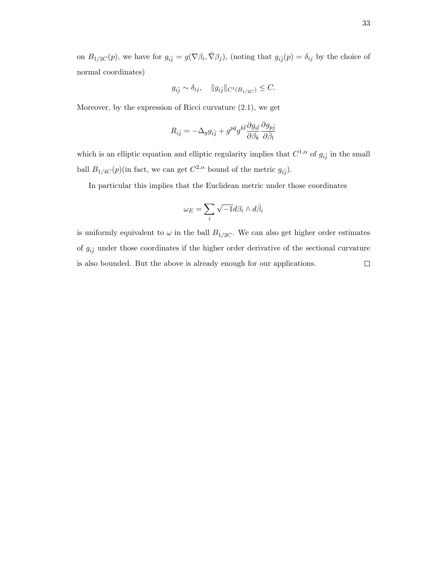on  $B_{1/2C}(p)$ , we have for  $g_{i\bar{j}} = g(\nabla \beta_i, \bar{\nabla} \beta_j)$ , (noting that  $g_{i\bar{j}}(p) = \delta_{ij}$  by the choice of normal coordinates)

$$
g_{i\bar{j}} \sim \delta_{ij}, \quad ||g_{i\bar{j}}||_{C^1(B_{1/2C})} \leq C.
$$

Moreover, by the expression of Ricci curvature (2.1), we get

$$
R_{i\bar{j}}=-\Delta_g g_{i\bar{j}}+g^{p\bar{q}}g^{k\bar{l}}\frac{\partial g_{i\bar{l}}}{\partial \beta_k}\frac{\partial g_{p\bar{j}}}{\partial \bar{\beta}_l}
$$

which is an elliptic equation and elliptic regularity implies that  $C^{1,\alpha}$  of  $g_{i\bar{j}}$  in the small ball  $B_{1/4C}(p)$ (in fact, we can get  $C^{2,\alpha}$  bound of the metric  $g_{i\bar{j}}$ ).

In particular this implies that the Euclidean metric under those coordinates

$$
\omega_E = \sum_i \sqrt{-1} d\beta_i \wedge d\bar{\beta}_i
$$

is uniformly equivalent to  $\omega$  in the ball  $B_{1/2C}$ . We can also get higher order estimates of  $g_{i\bar{j}}$  under those coordinates if the higher order derivative of the sectional curvature is also bounded. But the above is already enough for our applications. $\Box$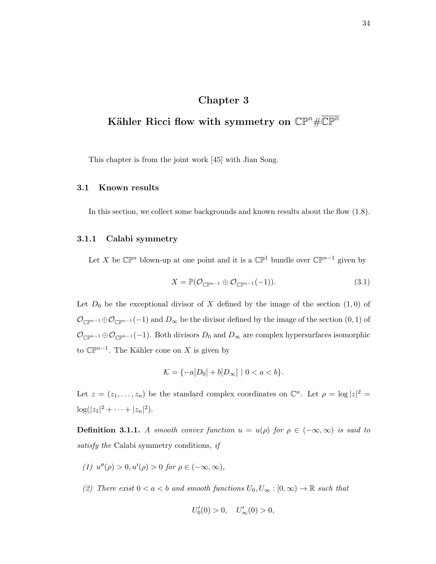# Chapter 3

# Kähler Ricci flow with symmetry on  $\mathbb{CP}^n\#\overline{\mathbb{CP}^n}$

This chapter is from the joint work [45] with Jian Song.

#### 3.1 Known results

In this section, we collect some backgrounds and known results about the flow (1.8).

#### 3.1.1 Calabi symmetry

Let X be  $\mathbb{CP}^n$  blown-up at one point and it is a  $\mathbb{CP}^1$  bundle over  $\mathbb{CP}^{n-1}$  given by

$$
X = \mathbb{P}(\mathcal{O}_{\mathbb{C}\mathbb{P}^{n-1}} \oplus \mathcal{O}_{\mathbb{C}\mathbb{P}^{n-1}}(-1)).
$$
\n(3.1)

Let  $D_0$  be the exceptional divisor of X defined by the image of the section  $(1,0)$  of  $\mathcal{O}_{\mathbb{C}\mathbb{P}^{n-1}}\oplus\mathcal{O}_{\mathbb{C}\mathbb{P}^{n-1}}(-1)$  and  $D_{\infty}$  be the divisor defined by the image of the section  $(0,1)$  of  $\mathcal{O}_{\mathbb{C}\mathbb{P}^{n-1}}\oplus \mathcal{O}_{\mathbb{C}\mathbb{P}^{n-1}}(-1)$ . Both divisors  $D_0$  and  $D_{\infty}$  are complex hypersurfaces isomorphic to  $\mathbb{CP}^{n-1}$ . The Kähler cone on X is given by

$$
\mathcal{K} = \{-a[D_0] + b[D_\infty] \mid 0 < a < b\}.
$$

Let  $z = (z_1, \ldots, z_n)$  be the standard complex coordinates on  $\mathbb{C}^n$ . Let  $\rho = \log |z|^2 =$  $\log(|z_1|^2 + \cdots + |z_n|^2).$ 

**Definition 3.1.1.** A smooth convex function  $u = u(\rho)$  for  $\rho \in (-\infty, \infty)$  is said to satisfy the Calabi symmetry conditions, if

- (1)  $u''(\rho) > 0, u'(\rho) > 0$  for  $\rho \in (-\infty, \infty)$ ,
- (2) There exist  $0 < a < b$  and smooth functions  $U_0, U_\infty : [0, \infty) \to \mathbb{R}$  such that

$$
U_0'(0) > 0, \quad U_\infty'(0) > 0,
$$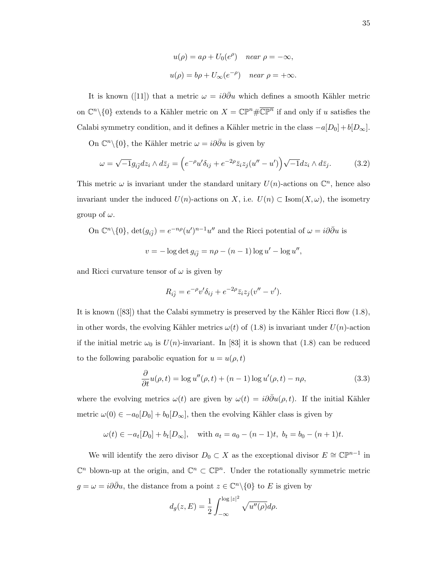$$
u(\rho) = a\rho + U_0(e^{\rho}) \quad near \ \rho = -\infty,
$$
  

$$
u(\rho) = b\rho + U_{\infty}(e^{-\rho}) \quad near \ \rho = +\infty.
$$

It is known ([11]) that a metric  $\omega = i\partial\bar{\partial}u$  which defines a smooth Kähler metric on  $\mathbb{C}^n \setminus \{0\}$  extends to a Kähler metric on  $X = \mathbb{CP}^n \# \overline{\mathbb{CP}^n}$  if and only if u satisfies the Calabi symmetry condition, and it defines a Kähler metric in the class  $-a[D_0] + b[D_\infty]$ .

On  $\mathbb{C}^n\backslash\{0\}$ , the Kähler metric  $\omega = i\partial\bar{\partial}u$  is given by

$$
\omega = \sqrt{-1}g_{i\overline{j}}dz_i \wedge d\overline{z}_j = \left(e^{-\rho}u'\delta_{ij} + e^{-2\rho}\overline{z}_iz_j(u'' - u')\right)\sqrt{-1}dz_i \wedge d\overline{z}_j.
$$
 (3.2)

This metric  $\omega$  is invariant under the standard unitary  $U(n)$ -actions on  $\mathbb{C}^n$ , hence also invariant under the induced  $U(n)$ -actions on X, i.e.  $U(n) \subset \text{Isom}(X, \omega)$ , the isometry group of  $\omega$ .

On 
$$
\mathbb{C}^n \setminus \{0\}
$$
,  $\det(g_{i\overline{j}}) = e^{-n\rho}(u')^{n-1}u''$  and the Ricci potential of  $\omega = i\partial\overline{\partial}u$  is  
\n
$$
v = -\log \det g_{i\overline{j}} = n\rho - (n-1)\log u' - \log u'',
$$

and Ricci curvature tensor of  $\omega$  is given by

$$
R_{i\bar{j}} = e^{-\rho}v'\delta_{ij} + e^{-2\rho}\bar{z}_iz_j(v'' - v').
$$

It is known  $([83])$  that the Calabi symmetry is preserved by the Kähler Ricci flow  $(1.8)$ , in other words, the evolving Kähler metrics  $\omega(t)$  of (1.8) is invariant under  $U(n)$ -action if the initial metric  $\omega_0$  is  $U(n)$ -invariant. In [83] it is shown that (1.8) can be reduced to the following parabolic equation for  $u = u(\rho, t)$ 

$$
\frac{\partial}{\partial t}u(\rho, t) = \log u''(\rho, t) + (n - 1)\log u'(\rho, t) - n\rho,
$$
\n(3.3)

where the evolving metrics  $\omega(t)$  are given by  $\omega(t) = i\partial\bar{\partial}u(\rho, t)$ . If the initial Kähler metric  $\omega(0) \in -a_0[D_0] + b_0[D_\infty]$ , then the evolving Kähler class is given by

 $\omega(t) \in -a_t[D_0] + b_t[D_\infty], \text{ with } a_t = a_0 - (n-1)t, \ b_t = b_0 - (n+1)t.$ 

We will identify the zero divisor  $D_0 \subset X$  as the exceptional divisor  $E \cong \mathbb{CP}^{n-1}$  in  $\mathbb{C}^n$  blown-up at the origin, and  $\mathbb{C}^n \subset \mathbb{CP}^n$ . Under the rotationally symmetric metric  $g = \omega = i\partial\bar{\partial}u$ , the distance from a point  $z \in \mathbb{C}^n \setminus \{0\}$  to E is given by

$$
d_g(z,E) = \frac{1}{2} \int_{-\infty}^{\log |z|^2} \sqrt{u''(\rho)} d\rho.
$$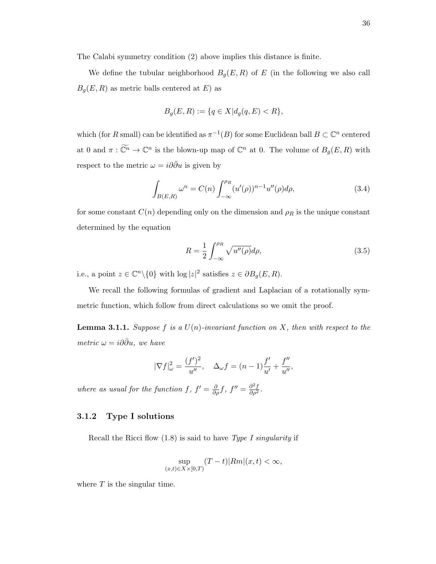The Calabi symmetry condition (2) above implies this distance is finite.

We define the tubular neighborhood  $B_g(E, R)$  of E (in the following we also call  $B_g(E, R)$  as metric balls centered at E) as

$$
B_g(E, R) := \{ q \in X | d_g(q, E) < R \},
$$

which (for R small) can be identified as  $\pi^{-1}(B)$  for some Euclidean ball  $B \subset \mathbb{C}^n$  centered at 0 and  $\pi : \widetilde{\mathbb{C}^n} \to \mathbb{C}^n$  is the blown-up map of  $\mathbb{C}^n$  at 0. The volume of  $B_g(E, R)$  with respect to the metric  $\omega = i \partial \bar{\partial} u$  is given by

$$
\int_{B(E,R)} \omega^n = C(n) \int_{-\infty}^{\rho_R} (u'(\rho))^{n-1} u''(\rho) d\rho,
$$
\n(3.4)

for some constant  $C(n)$  depending only on the dimension and  $\rho_R$  is the unique constant determined by the equation

$$
R = \frac{1}{2} \int_{-\infty}^{\rho_R} \sqrt{u''(\rho)} d\rho,
$$
\n(3.5)

i.e., a point  $z \in \mathbb{C}^n \backslash \{0\}$  with  $\log |z|^2$  satisfies  $z \in \partial B_g(E, R)$ .

We recall the following formulas of gradient and Laplacian of a rotationally symmetric function, which follow from direct calculations so we omit the proof.

**Lemma 3.1.1.** Suppose f is a  $U(n)$ -invariant function on X, then with respect to the metric  $\omega = i\partial\bar{\partial}u$ , we have

$$
|\nabla f|_{\omega}^{2} = \frac{(f')^{2}}{u''}, \quad \Delta_{\omega} f = (n-1)\frac{f'}{u'} + \frac{f''}{u''},
$$

where as usual for the function f,  $f' = \frac{\partial}{\partial \rho} f$ ,  $f'' = \frac{\partial^2 f}{\partial \rho^2}$ .

#### 3.1.2 Type I solutions

Recall the Ricci flow  $(1.8)$  is said to have Type I singularity if

$$
\sup_{(x,t)\in X\times[0,T)}(T-t)|Rm|(x,t)<\infty,
$$

where  $T$  is the singular time.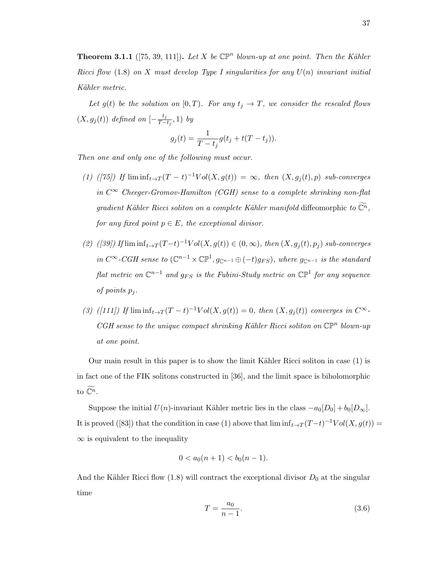**Theorem 3.1.1** ([75, 39, 111]). Let X be  $\mathbb{CP}^n$  blown-up at one point. Then the Kähler Ricci flow (1.8) on X must develop Type I singularities for any  $U(n)$  invariant initial Kähler metric.

Let  $g(t)$  be the solution on  $[0, T)$ . For any  $t_j \to T$ , we consider the rescaled flows  $(X, g_j(t))$  defined on  $\left[-\frac{t_j}{T-}\right]$  $\frac{\iota_j}{T-t_j}, 1)$  by

$$
g_j(t) = \frac{1}{T - t_j} g(t_j + t(T - t_j)).
$$

Then one and only one of the following must occur.

- (1) ([75]) If  $\liminf_{t\to T} (T-t)^{-1}Vol(X,g(t)) = \infty$ , then  $(X,g_j(t),p)$  sub-converges in  $C^{\infty}$  Cheeger-Gromov-Hamilton (CGH) sense to a complete shrinking non-flat gradient Kähler Ricci soliton on a complete Kähler manifold diffeomorphic to  $\widetilde{\mathbb{C}^n}$ , for any fixed point  $p \in E$ , the exceptional divisor.
- (2) ([39]) If  $\liminf_{t\to T} (T-t)^{-1}Vol(X,g(t)) \in (0,\infty)$ , then  $(X,g_j(t),p_j)$  sub-converges in  $C^{\infty}$ -CGH sense to  $(\mathbb{C}^{n-1}\times\mathbb{CP}^1, g_{\mathbb{C}^{n-1}}\oplus (-t)g_{FS})$ , where  $g_{\mathbb{C}^{n-1}}$  is the standard  $\mathit{flat}$  metric on  $\mathbb{C}^{n-1}$  and  $g_{FS}$  is the Fubini-Study metric on  $\mathbb{CP}^1$  for any sequence of points  $p_i$ .
- (3) ([111]) If  $\liminf_{t\to T} (T-t)^{-1}Vol(X,g(t)) = 0$ , then  $(X,g_j(t))$  converges in  $C^{\infty}$ .  $CGH$  sense to the unique compact shrinking Kähler Ricci soliton on  $\mathbb{CP}^n$  blown-up at one point.

Our main result in this paper is to show the limit Kähler Ricci soliton in case  $(1)$  is in fact one of the FIK solitons constructed in [36], and the limit space is biholomorphic to  $\widetilde{\mathbb{C}^n}$ .

Suppose the initial  $U(n)$ -invariant Kähler metric lies in the class  $-a_0[D_0] + b_0[D_\infty]$ . It is proved ([83]) that the condition in case (1) above that  $\liminf_{t\to T} (T-t)^{-1}Vol(X, g(t)) =$  $\infty$  is equivalent to the inequality

$$
0 < a_0(n+1) < b_0(n-1).
$$

And the Kähler Ricci flow  $(1.8)$  will contract the exceptional divisor  $D_0$  at the singular time

$$
T = \frac{a_0}{n - 1}.\tag{3.6}
$$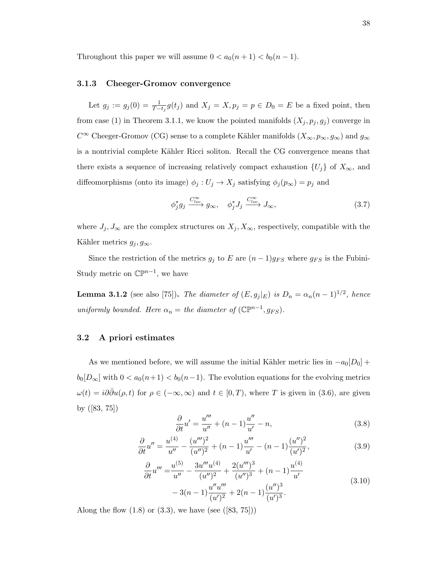Throughout this paper we will assume  $0 < a_0(n+1) < b_0(n-1)$ .

#### 3.1.3 Cheeger-Gromov convergence

Let  $g_j := g_j(0) = \frac{1}{T-t_j} g(t_j)$  and  $X_j = X, p_j = p \in D_0 = E$  be a fixed point, then from case (1) in Theorem 3.1.1, we know the pointed manifolds  $(X_j, p_j, g_j)$  converge in  $C^\infty$ Cheeger-Gromov (CG) sense to a complete Kähler manifolds  $(X_\infty, p_\infty, g_\infty)$  and  $g_\infty$ is a nontrivial complete Kähler Ricci soliton. Recall the CG convergence means that there exists a sequence of increasing relatively compact exhaustion  $\{U_j\}$  of  $X_{\infty}$ , and diffeomorphisms (onto its image)  $\phi_j : U_j \to X_j$  satisfying  $\phi_j(p_\infty) = p_j$  and

$$
\phi_j^* g_j \xrightarrow{C_{loc}^{\infty}} g_{\infty}, \quad \phi_j^* J_j \xrightarrow{C_{loc}^{\infty}} J_{\infty}, \tag{3.7}
$$

where  $J_j, J_\infty$  are the complex structures on  $X_j, X_\infty$ , respectively, compatible with the Kähler metrics  $g_j, g_{\infty}$ .

Since the restriction of the metrics  $g_j$  to E are  $(n-1)g_{FS}$  where  $g_{FS}$  is the Fubini-Study metric on  $\mathbb{CP}^{n-1}$ , we have

**Lemma 3.1.2** (see also [75]). The diameter of  $(E, g_j|_E)$  is  $D_n = \alpha_n(n-1)^{1/2}$ , hence uniformly bounded. Here  $\alpha_n =$  the diameter of  $(\mathbb{CP}^{n-1}, g_{FS})$ .

#### 3.2 A priori estimates

As we mentioned before, we will assume the initial Kähler metric lies in  $-a_0[D_0]$  +  $b_0[D_\infty]$  with  $0 < a_0(n+1) < b_0(n-1)$ . The evolution equations for the evolving metrics  $\omega(t) = i\partial\bar{\partial}u(\rho, t)$  for  $\rho \in (-\infty, \infty)$  and  $t \in [0, T)$ , where T is given in (3.6), are given by ([83, 75])

$$
\frac{\partial}{\partial t}u' = \frac{u'''}{u''} + (n-1)\frac{u''}{u'} - n,\tag{3.8}
$$

$$
\frac{\partial}{\partial t}u'' = \frac{u^{(4)}}{u''} - \frac{(u''')^2}{(u'')^2} + (n-1)\frac{u'''}{u'} - (n-1)\frac{(u'')^2}{(u')^2},
$$
\n(3.9)

$$
\frac{\partial}{\partial t}u'' = \frac{u^{(5)}}{u''} - \frac{3u'''u^{(4)}}{(u'')^2} + \frac{2(u''')^3}{(u'')^3} + (n-1)\frac{u^{(4)}}{u'}
$$
  

$$
-3(n-1)\frac{u''u'''}{(u')^2} + 2(n-1)\frac{(u'')^3}{(u')^3}.
$$
 (3.10)

Along the flow  $(1.8)$  or  $(3.3)$ , we have (see  $([83, 75])$ )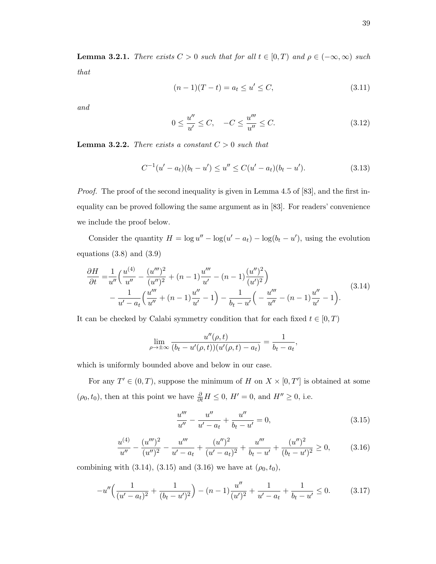**Lemma 3.2.1.** There exists  $C > 0$  such that for all  $t \in [0, T)$  and  $\rho \in (-\infty, \infty)$  such that

$$
(n-1)(T-t) = a_t \le u' \le C,
$$
\n(3.11)

and

$$
0 \le \frac{u''}{u'} \le C, \quad -C \le \frac{u'''}{u''} \le C. \tag{3.12}
$$

**Lemma 3.2.2.** There exists a constant  $C > 0$  such that

$$
C^{-1}(u'-a_t)(b_t-u') \le u'' \le C(u'-a_t)(b_t-u'). \tag{3.13}
$$

Proof. The proof of the second inequality is given in Lemma 4.5 of [83], and the first inequality can be proved following the same argument as in [83]. For readers' convenience we include the proof below.

Consider the quantity  $H = \log u'' - \log(u' - a_t) - \log(b_t - u')$ , using the evolution equations  $(3.8)$  and  $(3.9)$ 

$$
\frac{\partial H}{\partial t} = \frac{1}{u''} \left( \frac{u^{(4)}}{u''} - \frac{(u''')^2}{(u'')^2} + (n-1) \frac{u'''}{u'} - (n-1) \frac{(u'')^2}{(u')^2} \right) \n- \frac{1}{u' - a_t} \left( \frac{u'''}{u''} + (n-1) \frac{u''}{u'} - 1 \right) - \frac{1}{b_t - u'} \left( -\frac{u'''}{u''} - (n-1) \frac{u''}{u'} - 1 \right).
$$
\n(3.14)

It can be checked by Calabi symmetry condition that for each fixed  $t \in [0, T)$ 

$$
\lim_{\rho \to \pm \infty} \frac{u''(\rho, t)}{(b_t - u'(\rho, t))(u'(\rho, t) - a_t)} = \frac{1}{b_t - a_t},
$$

which is uniformly bounded above and below in our case.

For any  $T' \in (0,T)$ , suppose the minimum of H on  $X \times [0,T']$  is obtained at some  $(\rho_0, t_0)$ , then at this point we have  $\frac{\partial}{\partial t}H \leq 0$ ,  $H' = 0$ , and  $H'' \geq 0$ , i.e.

$$
\frac{u'''}{u''} - \frac{u''}{u' - a_t} + \frac{u''}{b_t - u'} = 0,
$$
\n(3.15)

$$
\frac{u^{(4)}}{u''} - \frac{(u''')^2}{(u'')^2} - \frac{u'''}{u' - a_t} + \frac{(u'')^2}{(u' - a_t)^2} + \frac{u'''}{b_t - u'} + \frac{(u'')^2}{(b_t - u')^2} \ge 0,
$$
\n(3.16)

combining with (3.14), (3.15) and (3.16) we have at  $(\rho_0, t_0)$ ,

$$
-u''\left(\frac{1}{(u'-a_t)^2} + \frac{1}{(b_t-u')^2}\right) - (n-1)\frac{u''}{(u')^2} + \frac{1}{u'-a_t} + \frac{1}{b_t-u'} \le 0. \tag{3.17}
$$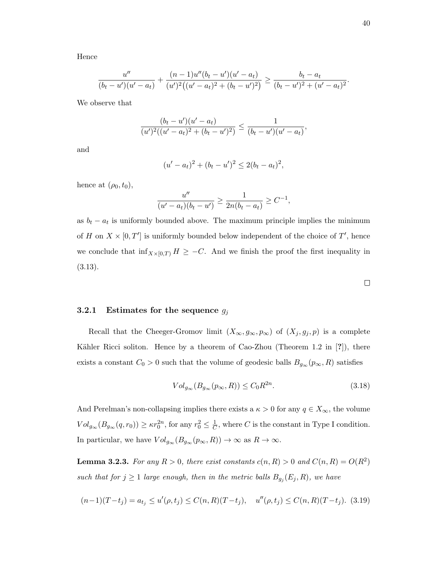Hence

$$
\frac{u''}{(b_t-u')(u'-a_t)} + \frac{(n-1)u''(b_t-u')(u'-a_t)}{(u')^2((u'-a_t)^2 + (b_t-u')^2)} \ge \frac{b_t-a_t}{(b_t-u')^2 + (u'-a_t)^2}.
$$

We observe that

$$
\frac{(b_t - u')(u' - a_t)}{(u')^2((u' - a_t)^2 + (b_t - u')^2)} \leq \frac{1}{(b_t - u')(u' - a_t)},
$$

and

$$
(u'-a_t)^2 + (b_t - u')^2 \le 2(b_t - a_t)^2,
$$

hence at  $(\rho_0, t_0)$ ,

$$
\frac{u''}{(u'-a_t)(b_t-u')} \ge \frac{1}{2n(b_t-a_t)} \ge C^{-1},
$$

as  $b_t - a_t$  is uniformly bounded above. The maximum principle implies the minimum of H on  $X \times [0, T']$  is uniformly bounded below independent of the choice of T', hence we conclude that  $\inf_{X\times[0,T)} H \geq -C$ . And we finish the proof the first inequality in (3.13).

Recall that the Cheeger-Gromov limit  $(X_{\infty}, g_{\infty}, p_{\infty})$  of  $(X_j, g_j, p)$  is a complete Kähler Ricci soliton. Hence by a theorem of Cao-Zhou (Theorem 1.2 in [?]), there exists a constant  $C_0 > 0$  such that the volume of geodesic balls  $B_{g_{\infty}}(p_{\infty}, R)$  satisfies

$$
Vol_{g_{\infty}}(B_{g_{\infty}}(p_{\infty}, R)) \leq C_0 R^{2n}.
$$
\n(3.18)

And Perelman's non-collapsing implies there exists a  $\kappa > 0$  for any  $q \in X_{\infty}$ , the volume  $Vol_{g_{\infty}}(B_{g_{\infty}}(q,r_0)) \geq \kappa r_0^{2n}$ , for any  $r_0^2 \leq \frac{1}{C}$  $\frac{1}{C}$ , where C is the constant in Type I condition. In particular, we have  $Vol_{g_{\infty}}(B_{g_{\infty}}(p_{\infty}, R)) \to \infty$  as  $R \to \infty$ .

**Lemma 3.2.3.** For any  $R > 0$ , there exist constants  $c(n, R) > 0$  and  $C(n, R) = O(R^2)$ such that for  $j \geq 1$  large enough, then in the metric balls  $B_{g_j}(E_j, R)$ , we have

$$
(n-1)(T-t_j) = a_{t_j} \le u'(\rho, t_j) \le C(n, R)(T-t_j), \quad u''(\rho, t_j) \le C(n, R)(T-t_j). \tag{3.19}
$$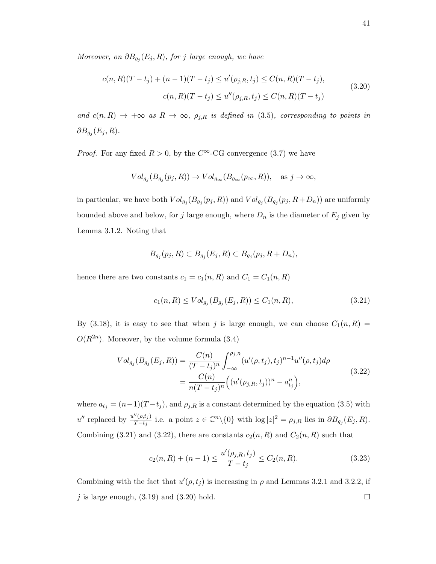Moreover, on  $\partial B_{g_j}(E_j, R)$ , for j large enough, we have

$$
c(n, R)(T - t_j) + (n - 1)(T - t_j) \le u'(\rho_{j, R}, t_j) \le C(n, R)(T - t_j),
$$
  
\n
$$
c(n, R)(T - t_j) \le u''(\rho_{j, R}, t_j) \le C(n, R)(T - t_j)
$$
\n(3.20)

and  $c(n, R) \rightarrow +\infty$  as  $R \rightarrow \infty$ ,  $\rho_{j,R}$  is defined in (3.5), corresponding to points in  $\partial B_{g_j}(E_j,R).$ 

*Proof.* For any fixed  $R > 0$ , by the  $C^{\infty}$ -CG convergence (3.7) we have

$$
Vol_{g_j}(B_{g_j}(p_j, R)) \to Vol_{g_{\infty}}(B_{g_{\infty}}(p_{\infty}, R)), \text{ as } j \to \infty,
$$

in particular, we have both  $Vol_{g_j}(B_{g_j}(p_j, R))$  and  $Vol_{g_j}(B_{g_j}(p_j, R+D_n))$  are uniformly bounded above and below, for j large enough, where  $D_n$  is the diameter of  $E_j$  given by Lemma 3.1.2. Noting that

$$
B_{g_j}(p_j, R) \subset B_{g_j}(E_j, R) \subset B_{g_j}(p_j, R + D_n),
$$

hence there are two constants  $c_1 = c_1(n, R)$  and  $C_1 = C_1(n, R)$ 

$$
c_1(n, R) \le Vol_{g_j}(B_{g_j}(E_j, R)) \le C_1(n, R), \tag{3.21}
$$

By (3.18), it is easy to see that when j is large enough, we can choose  $C_1(n, R)$  =  $O(R^{2n})$ . Moreover, by the volume formula (3.4)

$$
Vol_{g_j}(B_{g_j}(E_j, R)) = \frac{C(n)}{(T - t_j)^n} \int_{-\infty}^{\rho_{j,R}} (u'(\rho, t_j), t_j)^{n-1} u''(\rho, t_j) d\rho
$$
  
= 
$$
\frac{C(n)}{n(T - t_j)^n} ((u'(\rho_{j,R}, t_j))^n - a_{t_j}^n),
$$
 (3.22)

where  $a_{t_j} = (n-1)(T-t_j)$ , and  $\rho_{j,R}$  is a constant determined by the equation (3.5) with  $u''$  replaced by  $\frac{u''(\rho,t_j)}{T-t}$  $\frac{\Gamma(\rho,t_j)}{T-t_j}$  i.e. a point  $z \in \mathbb{C}^n \setminus \{0\}$  with  $\log|z|^2 = \rho_{j,R}$  lies in  $\partial B_{g_j}(E_j,R)$ . Combining (3.21) and (3.22), there are constants  $c_2(n, R)$  and  $C_2(n, R)$  such that

$$
c_2(n,R) + (n-1) \le \frac{u'(\rho_{j,R}, t_j)}{T - t_j} \le C_2(n,R). \tag{3.23}
$$

Combining with the fact that  $u'(\rho, t_j)$  is increasing in  $\rho$  and Lemmas 3.2.1 and 3.2.2, if  $j$  is large enough,  $(3.19)$  and  $(3.20)$  hold.  $\Box$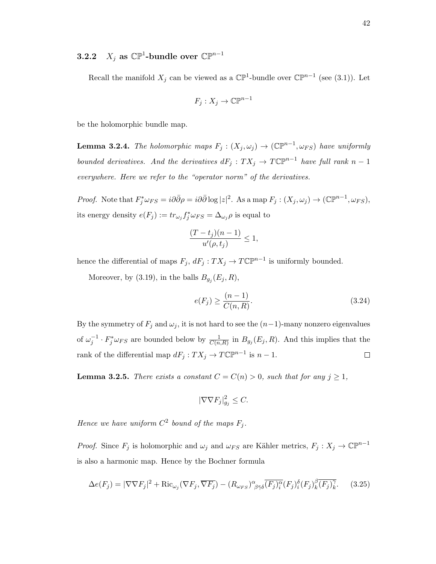# **3.2.2**  $X_j$  as  $\mathbb{CP}^1$ -bundle over  $\mathbb{CP}^{n-1}$

Recall the manifold  $X_j$  can be viewed as a  $\mathbb{CP}^1$ -bundle over  $\mathbb{CP}^{n-1}$  (see (3.1)). Let

$$
F_j: X_j \to \mathbb{C}\mathbb{P}^{n-1}
$$

be the holomorphic bundle map.

**Lemma 3.2.4.** The holomorphic maps  $F_j : (X_j, \omega_j) \to (\mathbb{CP}^{n-1}, \omega_{FS})$  have uniformly bounded derivatives. And the derivatives  $dF_j: TX_j \to T\mathbb{CP}^{n-1}$  have full rank  $n-1$ everywhere. Here we refer to the "operator norm" of the derivatives.

Proof. Note that  $F_j^* \omega_{FS} = i\partial \bar{\partial} \rho = i\partial \bar{\partial} \log |z|^2$ . As a map  $F_j : (X_j, \omega_j) \to (\mathbb{C} \mathbb{P}^{n-1}, \omega_{FS}),$ its energy density  $e(F_j) := tr_{\omega_j} f_j^* \omega_{FS} = \Delta_{\omega_j} \rho$  is equal to

$$
\frac{(T-t_j)(n-1)}{u'(\rho,t_j)}\leq 1,
$$

hence the differential of maps  $F_j$ ,  $dF_j: TX_j \to T\mathbb{C}\mathbb{P}^{n-1}$  is uniformly bounded.

Moreover, by (3.19), in the balls  $B_{g_j}(E_j, R)$ ,

$$
e(F_j) \ge \frac{(n-1)}{C(n, R)}.\tag{3.24}
$$

By the symmetry of  $F_j$  and  $\omega_j$ , it is not hard to see the  $(n-1)$ -many nonzero eigenvalues of  $\omega_j^{-1} \cdot F_j^* \omega_{FS}$  are bounded below by  $\frac{1}{C(n,R)}$  in  $B_{g_j}(E_j, R)$ . And this implies that the rank of the differential map  $dF_j: TX_j \to T\mathbb{CP}^{n-1}$  is  $n-1$ .  $\Box$ 

**Lemma 3.2.5.** There exists a constant  $C = C(n) > 0$ , such that for any  $j \ge 1$ ,

$$
|\nabla \nabla F_j|_{g_j}^2 \le C.
$$

Hence we have uniform  $C^2$  bound of the maps  $F_j$ .

*Proof.* Since  $F_j$  is holomorphic and  $\omega_j$  and  $\omega_{FS}$  are Kähler metrics,  $F_j : X_j \to \mathbb{C}\mathbb{P}^{n-1}$ is also a harmonic map. Hence by the Bochner formula

$$
\Delta e(F_j) = |\nabla \nabla F_j|^2 + \text{Ric}_{\omega_j}(\nabla F_j, \overline{\nabla F_j}) - (R_{\omega_{FS}})_{\beta \bar{\gamma}\delta}^{\alpha} \overline{(F_j)_{i}^{\alpha}} (F_j)_{i}^{\delta} (F_j)_{k}^{\beta} \overline{(F_j)_{k}^{\gamma}}.
$$
 (3.25)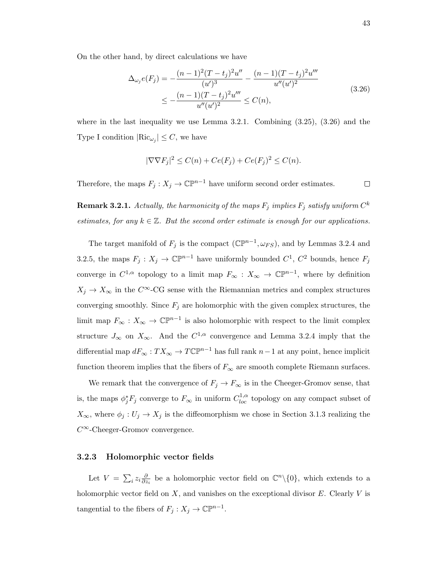On the other hand, by direct calculations we have

$$
\Delta_{\omega_j} e(F_j) = -\frac{(n-1)^2 (T-t_j)^2 u''}{(u')^3} - \frac{(n-1)(T-t_j)^2 u'''}{u''(u')^2} \n\le -\frac{(n-1)(T-t_j)^2 u'''}{u''(u')^2} \le C(n),
$$
\n(3.26)

where in the last inequality we use Lemma 3.2.1. Combining  $(3.25)$ ,  $(3.26)$  and the Type I condition  $|\text{Ric}_{\omega_j}| \leq C$ , we have

$$
|\nabla \nabla F_j|^2 \le C(n) + Ce(F_j) + Ce(F_j)^2 \le C(n).
$$

Therefore, the maps  $F_j: X_j \to \mathbb{CP}^{n-1}$  have uniform second order estimates.  $\Box$ 

 ${\bf Remark~3.2.1.}$  Actually, the harmonicity of the maps  $F_j$  implies  $F_j$  satisfy uniform  $C^k$ estimates, for any  $k \in \mathbb{Z}$ . But the second order estimate is enough for our applications.

The target manifold of  $F_j$  is the compact  $(\mathbb{CP}^{n-1}, \omega_{FS})$ , and by Lemmas 3.2.4 and 3.2.5, the maps  $F_j: X_j \to \mathbb{C}\mathbb{P}^{n-1}$  have uniformly bounded  $C^1$ ,  $C^2$  bounds, hence  $F_j$ converge in  $C^{1,\alpha}$  topology to a limit map  $F_{\infty}: X_{\infty} \to \mathbb{C}\mathbb{P}^{n-1}$ , where by definition  $X_j \to X_\infty$  in the C<sup>∞</sup>-CG sense with the Riemannian metrics and complex structures converging smoothly. Since  $F_j$  are holomorphic with the given complex structures, the limit map  $F_{\infty}: X_{\infty} \to \mathbb{CP}^{n-1}$  is also holomorphic with respect to the limit complex structure  $J_{\infty}$  on  $X_{\infty}$ . And the  $C^{1,\alpha}$  convergence and Lemma 3.2.4 imply that the differential map  $dF_{\infty}: TX_{\infty} \to T\mathbb{CP}^{n-1}$  has full rank  $n-1$  at any point, hence implicit function theorem implies that the fibers of  $F_{\infty}$  are smooth complete Riemann surfaces.

We remark that the convergence of  $F_j \to F_\infty$  is in the Cheeger-Gromov sense, that is, the maps  $\phi_j^* F_j$  converge to  $F_\infty$  in uniform  $C^{1,\alpha}_{loc}$  topology on any compact subset of  $X_{\infty}$ , where  $\phi_j: U_j \to X_j$  is the diffeomorphism we chose in Section 3.1.3 realizing the  $C^{\infty}$ -Cheeger-Gromov convergence.

#### 3.2.3 Holomorphic vector fields

Let  $V = \sum_i z_i \frac{\partial}{\partial z_i}$  $\frac{\partial}{\partial z_i}$  be a holomorphic vector field on  $\mathbb{C}^n\setminus\{0\}$ , which extends to a holomorphic vector field on  $X$ , and vanishes on the exceptional divisor  $E$ . Clearly  $V$  is tangential to the fibers of  $F_j : X_j \to \mathbb{C}\mathbb{P}^{n-1}$ .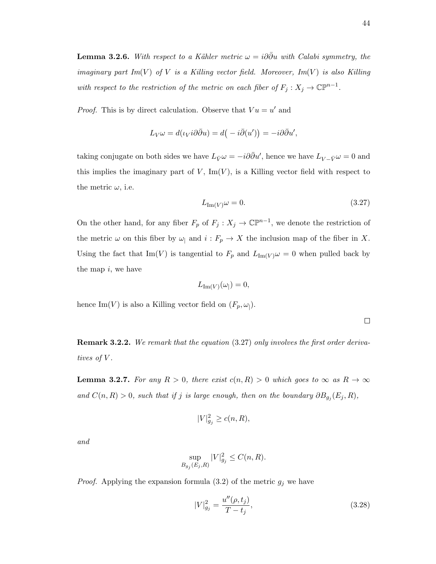**Lemma 3.2.6.** With respect to a Kähler metric  $\omega = i\partial\bar{\partial}u$  with Calabi symmetry, the imaginary part Im(V) of V is a Killing vector field. Moreover, Im(V) is also Killing with respect to the restriction of the metric on each fiber of  $F_j : X_j \to \mathbb{C}\mathbb{P}^{n-1}$ .

*Proof.* This is by direct calculation. Observe that  $Vu = u'$  and

$$
L_V \omega = d(\iota_V i \partial \bar{\partial} u) = d(-i \bar{\partial} (u')) = -i \partial \bar{\partial} u',
$$

taking conjugate on both sides we have  $L_{\bar{V}}\omega = -i\partial\bar{\partial}u'$ , hence we have  $L_{V-\bar{V}}\omega = 0$  and this implies the imaginary part of  $V$ , Im $(V)$ , is a Killing vector field with respect to the metric  $\omega$ , i.e.

$$
L_{\text{Im}(V)}\omega = 0.\t\t(3.27)
$$

On the other hand, for any fiber  $F_p$  of  $F_j: X_j \to \mathbb{C}\mathbb{P}^{n-1}$ , we denote the restriction of the metric  $\omega$  on this fiber by  $\omega$ <sub>|</sub> and  $i : F_p \to X$  the inclusion map of the fiber in X. Using the fact that Im(V) is tangential to  $F_p$  and  $L_{Im(V)}\omega = 0$  when pulled back by the map  $i$ , we have

$$
L_{\text{Im}(V)}(\omega_{\vert})=0,
$$

hence Im(V) is also a Killing vector field on  $(F_p, \omega_$ ).

 $\Box$ 

Remark 3.2.2. We remark that the equation (3.27) only involves the first order derivatives of V.

**Lemma 3.2.7.** For any  $R > 0$ , there exist  $c(n, R) > 0$  which goes to  $\infty$  as  $R \to \infty$ and  $C(n, R) > 0$ , such that if j is large enough, then on the boundary  $\partial B_{g_j}(E_j, R)$ ,

$$
|V|_{g_j}^2 \ge c(n, R),
$$

and

$$
\sup_{B_{g_j}(E_j,R)} |V|^2_{g_j} \le C(n,R).
$$

*Proof.* Applying the expansion formula (3.2) of the metric  $g_j$  we have

$$
|V|_{g_j}^2 = \frac{u''(\rho, t_j)}{T - t_j},
$$
\n(3.28)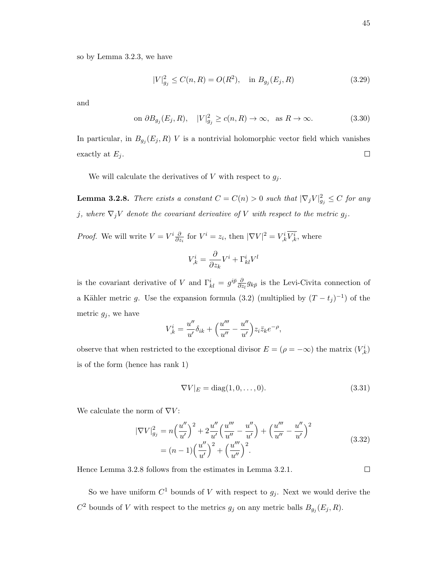so by Lemma 3.2.3, we have

$$
|V|_{g_j}^2 \le C(n, R) = O(R^2), \quad \text{in } B_{g_j}(E_j, R) \tag{3.29}
$$

and

on 
$$
\partial B_{g_j}(E_j, R)
$$
,  $|V|^2_{g_j} \ge c(n, R) \to \infty$ , as  $R \to \infty$ . (3.30)

In particular, in  $B_{g_j}(E_j, R)$  V is a nontrivial holomorphic vector field which vanishes exactly at  $E_j$ .  $\Box$ 

We will calculate the derivatives of V with respect to  $g_i$ .

**Lemma 3.2.8.** There exists a constant  $C = C(n) > 0$  such that  $|\nabla_j V|^2_{g_j} \leq C$  for any j, where  $\nabla_j V$  denote the covariant derivative of V with respect to the metric  $g_j$ .

*Proof.* We will write  $V = V^i \frac{\partial}{\partial z}$  $\frac{\partial}{\partial z_i}$  for  $V^i = z_i$ , then  $|\nabla V|^2 = V^i_{,k}V^i_{,k}$ , where

$$
V^i_{,k} = \frac{\partial}{\partial z_k} V^i + \Gamma^i_{kl} V^l
$$

is the covariant derivative of V and  $\Gamma_{kl}^i = g^{i\bar{p}} \frac{\partial}{\partial z}$  $\frac{\partial}{\partial z_l} g_{k\bar{p}}$  is the Levi-Civita connection of a Kähler metric g. Use the expansion formula (3.2) (multiplied by  $(T - t_j)^{-1}$ ) of the metric  $g_j$ , we have

$$
V_{,k}^{i} = \frac{u''}{u'} \delta_{ik} + \left(\frac{u'''}{u''} - \frac{u''}{u'}\right) z_i \overline{z}_k e^{-\rho},
$$

observe that when restricted to the exceptional divisor  $E = (\rho = -\infty)$  the matrix  $(V^i_k)$ is of the form (hence has rank 1)

$$
\nabla V|_E = \text{diag}(1, 0, \dots, 0). \tag{3.31}
$$

We calculate the norm of  $\nabla V$ :

$$
|\nabla V|_{g_j}^2 = n \left(\frac{u''}{u'}\right)^2 + 2\frac{u''}{u'} \left(\frac{u'''}{u''} - \frac{u''}{u'}\right) + \left(\frac{u'''}{u''} - \frac{u''}{u'}\right)^2
$$
  
=  $(n-1) \left(\frac{u''}{u'}\right)^2 + \left(\frac{u'''}{u''}\right)^2$ . (3.32)

Hence Lemma 3.2.8 follows from the estimates in Lemma 3.2.1.

So we have uniform  $C^1$  bounds of V with respect to  $g_j$ . Next we would derive the  $C^2$  bounds of V with respect to the metrics  $g_j$  on any metric balls  $B_{g_j}(E_j, R)$ .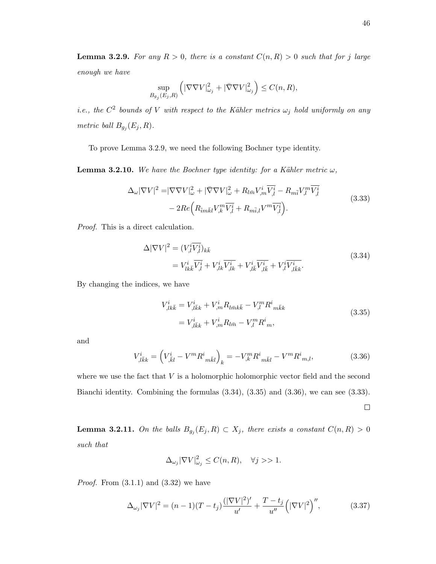**Lemma 3.2.9.** For any  $R > 0$ , there is a constant  $C(n, R) > 0$  such that for j large enough we have

$$
\sup_{B_{g_j}(E_j,R)} \left( |\nabla \nabla V|^2_{\omega_j} + |\bar{\nabla} \nabla V|^2_{\omega_j} \right) \le C(n,R),
$$

*i.e.*, the  $C^2$  bounds of V with respect to the Kähler metrics  $\omega_j$  hold uniformly on any metric ball  $B_{g_j}(E_j, R)$ .

To prove Lemma 3.2.9, we need the following Bochner type identity.

**Lemma 3.2.10.** We have the Bochner type identity: for a Kähler metric  $\omega$ ,

$$
\Delta_{\omega}|\nabla V|^{2} = |\nabla \nabla V|_{\omega}^{2} + |\bar{\nabla} \nabla V|_{\omega}^{2} + R_{l\bar{m}}V_{,m}^{i}\overline{V_{,l}^{i}} - R_{m\bar{i}}V_{,l}^{m}\overline{V_{,l}^{i}} - 2Re\Big(R_{\bar{i}m\bar{k}l}V_{,k}^{m}\overline{V_{,l}^{i}} + R_{m\bar{i},l}V^{m}\overline{V_{,l}^{i}}\Big).
$$
\n(3.33)

Proof. This is a direct calculation.

$$
\Delta |\nabla V|^2 = (V_i^i \overline{V_{,l}^i})_{k\overline{k}}
$$
  
=  $V_{lk\overline{k}}^i \overline{V_{,l}^i} + V_{,lk}^i \overline{V_{,lk}^i} + V_{,l\overline{k}}^i \overline{V_{,l\overline{k}}^i} + V_{,l\overline{k}}^i \overline{V_{,l\overline{k}}^i}.$  (3.34)

By changing the indices, we have

$$
V_{,lk\bar{k}}^{i} = V_{,l\bar{k}k}^{i} + V_{,m}^{i} R_{l\bar{m}k\bar{k}} - V_{,l}^{m} R_{m\bar{k}k}^{i}
$$
  
= 
$$
V_{,l\bar{k}k}^{i} + V_{,m}^{i} R_{l\bar{m}} - V_{,l}^{m} R_{m}^{i},
$$
 (3.35)

and

$$
V_{,l\bar{k}k}^{i} = \left(V_{,\bar{k}l}^{i} - V^{m}R_{m\bar{k}l}^{i}\right)_{k} = -V_{,k}^{m}R_{m\bar{k}l}^{i} - V^{m}R_{m,l}^{i},\tag{3.36}
$$

where we use the fact that  $V$  is a holomorphic holomorphic vector field and the second Bianchi identity. Combining the formulas (3.34), (3.35) and (3.36), we can see (3.33).

 $\Box$ 

**Lemma 3.2.11.** On the balls  $B_{g_j}(E_j, R) \subset X_j$ , there exists a constant  $C(n, R) > 0$ such that

$$
\Delta_{\omega_j} |\nabla V|_{\omega_j}^2 \le C(n, R), \quad \forall j >> 1.
$$

*Proof.* From  $(3.1.1)$  and  $(3.32)$  we have

$$
\Delta_{\omega_j} |\nabla V|^2 = (n-1)(T-t_j) \frac{(|\nabla V|^2)'}{u'} + \frac{T-t_j}{u''} (|\nabla V|^2)'' , \qquad (3.37)
$$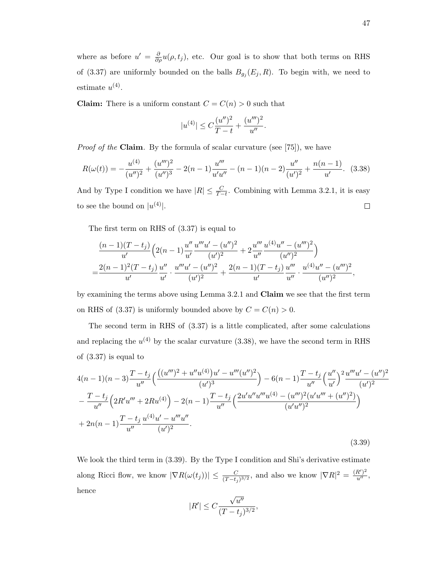where as before  $u' = \frac{\partial}{\partial \rho} u(\rho, t_j)$ , etc. Our goal is to show that both terms on RHS of (3.37) are uniformly bounded on the balls  $B_{g_j}(E_j, R)$ . To begin with, we need to estimate  $u^{(4)}$ .

**Claim:** There is a uniform constant  $C = C(n) > 0$  such that

$$
|u^{(4)}| \le C \frac{(u'')^2}{T-t} + \frac{(u''')^2}{u''}.
$$

Proof of the Claim. By the formula of scalar curvature (see [75]), we have

$$
R(\omega(t)) = -\frac{u^{(4)}}{(u'')^2} + \frac{(u''')^2}{(u'')^3} - 2(n-1)\frac{u'''}{u'u''} - (n-1)(n-2)\frac{u''}{(u')^2} + \frac{n(n-1)}{u'}.
$$
 (3.38)

And by Type I condition we have  $|R| \leq \frac{C}{T-t}$ . Combining with Lemma 3.2.1, it is easy to see the bound on  $|u^{(4)}|$ .  $\Box$ 

The first term on RHS of (3.37) is equal to

$$
\frac{(n-1)(T-t_j)}{u'}\left(2(n-1)\frac{u''}{u'}\frac{u'''u' - (u'')^2}{(u')^2} + 2\frac{u'''}{u''}\frac{u^{(4)}u'' - (u''')^2}{(u'')^2}\right) \n= \frac{2(n-1)^2(T-t_j)}{u'}\frac{u'''}{u'}\cdot\frac{u'''u' - (u'')^2}{(u')^2} + \frac{2(n-1)(T-t_j)}{u'}\frac{u'''}{u''}\cdot\frac{u^{(4)}u'' - (u''')^2}{(u'')^2},
$$

by examining the terms above using Lemma 3.2.1 and Claim we see that the first term on RHS of (3.37) is uniformly bounded above by  $C = C(n) > 0$ .

The second term in RHS of (3.37) is a little complicated, after some calculations and replacing the  $u^{(4)}$  by the scalar curvature (3.38), we have the second term in RHS of (3.37) is equal to

$$
4(n-1)(n-3)\frac{T-t_j}{u''}\left(\frac{((u''')^2+u''u^{(4)})u'-u'''(u'')^2}{(u')^3}\right)-6(n-1)\frac{T-t_j}{u''}\left(\frac{u''}{u'}\right)^2\frac{u'''u'-(u'')^2}{(u')^2}
$$

$$
-\frac{T-t_j}{u''}\left(2R'u'''+2Ru^{(4)}\right)-2(n-1)\frac{T-t_j}{u''}\left(\frac{2u'u''u''u^{(4)}-(u''')^2(u'u''+(u'')^2)}{(u'u'')^2}\right)
$$

$$
+2n(n-1)\frac{T-t_j}{u''}\frac{u^{(4)}u'-u''''u''}{(u')^2}.
$$
(3.39)

We look the third term in  $(3.39)$ . By the Type I condition and Shi's derivative estimate along Ricci flow, we know  $|\nabla R(\omega(t_j))| \leq \frac{C}{(T-t_j)^{3/2}}$ , and also we know  $|\nabla R|^2 = \frac{(R')^2}{u''},$ hence √

$$
|R'| \leq C \frac{\sqrt{u''}}{(T-t_j)^{3/2}},
$$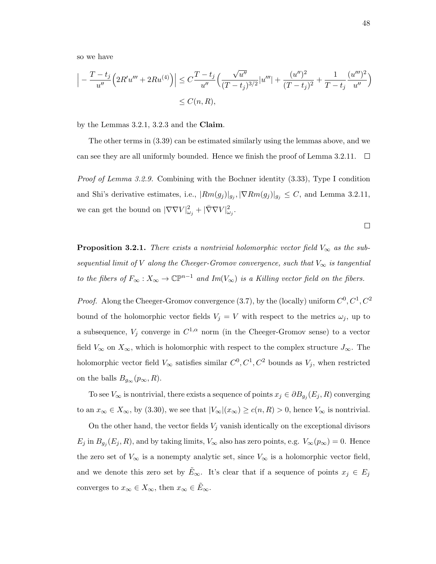so we have

$$
\left| -\frac{T-t_j}{u''} \left( 2R'u''' + 2Ru^{(4)} \right) \right| \leq C \frac{T-t_j}{u''} \left( \frac{\sqrt{u''}}{(T-t_j)^{3/2}} |u'''| + \frac{(u'')^2}{(T-t_j)^2} + \frac{1}{T-t_j} \frac{(u''')^2}{u''} \right) \leq C(n, R),
$$

by the Lemmas 3.2.1, 3.2.3 and the Claim.

The other terms in (3.39) can be estimated similarly using the lemmas above, and we can see they are all uniformly bounded. Hence we finish the proof of Lemma 3.2.11.  $\Box$ 

*Proof of Lemma 3.2.9.* Combining with the Bochner identity  $(3.33)$ , Type I condition and Shi's derivative estimates, i.e.,  $|Rm(g_j)|_{g_j}$ ,  $|\nabla Rm(g_j)|_{g_j} \leq C$ , and Lemma 3.2.11, we can get the bound on  $|\nabla \nabla V|_{\omega_j}^2 + |\bar{\nabla} \nabla V|_{\omega_j}^2$ .

**Proposition 3.2.1.** There exists a nontrivial holomorphic vector field  $V_{\infty}$  as the subsequential limit of V along the Cheeger-Gromov convergence, such that  $V_{\infty}$  is tangential to the fibers of  $F_{\infty}: X_{\infty} \to \mathbb{C}\mathbb{P}^{n-1}$  and  $Im(V_{\infty})$  is a Killing vector field on the fibers.

*Proof.* Along the Cheeger-Gromov convergence (3.7), by the (locally) uniform  $C^0, C^1, C^2$ bound of the holomorphic vector fields  $V_j = V$  with respect to the metrics  $\omega_j$ , up to a subsequence,  $V_j$  converge in  $C^{1,\alpha}$  norm (in the Cheeger-Gromov sense) to a vector field  $V_{\infty}$  on  $X_{\infty}$ , which is holomorphic with respect to the complex structure  $J_{\infty}$ . The holomorphic vector field  $V_{\infty}$  satisfies similar  $C^0, C^1, C^2$  bounds as  $V_j$ , when restricted on the balls  $B_{g_{\infty}}(p_{\infty}, R)$ .

To see  $V_{\infty}$  is nontrivial, there exists a sequence of points  $x_j \in \partial B_{g_j}(E_j, R)$  converging to an  $x_{\infty} \in X_{\infty}$ , by (3.30), we see that  $|V_{\infty}|(x_{\infty}) \ge c(n, R) > 0$ , hence  $V_{\infty}$  is nontrivial.

On the other hand, the vector fields  $V_j$  vanish identically on the exceptional divisors  $E_j$  in  $B_{g_j}(E_j, R)$ , and by taking limits,  $V_{\infty}$  also has zero points, e.g.  $V_{\infty}(p_{\infty}) = 0$ . Hence the zero set of  $V_{\infty}$  is a nonempty analytic set, since  $V_{\infty}$  is a holomorphic vector field, and we denote this zero set by  $E_{\infty}$ . It's clear that if a sequence of points  $x_j \in E_j$ converges to  $x_{\infty} \in X_{\infty}$ , then  $x_{\infty} \in \tilde{E}_{\infty}$ .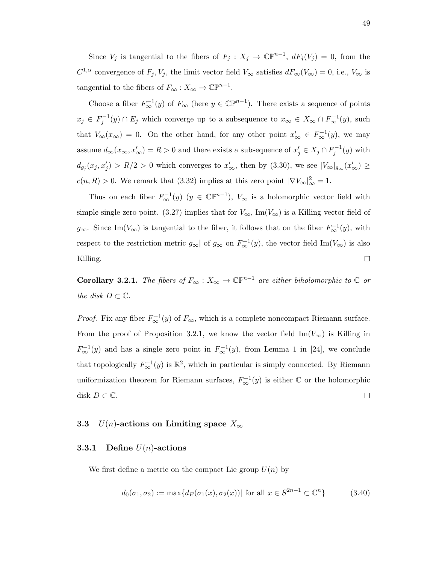Since  $V_j$  is tangential to the fibers of  $F_j : X_j \to \mathbb{C}\mathbb{P}^{n-1}$ ,  $dF_j(V_j) = 0$ , from the  $C^{1,\alpha}$  convergence of  $F_j, V_j$ , the limit vector field  $V_\infty$  satisfies  $dF_\infty(V_\infty) = 0$ , i.e.,  $V_\infty$  is tangential to the fibers of  $F_{\infty}: X_{\infty} \to \mathbb{CP}^{n-1}$ .

Choose a fiber  $F^{-1}_{\infty}(y)$  of  $F_{\infty}$  (here  $y \in \mathbb{CP}^{n-1}$ ). There exists a sequence of points  $x_j \in F_j^{-1}(y) \cap E_j$  which converge up to a subsequence to  $x_{\infty} \in X_{\infty} \cap F_{\infty}^{-1}(y)$ , such that  $V_{\infty}(x_{\infty}) = 0$ . On the other hand, for any other point  $x'_{\infty} \in F_{\infty}^{-1}(y)$ , we may assume  $d_{\infty}(x_{\infty}, x'_{\infty}) = R > 0$  and there exists a subsequence of  $x'_{j} \in X_{j} \cap F_{j}^{-1}(y)$  with  $d_{g_j}(x_j, x'_j) > R/2 > 0$  which converges to  $x'_\infty$ , then by (3.30), we see  $|V_\infty|_{g_\infty}(x'_\infty) \ge$  $c(n, R) > 0$ . We remark that (3.32) implies at this zero point  $|\nabla V_{\infty}|_{\infty}^2 = 1$ .

Thus on each fiber  $F_{\infty}^{-1}(y)$   $(y \in \mathbb{CP}^{n-1})$ ,  $V_{\infty}$  is a holomorphic vector field with simple single zero point. (3.27) implies that for  $V_{\infty}$ , Im( $V_{\infty}$ ) is a Killing vector field of  $g_{\infty}$ . Since Im( $V_{\infty}$ ) is tangential to the fiber, it follows that on the fiber  $F_{\infty}^{-1}(y)$ , with respect to the restriction metric  $g_{\infty}$  of  $g_{\infty}$  on  $F_{\infty}^{-1}(y)$ , the vector field  $\text{Im}(V_{\infty})$  is also  $\Box$ Killing.

**Corollary 3.2.1.** The fibers of  $F_{\infty}: X_{\infty} \to \mathbb{CP}^{n-1}$  are either biholomorphic to  $\mathbb C$  or the disk  $D \subset \mathbb{C}$ .

*Proof.* Fix any fiber  $F_{\infty}^{-1}(y)$  of  $F_{\infty}$ , which is a complete noncompact Riemann surface. From the proof of Proposition 3.2.1, we know the vector field  $\text{Im}(V_{\infty})$  is Killing in  $F^{-1}_{\infty}(y)$  and has a single zero point in  $F^{-1}_{\infty}(y)$ , from Lemma 1 in [24], we conclude that topologically  $F_{\infty}^{-1}(y)$  is  $\mathbb{R}^2$ , which in particular is simply connected. By Riemann uniformization theorem for Riemann surfaces,  $F^{-1}_{\infty}(y)$  is either  $\mathbb C$  or the holomorphic disk  $D \subset \mathbb{C}$ .  $\Box$ 

#### 3.3 U(n)-actions on Limiting space  $X_{\infty}$

#### **3.3.1** Define  $U(n)$ -actions

We first define a metric on the compact Lie group  $U(n)$  by

$$
d_0(\sigma_1, \sigma_2) := \max\{d_E(\sigma_1(x), \sigma_2(x)) | \text{ for all } x \in S^{2n-1} \subset \mathbb{C}^n\}
$$
 (3.40)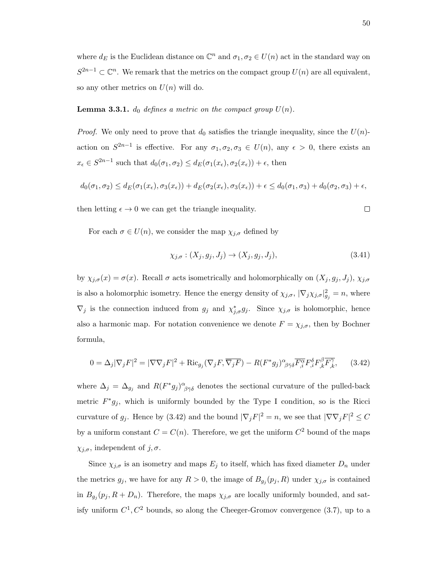where  $d_E$  is the Euclidean distance on  $\mathbb{C}^n$  and  $\sigma_1, \sigma_2 \in U(n)$  act in the standard way on  $S^{2n-1} \subset \mathbb{C}^n$ . We remark that the metrics on the compact group  $U(n)$  are all equivalent, so any other metrics on  $U(n)$  will do.

**Lemma 3.3.1.**  $d_0$  defines a metric on the compact group  $U(n)$ .

*Proof.* We only need to prove that  $d_0$  satisfies the triangle inequality, since the  $U(n)$ action on  $S^{2n-1}$  is effective. For any  $\sigma_1, \sigma_2, \sigma_3 \in U(n)$ , any  $\epsilon > 0$ , there exists an  $x_{\epsilon} \in S^{2n-1}$  such that  $d_0(\sigma_1, \sigma_2) \leq d_E(\sigma_1(x_{\epsilon}), \sigma_2(x_{\epsilon})) + \epsilon$ , then

$$
d_0(\sigma_1, \sigma_2) \leq d_E(\sigma_1(x_\epsilon), \sigma_3(x_\epsilon)) + d_E(\sigma_2(x_\epsilon), \sigma_3(x_\epsilon)) + \epsilon \leq d_0(\sigma_1, \sigma_3) + d_0(\sigma_2, \sigma_3) + \epsilon,
$$

then letting  $\epsilon \to 0$  we can get the triangle inequality.

For each  $\sigma \in U(n)$ , we consider the map  $\chi_{j,\sigma}$  defined by

$$
\chi_{j,\sigma}: (X_j, g_j, J_j) \to (X_j, g_j, J_j),\tag{3.41}
$$

by  $\chi_{j,\sigma}(x) = \sigma(x)$ . Recall  $\sigma$  acts isometrically and holomorphically on  $(X_j, g_j, J_j)$ ,  $\chi_{j,\sigma}$ is also a holomorphic isometry. Hence the energy density of  $\chi_{j,\sigma}$ ,  $|\nabla_j \chi_{j,\sigma}|_{g_j}^2 = n$ , where  $\nabla_j$  is the connection induced from  $g_j$  and  $\chi^*_{j,\sigma} g_j$ . Since  $\chi_{j,\sigma}$  is holomorphic, hence also a harmonic map. For notation convenience we denote  $F = \chi_{j,\sigma}$ , then by Bochner formula,

$$
0 = \Delta_j |\nabla_j F|^2 = |\nabla \nabla_j F|^2 + \text{Ric}_{g_j}(\nabla_j F, \overline{\nabla_j F}) - R(F^* g_j)_{\beta \bar{\gamma} \delta}^{\alpha} \overline{F_{,i}^{\alpha}} F_{,k}^{\delta} F_{,k}^{\beta} F_{,k}^{\gamma}, \tag{3.42}
$$

where  $\Delta_j = \Delta_{g_j}$  and  $R(F^*g_j)_{\beta \bar{\gamma} \delta}^{\alpha}$  denotes the sectional curvature of the pulled-back metric  $F^*g_j$ , which is uniformly bounded by the Type I condition, so is the Ricci curvature of  $g_j$ . Hence by (3.42) and the bound  $|\nabla_j F|^2 = n$ , we see that  $|\nabla \nabla_j F|^2 \leq C$ by a uniform constant  $C = C(n)$ . Therefore, we get the uniform  $C<sup>2</sup>$  bound of the maps  $\chi_{j,\sigma}$ , independent of  $j, \sigma$ .

Since  $\chi_{j,\sigma}$  is an isometry and maps  $E_j$  to itself, which has fixed diameter  $D_n$  under the metrics  $g_j$ , we have for any  $R > 0$ , the image of  $B_{g_j}(p_j, R)$  under  $\chi_{j, \sigma}$  is contained in  $B_{g_j}(p_j, R+D_n)$ . Therefore, the maps  $\chi_{j,\sigma}$  are locally uniformly bounded, and satisfy uniform  $C^1, C^2$  bounds, so along the Cheeger-Gromov convergence (3.7), up to a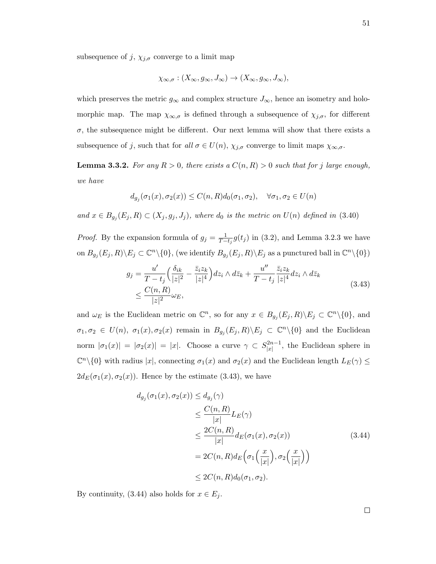subsequence of  $j$ ,  $\chi_{j,\sigma}$  converge to a limit map

$$
\chi_{\infty,\sigma}: (X_{\infty}, g_{\infty}, J_{\infty}) \to (X_{\infty}, g_{\infty}, J_{\infty}),
$$

which preserves the metric  $g_{\infty}$  and complex structure  $J_{\infty}$ , hence an isometry and holomorphic map. The map  $\chi_{\infty,\sigma}$  is defined through a subsequence of  $\chi_{j,\sigma}$ , for different  $\sigma$ , the subsequence might be different. Our next lemma will show that there exists a subsequence of j, such that for all  $\sigma \in U(n)$ ,  $\chi_{j,\sigma}$  converge to limit maps  $\chi_{\infty,\sigma}$ .

**Lemma 3.3.2.** For any  $R > 0$ , there exists a  $C(n, R) > 0$  such that for j large enough, we have

$$
d_{g_j}(\sigma_1(x), \sigma_2(x)) \le C(n, R) d_0(\sigma_1, \sigma_2), \quad \forall \sigma_1, \sigma_2 \in U(n)
$$

and  $x \in B_{g_j}(E_j, R) \subset (X_j, g_j, J_j)$ , where  $d_0$  is the metric on  $U(n)$  defined in (3.40)

*Proof.* By the expansion formula of  $g_j = \frac{1}{T-t_j} g(t_j)$  in (3.2), and Lemma 3.2.3 we have on  $B_{g_j}(E_j, R) \backslash E_j \subset \mathbb{C}^n \backslash \{0\}$ , (we identify  $B_{g_j}(E_j, R) \backslash E_j$  as a punctured ball in  $\mathbb{C}^n \backslash \{0\}$ )

$$
g_j = \frac{u'}{T - t_j} \left( \frac{\delta_{ik}}{|z|^2} - \frac{\overline{z}_i z_k}{|z|^4} \right) dz_i \wedge d\overline{z}_k + \frac{u''}{T - t_j} \frac{\overline{z}_i z_k}{|z|^4} dz_i \wedge d\overline{z}_k
$$
  

$$
\leq \frac{C(n, R)}{|z|^2} \omega_E,
$$
 (3.43)

and  $\omega_E$  is the Euclidean metric on  $\mathbb{C}^n$ , so for any  $x \in B_{g_j}(E_j, R) \backslash E_j \subset \mathbb{C}^n \backslash \{0\}$ , and  $\sigma_1, \sigma_2 \in U(n)$ ,  $\sigma_1(x), \sigma_2(x)$  remain in  $B_{g_j}(E_j, R) \setminus E_j \subset \mathbb{C}^n \setminus \{0\}$  and the Euclidean norm  $|\sigma_1(x)| = |\sigma_2(x)| = |x|$ . Choose a curve  $\gamma \subset S_{|x|}^{2n-1}$  $\vert x \vert^{2n-1}$ , the Euclidean sphere in  $\mathbb{C}^n\setminus\{0\}$  with radius  $|x|$ , connecting  $\sigma_1(x)$  and  $\sigma_2(x)$  and the Euclidean length  $L_E(\gamma) \leq$  $2d_E(\sigma_1(x), \sigma_2(x))$ . Hence by the estimate (3.43), we have

$$
d_{g_j}(\sigma_1(x), \sigma_2(x)) \le d_{g_j}(\gamma)
$$
  
\n
$$
\le \frac{C(n, R)}{|x|} L_E(\gamma)
$$
  
\n
$$
\le \frac{2C(n, R)}{|x|} d_E(\sigma_1(x), \sigma_2(x))
$$
  
\n
$$
= 2C(n, R) d_E(\sigma_1(\frac{x}{|x|}), \sigma_2(\frac{x}{|x|}))
$$
  
\n
$$
\le 2C(n, R) d_0(\sigma_1, \sigma_2).
$$
\n(3.44)

By continuity, (3.44) also holds for  $x \in E_j$ .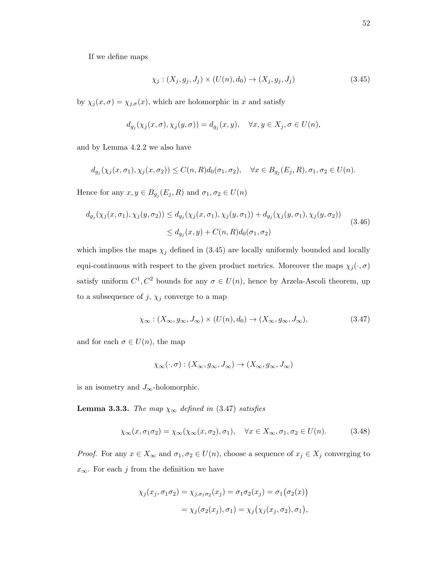If we define maps

$$
\chi_j : (X_j, g_j, J_j) \times (U(n), d_0) \to (X_j, g_j, J_j)
$$
\n(3.45)

by  $\chi_j(x, \sigma) = \chi_{j,\sigma}(x)$ , which are holomorphic in x and satisfy

$$
d_{g_j}(\chi_j(x,\sigma),\chi_j(y,\sigma)) = d_{g_j}(x,y), \quad \forall x, y \in X_j, \sigma \in U(n),
$$

and by Lemma 4.2.2 we also have

$$
d_{g_j}(\chi_j(x,\sigma_1),\chi_j(x,\sigma_2)) \leq C(n,R)d_0(\sigma_1,\sigma_2), \quad \forall x \in B_{g_j}(E_j,R), \sigma_1, \sigma_2 \in U(n).
$$

Hence for any  $x, y \in B_{g_j}(E_j, R)$  and  $\sigma_1, \sigma_2 \in U(n)$ 

$$
d_{g_j}(\chi_j(x, \sigma_1), \chi_j(y, \sigma_2)) \le d_{g_j}(\chi_j(x, \sigma_1), \chi_j(y, \sigma_1)) + d_{g_j}(\chi_j(y, \sigma_1), \chi_j(y, \sigma_2))
$$
  
 
$$
\le d_{g_j}(x, y) + C(n, R) d_0(\sigma_1, \sigma_2)
$$
 (3.46)

which implies the maps  $\chi_j$  defined in (3.45) are locally uniformly bounded and locally equi-continuous with respect to the given product metrics. Moreover the maps  $\chi_j(\cdot, \sigma)$ satisfy uniform  $C^1, C^2$  bounds for any  $\sigma \in U(n)$ , hence by Arzela-Ascoli theorem, up to a subsequence of  $j, \chi_j$  converge to a map

$$
\chi_{\infty} : (X_{\infty}, g_{\infty}, J_{\infty}) \times (U(n), d_0) \to (X_{\infty}, g_{\infty}, J_{\infty}), \tag{3.47}
$$

and for each  $\sigma \in U(n)$ , the map

$$
\chi_{\infty}(\cdot, \sigma) : (X_{\infty}, g_{\infty}, J_{\infty}) \to (X_{\infty}, g_{\infty}, J_{\infty})
$$

is an isometry and  $J_{\infty}$ -holomorphic.

**Lemma 3.3.3.** The map  $\chi_{\infty}$  defined in (3.47) satisfies

$$
\chi_{\infty}(x,\sigma_1\sigma_2) = \chi_{\infty}(\chi_{\infty}(x,\sigma_2),\sigma_1), \quad \forall x \in X_{\infty}, \sigma_1, \sigma_2 \in U(n). \tag{3.48}
$$

*Proof.* For any  $x \in X_\infty$  and  $\sigma_1, \sigma_2 \in U(n)$ , choose a sequence of  $x_j \in X_j$  converging to  $x_{\infty}$ . For each j from the definition we have

$$
\chi_j(x_j, \sigma_1 \sigma_2) = \chi_{j, \sigma_1 \sigma_2}(x_j) = \sigma_1 \sigma_2(x_j) = \sigma_1(\sigma_2(x))
$$

$$
= \chi_j(\sigma_2(x_j), \sigma_1) = \chi_j(\chi_j(x_j, \sigma_2), \sigma_1),
$$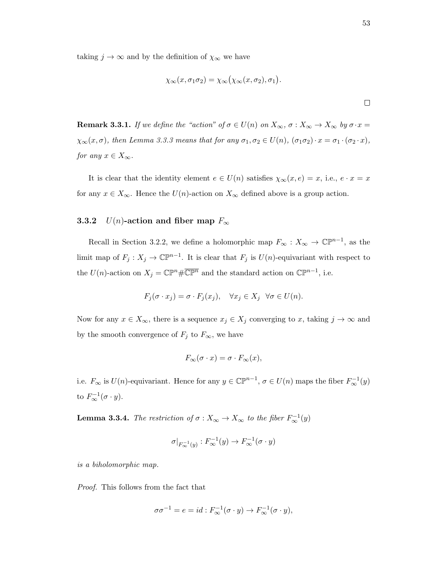taking  $j \to \infty$  and by the definition of  $\chi_{\infty}$  we have

$$
\chi_{\infty}(x,\sigma_1\sigma_2)=\chi_{\infty}(\chi_{\infty}(x,\sigma_2),\sigma_1).
$$

**Remark 3.3.1.** If we define the "action" of  $\sigma \in U(n)$  on  $X_{\infty}, \sigma : X_{\infty} \to X_{\infty}$  by  $\sigma \cdot x =$  $\chi_{\infty}(x,\sigma)$ , then Lemma 3.3.3 means that for any  $\sigma_1, \sigma_2 \in U(n)$ ,  $(\sigma_1 \sigma_2) \cdot x = \sigma_1 \cdot (\sigma_2 \cdot x)$ , for any  $x \in X_{\infty}$ .

It is clear that the identity element  $e \in U(n)$  satisfies  $\chi_{\infty}(x, e) = x$ , i.e.,  $e \cdot x = x$ for any  $x \in X_{\infty}$ . Hence the  $U(n)$ -action on  $X_{\infty}$  defined above is a group action.

#### 3.3.2  $U(n)$ -action and fiber map  $F_{\infty}$

Recall in Section 3.2.2, we define a holomorphic map  $F_{\infty}: X_{\infty} \to \mathbb{CP}^{n-1}$ , as the limit map of  $F_j: X_j \to \mathbb{C}\mathbb{P}^{n-1}$ . It is clear that  $F_j$  is  $U(n)$ -equivariant with respect to the  $U(n)$ -action on  $X_j = \mathbb{CP}^n \# \overline{\mathbb{CP}^n}$  and the standard action on  $\mathbb{CP}^{n-1}$ , i.e.

$$
F_j(\sigma \cdot x_j) = \sigma \cdot F_j(x_j), \quad \forall x_j \in X_j \quad \forall \sigma \in U(n).
$$

Now for any  $x \in X_{\infty}$ , there is a sequence  $x_j \in X_j$  converging to x, taking  $j \to \infty$  and by the smooth convergence of  $F_j$  to  $F_{\infty}$ , we have

$$
F_{\infty}(\sigma \cdot x) = \sigma \cdot F_{\infty}(x),
$$

i.e.  $F_{\infty}$  is  $U(n)$ -equivariant. Hence for any  $y \in \mathbb{C}P^{n-1}$ ,  $\sigma \in U(n)$  maps the fiber  $F_{\infty}^{-1}(y)$ to  $F^{-1}_{\infty}(\sigma \cdot y)$ .

**Lemma 3.3.4.** The restriction of  $\sigma : X_{\infty} \to X_{\infty}$  to the fiber  $F_{\infty}^{-1}(y)$ 

$$
\sigma|_{F_{\infty}^{-1}(y)}: F_{\infty}^{-1}(y) \to F_{\infty}^{-1}(\sigma \cdot y)
$$

is a biholomorphic map.

Proof. This follows from the fact that

$$
\sigma \sigma^{-1} = e = id : F_{\infty}^{-1}(\sigma \cdot y) \to F_{\infty}^{-1}(\sigma \cdot y),
$$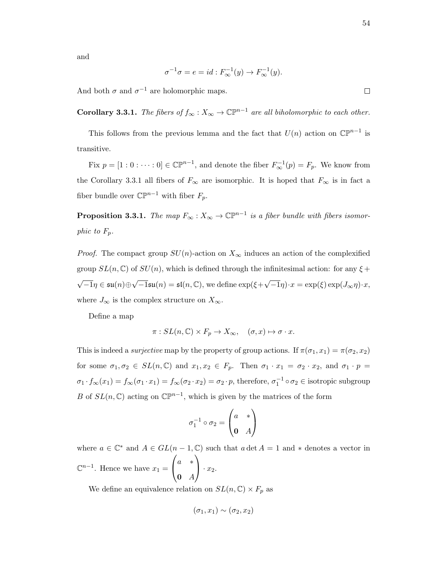and

$$
\sigma^{-1}\sigma = e = id : F_\infty^{-1}(y) \to F_\infty^{-1}(y).
$$

And both  $\sigma$  and  $\sigma^{-1}$  are holomorphic maps.

**Corollary 3.3.1.** The fibers of  $f_{\infty}: X_{\infty} \to \mathbb{CP}^{n-1}$  are all biholomorphic to each other.

This follows from the previous lemma and the fact that  $U(n)$  action on  $\mathbb{CP}^{n-1}$  is transitive.

Fix  $p = [1:0:\cdots:0] \in \mathbb{CP}^{n-1}$ , and denote the fiber  $F_{\infty}^{-1}(p) = F_p$ . We know from the Corollary 3.3.1 all fibers of  $F_{\infty}$  are isomorphic. It is hoped that  $F_{\infty}$  is in fact a fiber bundle over  $\mathbb{CP}^{n-1}$  with fiber  $F_p$ .

**Proposition 3.3.1.** The map  $F_{\infty}: X_{\infty} \to \mathbb{CP}^{n-1}$  is a fiber bundle with fibers isomorphic to  $F_p$ .

*Proof.* The compact group  $SU(n)$ -action on  $X_{\infty}$  induces an action of the complexified group  $SL(n, \mathbb{C})$  of  $SU(n)$ , which is defined through the infinitesimal action: for any  $\xi$  + √  $\overline{-1}\eta\in\mathfrak{su}(n)\oplus$  $\sqrt{-1}\mathfrak{su}(n) = \mathfrak{sl}(n,\mathbb{C}),$  we define  $\exp(\xi + \sqrt{n})$  $\overline{-1}\eta$ )· $x = \exp(\xi) \exp(J_{\infty}\eta) \cdot x$ , where  $J_{\infty}$  is the complex structure on  $X_{\infty}$ .

Define a map

$$
\pi: SL(n,\mathbb{C}) \times F_p \to X_{\infty}, \quad (\sigma, x) \mapsto \sigma \cdot x.
$$

This is indeed a *surjective* map by the property of group actions. If  $\pi(\sigma_1, x_1) = \pi(\sigma_2, x_2)$ for some  $\sigma_1, \sigma_2 \in SL(n, \mathbb{C})$  and  $x_1, x_2 \in F_p$ . Then  $\sigma_1 \cdot x_1 = \sigma_2 \cdot x_2$ , and  $\sigma_1 \cdot p =$  $\sigma_1 \cdot f_{\infty}(x_1) = f_{\infty}(\sigma_1 \cdot x_1) = f_{\infty}(\sigma_2 \cdot x_2) = \sigma_2 \cdot p$ , therefore,  $\sigma_1^{-1} \circ \sigma_2 \in \text{isotropic subgroup}$ B of  $SL(n,\mathbb{C})$  acting on  $\mathbb{CP}^{n-1}$ , which is given by the matrices of the form

$$
\sigma_1^{-1} \circ \sigma_2 = \begin{pmatrix} a & * \\ \mathbf{0} & A \end{pmatrix}
$$

where  $a \in \mathbb{C}^*$  and  $A \in GL(n-1,\mathbb{C})$  such that  $a \det A = 1$  and  $*$  denotes a vector in  $\mathbb{C}^{n-1}$ . Hence we have  $x_1 =$  $\sqrt{ }$  $\mathcal{L}$ a ∗  $\mathbf{0}$  A  $\setminus$  $\cdot x_2$ .

We define an equivalence relation on  $SL(n, \mathbb{C}) \times F_p$  as

$$
(\sigma_1, x_1) \sim (\sigma_2, x_2)
$$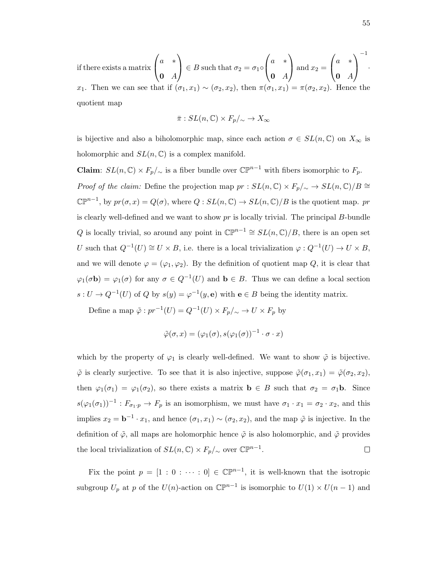if there exists a matrix 
$$
\begin{pmatrix} a & * \\ \mathbf{0} & A \end{pmatrix} \in B
$$
 such that  $\sigma_2 = \sigma_1 \circ \begin{pmatrix} a & * \\ \mathbf{0} & A \end{pmatrix}$  and  $x_2 = \begin{pmatrix} a & * \\ \mathbf{0} & A \end{pmatrix}^{-1}$ .

x<sub>1</sub>. Then we can see that if  $(\sigma_1, x_1) \sim (\sigma_2, x_2)$ , then  $\pi(\sigma_1, x_1) = \pi(\sigma_2, x_2)$ . Hence the quotient map

$$
\bar{\pi}: SL(n,\mathbb{C}) \times F_p/\sim \to X_{\infty}
$$

is bijective and also a biholomorphic map, since each action  $\sigma \in SL(n,\mathbb{C})$  on  $X_{\infty}$  is holomorphic and  $SL(n, \mathbb{C})$  is a complex manifold.

Claim:  $SL(n, \mathbb{C}) \times F_p/\sim$  is a fiber bundle over  $\mathbb{CP}^{n-1}$  with fibers isomorphic to  $F_p$ . *Proof of the claim:* Define the projection map  $pr : SL(n, \mathbb{C}) \times F_p/\sim \rightarrow SL(n, \mathbb{C})/B \cong$  $\mathbb{CP}^{n-1}$ , by  $pr(\sigma, x) = Q(\sigma)$ , where  $Q : SL(n, \mathbb{C}) \to SL(n, \mathbb{C})/B$  is the quotient map. pr is clearly well-defined and we want to show  $pr$  is locally trivial. The principal  $B$ -bundle Q is locally trivial, so around any point in  $\mathbb{CP}^{n-1} \cong SL(n,\mathbb{C})/B$ , there is an open set U such that  $Q^{-1}(U) \cong U \times B$ , i.e. there is a local trivialization  $\varphi: Q^{-1}(U) \to U \times B$ , and we will denote  $\varphi = (\varphi_1, \varphi_2)$ . By the definition of quotient map Q, it is clear that  $\varphi_1(\sigma \mathbf{b}) = \varphi_1(\sigma)$  for any  $\sigma \in Q^{-1}(U)$  and  $\mathbf{b} \in B$ . Thus we can define a local section  $s: U \to Q^{-1}(U)$  of Q by  $s(y) = \varphi^{-1}(y, e)$  with  $e \in B$  being the identity matrix.

Define a map  $\tilde{\varphi}: pr^{-1}(U) = Q^{-1}(U) \times F_p / \sim \to U \times F_p$  by

$$
\tilde{\varphi}(\sigma, x) = (\varphi_1(\sigma), s(\varphi_1(\sigma))^{-1} \cdot \sigma \cdot x)
$$

which by the property of  $\varphi_1$  is clearly well-defined. We want to show  $\tilde{\varphi}$  is bijective.  $\tilde{\varphi}$  is clearly surjective. To see that it is also injective, suppose  $\tilde{\varphi}(\sigma_1, x_1) = \tilde{\varphi}(\sigma_2, x_2)$ , then  $\varphi_1(\sigma_1) = \varphi_1(\sigma_2)$ , so there exists a matrix  $\mathbf{b} \in B$  such that  $\sigma_2 = \sigma_1 \mathbf{b}$ . Since  $s(\varphi_1(\sigma_1))^{-1} : F_{\sigma_1 \cdot p} \to F_p$  is an isomorphism, we must have  $\sigma_1 \cdot x_1 = \sigma_2 \cdot x_2$ , and this implies  $x_2 = \mathbf{b}^{-1} \cdot x_1$ , and hence  $(\sigma_1, x_1) \sim (\sigma_2, x_2)$ , and the map  $\tilde{\varphi}$  is injective. In the definition of  $\tilde{\varphi}$ , all maps are holomorphic hence  $\tilde{\varphi}$  is also holomorphic, and  $\tilde{\varphi}$  provides the local trivialization of  $SL(n,\mathbb{C}) \times F_p/\sim$  over  $\mathbb{CP}^{n-1}$ .  $\Box$ 

Fix the point  $p = [1 : 0 : \cdots : 0] \in \mathbb{C}\mathbb{P}^{n-1}$ , it is well-known that the isotropic subgroup  $U_p$  at p of the  $U(n)$ -action on  $\mathbb{CP}^{n-1}$  is isomorphic to  $U(1) \times U(n-1)$  and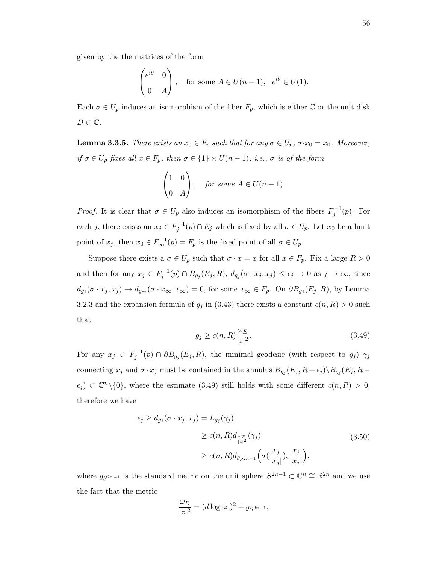given by the the matrices of the form

$$
\begin{pmatrix} e^{i\theta} & 0 \\ 0 & A \end{pmatrix}
$$
, for some  $A \in U(n-1)$ ,  $e^{i\theta} \in U(1)$ .

Each  $\sigma \in U_p$  induces an isomorphism of the fiber  $F_p$ , which is either  $\mathbb C$  or the unit disk  $D \subset \mathbb{C}$ .

**Lemma 3.3.5.** There exists an  $x_0 \in F_p$  such that for any  $\sigma \in U_p$ ,  $\sigma \cdot x_0 = x_0$ . Moreover, if  $\sigma \in U_p$  fixes all  $x \in F_p$ , then  $\sigma \in \{1\} \times U(n-1)$ , i.e.,  $\sigma$  is of the form

$$
\begin{pmatrix} 1 & 0 \\ 0 & A \end{pmatrix}, \quad \text{for some } A \in U(n-1).
$$

*Proof.* It is clear that  $\sigma \in U_p$  also induces an isomorphism of the fibers  $F_j^{-1}(p)$ . For each j, there exists an  $x_j \in F_j^{-1}(p) \cap E_j$  which is fixed by all  $\sigma \in U_p$ . Let  $x_0$  be a limit point of  $x_j$ , then  $x_0 \in F^{-1}_{\infty}(p) = F_p$  is the fixed point of all  $\sigma \in U_p$ .

Suppose there exists a  $\sigma \in U_p$  such that  $\sigma \cdot x = x$  for all  $x \in F_p$ . Fix a large  $R > 0$ and then for any  $x_j \in F_j^{-1}(p) \cap B_{g_j}(E_j, R)$ ,  $d_{g_j}(\sigma \cdot x_j, x_j) \leq \epsilon_j \to 0$  as  $j \to \infty$ , since  $d_{g_j}(\sigma \cdot x_j, x_j) \to d_{g_\infty}(\sigma \cdot x_\infty, x_\infty) = 0$ , for some  $x_\infty \in F_p$ . On  $\partial B_{g_j}(E_j, R)$ , by Lemma 3.2.3 and the expansion formula of  $g_j$  in (3.43) there exists a constant  $c(n, R) > 0$  such that

$$
g_j \ge c(n, R) \frac{\omega_E}{|z|^2}.\tag{3.49}
$$

For any  $x_j \in F_j^{-1}(p) \cap \partial B_{g_j}(E_j, R)$ , the minimal geodesic (with respect to  $g_j$ )  $\gamma_j$ connecting  $x_j$  and  $\sigma \cdot x_j$  must be contained in the annulus  $B_{g_j}(E_j, R + \epsilon_j) \setminus B_{g_j}(E_j, R - \epsilon_j)$  $\epsilon_j$ )  $\subset \mathbb{C}^n\setminus\{0\}$ , where the estimate (3.49) still holds with some different  $c(n,R) > 0$ , therefore we have

$$
\epsilon_j \ge d_{g_j}(\sigma \cdot x_j, x_j) = L_{g_j}(\gamma_j)
$$
  
\n
$$
\ge c(n, R) d_{\frac{\omega_E}{|z|^2}}(\gamma_j)
$$
  
\n
$$
\ge c(n, R) d_{g_{S^{2n-1}}} \left( \sigma(\frac{x_j}{|x_j|}), \frac{x_j}{|x_j|} \right),
$$
\n(3.50)

where  $g_{S^{2n-1}}$  is the standard metric on the unit sphere  $S^{2n-1} \subset \mathbb{C}^n \cong \mathbb{R}^{2n}$  and we use the fact that the metric

$$
\frac{\omega_E}{|z|^2} = (d \log |z|)^2 + g_{S^{2n-1}},
$$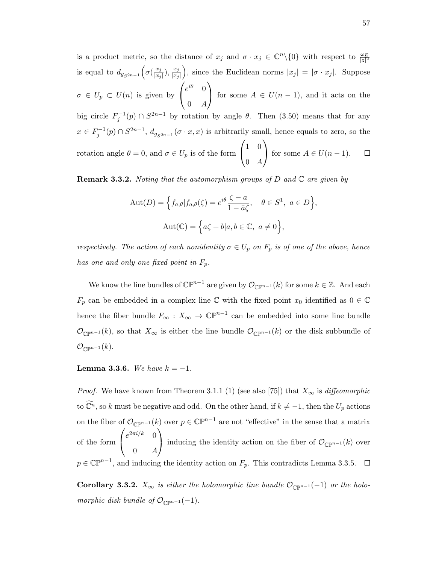is a product metric, so the distance of  $x_j$  and  $\sigma \cdot x_j \in \mathbb{C}^n \setminus \{0\}$  with respect to  $\frac{\omega_E}{|z|^2}$ is equal to  $d_{g_{S^{2n-1}}}(\sigma(\frac{x_j}{|x_j|})$ ), since the Euclidean norms  $|x_j| = |\sigma \cdot x_j|$ . Suppose  $\frac{x_j}{|x_j|}$ ),  $\frac{x_j}{|x_j|}$  $|x_j|$  $\sqrt{ }$  $\setminus$  $e^{i\theta}$  0  $\sigma \in U_p \subset U(n)$  is given by for some  $A \in U(n-1)$ , and it acts on the  $\overline{1}$  $0 \quad A$ big circle  $F_j^{-1}(p) \cap S^{2n-1}$  by rotation by angle  $\theta$ . Then (3.50) means that for any  $x \in F_j^{-1}(p) \cap S^{2n-1}, d_{g_{S^{2n-1}}}(\sigma \cdot x, x)$  is arbitrarily small, hence equals to zero, so the  $\sqrt{ }$  $\setminus$ 1 0  $\Box$ rotation angle  $\theta = 0$ , and  $\sigma \in U_p$  is of the form for some  $A \in U(n-1)$ .  $\mathcal{L}$  $0 \quad A$ 

**Remark 3.3.2.** Noting that the automorphism groups of D and  $\mathbb C$  are given by

$$
Aut(D) = \left\{ f_{a,\theta} | f_{a,\theta}(\zeta) = e^{i\theta} \frac{\zeta - a}{1 - \bar{a}\zeta}, \quad \theta \in S^1, \ a \in D \right\}
$$

$$
Aut(\mathbb{C}) = \left\{ a\zeta + b | a, b \in \mathbb{C}, \ a \neq 0 \right\},
$$

respectively. The action of each nonidentity  $\sigma \in U_p$  on  $F_p$  is of one of the above, hence has one and only one fixed point in  $F_p$ .

We know the line bundles of  $\mathbb{CP}^{n-1}$  are given by  $\mathcal{O}_{\mathbb{CP}^{n-1}}(k)$  for some  $k \in \mathbb{Z}$ . And each  $F_p$  can be embedded in a complex line  $\mathbb C$  with the fixed point  $x_0$  identified as  $0 \in \mathbb C$ hence the fiber bundle  $F_{\infty}: X_{\infty} \to \mathbb{C}\mathbb{P}^{n-1}$  can be embedded into some line bundle  $\mathcal{O}_{\mathbb{C}\mathbb{P}^{n-1}}(k)$ , so that  $X_{\infty}$  is either the line bundle  $\mathcal{O}_{\mathbb{C}\mathbb{P}^{n-1}}(k)$  or the disk subbundle of  $\mathcal{O}_{\mathbb{C}\mathbb{P}^{n-1}}(k).$ 

Lemma 3.3.6. We have  $k = -1$ .

*Proof.* We have known from Theorem 3.1.1 (1) (see also [75]) that  $X_{\infty}$  is *diffeomorphic* to  $\widetilde{\mathbb{C}^n}$ , so k must be negative and odd. On the other hand, if  $k \neq -1$ , then the  $U_p$  actions on the fiber of  $\mathcal{O}_{\mathbb{C}\mathbb{P}^{n-1}}(k)$  over  $p \in \mathbb{C}\mathbb{P}^{n-1}$  are not "effective" in the sense that a matrix of the form  $\sqrt{ }$  $\overline{1}$  $e^{2\pi i/k}$  0  $0 \quad A$  $\setminus$ inducing the identity action on the fiber of  $\mathcal{O}_{\mathbb{CP}^{n-1}}(k)$  over  $p \in \mathbb{C}\mathbb{P}^{n-1}$ , and inducing the identity action on  $F_p$ . This contradicts Lemma 3.3.5.

**Corollary 3.3.2.**  $X_{\infty}$  is either the holomorphic line bundle  $\mathcal{O}_{\mathbb{CP}^{n-1}}(-1)$  or the holomorphic disk bundle of  $\mathcal{O}_{\mathbb{CP}^{n-1}}(-1)$ .

,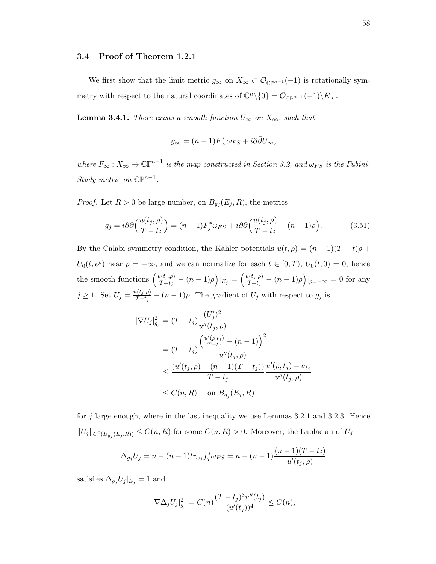#### 3.4 Proof of Theorem 1.2.1

We first show that the limit metric  $g_{\infty}$  on  $X_{\infty} \subset \mathcal{O}_{\mathbb{CP}^{n-1}}(-1)$  is rotationally symmetry with respect to the natural coordinates of  $\mathbb{C}^n \setminus \{0\} = \mathcal{O}_{\mathbb{C}\mathbb{P}^{n-1}}(-1) \setminus E_{\infty}$ .

**Lemma 3.4.1.** There exists a smooth function  $U_{\infty}$  on  $X_{\infty}$ , such that

$$
g_{\infty} = (n-1)F_{\infty}^* \omega_{FS} + i\partial \bar{\partial} U_{\infty},
$$

where  $F_{\infty}: X_{\infty} \to \mathbb{CP}^{n-1}$  is the map constructed in Section 3.2, and  $\omega_{FS}$  is the Fubini-Study metric on  $\mathbb{CP}^{n-1}$ .

*Proof.* Let  $R > 0$  be large number, on  $B_{g_j}(E_j, R)$ , the metrics

$$
g_j = i\partial\bar{\partial}\left(\frac{u(t_j,\rho)}{T-t_j}\right) = (n-1)F_j^*\omega_{FS} + i\partial\bar{\partial}\left(\frac{u(t_j,\rho)}{T-t_j} - (n-1)\rho\right).
$$
 (3.51)

By the Calabi symmetry condition, the Kähler potentials  $u(t, \rho) = (n-1)(T-t)\rho +$  $U_0(t, e^{\rho})$  near  $\rho = -\infty$ , and we can normalize for each  $t \in [0, T)$ ,  $U_0(t, 0) = 0$ , hence the smooth functions  $\left(\frac{u(t_j,\rho)}{T-t}\right)$  $\frac{u(t_j,\rho)}{T-t_j}-(n-1)\rho\Big)|_{E_j}=\left(\frac{u(t_j,\rho)}{T-t_j}\right)$  $\frac{\mu(t_j,\rho)}{T-t_j} - (n-1)\rho\Big)|_{\rho=-\infty} = 0$  for any  $j \geq 1$ . Set  $U_j = \frac{u(t_j,\rho)}{T-t_j}$  $\frac{I(t_j,\rho)}{T-t_j} - (n-1)\rho$ . The gradient of  $U_j$  with respect to  $g_j$  is

$$
|\nabla U_j|_{g_j}^2 = (T - t_j) \frac{(U'_j)^2}{u''(t_j, \rho)}
$$
  
=  $(T - t_j) \frac{\left(\frac{u'(\rho, t_j)}{T - t_j} - (n - 1)\right)^2}{u''(t_j, \rho)}$   
 $\leq \frac{(u'(t_j, \rho) - (n - 1)(T - t_j))}{T - t_j} \frac{u'(\rho, t_j) - a_{t_j}}{u''(t_j, \rho)}$   
 $\leq C(n, R)$  on  $B_{g_j}(E_j, R)$ 

for j large enough, where in the last inequality we use Lemmas 3.2.1 and 3.2.3. Hence  $||U_j||_{C^0(B_{g_j}(E_j,R))} \leq C(n,R)$  for some  $C(n,R) > 0$ . Moreover, the Laplacian of  $U_j$ 

$$
\Delta_{g_j} U_j = n - (n-1)tr_{\omega_j} f_j^* \omega_{FS} = n - (n-1) \frac{(n-1)(T - t_j)}{u'(t_j, \rho)}
$$

satisfies  $\Delta_{g_j}U_j|_{E_j} = 1$  and

$$
|\nabla \Delta_j U_j|_{g_j}^2 = C(n) \frac{(T - t_j)^3 u''(t_j)}{(u'(t_j))^4} \le C(n),
$$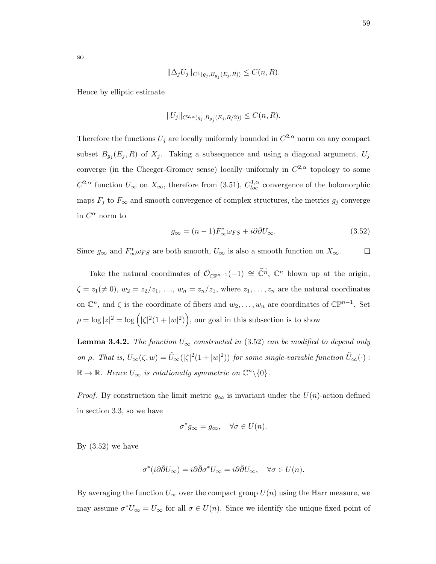$$
\|\Delta_j U_j\|_{C^1(g_j, B_{g_j}(E_j, R))} \le C(n, R).
$$

Hence by elliptic estimate

$$
||U_j||_{C^{2,\alpha}(g_j, B_{g_j}(E_j, R/2))} \leq C(n, R).
$$

Therefore the functions  $U_j$  are locally uniformly bounded in  $C^{2,\alpha}$  norm on any compact subset  $B_{g_j}(E_j, R)$  of  $X_j$ . Taking a subsequence and using a diagonal argument,  $U_j$ converge (in the Cheeger-Gromov sense) locally uniformly in  $C^{2,\alpha}$  topology to some  $C^{2,\alpha}$  function  $U_{\infty}$  on  $X_{\infty}$ , therefore from (3.51),  $C_{loc}^{1,\alpha}$  convergence of the holomorphic maps  $F_j$  to  $F_\infty$  and smooth convergence of complex structures, the metrics  $g_j$  converge in  $C^{\alpha}$  norm to

$$
g_{\infty} = (n-1)F_{\infty}^* \omega_{FS} + i\partial \bar{\partial} U_{\infty}.
$$
 (3.52)

Since  $g_{\infty}$  and  $F_{\infty}^* \omega_{FS}$  are both smooth,  $U_{\infty}$  is also a smooth function on  $X_{\infty}$ .  $\Box$ 

Take the natural coordinates of  $\mathcal{O}_{\mathbb{CP}^{n-1}}(-1) \cong \widetilde{\mathbb{C}^n}$ ,  $\mathbb{C}^n$  blown up at the origin,  $\zeta = z_1(\neq 0), w_2 = z_2/z_1, \ldots, w_n = z_n/z_1$ , where  $z_1, \ldots, z_n$  are the natural coordinates on  $\mathbb{C}^n$ , and  $\zeta$  is the coordinate of fibers and  $w_2, \ldots, w_n$  are coordinates of  $\mathbb{CP}^{n-1}$ . Set  $\rho = \log |z|^2 = \log (|\zeta|^2 (1+|w|^2)),$  our goal in this subsection is to show

**Lemma 3.4.2.** The function  $U_{\infty}$  constructed in (3.52) can be modified to depend only on  $\rho$ . That is,  $U_{\infty}(\zeta, w) = \tilde{U}_{\infty}(|\zeta|^2(1+|w|^2))$  for some single-variable function  $\tilde{U}_{\infty}(\cdot)$ :  $\mathbb{R} \to \mathbb{R}$ . Hence  $U_{\infty}$  is rotationally symmetric on  $\mathbb{C}^n \backslash \{0\}$ .

*Proof.* By construction the limit metric  $g_{\infty}$  is invariant under the  $U(n)$ -action defined in section 3.3, so we have

$$
\sigma^* g_{\infty} = g_{\infty}, \quad \forall \sigma \in U(n).
$$

By  $(3.52)$  we have

$$
\sigma^*(i\partial\bar\partial U_\infty)=i\partial\bar\partial\sigma^*U_\infty=i\partial\bar\partial U_\infty,\quad \forall \sigma\in U(n).
$$

By averaging the function  $U_{\infty}$  over the compact group  $U(n)$  using the Harr measure, we may assume  $\sigma^* U_\infty = U_\infty$  for all  $\sigma \in U(n)$ . Since we identify the unique fixed point of

so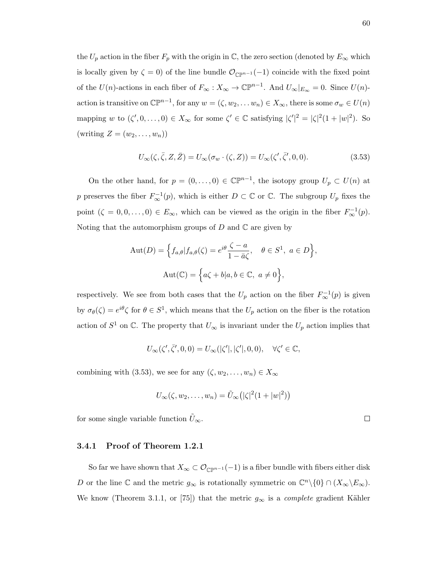the  $U_p$  action in the fiber  $F_p$  with the origin in  $\mathbb{C}$ , the zero section (denoted by  $E_{\infty}$  which is locally given by  $\zeta = 0$ ) of the line bundle  $\mathcal{O}_{\mathbb{CP}^{n-1}}(-1)$  coincide with the fixed point of the  $U(n)$ -actions in each fiber of  $F_{\infty}: X_{\infty} \to \mathbb{CP}^{n-1}$ . And  $U_{\infty}|_{E_{\infty}} = 0$ . Since  $U(n)$ action is transitive on  $\mathbb{CP}^{n-1}$ , for any  $w = (\zeta, w_2, \dots w_n) \in X_\infty$ , there is some  $\sigma_w \in U(n)$ mapping w to  $(\zeta', 0, \ldots, 0) \in X_\infty$  for some  $\zeta' \in \mathbb{C}$  satisfying  $|\zeta'|^2 = |\zeta|^2 (1 + |w|^2)$ . So (writing  $Z = (w_2, \ldots, w_n)$ )

$$
U_{\infty}(\zeta, \bar{\zeta}, Z, \bar{Z}) = U_{\infty}(\sigma_w \cdot (\zeta, Z)) = U_{\infty}(\zeta', \bar{\zeta}', 0, 0). \tag{3.53}
$$

On the other hand, for  $p = (0, \ldots, 0) \in \mathbb{C} \mathbb{P}^{n-1}$ , the isotopy group  $U_p \subset U(n)$  at p preserves the fiber  $F^{-1}_{\infty}(p)$ , which is either  $D \subset \mathbb{C}$  or  $\mathbb{C}$ . The subgroup  $U_p$  fixes the point  $(\zeta = 0, 0, \ldots, 0) \in E_{\infty}$ , which can be viewed as the origin in the fiber  $F_{\infty}^{-1}(p)$ . Noting that the automorphism groups of  $D$  and  $\mathbb C$  are given by

$$
\text{Aut}(D) = \left\{ f_{a,\theta} | f_{a,\theta}(\zeta) = e^{i\theta} \frac{\zeta - a}{1 - \bar{a}\zeta}, \quad \theta \in S^1, \ a \in D \right\},\
$$

$$
\text{Aut}(\mathbb{C}) = \left\{ a\zeta + b | a, b \in \mathbb{C}, \ a \neq 0 \right\},\
$$

respectively. We see from both cases that the  $U_p$  action on the fiber  $F_\infty^{-1}(p)$  is given by  $\sigma_{\theta}(\zeta) = e^{i\theta} \zeta$  for  $\theta \in S^1$ , which means that the  $U_p$  action on the fiber is the rotation action of  $S^1$  on  $\mathbb{C}$ . The property that  $U_{\infty}$  is invariant under the  $U_p$  action implies that

$$
U_\infty(\zeta',\bar\zeta',0,0)=U_\infty(|\zeta'|,|\zeta'|,0,0),\quad \forall \zeta'\in\mathbb{C},
$$

combining with (3.53), we see for any  $(\zeta, w_2, \ldots, w_n) \in X_\infty$ 

$$
U_{\infty}(\zeta, w_2, \dots, w_n) = \tilde{U}_{\infty}(|\zeta|^2(1+|w|^2))
$$

for some single variable function  $\tilde{U}_{\infty}$ .

#### 3.4.1 Proof of Theorem 1.2.1

So far we have shown that  $X_{\infty} \subset \mathcal{O}_{\mathbb{CP}^{n-1}}(-1)$  is a fiber bundle with fibers either disk D or the line  $\mathbb C$  and the metric  $g_{\infty}$  is rotationally symmetric on  $\mathbb C^n \backslash \{0\} \cap (X_{\infty} \backslash E_{\infty})$ . We know (Theorem 3.1.1, or [75]) that the metric  $g_{\infty}$  is a *complete* gradient Kähler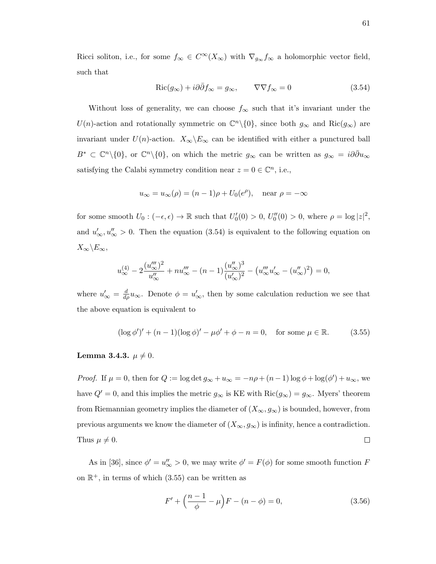Ricci soliton, i.e., for some  $f_{\infty} \in C^{\infty}(X_{\infty})$  with  $\nabla_{g_{\infty}} f_{\infty}$  a holomorphic vector field, such that

$$
Ric(g_{\infty}) + i\partial\bar{\partial}f_{\infty} = g_{\infty}, \qquad \nabla \nabla f_{\infty} = 0 \tag{3.54}
$$

Without loss of generality, we can choose  $f_{\infty}$  such that it's invariant under the U(n)-action and rotationally symmetric on  $\mathbb{C}^n\setminus\{0\}$ , since both  $g_{\infty}$  and  $\text{Ric}(g_{\infty})$  are invariant under  $U(n)$ -action.  $X_{\infty}\backslash E_{\infty}$  can be identified with either a punctured ball  $B^* \subset \mathbb{C}^n \setminus \{0\}$ , or  $\mathbb{C}^n \setminus \{0\}$ , on which the metric  $g_{\infty}$  can be written as  $g_{\infty} = i \partial \bar{\partial} u_{\infty}$ satisfying the Calabi symmetry condition near  $z = 0 \in \mathbb{C}^n$ , i.e.,

$$
u_{\infty} = u_{\infty}(\rho) = (n-1)\rho + U_0(e^{\rho}), \quad \text{near } \rho = -\infty
$$

for some smooth  $U_0: (-\epsilon, \epsilon) \to \mathbb{R}$  such that  $U'_0(0) > 0$ ,  $U''_0(0) > 0$ , where  $\rho = \log |z|^2$ , and  $u'_{\infty}, u''_{\infty} > 0$ . Then the equation (3.54) is equivalent to the following equation on  $X_{\infty}\backslash E_{\infty}$ 

$$
u_{\infty}^{(4)} - 2\frac{(u_{\infty}''')^{2}}{u_{\infty}''} + nu_{\infty}''' - (n-1)\frac{(u_{\infty}'')^{3}}{(u_{\infty}')^{2}} - (u_{\infty}'''u_{\infty}' - (u_{\infty}'')^{2}) = 0,
$$

where  $u'_{\infty} = \frac{d}{d\rho} u_{\infty}$ . Denote  $\phi = u'_{\infty}$ , then by some calculation reduction we see that the above equation is equivalent to

$$
(\log \phi')' + (n-1)(\log \phi)' - \mu \phi' + \phi - n = 0, \quad \text{for some } \mu \in \mathbb{R}.\tag{3.55}
$$

#### Lemma 3.4.3.  $\mu \neq 0$ .

Proof. If  $\mu = 0$ , then for  $Q := \log \det g_{\infty} + u_{\infty} = -n\rho + (n-1)\log \phi + \log(\phi') + u_{\infty}$ , we have  $Q' = 0$ , and this implies the metric  $g_{\infty}$  is KE with  $\text{Ric}(g_{\infty}) = g_{\infty}$ . Myers' theorem from Riemannian geometry implies the diameter of  $(X_{\infty}, g_{\infty})$  is bounded, however, from previous arguments we know the diameter of  $(X_{\infty}, g_{\infty})$  is infinity, hence a contradiction. Thus  $\mu \neq 0$ .  $\Box$ 

As in [36], since  $\phi' = u''_{\infty} > 0$ , we may write  $\phi' = F(\phi)$  for some smooth function F on  $\mathbb{R}^+$ , in terms of which (3.55) can be written as

$$
F' + \left(\frac{n-1}{\phi} - \mu\right)F - (n - \phi) = 0,\tag{3.56}
$$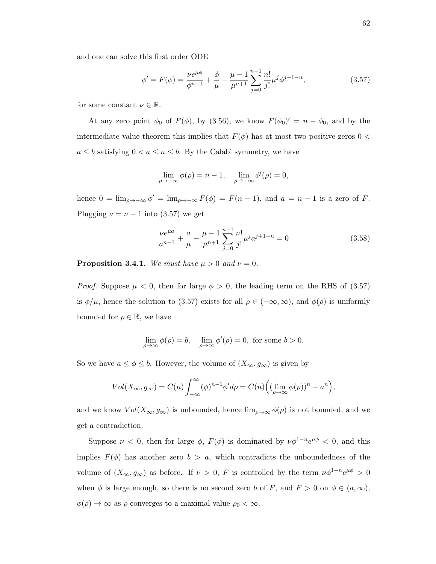and one can solve this first order ODE

$$
\phi' = F(\phi) = \frac{\nu e^{\mu \phi}}{\phi^{n-1}} + \frac{\phi}{\mu} - \frac{\mu - 1}{\mu^{n+1}} \sum_{j=0}^{n-1} \frac{n!}{j!} \mu^j \phi^{j+1-n},
$$
\n(3.57)

for some constant  $\nu \in \mathbb{R}$ .

At any zero point  $\phi_0$  of  $F(\phi)$ , by (3.56), we know  $F(\phi_0)' = n - \phi_0$ , and by the intermediate value theorem this implies that  $F(\phi)$  has at most two positive zeros 0 <  $a \leq b$  satisfying  $0 < a \leq n \leq b$ . By the Calabi symmetry, we have

$$
\lim_{\rho \to -\infty} \phi(\rho) = n - 1, \quad \lim_{\rho \to -\infty} \phi'(\rho) = 0,
$$

hence  $0 = \lim_{\rho \to -\infty} \phi' = \lim_{\rho \to -\infty} F(\phi) = F(n-1)$ , and  $a = n-1$  is a zero of F. Plugging  $a = n - 1$  into (3.57) we get

$$
\frac{\nu e^{\mu a}}{a^{n-1}} + \frac{a}{\mu} - \frac{\mu - 1}{\mu^{n+1}} \sum_{j=0}^{n-1} \frac{n!}{j!} \mu^j a^{j+1-n} = 0
$$
 (3.58)

**Proposition 3.4.1.** We must have  $\mu > 0$  and  $\nu = 0$ .

*Proof.* Suppose  $\mu < 0$ , then for large  $\phi > 0$ , the leading term on the RHS of (3.57) is  $\phi/\mu$ , hence the solution to (3.57) exists for all  $\rho \in (-\infty, \infty)$ , and  $\phi(\rho)$  is uniformly bounded for  $\rho \in \mathbb{R}$ , we have

$$
\lim_{\rho \to \infty} \phi(\rho) = b, \quad \lim_{\rho \to \infty} \phi'(\rho) = 0, \text{ for some } b > 0.
$$

So we have  $a \leq \phi \leq b$ . However, the volume of  $(X_{\infty}, g_{\infty})$  is given by

$$
Vol(X_{\infty}, g_{\infty}) = C(n) \int_{-\infty}^{\infty} (\phi)^{n-1} \phi' d\rho = C(n) \Big( (\lim_{\rho \to \infty} \phi(\rho))^n - a^n \Big),
$$

and we know  $Vol(X_{\infty}, g_{\infty})$  is unbounded, hence  $\lim_{\rho\to\infty}\phi(\rho)$  is not bounded, and we get a contradiction.

Suppose  $\nu < 0$ , then for large  $\phi$ ,  $F(\phi)$  is dominated by  $\nu \phi^{1-n} e^{\mu \phi} < 0$ , and this implies  $F(\phi)$  has another zero  $b > a$ , which contradicts the unboundedness of the volume of  $(X_{\infty}, g_{\infty})$  as before. If  $\nu > 0$ , F is controlled by the term  $\nu \phi^{1-n} e^{\mu \phi} > 0$ when  $\phi$  is large enough, so there is no second zero b of F, and  $F > 0$  on  $\phi \in (a, \infty)$ ,  $\phi(\rho) \to \infty$  as  $\rho$  converges to a maximal value  $\rho_0 < \infty$ .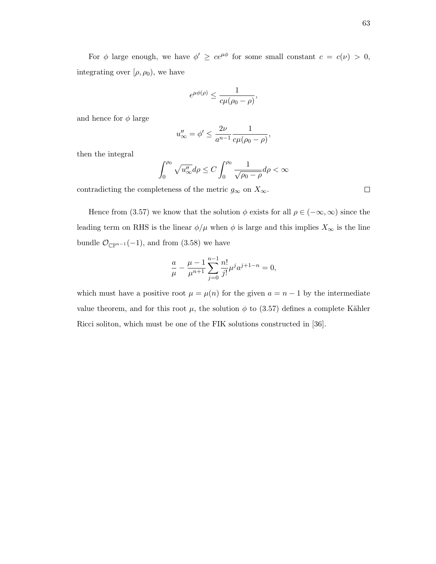For  $\phi$  large enough, we have  $\phi' \ge ce^{\mu\phi}$  for some small constant  $c = c(\nu) > 0$ , integrating over  $[\rho, \rho_0)$ , we have

$$
e^{\mu\phi(\rho)} \leq \frac{1}{c\mu(\rho_0 - \rho)},
$$

and hence for  $\phi$  large

$$
u''_{\infty} = \phi' \le \frac{2\nu}{a^{n-1}} \frac{1}{c\mu(\rho_0 - \rho)},
$$

then the integral

$$
\int_0^{\rho_0} \sqrt{u''_{\infty}} d\rho \le C \int_0^{\rho_0} \frac{1}{\sqrt{\rho_0 - \rho}} d\rho < \infty
$$

contradicting the completeness of the metric  $g_{\infty}$  on  $X_{\infty}$ .

Hence from (3.57) we know that the solution  $\phi$  exists for all  $\rho \in (-\infty, \infty)$  since the leading term on RHS is the linear  $\phi/\mu$  when  $\phi$  is large and this implies  $X_{\infty}$  is the line bundle  $\mathcal{O}_{\mathbb{CP}^{n-1}}(-1)$ , and from (3.58) we have

$$
\frac{a}{\mu}-\frac{\mu-1}{\mu^{n+1}}\sum_{j=0}^{n-1}\frac{n!}{j!}\mu^ja^{j+1-n}=0,
$$

which must have a positive root  $\mu = \mu(n)$  for the given  $a = n - 1$  by the intermediate value theorem, and for this root  $\mu$ , the solution  $\phi$  to (3.57) defines a complete Kähler Ricci soliton, which must be one of the FIK solutions constructed in [36].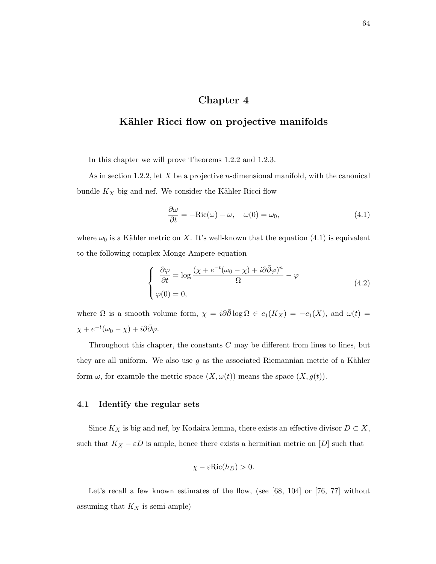### Chapter 4

## Kähler Ricci flow on projective manifolds

In this chapter we will prove Theorems 1.2.2 and 1.2.3.

As in section 1.2.2, let  $X$  be a projective *n*-dimensional manifold, with the canonical bundle  $K_X$  big and nef. We consider the Kähler-Ricci flow

$$
\frac{\partial \omega}{\partial t} = -\text{Ric}(\omega) - \omega, \quad \omega(0) = \omega_0,\tag{4.1}
$$

where  $\omega_0$  is a Kähler metric on X. It's well-known that the equation (4.1) is equivalent to the following complex Monge-Ampere equation

$$
\begin{cases}\n\frac{\partial \varphi}{\partial t} = \log \frac{(\chi + e^{-t}(\omega_0 - \chi) + i\partial \bar{\partial} \varphi)^n}{\Omega} - \varphi \\
\varphi(0) = 0,\n\end{cases}
$$
\n(4.2)

where  $\Omega$  is a smooth volume form,  $\chi = i\partial\bar{\partial}\log\Omega \in c_1(K_X) = -c_1(X)$ , and  $\omega(t) =$  $\chi + e^{-t}(\omega_0 - \chi) + i\partial\bar{\partial}\varphi.$ 

Throughout this chapter, the constants  $C$  may be different from lines to lines, but they are all uniform. We also use  $g$  as the associated Riemannian metric of a Kähler form  $\omega$ , for example the metric space  $(X, \omega(t))$  means the space  $(X, g(t))$ .

#### 4.1 Identify the regular sets

Since  $K_X$  is big and nef, by Kodaira lemma, there exists an effective divisor  $D \subset X$ , such that  $K_X - \varepsilon D$  is ample, hence there exists a hermitian metric on  $[D]$  such that

$$
\chi - \varepsilon \text{Ric}(h_D) > 0.
$$

Let's recall a few known estimates of the flow, (see [68, 104] or [76, 77] without assuming that  $K_X$  is semi-ample)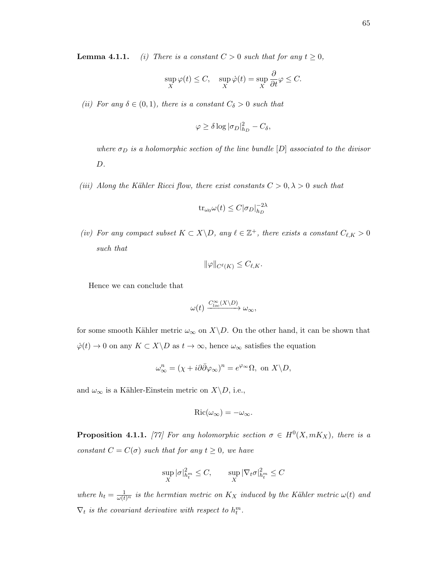**Lemma 4.1.1.** (i) There is a constant  $C > 0$  such that for any  $t \geq 0$ ,

$$
\sup_{X} \varphi(t) \le C, \quad \sup_{X} \dot{\varphi}(t) = \sup_{X} \frac{\partial}{\partial t} \varphi \le C.
$$

(ii) For any  $\delta \in (0,1)$ , there is a constant  $C_{\delta} > 0$  such that

$$
\varphi \ge \delta \log |\sigma_D|_{h_D}^2 - C_\delta,
$$

where  $\sigma_D$  is a holomorphic section of the line bundle  $[D]$  associated to the divisor D.

(iii) Along the Kähler Ricci flow, there exist constants  $C > 0, \lambda > 0$  such that

$$
\mathrm{tr}_{\omega_0}\omega(t) \le C|\sigma_D|_{h_D}^{-2\lambda}
$$

(iv) For any compact subset  $K \subset X \backslash D$ , any  $\ell \in \mathbb{Z}^+$ , there exists a constant  $C_{\ell,K} > 0$ such that

$$
\|\varphi\|_{C^{\ell}(K)} \leq C_{\ell,K}.
$$

Hence we can conclude that

$$
\omega(t) \xrightarrow{C^{\infty}_{loc}(X \setminus D)} \omega_{\infty},
$$

for some smooth Kähler metric  $\omega_{\infty}$  on  $X\backslash D$ . On the other hand, it can be shown that  $\dot{\varphi}(t) \to 0$  on any  $K \subset X \backslash D$  as  $t \to \infty,$  hence  $\omega_{\infty}$  satisfies the equation

$$
\omega_{\infty}^{n} = (\chi + i\partial\bar{\partial}\varphi_{\infty})^{n} = e^{\varphi_{\infty}}\Omega, \text{ on } X \backslash D,
$$

and  $\omega_{\infty}$  is a Kähler-Einstein metric on  $X\backslash D$ , i.e.,

$$
Ric(\omega_{\infty})=-\omega_{\infty}.
$$

**Proposition 4.1.1.** [77] For any holomorphic section  $\sigma \in H^0(X, mK_X)$ , there is a constant  $C = C(\sigma)$  such that for any  $t \geq 0$ , we have

$$
\sup_X |\sigma|_{h_t^m}^2 \le C, \qquad \sup_X |\nabla_t \sigma|_{h_t^m}^2 \le C
$$

where  $h_t = \frac{1}{\omega(t)^n}$  is the hermtian metric on  $K_X$  induced by the Kähler metric  $\omega(t)$  and  $\nabla_t$  is the covariant derivative with respect to  $h_t^m$ .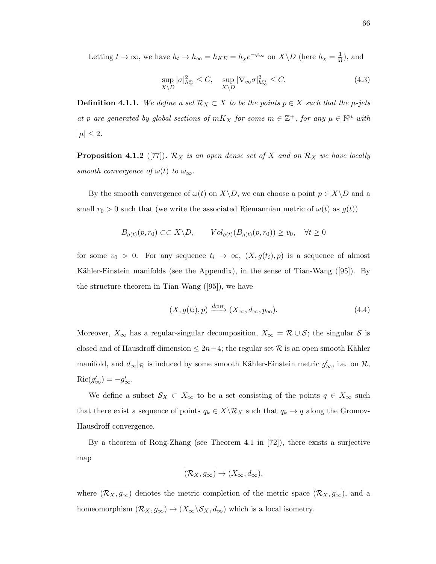Letting  $t \to \infty$ , we have  $h_t \to h_\infty = h_{KE} = h_\chi e^{-\varphi_\infty}$  on  $X \backslash D$  (here  $h_\chi = \frac{1}{\Omega}$ )  $\frac{1}{\Omega}$ ), and

$$
\sup_{X \backslash D} |\sigma|_{h_{\infty}^{\infty}}^2 \le C, \quad \sup_{X \backslash D} |\nabla_{\infty} \sigma|_{h_{\infty}^{\infty}}^2 \le C. \tag{4.3}
$$

**Definition 4.1.1.** We define a set  $\mathcal{R}_X \subset X$  to be the points  $p \in X$  such that the  $\mu$ -jets at p are generated by global sections of  $mK_X$  for some  $m \in \mathbb{Z}^+$ , for any  $\mu \in \mathbb{N}^n$  with  $|\mu| \leq 2$ .

**Proposition 4.1.2** ([77]).  $\mathcal{R}_X$  is an open dense set of X and on  $\mathcal{R}_X$  we have locally smooth convergence of  $\omega(t)$  to  $\omega_{\infty}$ .

By the smooth convergence of  $\omega(t)$  on  $X\backslash D$ , we can choose a point  $p \in X\backslash D$  and a small  $r_0 > 0$  such that (we write the associated Riemannian metric of  $\omega(t)$  as  $g(t)$ )

$$
B_{g(t)}(p,r_0) \subset \subset X \backslash D, \qquad Vol_{g(t)}(B_{g(t)}(p,r_0)) \ge v_0, \quad \forall t \ge 0
$$

for some  $v_0 > 0$ . For any sequence  $t_i \to \infty$ ,  $(X, g(t_i), p)$  is a sequence of almost Kähler-Einstein manifolds (see the Appendix), in the sense of Tian-Wang  $([95])$ . By the structure theorem in Tian-Wang ([95]), we have

$$
(X, g(t_i), p) \xrightarrow{d_{GH}} (X_{\infty}, d_{\infty}, p_{\infty}).
$$
\n(4.4)

Moreover,  $X_{\infty}$  has a regular-singular decomposition,  $X_{\infty} = \mathcal{R} \cup \mathcal{S}$ ; the singular  $\mathcal{S}$  is closed and of Hausdroff dimension  $\leq 2n-4$ ; the regular set R is an open smooth Kähler manifold, and  $d_{\infty}|_{\mathcal{R}}$  is induced by some smooth Kähler-Einstein metric  $g'_{\infty}$ , i.e. on  $\mathcal{R}$ ,  $\operatorname{Ric}(g'_{\infty}) = -g'_{\infty}.$ 

We define a subset  $\mathcal{S}_X \subset X_\infty$  to be a set consisting of the points  $q \in X_\infty$  such that there exist a sequence of points  $q_k \in X \backslash \mathcal{R}_X$  such that  $q_k \to q$  along the Gromov-Hausdroff convergence.

By a theorem of Rong-Zhang (see Theorem 4.1 in [72]), there exists a surjective map

$$
\overline{(\mathcal{R}_X,g_\infty)}\to (X_\infty,d_\infty),
$$

where  $(\overline{R_X}, g_\infty)$  denotes the metric completion of the metric space  $(\mathcal{R}_X, g_\infty)$ , and a homeomorphism  $(\mathcal{R}_X, g_\infty) \to (X_\infty \backslash \mathcal{S}_X, d_\infty)$  which is a local isometry.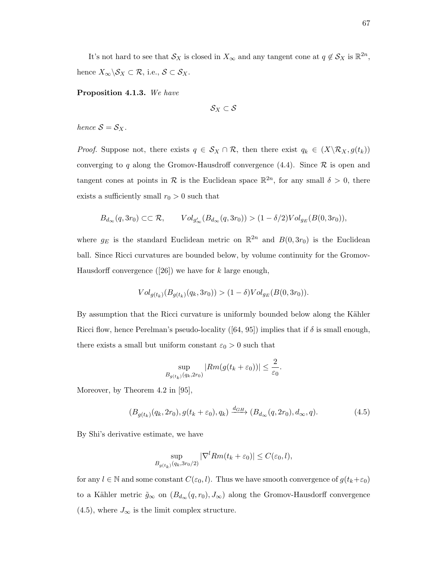It's not hard to see that  $\mathcal{S}_X$  is closed in  $X_\infty$  and any tangent cone at  $q \notin \mathcal{S}_X$  is  $\mathbb{R}^{2n}$ , hence  $X_{\infty} \backslash \mathcal{S}_X \subset \mathcal{R}$ , i.e.,  $\mathcal{S} \subset \mathcal{S}_X$ .

Proposition 4.1.3. We have

 $S_X \subset S$ 

hence  $S = S_X$ .

*Proof.* Suppose not, there exists  $q \in S_X \cap \mathcal{R}$ , then there exist  $q_k \in (X \setminus \mathcal{R}_X, g(t_k))$ converging to q along the Gromov-Hausdroff convergence  $(4.4)$ . Since  $\mathcal R$  is open and tangent cones at points in R is the Euclidean space  $\mathbb{R}^{2n}$ , for any small  $\delta > 0$ , there exists a sufficiently small  $r_0 > 0$  such that

$$
B_{d_{\infty}}(q,3r_0) \subset\subset \mathcal{R}, \qquad Vol_{g'_{\infty}}(B_{d_{\infty}}(q,3r_0)) > (1 - \delta/2) Vol_{g_E}(B(0,3r_0)),
$$

where  $g_E$  is the standard Euclidean metric on  $\mathbb{R}^{2n}$  and  $B(0, 3r_0)$  is the Euclidean ball. Since Ricci curvatures are bounded below, by volume continuity for the Gromov-Hausdorff convergence  $([26])$  we have for k large enough,

$$
Vol_{g(t_k)}(B_{g(t_k)}(q_k, 3r_0)) > (1 - \delta)Vol_{g_E}(B(0, 3r_0)).
$$

By assumption that the Ricci curvature is uniformly bounded below along the Kähler Ricci flow, hence Perelman's pseudo-locality ([64, 95]) implies that if  $\delta$  is small enough, there exists a small but uniform constant  $\varepsilon_0 > 0$  such that

$$
\sup_{B_{g(t_k)}(q_k,2r_0)} |Rm(g(t_k+\varepsilon_0))| \leq \frac{2}{\varepsilon_0}.
$$

Moreover, by Theorem 4.2 in [95],

$$
(B_{g(t_k)}(q_k, 2r_0), g(t_k + \varepsilon_0), q_k) \xrightarrow{d_{GH}} (B_{d_{\infty}}(q, 2r_0), d_{\infty}, q). \tag{4.5}
$$

By Shi's derivative estimate, we have

$$
\sup_{B_{g(t_k)}(q_k,3r_0/2)} |\nabla^l Rm(t_k+\varepsilon_0)| \le C(\varepsilon_0,l),
$$

for any  $l \in \mathbb{N}$  and some constant  $C(\varepsilon_0, l)$ . Thus we have smooth convergence of  $g(t_k + \varepsilon_0)$ to a Kähler metric  $\tilde{g}_{\infty}$  on  $(B_{d_{\infty}}(q, r_0), J_{\infty})$  along the Gromov-Hausdorff convergence (4.5), where  $J_{\infty}$  is the limit complex structure.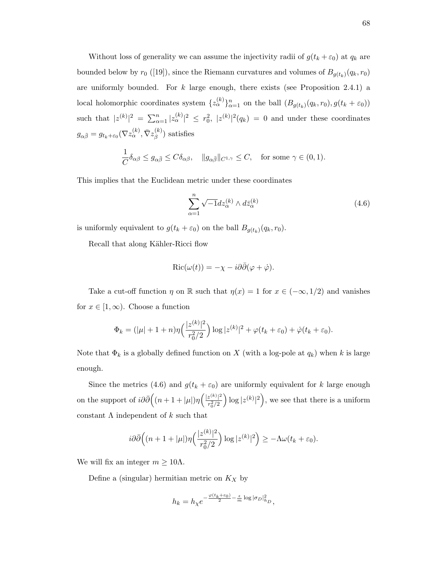Without loss of generality we can assume the injectivity radii of  $g(t_k + \varepsilon_0)$  at  $q_k$  are bounded below by  $r_0$  ([19]), since the Riemann curvatures and volumes of  $B_{g(t_k)}(q_k, r_0)$ are uniformly bounded. For  $k$  large enough, there exists (see Proposition 2.4.1) a local holomorphic coordinates system  $\{z_{\alpha}^{(k)}\}_{\alpha=1}^n$  on the ball  $(B_{g(t_k)}(q_k,r_0), g(t_k+\varepsilon_0))$ such that  $|z^{(k)}|^2 = \sum_{\alpha=1}^n |z^{(k)}_\alpha|^2 \leq r_0^2$ ,  $|z^{(k)}|^2(q_k) = 0$  and under these coordinates  $g_{\alpha \bar \beta}=g_{t_k + \varepsilon_0}(\nabla z_{\alpha}^{(k)}, \bar \nabla z_{\beta}^{(k)}$  $\binom{\kappa}{\beta}$  satisfies

$$
\frac{1}{C}\delta_{\alpha\beta} \le g_{\alpha\bar{\beta}} \le C\delta_{\alpha\beta}, \quad \|g_{\alpha\bar{\beta}}\|_{C^{1,\gamma}} \le C, \quad \text{for some } \gamma \in (0,1).
$$

This implies that the Euclidean metric under these coordinates

$$
\sum_{\alpha=1}^{n} \sqrt{-1} dz_{\alpha}^{(k)} \wedge d\bar{z}_{\alpha}^{(k)} \tag{4.6}
$$

is uniformly equivalent to  $g(t_k + \varepsilon_0)$  on the ball  $B_{g(t_k)}(q_k, r_0)$ .

Recall that along Kähler-Ricci flow

$$
Ric(\omega(t)) = -\chi - i\partial\bar{\partial}(\varphi + \dot{\varphi}).
$$

Take a cut-off function  $\eta$  on R such that  $\eta(x) = 1$  for  $x \in (-\infty, 1/2)$  and vanishes for  $x \in [1,\infty)$ . Choose a function

$$
\Phi_k = (|\mu| + 1 + n)\eta \left(\frac{|z^{(k)}|^2}{r_0^2/2}\right) \log |z^{(k)}|^2 + \varphi(t_k + \varepsilon_0) + \dot{\varphi}(t_k + \varepsilon_0).
$$

Note that  $\Phi_k$  is a globally defined function on X (with a log-pole at  $q_k$ ) when k is large enough.

Since the metrics (4.6) and  $g(t_k + \varepsilon_0)$  are uniformly equivalent for k large enough on the support of  $i\partial\bar{\partial}\Big((n+1+|\mu|)\eta\Big)^{\frac{1}{2}(k)}\Big|_n^2$  $r_0^2/2$  $\log |z^{(k)}|^2$ , we see that there is a uniform constant  $\Lambda$  independent of  $k$  such that

$$
i\partial\bar{\partial}\Big((n+1+|\mu|)\eta\Big(\frac{|z^{(k)}|^2}{r_0^2/2}\Big)\log|z^{(k)}|^2\Big)\geq -\Lambda\omega(t_k+\varepsilon_0).
$$

We will fix an integer  $m \geq 10\Lambda$ .

Define a (singular) hermitian metric on  $K_X$  by

$$
h_k = h_\chi e^{-\frac{\varphi(t_k + \varepsilon_0)}{2} - \frac{\epsilon}{m} \log |\sigma_D|_{h_D}^2},
$$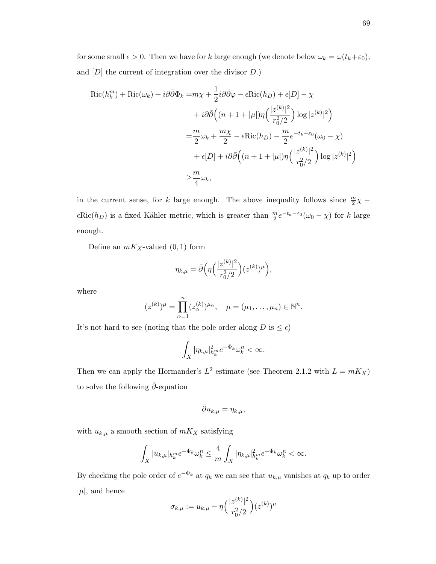for some small  $\epsilon > 0$ . Then we have for k large enough (we denote below  $\omega_k = \omega(t_k + \varepsilon_0)$ , and  $[D]$  the current of integration over the divisor  $D$ .)

$$
\operatorname{Ric}(h_k^m) + \operatorname{Ric}(\omega_k) + i\partial\bar{\partial}\Phi_k = m\chi + \frac{1}{2}i\partial\bar{\partial}\varphi - \epsilon \operatorname{Ric}(h_D) + \epsilon[D] - \chi
$$
  
+ 
$$
+ i\partial\bar{\partial}\Big((n+1+|\mu|)\eta\Big(\frac{|z^{(k)}|^2}{r_0^2/2}\Big) \log|z^{(k)}|^2\Big)
$$
  
= 
$$
\frac{m}{2}\omega_k + \frac{m\chi}{2} - \epsilon \operatorname{Ric}(h_D) - \frac{m}{2}e^{-t_k - \epsilon_0}(\omega_0 - \chi)
$$
  
+ 
$$
\epsilon[D] + i\partial\bar{\partial}\Big((n+1+|\mu|)\eta\Big(\frac{|z^{(k)}|^2}{r_0^2/2}\Big) \log|z^{(k)}|^2\Big)
$$
  

$$
\geq \frac{m}{4}\omega_k,
$$

in the current sense, for k large enough. The above inequality follows since  $\frac{m}{2}\chi$  –  $\epsilon$ Ric $(h_D)$  is a fixed Kähler metric, which is greater than  $\frac{m}{2}e^{-t_k-\epsilon_0}(\omega_0-\chi)$  for k large enough.

Define an  $mK_X$ -valued  $(0, 1)$  form

$$
\eta_{k,\mu} = \bar{\partial} \Big( \eta \Big( \frac{|z^{(k)}|^2}{r_0^2/2} \Big) (z^{(k)})^{\mu} \Big),
$$

where

$$
(z^{(k)})^{\mu} = \prod_{\alpha=1}^{n} (z_{\alpha}^{(k)})^{\mu_{\alpha}}, \quad \mu = (\mu_1, \dots, \mu_n) \in \mathbb{N}^n.
$$

It's not hard to see (noting that the pole order along  $D$  is  $\leq \epsilon)$ 

$$
\int_X |\eta_{k,\mu}|_{h_k^m}^2 e^{-\Phi_k} \omega_k^n < \infty.
$$

Then we can apply the Hormander's  $L^2$  estimate (see Theorem 2.1.2 with  $L = mK_X$ ) to solve the following  $\bar{\partial}\text{-equation}$ 

$$
\bar{\partial}u_{k,\mu} = \eta_{k,\mu},
$$

with  $u_{k,\mu}$  a smooth section of  $mK_X$  satisfying

$$
\int_X |u_{k,\mu}|_{h_k^m} e^{-\Phi_k} \omega_k^n \le \frac{4}{m} \int_X |\eta_{k,\mu}|_{h_k^m}^2 e^{-\Phi_k} \omega_k^n < \infty.
$$

By checking the pole order of  $e^{-\Phi_k}$  at  $q_k$  we can see that  $u_{k,\mu}$  vanishes at  $q_k$  up to order  $|\mu|$ , and hence

$$
\sigma_{k,\mu} := u_{k,\mu} - \eta \Big( \frac{|z^{(k)}|^2}{r_0^2/2} \Big) (z^{(k)})^{\mu}
$$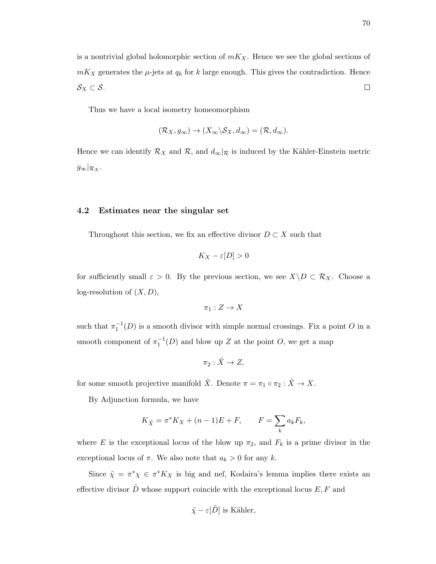is a nontrivial global holomorphic section of  $mK_X$ . Hence we see the global sections of  $mK_X$  generates the  $\mu$ -jets at  $q_k$  for k large enough. This gives the contradiction. Hence  $\mathcal{S}_X \subset \mathcal{S}.$  $\Box$ 

Thus we have a local isometry homeomorphism

$$
(\mathcal{R}_X, g_\infty) \to (X_\infty \backslash \mathcal{S}_X, d_\infty) = (\mathcal{R}, d_\infty).
$$

Hence we can identify  $\mathcal{R}_X$  and  $\mathcal{R}_Y$ , and  $d_{\infty}|\mathcal{R}_X$  is induced by the Kähler-Einstein metric  $g_{\infty}|_{\mathcal{R}_X}.$ 

### 4.2 Estimates near the singular set

Throughout this section, we fix an effective divisor  $D \subset X$  such that

$$
K_X - \varepsilon[D] > 0
$$

for sufficiently small  $\varepsilon > 0$ . By the previous section, we see  $X\backslash D \subset \mathcal{R}_X$ . Choose a log-resolution of  $(X, D)$ ,

$$
\pi_1: Z \to X
$$

such that  $\pi_1^{-1}(D)$  is a smooth divisor with simple normal crossings. Fix a point O in a smooth component of  $\pi_1^{-1}(D)$  and blow up Z at the point O, we get a map

$$
\pi_2: \tilde{X} \to Z,
$$

for some smooth projective manifold  $\tilde{X}$ . Denote  $\pi = \pi_1 \circ \pi_2 : \tilde{X} \to X$ .

By Adjunction formula, we have

$$
K_{\tilde{X}} = \pi^* K_X + (n-1)E + F,
$$
  $F = \sum_k a_k F_k,$ 

where E is the exceptional locus of the blow up  $\pi_2$ , and  $F_k$  is a prime divisor in the exceptional locus of  $\pi$ . We also note that  $a_k > 0$  for any k.

Since  $\tilde{\chi} = \pi^* \chi \in \pi^* K_X$  is big and nef, Kodaira's lemma implies there exists an effective divisor  $\tilde{D}$  whose support coincide with the exceptional locus  $E, F$  and

$$
\tilde{\chi} - \varepsilon[\tilde{D}]
$$
 is Kähler,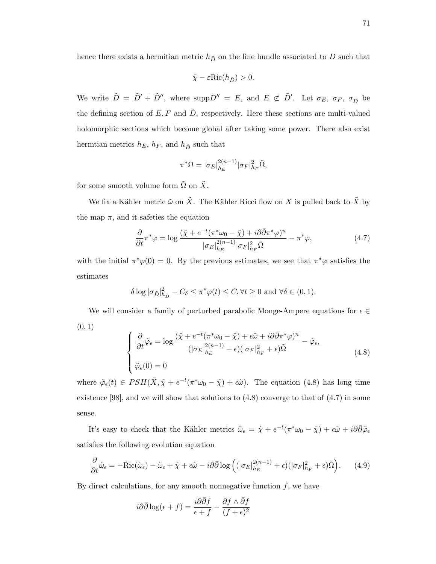hence there exists a hermitian metric  $h_{\tilde{D}}$  on the line bundle associated to D such that

$$
\tilde{\chi} - \varepsilon \textnormal{Ric}(h_{\tilde{D}}) > 0.
$$

We write  $\tilde{D} = \tilde{D}' + \tilde{D}''$ , where supp $D'' = E$ , and  $E \not\subset \tilde{D}'$ . Let  $\sigma_E$ ,  $\sigma_F$ ,  $\sigma_{\tilde{D}}$  be the defining section of  $E, F$  and  $\tilde{D}$ , respectively. Here these sections are multi-valued holomorphic sections which become global after taking some power. There also exist hermtian metrics  $h_E$ ,  $h_F$ , and  $h_{\tilde{D}}$  such that

$$
\pi^*\Omega = |\sigma_E|_{h_E}^{2(n-1)} |\sigma_F|_{h_F}^2 \tilde{\Omega},
$$

for some smooth volume form  $\tilde{\Omega}$  on  $\tilde{X}$ .

We fix a Kähler metric  $\tilde{\omega}$  on  $\tilde{X}$ . The Kähler Ricci flow on X is pulled back to  $\tilde{X}$  by the map  $\pi$ , and it safeties the equation

$$
\frac{\partial}{\partial t}\pi^*\varphi = \log \frac{(\tilde{\chi} + e^{-t}(\pi^*\omega_0 - \tilde{\chi}) + i\partial\bar{\partial}\pi^*\varphi)^n}{|\sigma_E|_{h_E}^{2(n-1)}|\sigma_F|_{h_F}^2\tilde{\Omega}} - \pi^*\varphi,
$$
\n(4.7)

with the initial  $\pi^*\varphi(0) = 0$ . By the previous estimates, we see that  $\pi^*\varphi$  satisfies the estimates

$$
\delta \log |\sigma_{\tilde{D}}|_{h_{\tilde{D}}}^2 - C_{\delta} \le \pi^* \varphi(t) \le C, \forall t \ge 0 \text{ and } \forall \delta \in (0, 1).
$$

We will consider a family of perturbed parabolic Monge-Ampere equations for  $\epsilon \in \mathbb{C}$  $(0, 1)$ 

$$
\begin{cases}\n\frac{\partial}{\partial t}\tilde{\varphi}_{\epsilon} = \log \frac{(\tilde{\chi} + e^{-t}(\pi^* \omega_0 - \tilde{\chi}) + \epsilon \tilde{\omega} + i\partial \bar{\partial} \pi^* \varphi)^n}{(|\sigma_E|_{h_E}^{2(n-1)} + \epsilon)(|\sigma_F|_{h_F}^2 + \epsilon)\tilde{\Omega}} - \tilde{\varphi}_{\epsilon}, \\
\tilde{\varphi}_{\epsilon}(0) = 0\n\end{cases} (4.8)
$$

where  $\tilde{\varphi}_{\epsilon}(t) \in PSH(\tilde{X}, \tilde{\chi} + e^{-t}(\pi^*\omega_0 - \tilde{\chi}) + \epsilon \tilde{\omega}).$  The equation (4.8) has long time existence [98], and we will show that solutions to (4.8) converge to that of (4.7) in some sense.

It's easy to check that the Kähler metrics  $\tilde{\omega}_{\epsilon} = \tilde{\chi} + e^{-t}(\pi^*\omega_0 - \tilde{\chi}) + \epsilon \tilde{\omega} + i\partial \bar{\partial} \tilde{\varphi}_{\epsilon}$ satisfies the following evolution equation

$$
\frac{\partial}{\partial t}\tilde{\omega}_{\epsilon} = -\text{Ric}(\tilde{\omega}_{\epsilon}) - \tilde{\omega}_{\epsilon} + \tilde{\chi} + \epsilon \tilde{\omega} - i\partial\bar{\partial}\log\left((|\sigma_E|_{h_E}^{2(n-1)} + \epsilon)(|\sigma_F|_{h_F}^2 + \epsilon)\tilde{\Omega}\right).
$$
(4.9)

By direct calculations, for any smooth nonnegative function  $f$ , we have

$$
i\partial\bar{\partial}\log(\epsilon+f) = \frac{i\partial\bar{\partial}f}{\epsilon+f} - \frac{\partial f \wedge \bar{\partial}f}{(f+\epsilon)^2}
$$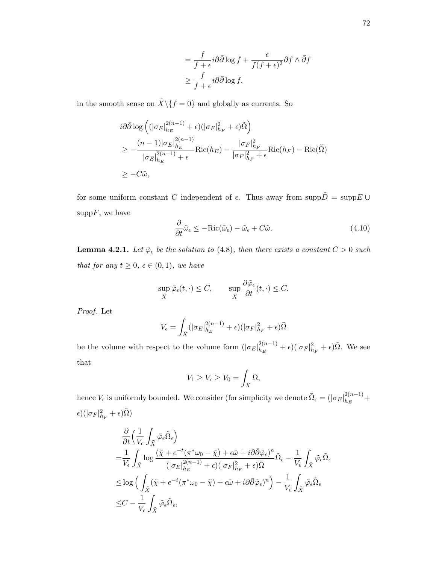$$
= \frac{f}{f+\epsilon} i\partial\bar{\partial}\log f + \frac{\epsilon}{f(f+\epsilon)^2} \partial f \wedge \bar{\partial}f
$$

$$
\geq \frac{f}{f+\epsilon} i\partial\bar{\partial}\log f,
$$

in the smooth sense on  $\tilde{X}\backslash\{f=0\}$  and globally as currents. So

$$
i\partial\bar{\partial}\log\left((|\sigma_E|_{h_E}^{2(n-1)}+\epsilon)(|\sigma_F|_{h_F}^2+\epsilon)\tilde{\Omega}\right)
$$
  
\n
$$
\geq -\frac{(n-1)|\sigma_E|_{h_E}^{2(n-1)}}{|\sigma_E|_{h_E}^{2(n-1)}+\epsilon}\text{Ric}(h_E) - \frac{|\sigma_F|_{h_F}^2}{|\sigma_F|_{h_F}^2+\epsilon}\text{Ric}(h_F) - \text{Ric}(\tilde{\Omega})
$$
  
\n
$$
\geq -C\tilde{\omega},
$$

for some uniform constant C independent of  $\epsilon$ . Thus away from  $\text{supp}\tilde{D} = \text{supp}E \cup$  $\mathrm{supp} F$ , we have

$$
\frac{\partial}{\partial t}\tilde{\omega}_{\epsilon} \le -\text{Ric}(\tilde{\omega}_{\epsilon}) - \tilde{\omega}_{\epsilon} + C\tilde{\omega}.\tag{4.10}
$$

**Lemma 4.2.1.** Let  $\tilde{\varphi}_{\epsilon}$  be the solution to (4.8), then there exists a constant  $C > 0$  such that for any  $t \geq 0$ ,  $\epsilon \in (0,1)$ , we have

$$
\sup_{\tilde{X}} \tilde{\varphi}_{\epsilon}(t,\cdot) \leq C, \qquad \sup_{\tilde{X}} \frac{\partial \tilde{\varphi}_{\epsilon}}{\partial t}(t,\cdot) \leq C.
$$

Proof. Let

$$
V_{\epsilon} = \int_{\tilde{X}} (|\sigma_E|_{h_E}^{2(n-1)} + \epsilon)(|\sigma_F|_{h_F}^2 + \epsilon)\tilde{\Omega}
$$

be the volume with respect to the volume form  $(|\sigma_E|_{h_E}^{2(n-1)})$  $_{h_E}^{2(n-1)} + \epsilon$ )( $|\sigma_F|_{h_F}^2 + \epsilon$ ) $\tilde{\Omega}$ . We see that

$$
V_1 \ge V_{\epsilon} \ge V_0 = \int_X \Omega,
$$

hence  $V_{\epsilon}$  is uniformly bounded. We consider (for simplicity we denote  $\tilde{\Omega}_{\epsilon} = (|\sigma_E|_{h_E}^{2(n-1)})$  $\frac{2(n-1)}{h_E} +$  $\epsilon)(|\sigma_F|^2_{h_F}+\epsilon)\tilde\Omega)$ 

$$
\frac{\partial}{\partial t} \Big( \frac{1}{V_{\epsilon}} \int_{\tilde{X}} \tilde{\varphi}_{\epsilon} \tilde{\Omega}_{\epsilon} \Big) \n= \frac{1}{V_{\epsilon}} \int_{\tilde{X}} \log \frac{(\tilde{\chi} + e^{-t} (\pi^* \omega_0 - \tilde{\chi}) + \epsilon \tilde{\omega} + i \partial \bar{\partial} \tilde{\varphi}_{\epsilon})^n}{(|\sigma_E|_{h_E}^{2(n-1)} + \epsilon)(|\sigma_F|_{h_F}^2 + \epsilon) \tilde{\Omega}} \tilde{\Omega}_{\epsilon} - \frac{1}{V_{\epsilon}} \int_{\tilde{X}} \tilde{\varphi}_{\epsilon} \tilde{\Omega}_{\epsilon} \n\leq \log \Big( \int_{\tilde{X}} (\tilde{\chi} + e^{-t} (\pi^* \omega_0 - \tilde{\chi}) + \epsilon \tilde{\omega} + i \partial \bar{\partial} \tilde{\varphi}_{\epsilon})^n \Big) - \frac{1}{V_{\epsilon}} \int_{\tilde{X}} \tilde{\varphi}_{\epsilon} \tilde{\Omega}_{\epsilon} \n\leq C - \frac{1}{V_{\epsilon}} \int_{\tilde{X}} \tilde{\varphi}_{\epsilon} \tilde{\Omega}_{\epsilon},
$$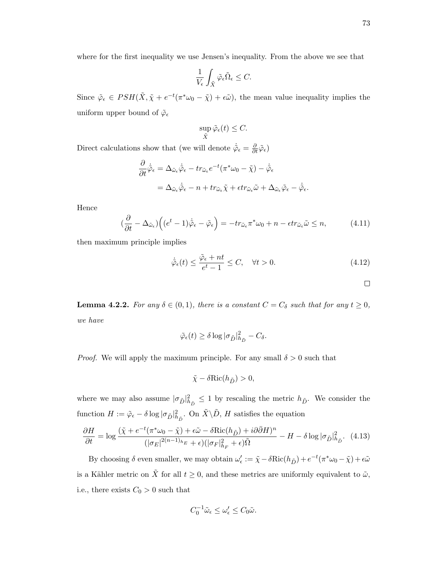where for the first inequality we use Jensen's inequality. From the above we see that

$$
\frac{1}{V_\epsilon}\int_{\tilde{X}}\tilde{\varphi}_\epsilon\tilde{\Omega}_\epsilon\leq C.
$$

Since  $\tilde{\varphi}_{\epsilon} \in PSH(\tilde{X}, \tilde{\chi} + e^{-t}(\pi^*\omega_0 - \tilde{\chi}) + \epsilon \tilde{\omega})$ , the mean value inequality implies the uniform upper bound of  $\tilde{\varphi}_{\epsilon}$ 

$$
\sup_{\tilde{X}} \tilde{\varphi}_{\epsilon}(t) \leq C.
$$

Direct calculations show that (we will denote  $\dot{\tilde{\varphi}}_{\epsilon} = \frac{\partial}{\partial t} \tilde{\varphi}_{\epsilon}$ )

$$
\frac{\partial}{\partial t}\dot{\tilde{\varphi}}_{\epsilon} = \Delta_{\tilde{\omega}_{\epsilon}}\dot{\tilde{\varphi}}_{\epsilon} - tr_{\tilde{\omega}_{\epsilon}}e^{-t}(\pi^*\omega_0 - \tilde{\chi}) - \dot{\tilde{\varphi}}_{\epsilon}
$$

$$
= \Delta_{\tilde{\omega}_{\epsilon}}\dot{\tilde{\varphi}}_{\epsilon} - n + tr_{\tilde{\omega}_{\epsilon}}\tilde{\chi} + \epsilon tr_{\tilde{\omega}_{\epsilon}}\tilde{\omega} + \Delta_{\tilde{\omega}_{\epsilon}}\tilde{\varphi}_{\epsilon} - \dot{\tilde{\varphi}}_{\epsilon}.
$$

Hence

$$
\left(\frac{\partial}{\partial t} - \Delta_{\tilde{\omega}_{\epsilon}}\right) \left( (e^t - 1)\dot{\tilde{\varphi}}_{\epsilon} - \tilde{\varphi}_{\epsilon} \right) = -tr_{\tilde{\omega}_{\epsilon}} \pi^* \omega_0 + n - \epsilon tr_{\tilde{\omega}_{\epsilon}} \tilde{\omega} \le n, \tag{4.11}
$$

then maximum principle implies

$$
\dot{\tilde{\varphi}}_{\epsilon}(t) \le \frac{\tilde{\varphi}_{\epsilon} + nt}{e^t - 1} \le C, \quad \forall t > 0.
$$
\n(4.12)

 $\Box$ 

**Lemma 4.2.2.** For any  $\delta \in (0,1)$ , there is a constant  $C = C_{\delta}$  such that for any  $t \geq 0$ , we have

$$
\tilde{\varphi}_{\epsilon}(t) \ge \delta \log |\sigma_{\tilde{D}}|_{h_{\tilde{D}}}^2 - C_{\delta}.
$$

*Proof.* We will apply the maximum principle. For any small  $\delta > 0$  such that

$$
\tilde{\chi} - \delta \text{Ric}(h_{\tilde{D}}) > 0,
$$

where we may also assume  $|\sigma_{\tilde{D}}|^2_{h_{\tilde{D}}} \leq 1$  by rescaling the metric  $h_{\tilde{D}}$ . We consider the function  $H := \tilde{\varphi}_{\epsilon} - \delta \log |\sigma_{\tilde{D}}|_{h_{\tilde{D}}}^2$ . On  $\tilde{X} \backslash \tilde{D}$ , H satisfies the equation

$$
\frac{\partial H}{\partial t} = \log \frac{(\tilde{\chi} + e^{-t} (\pi^* \omega_0 - \tilde{\chi}) + \epsilon \tilde{\omega} - \delta \text{Ric}(h_{\tilde{D}}) + i \partial \bar{\partial} H)^n}{(|\sigma_E|^{2(n-1)_{h_E}} + \epsilon)(|\sigma_F|_{h_F}^2 + \epsilon) \tilde{\Omega}} - H - \delta \log |\sigma_{\tilde{D}}|_{h_{\tilde{D}}}^2.
$$
(4.13)

By choosing  $\delta$  even smaller, we may obtain  $\omega'_{\epsilon} := \tilde{\chi} - \delta \text{Ric}(h_{\tilde{D}}) + e^{-t}(\pi^* \omega_0 - \tilde{\chi}) + \epsilon \tilde{\omega}$ is a Kähler metric on  $\tilde{X}$  for all  $t \geq 0$ , and these metrics are uniformly equivalent to  $\tilde{\omega}$ , i.e., there exists  $C_0 > 0$  such that

$$
C_0^{-1}\tilde{\omega}_{\epsilon} \le \omega_{\epsilon}' \le C_0\tilde{\omega}.
$$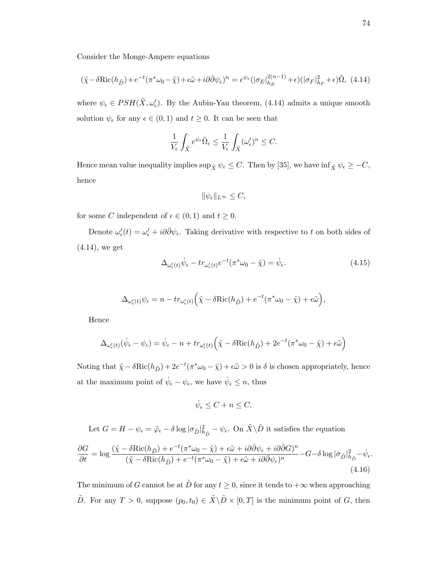Consider the Monge-Ampere equations

$$
(\tilde{\chi} - \delta \text{Ric}(h_{\tilde{D}}) + e^{-t}(\pi^* \omega_0 - \tilde{\chi}) + \epsilon \tilde{\omega} + i\partial \bar{\partial} \psi_{\epsilon})^n = e^{\psi_{\epsilon}}(|\sigma_E|_{h_E}^{2(n-1)} + \epsilon)(|\sigma_F|_{h_F}^2 + \epsilon)\tilde{\Omega}, \tag{4.14}
$$

where  $\psi_{\epsilon} \in PSH(\tilde{X}, \omega'_{\epsilon})$ . By the Aubin-Yau theorem, (4.14) admits a unique smooth solution  $\psi_{\epsilon}$  for any  $\epsilon \in (0,1)$  and  $t \geq 0$ . It can be seen that

$$
\frac{1}{V_{\epsilon}}\int_{\tilde{X}}e^{\psi_{\epsilon}}\tilde{\Omega}_{\epsilon}\leq \frac{1}{V_{\epsilon}}\int_{\tilde{X}}(\omega_{\epsilon}')^n\leq C.
$$

Hence mean value inequality implies  $\sup_{\tilde{X}} \psi_{\epsilon} \leq C$ . Then by [35], we have  $\inf_{\tilde{X}} \psi_{\epsilon} \geq -C$ , hence

$$
\|\psi_{\epsilon}\|_{L^{\infty}} \leq C,
$$

for some C independent of  $\epsilon \in (0,1)$  and  $t \geq 0$ .

Denote  $\omega'_{\epsilon}(t) = \omega'_{\epsilon} + i\partial\bar{\partial}\psi_{\epsilon}$ . Taking derivative with respective to t on both sides of (4.14), we get

$$
\Delta_{\omega'_{\epsilon}(t)} \dot{\psi}_{\epsilon} - tr_{\omega'_{\epsilon}(t)} e^{-t} (\pi^* \omega_0 - \tilde{\chi}) = \dot{\psi}_{\epsilon}.
$$
\n(4.15)

$$
\Delta_{\omega_{\epsilon}'(t)} \psi_{\epsilon} = n - tr_{\omega_{\epsilon}'(t)} \Big( \tilde{\chi} - \delta \text{Ric}(h_{\tilde{D}}) + e^{-t} (\pi^* \omega_0 - \tilde{\chi}) + \epsilon \tilde{\omega} \Big),
$$

Hence

$$
\Delta_{\omega_{\epsilon}'(t)}(\dot{\psi}_{\epsilon} - \psi_{\epsilon}) = \dot{\psi}_{\epsilon} - n + tr_{\omega_{\epsilon}'(t)}(\tilde{\chi} - \delta \text{Ric}(h_{\tilde{D}}) + 2e^{-t}(\pi^* \omega_0 - \tilde{\chi}) + \epsilon \tilde{\omega})
$$

Noting that  $\tilde{\chi} - \delta \text{Ric}(h_{\tilde{D}}) + 2e^{-t}(\pi^* \omega_0 - \tilde{\chi}) + \epsilon \tilde{\omega} > 0$  is  $\delta$  is chosen appropriately, hence at the maximum point of  $\dot{\psi}_{\epsilon} - \psi_{\epsilon}$ , we have  $\dot{\psi}_{\epsilon} \leq n$ , thus

$$
\dot{\psi}_{\epsilon}\leq C+n\leq C.
$$

Let  $G = H - \psi_{\epsilon} = \tilde{\varphi}_{\epsilon} - \delta \log |\sigma_{\tilde{D}}|_{h_{\tilde{D}}}^2 - \psi_{\epsilon}$ . On  $\tilde{X} \backslash \tilde{D}$  it satisfies the equation

$$
\frac{\partial G}{\partial t} = \log \frac{(\tilde{\chi} - \delta \text{Ric}(h_{\tilde{D}}) + e^{-t}(\pi^* \omega_0 - \tilde{\chi}) + \epsilon \tilde{\omega} + i\partial \bar{\partial}\psi_{\epsilon} + i\partial \bar{\partial}G)^n}{(\tilde{\chi} - \delta \text{Ric}(h_{\tilde{D}}) + e^{-t}(\pi^* \omega_0 - \tilde{\chi}) + \epsilon \tilde{\omega} + i\partial \bar{\partial}\psi_{\epsilon})^n} - G - \delta \log |\sigma_{\tilde{D}}|_{h_{\tilde{D}}}^2 - \dot{\psi}_{\epsilon}.
$$
\n(4.16)

The minimum of G cannot be at D for any  $t \geq 0$ , since it tends to  $+\infty$  when approaching D For any  $T > 0$ , suppose  $(p_0, t_0) \in \tilde{X} \backslash \tilde{D} \times [0, T]$  is the minimum point of G, then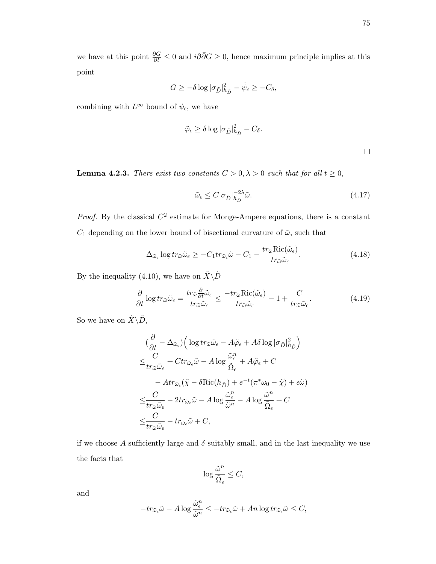we have at this point  $\frac{\partial G}{\partial t} \leq 0$  and  $i\partial\bar{\partial}G \geq 0$ , hence maximum principle implies at this point

$$
G \geq -\delta \log |\sigma_{\tilde{D}}|_{h_{\tilde{D}}}^2 - \dot{\psi}_{\epsilon} \geq -C_{\delta},
$$

combining with  $L^{\infty}$  bound of  $\psi_{\epsilon}$ , we have

$$
\tilde{\varphi}_{\epsilon} \ge \delta \log |\sigma_{\tilde{D}}|_{h_{\tilde{D}}}^2 - C_{\delta}.
$$

 $\Box$ 

**Lemma 4.2.3.** There exist two constants  $C > 0, \lambda > 0$  such that for all  $t \ge 0$ ,

$$
\tilde{\omega}_{\epsilon} \le C |\sigma_{\tilde{D}}|_{h_{\tilde{D}}}^{-2\lambda} \tilde{\omega}.
$$
\n(4.17)

*Proof.* By the classical  $C^2$  estimate for Monge-Ampere equations, there is a constant  $C_1$  depending on the lower bound of bisectional curvature of  $\tilde{\omega}$ , such that

$$
\Delta_{\tilde{\omega}_{\epsilon}} \log tr_{\tilde{\omega}} \tilde{\omega}_{\epsilon} \ge -C_1 tr_{\tilde{\omega}_{\epsilon}} \tilde{\omega} - C_1 - \frac{tr_{\tilde{\omega}} \text{Ric}(\tilde{\omega}_{\epsilon})}{tr_{\tilde{\omega}} \tilde{\omega}_{\epsilon}}.
$$
\n(4.18)

By the inequality (4.10), we have on  $\tilde{X}\backslash \tilde{D}$ 

$$
\frac{\partial}{\partial t} \log tr_{\tilde{\omega}} \tilde{\omega}_{\epsilon} = \frac{tr_{\tilde{\omega}} \frac{\partial}{\partial t} \tilde{\omega}_{\epsilon}}{tr_{\tilde{\omega}} \tilde{\omega}_{\epsilon}} \le \frac{-tr_{\tilde{\omega}} \text{Ric}(\tilde{\omega}_{\epsilon})}{tr_{\tilde{\omega}} \tilde{\omega}_{\epsilon}} - 1 + \frac{C}{tr_{\tilde{\omega}} \tilde{\omega}_{\epsilon}}.
$$
(4.19)

So we have on  $\tilde{X}\backslash \tilde{D},$ 

$$
\begin{split} &\frac{\partial}{\partial t} - \Delta_{\tilde{\omega}_{\epsilon}}) \Big( \log tr_{\tilde{\omega}} \tilde{\omega}_{\epsilon} - A \tilde{\varphi}_{\epsilon} + A \delta \log |\sigma_{\tilde{D}}|_{h_{\tilde{D}}}^{2} \Big) \\ \leq & \frac{C}{tr_{\tilde{\omega}} \tilde{\omega}_{\epsilon}} + C tr_{\tilde{\omega}_{\epsilon}} \tilde{\omega} - A \log \frac{\tilde{\omega}_{\epsilon}^{n}}{\tilde{\Omega}_{\epsilon}} + A \tilde{\varphi}_{\epsilon} + C \\ & - A tr_{\tilde{\omega}_{\epsilon}} (\tilde{\chi} - \delta \text{Ric}(h_{\tilde{D}}) + e^{-t} (\pi^{*} \omega_{0} - \tilde{\chi}) + \epsilon \tilde{\omega}) \\ \leq & \frac{C}{tr_{\tilde{\omega}} \tilde{\omega}_{\epsilon}} - 2 tr_{\tilde{\omega}_{\epsilon}} \tilde{\omega} - A \log \frac{\tilde{\omega}_{\epsilon}^{n}}{\tilde{\omega}^{n}} - A \log \frac{\tilde{\omega}^{n}}{\tilde{\Omega}_{\epsilon}} + C \\ \leq & \frac{C}{tr_{\tilde{\omega}} \tilde{\omega}_{\epsilon}} - tr_{\tilde{\omega}_{\epsilon}} \tilde{\omega} + C, \end{split}
$$

if we choose A sufficiently large and  $\delta$  suitably small, and in the last inequality we use the facts that

$$
\log \frac{\tilde{\omega}^n}{\tilde{\Omega}_\epsilon} \leq C,
$$

and

$$
-tr_{\tilde{\omega}_{\epsilon}}\tilde{\omega}-A\log\frac{\tilde{\omega}_{\epsilon}^n}{\tilde{\omega}^n}\leq -tr_{\tilde{\omega}_{\epsilon}}\tilde{\omega}+An\log tr_{\tilde{\omega}_{\epsilon}}\tilde{\omega}\leq C,
$$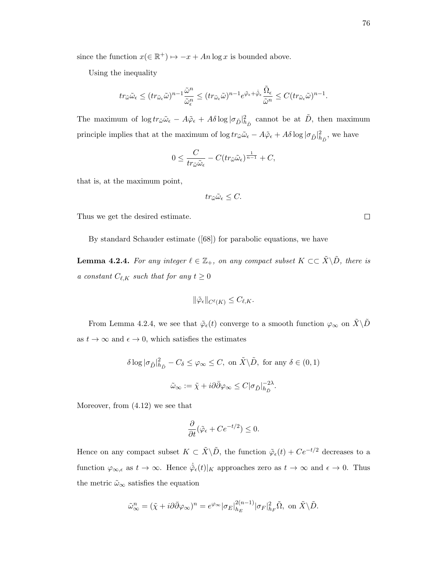since the function  $x(\in \mathbb{R}^+) \mapsto -x + An \log x$  is bounded above.

Using the inequality

$$
tr_{\tilde{\omega}}\tilde{\omega}_{\epsilon} \le (tr_{\tilde{\omega}_{\epsilon}}\tilde{\omega})^{n-1} \frac{\tilde{\omega}^n}{\tilde{\omega}_{\epsilon}^n} \le (tr_{\tilde{\omega}_{\epsilon}}\tilde{\omega})^{n-1} e^{\tilde{\varphi}_{\epsilon} + \dot{\tilde{\varphi}}_{\epsilon}} \frac{\tilde{\Omega}_{\epsilon}}{\tilde{\omega}^n} \le C (tr_{\tilde{\omega}_{\epsilon}}\tilde{\omega})^{n-1}.
$$

The maximum of  $\log tr_{\tilde{\omega}}\tilde{\omega}_{\epsilon} - A\tilde{\varphi}_{\epsilon} + A\delta \log |\sigma_{\tilde{D}}|^2_{h_{\tilde{D}}}$  cannot be at  $\tilde{D}$ , then maximum principle implies that at the maximum of  $\log tr_{\tilde{\omega}}\tilde{\omega}_{\epsilon} - A\tilde{\varphi}_{\epsilon} + A\delta \log |\sigma_{\tilde{D}}|_{h_{\tilde{D}}}^2$ , we have

$$
0 \leq \frac{C}{tr_{\tilde{\omega}}\tilde{\omega}_{\epsilon}} - C(tr_{\tilde{\omega}}\tilde{\omega}_{\epsilon})^{\frac{1}{n-1}} + C,
$$

that is, at the maximum point,

$$
tr_{\tilde{\omega}}\tilde{\omega}_{\epsilon} \leq C.
$$

Thus we get the desired estimate.

By standard Schauder estimate ([68]) for parabolic equations, we have

**Lemma 4.2.4.** For any integer  $\ell \in \mathbb{Z}_+$ , on any compact subset  $K \subset \subset \tilde{X} \setminus \tilde{D}$ , there is a constant  $C_{\ell,K}$  such that for any  $t \geq 0$ 

$$
\|\tilde{\varphi}_{\epsilon}\|_{C^{\ell}(K)} \leq C_{\ell,K}.
$$

From Lemma 4.2.4, we see that  $\tilde{\varphi}_{\epsilon}(t)$  converge to a smooth function  $\varphi_{\infty}$  on  $\tilde{X}\backslash\tilde{D}$ as  $t \to \infty$  and  $\epsilon \to 0$ , which satisfies the estimates

$$
\delta \log |\sigma_{\tilde{D}}|_{h_{\tilde{D}}}^2 - C_{\delta} \leq \varphi_{\infty} \leq C, \text{ on } \tilde{X} \backslash \tilde{D}, \text{ for any } \delta \in (0, 1)
$$
  

$$
\tilde{\omega}_{\infty} := \tilde{\chi} + i\partial \bar{\partial} \varphi_{\infty} \leq C |\sigma_{\tilde{D}}|_{h_{\tilde{D}}}^{-2\lambda}.
$$

Moreover, from (4.12) we see that

$$
\frac{\partial}{\partial t}(\tilde{\varphi}_{\epsilon} + Ce^{-t/2}) \le 0.
$$

Hence on any compact subset  $K \subset \tilde{X} \backslash \tilde{D}$ , the function  $\tilde{\varphi}_{\epsilon}(t) + Ce^{-t/2}$  decreases to a function  $\varphi_{\infty,\epsilon}$  as  $t \to \infty$ . Hence  $\dot{\tilde{\varphi}}_{\epsilon}(t)|_K$  approaches zero as  $t \to \infty$  and  $\epsilon \to 0$ . Thus the metric  $\tilde{\omega}_{\infty}$  satisfies the equation

$$
\tilde{\omega}^n_{\infty} = (\tilde{\chi} + i\partial\bar{\partial}\varphi_{\infty})^n = e^{\varphi_{\infty}} |\sigma_E|_{h_E}^{2(n-1)} |\sigma_F|_{h_F}^2 \tilde{\Omega}, \text{ on } \tilde{X} \backslash \tilde{D}.
$$

 $\Box$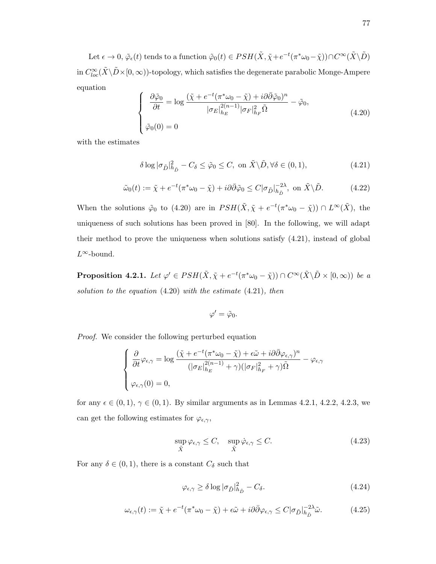Let  $\epsilon \to 0$ ,  $\tilde{\varphi}_{\epsilon}(t)$  tends to a function  $\tilde{\varphi}_0(t) \in PSH(\tilde{X}, \tilde{\chi} + e^{-t}(\pi^*\omega_0 - \tilde{\chi})) \cap C^{\infty}(\tilde{X} \backslash \tilde{D})$ in  $C^{\infty}_{loc}(\tilde X\backslash\tilde D\times[0,\infty))$ -topology, which satisfies the degenerate parabolic Monge-Ampere equation

$$
\begin{cases}\n\frac{\partial \tilde{\varphi}_0}{\partial t} = \log \frac{(\tilde{\chi} + e^{-t} (\pi^* \omega_0 - \tilde{\chi}) + i \partial \bar{\partial} \tilde{\varphi}_0)^n}{|\sigma_E|_{h_E}^{2(n-1)} |\sigma_F|_{h_F}^2 \tilde{\Omega}} - \tilde{\varphi}_0, \\
\tilde{\varphi}_0(0) = 0\n\end{cases}
$$
\n(4.20)

with the estimates

$$
\delta \log |\sigma_{\tilde{D}}|_{h_{\tilde{D}}}^2 - C_{\delta} \le \tilde{\varphi}_0 \le C, \text{ on } \tilde{X} \backslash \tilde{D}, \forall \delta \in (0, 1), \tag{4.21}
$$

$$
\tilde{\omega}_0(t) := \tilde{\chi} + e^{-t} (\pi^* \omega_0 - \tilde{\chi}) + i \partial \bar{\partial} \tilde{\varphi}_0 \le C |\sigma_{\tilde{D}}|_{h_{\tilde{D}}}^{-2\lambda}, \text{ on } \tilde{X} \backslash \tilde{D}.
$$
 (4.22)

When the solutions  $\tilde{\varphi}_0$  to (4.20) are in  $PSH(\tilde{X}, \tilde{\chi} + e^{-t}(\pi^*\omega_0 - \tilde{\chi})) \cap L^{\infty}(\tilde{X})$ , the uniqueness of such solutions has been proved in [80]. In the following, we will adapt their method to prove the uniqueness when solutions satisfy (4.21), instead of global  $L^∞$ -bound.

**Proposition 4.2.1.** Let  $\varphi' \in PSH(\tilde{X}, \tilde{\chi} + e^{-t}(\pi^*\omega_0 - \tilde{\chi})) \cap C^{\infty}(\tilde{X} \backslash \tilde{D} \times [0, \infty))$  be a solution to the equation  $(4.20)$  with the estimate  $(4.21)$ , then

$$
\varphi'=\tilde{\varphi}_0.
$$

Proof. We consider the following perturbed equation

$$
\begin{cases} \frac{\partial}{\partial t} \varphi_{\epsilon,\gamma} = \log \frac{(\tilde{\chi} + e^{-t} (\pi^* \omega_0 - \tilde{\chi}) + \epsilon \tilde{\omega} + i \partial \bar{\partial} \varphi_{\epsilon,\gamma})^n}{(|\sigma_E|_{h_E}^{2(n-1)} + \gamma)(|\sigma_F|_{h_F}^2 + \gamma) \tilde{\Omega}} - \varphi_{\epsilon,\gamma} \\ \varphi_{\epsilon,\gamma}(0) = 0, \end{cases}
$$

for any  $\epsilon \in (0, 1), \gamma \in (0, 1)$ . By similar arguments as in Lemmas 4.2.1, 4.2.2, 4.2.3, we can get the following estimates for  $\varphi_{\epsilon,\gamma}$ ,

$$
\sup_{\tilde{X}} \varphi_{\epsilon,\gamma} \leq C, \quad \sup_{\tilde{X}} \dot{\varphi}_{\epsilon,\gamma} \leq C. \tag{4.23}
$$

For any  $\delta \in (0,1)$ , there is a constant  $C_{\delta}$  such that

$$
\varphi_{\epsilon,\gamma} \ge \delta \log |\sigma_{\tilde{D}}|_{h_{\tilde{D}}}^2 - C_{\delta}.\tag{4.24}
$$

$$
\omega_{\epsilon,\gamma}(t) := \tilde{\chi} + e^{-t}(\pi^* \omega_0 - \tilde{\chi}) + \epsilon \tilde{\omega} + i\partial \bar{\partial} \varphi_{\epsilon,\gamma} \le C |\sigma_{\tilde{D}}|_{h_{\tilde{D}}}^{-2\lambda} \tilde{\omega}.
$$
 (4.25)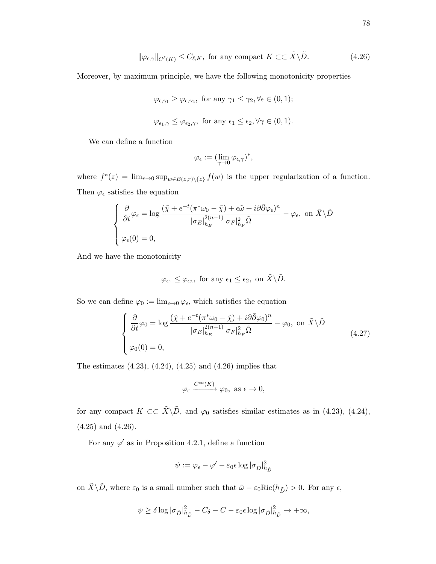$$
\|\varphi_{\epsilon,\gamma}\|_{C^{\ell}(K)} \le C_{\ell,K}, \text{ for any compact } K \subset\subset \tilde{X}\backslash \tilde{D}.
$$
 (4.26)

Moreover, by maximum principle, we have the following monotonicity properties

$$
\varphi_{\epsilon,\gamma_1} \geq \varphi_{\epsilon,\gamma_2}
$$
, for any  $\gamma_1 \leq \gamma_2, \forall \epsilon \in (0,1)$ ;  
 $\varphi_{\epsilon_1,\gamma} \leq \varphi_{\epsilon_2,\gamma}$ , for any  $\epsilon_1 \leq \epsilon_2, \forall \gamma \in (0,1)$ .

We can define a function

$$
\varphi_\epsilon := (\lim_{\gamma \to 0} \varphi_{\epsilon,\gamma})^*,
$$

where  $f^*(z) = \lim_{r \to 0} \sup_{w \in B(z,r) \setminus \{z\}} f(w)$  is the upper regularization of a function. Then  $\varphi_{\epsilon}$  satisfies the equation

$$
\begin{cases} \n\frac{\partial}{\partial t} \varphi_{\epsilon} = \log \frac{(\tilde{\chi} + e^{-t} (\pi^* \omega_0 - \tilde{\chi}) + \epsilon \tilde{\omega} + i \partial \bar{\partial} \varphi_{\epsilon})^n}{|\sigma_E|_{h_E}^{2(n-1)} |\sigma_F|_{h_F}^2 \tilde{\Omega}} - \varphi_{\epsilon}, \text{ on } \tilde{X} \setminus \tilde{D} \\ \n\varphi_{\epsilon}(0) = 0, \n\end{cases}
$$

And we have the monotonicity

$$
\varphi_{\epsilon_1}\leq \varphi_{\epsilon_2}, \text{ for any } \epsilon_1\leq \epsilon_2, \text{ on } \tilde{X}\backslash \tilde{D}.
$$

So we can define  $\varphi_0 := \lim_{\epsilon \to 0} \varphi_{\epsilon}$ , which satisfies the equation

$$
\begin{cases}\n\frac{\partial}{\partial t}\varphi_0 = \log \frac{(\tilde{\chi} + e^{-t}(\pi^* \omega_0 - \tilde{\chi}) + i\partial \bar{\partial}\varphi_0)^n}{|\sigma_E|_{h_E}^{2(n-1)}|\sigma_F|_{h_F}^2 \tilde{\Omega}} - \varphi_0, \text{ on } \tilde{X}\backslash \tilde{D} \\
\varphi_0(0) = 0, \n\end{cases}
$$
\n(4.27)

The estimates  $(4.23)$ ,  $(4.24)$ ,  $(4.25)$  and  $(4.26)$  implies that

$$
\varphi_\epsilon \xrightarrow{C^\infty(K)} \varphi_0, \text{ as } \epsilon \to 0,
$$

for any compact  $K \subset \subset \tilde{X}\backslash \tilde{D}$ , and  $\varphi_0$  satisfies similar estimates as in (4.23), (4.24), (4.25) and (4.26).

For any  $\varphi'$  as in Proposition 4.2.1, define a function

$$
\psi := \varphi_{\epsilon} - \varphi' - \varepsilon_0 \epsilon \log |\sigma_{\tilde{D}}|_{h_{\tilde{D}}}^2
$$

on  $\tilde{X}\backslash\tilde{D}$ , where  $\varepsilon_0$  is a small number such that  $\tilde{\omega} - \varepsilon_0\mathrm{Ric}(h_{\tilde{D}}) > 0$ . For any  $\epsilon$ ,

$$
\psi \ge \delta \log |\sigma_{\tilde{D}}|_{h_{\tilde{D}}}^2 - C_{\delta} - C - \varepsilon_0 \epsilon \log |\sigma_{\tilde{D}}|_{h_{\tilde{D}}}^2 \to +\infty,
$$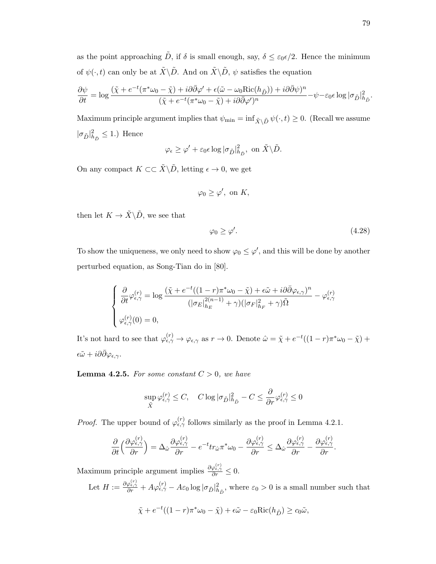as the point approaching  $\tilde{D}$ , if  $\delta$  is small enough, say,  $\delta \leq \varepsilon_0 \epsilon/2$ . Hence the minimum of  $\psi(\cdot,t)$  can only be at  $\tilde{X}\backslash\tilde{D}$ . And on  $\tilde{X}\backslash\tilde{D}$ ,  $\psi$  satisfies the equation

$$
\frac{\partial \psi}{\partial t} = \log \frac{(\tilde{\chi} + e^{-t}(\pi^* \omega_0 - \tilde{\chi}) + i\partial \bar{\partial} \varphi' + \epsilon(\tilde{\omega} - \omega_0 \text{Ric}(h_{\tilde{D}})) + i\partial \bar{\partial} \psi)^n}{(\tilde{\chi} + e^{-t}(\pi^* \omega_0 - \tilde{\chi}) + i\partial \bar{\partial} \varphi')^n} - \psi - \varepsilon_0 \epsilon \log |\sigma_{\tilde{D}}|_{h_{\tilde{D}}}^2.
$$

Maximum principle argument implies that  $\psi_{\min} = \inf_{\tilde{X}\setminus \tilde{D}} \psi(\cdot, t) \geq 0$ . (Recall we assume  $|\sigma_{\tilde{D}}|_{h_{\tilde{D}}}^2 \leq 1$ .) Hence

$$
\varphi_{\epsilon} \ge \varphi' + \varepsilon_0 \epsilon \log |\sigma_{\tilde{D}}|_{h_{\tilde{D}}}^2, \text{ on } \tilde{X} \backslash \tilde{D}.
$$

On any compact  $K \subset \subset \tilde{X} \backslash \tilde{D}$ , letting  $\epsilon \to 0$ , we get

$$
\varphi_0 \ge \varphi', \text{ on } K,
$$

then let  $K \to \tilde{X} \backslash \tilde{D}$ , we see that

$$
\varphi_0 \ge \varphi'.\tag{4.28}
$$

To show the uniqueness, we only need to show  $\varphi_0 \leq \varphi'$ , and this will be done by another perturbed equation, as Song-Tian do in [80].

$$
\begin{cases} \frac{\partial}{\partial t} \varphi_{\epsilon,\gamma}^{(r)} = \log \frac{(\tilde{\chi} + e^{-t}((1-r)\pi^* \omega_0 - \tilde{\chi}) + \epsilon \tilde{\omega} + i\partial \bar{\partial} \varphi_{\epsilon,\gamma})^n}{(|\sigma_E|_{h_E}^{2(n-1)} + \gamma)(|\sigma_F|_{h_F}^2 + \gamma)\tilde{\Omega}} - \varphi_{\epsilon,\gamma}^{(r)} \\ \varphi_{\epsilon,\gamma}^{(r)}(0) = 0, \end{cases}
$$

It's not hard to see that  $\varphi_{\epsilon,\gamma}^{(r)} \to \varphi_{\epsilon,\gamma}$  as  $r \to 0$ . Denote  $\hat{\omega} = \tilde{\chi} + e^{-t}((1-r)\pi^*\omega_0 - \tilde{\chi}) +$  $\epsilon \tilde{\omega} + i \partial \bar{\partial} \varphi_{\epsilon,\gamma}$ .

**Lemma 4.2.5.** For some constant  $C > 0$ , we have

$$
\sup_{\tilde{X}}\varphi_{\epsilon,\gamma}^{(r)}\leq C,\quad C\log|\sigma_{\tilde{D}}|_{h_{\tilde{D}}}^2-C\leq \frac{\partial}{\partial r}\varphi_{\epsilon,\gamma}^{(r)}\leq 0
$$

*Proof.* The upper bound of  $\varphi_{\epsilon,\gamma}^{(r)}$  follows similarly as the proof in Lemma 4.2.1.

$$
\frac{\partial}{\partial t} \left( \frac{\partial \varphi_{\epsilon,\gamma}^{(r)}}{\partial r} \right) = \Delta_{\hat{\omega}} \frac{\partial \varphi_{\epsilon,\gamma}^{(r)}}{\partial r} - e^{-t} tr_{\hat{\omega}} \pi^* \omega_0 - \frac{\partial \varphi_{\epsilon,\gamma}^{(r)}}{\partial r} \leq \Delta_{\hat{\omega}} \frac{\partial \varphi_{\epsilon,\gamma}^{(r)}}{\partial r} - \frac{\partial \varphi_{\epsilon,\gamma}^{(r)}}{\partial r}.
$$

Maximum principle argument implies  $\frac{\partial \varphi_{\epsilon,\gamma}^{(r)}}{\partial r} \leq 0$ .

Let  $H := \frac{\partial \varphi_{\epsilon,\gamma}^{(r)}}{\partial r} + A \varphi_{\epsilon,\gamma}^{(r)} - A \varepsilon_0 \log |\sigma_{\tilde{D}}|_{h_{\tilde{D}}}^2$ , where  $\varepsilon_0 > 0$  is a small number such that

$$
\tilde{\chi} + e^{-t}((1-r)\pi^*\omega_0 - \tilde{\chi}) + \epsilon\tilde{\omega} - \epsilon_0 \text{Ric}(h_{\tilde{D}}) \ge c_0\tilde{\omega},
$$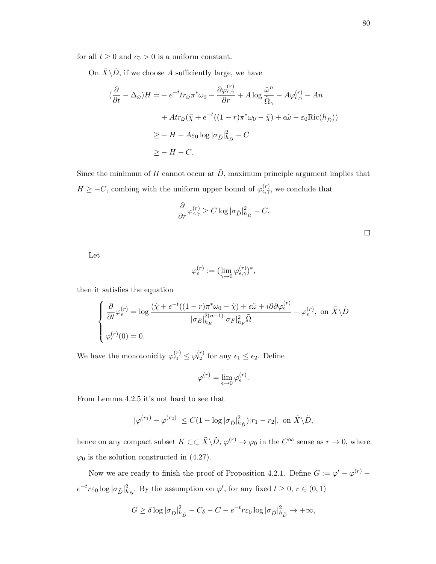for all  $t \geq 0$  and  $c_0 > 0$  is a uniform constant.

On  $\tilde{X}\backslash\tilde{D}$ , if we choose A sufficiently large, we have

$$
(\frac{\partial}{\partial t} - \Delta_{\hat{\omega}})H = -e^{-t}tr_{\hat{\omega}}\pi^*\omega_0 - \frac{\partial\varphi_{\epsilon,\gamma}^{(r)}}{\partial r} + A\log\frac{\hat{\omega}^n}{\tilde{\Omega}_{\gamma}} - A\varphi_{\epsilon,\gamma}^{(r)} - An
$$

$$
+ Art_{\hat{\omega}}(\tilde{\chi} + e^{-t}((1-r)\pi^*\omega_0 - \tilde{\chi}) + \epsilon\tilde{\omega} - \epsilon_0 \text{Ric}(h_{\tilde{D}}))
$$

$$
\geq -H - A\epsilon_0 \log |\sigma_{\tilde{D}}|_{h_{\tilde{D}}}^2 - C
$$

$$
\geq -H - C.
$$

Since the minimum of H cannot occur at  $\tilde{D}$ , maximum principle argument implies that  $H \geq -C$ , combing with the uniform upper bound of  $\varphi_{\epsilon,\gamma}^{(r)}$ , we conclude that

$$
\frac{\partial}{\partial r}\varphi_{\epsilon,\gamma}^{(r)} \ge C \log |\sigma_{\tilde{D}}|_{h_{\tilde{D}}}^2 - C.
$$

Let

$$
\varphi_\epsilon^{(r)} := (\lim_{\gamma \to 0} \varphi_{\epsilon,\gamma}^{(r)})^*,
$$

then it satisfies the equation

$$
\begin{cases} \frac{\partial}{\partial t} \varphi_{\epsilon}^{(r)} = \log \frac{(\tilde{\chi} + e^{-t}((1-r)\pi^* \omega_0 - \tilde{\chi}) + \epsilon \tilde{\omega} + i\partial \bar{\partial} \varphi_{\epsilon}^{(r)})}{|\sigma_E|_{h_E}^{2(n-1)}|\sigma_F|_{h_F}^2 \tilde{\Omega}} - \varphi_{\epsilon}^{(r)}, \text{ on } \tilde{X} \backslash \tilde{D} \\ \varphi_{\epsilon}^{(r)}(0) = 0. \end{cases}
$$

We have the monotonicity  $\varphi_{\epsilon_1}^{(r)} \leq \varphi_{\epsilon_2}^{(r)}$  for any  $\epsilon_1 \leq \epsilon_2$ . Define

$$
\varphi^{(r)} = \lim_{\epsilon \to 0} \varphi_{\epsilon}^{(r)}.
$$

From Lemma 4.2.5 it's not hard to see that

$$
|\varphi^{(r_1)} - \varphi^{(r_2)}| \le C(1 - \log |\sigma_{\tilde{D}}|_{h_{\tilde{D}}}^2)|r_1 - r_2|, \text{ on } \tilde{X}\backslash \tilde{D},
$$

hence on any compact subset  $K \subset \subset \tilde{X} \backslash \tilde{D}$ ,  $\varphi^{(r)} \to \varphi_0$  in the  $C^{\infty}$  sense as  $r \to 0$ , where  $\varphi_0$  is the solution constructed in (4.27).

Now we are ready to finish the proof of Proposition 4.2.1. Define  $G := \varphi' - \varphi^{(r)}$  $e^{-t}r\varepsilon_0\log|\sigma_{\tilde{D}}|^2_{h_{\tilde{D}}}$ . By the assumption on  $\varphi',$  for any fixed  $t\geq 0, r\in(0,1)$ 

$$
G \ge \delta \log |\sigma_{\tilde{D}}|_{h_{\tilde{D}}}^2 - C_{\delta} - C - e^{-t} r \varepsilon_0 \log |\sigma_{\tilde{D}}|_{h_{\tilde{D}}}^2 \to +\infty,
$$

 $\Box$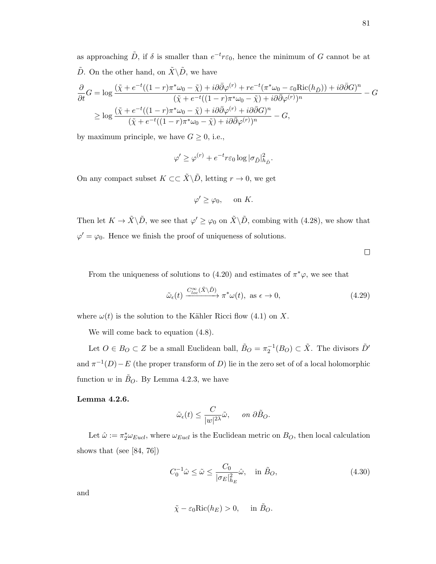as approaching  $\tilde{D}$ , if  $\delta$  is smaller than  $e^{-t}r\varepsilon_0$ , hence the minimum of G cannot be at  $\tilde{D}$ . On the other hand, on  $\tilde{X}\backslash\tilde{D}$ , we have

$$
\frac{\partial}{\partial t}G = \log \frac{(\tilde{\chi} + e^{-t}((1-r)\pi^* \omega_0 - \tilde{\chi}) + i\partial \bar{\partial} \varphi^{(r)} + re^{-t}(\pi^* \omega_0 - \varepsilon_0 \text{Ric}(h_{\tilde{D}})) + i\partial \bar{\partial} G)^n}{(\tilde{\chi} + e^{-t}((1-r)\pi^* \omega_0 - \tilde{\chi}) + i\partial \bar{\partial} \varphi^{(r)})^n}
$$
  
\n
$$
\geq \log \frac{(\tilde{\chi} + e^{-t}((1-r)\pi^* \omega_0 - \tilde{\chi}) + i\partial \bar{\partial} \varphi^{(r)} + i\partial \bar{\partial} G)^n}{(\tilde{\chi} + e^{-t}((1-r)\pi^* \omega_0 - \tilde{\chi}) + i\partial \bar{\partial} \varphi^{(r)})^n} - G,
$$

by maximum principle, we have  $G \geq 0$ , i.e.,

$$
\varphi' \ge \varphi^{(r)} + e^{-t} r \varepsilon_0 \log |\sigma_{\tilde{D}}|_{h_{\tilde{D}}}^2.
$$

On any compact subset  $K \subset \subset \tilde{X} \backslash \tilde{D}$ , letting  $r \to 0$ , we get

$$
\varphi' \ge \varphi_0, \quad \text{ on } K.
$$

Then let  $K \to \tilde{X} \backslash \tilde{D}$ , we see that  $\varphi' \geq \varphi_0$  on  $\tilde{X} \backslash \tilde{D}$ , combing with (4.28), we show that  $\varphi' = \varphi_0$ . Hence we finish the proof of uniqueness of solutions.

 $\Box$ 

From the uniqueness of solutions to (4.20) and estimates of  $\pi^*\varphi$ , we see that

$$
\tilde{\omega}_{\epsilon}(t) \xrightarrow{C_{loc}^{\infty}(\tilde{X}\backslash\tilde{D})} \pi^* \omega(t), \text{ as } \epsilon \to 0,
$$
\n(4.29)

where  $\omega(t)$  is the solution to the Kähler Ricci flow (4.1) on X.

We will come back to equation  $(4.8)$ .

Let  $O \in B_O \subset Z$  be a small Euclidean ball,  $\tilde{B}_O = \pi_2^{-1}(B_O) \subset \tilde{X}$ . The divisors  $\tilde{D}'$ and  $\pi^{-1}(D) - E$  (the proper transform of D) lie in the zero set of of a local holomorphic function w in  $\tilde{B}_O$ . By Lemma 4.2.3, we have

## Lemma 4.2.6.

$$
\tilde{\omega}_{\epsilon}(t) \le \frac{C}{|w|^{2\lambda}} \tilde{\omega}, \quad on \ \partial \tilde{B}_O.
$$

Let  $\hat{\omega} := \pi_2^* \omega_{Eucl}$ , where  $\omega_{Eucl}$  is the Euclidean metric on  $B_O$ , then local calculation shows that (see [84, 76])

$$
C_0^{-1}\hat{\omega} \le \tilde{\omega} \le \frac{C_0}{|\sigma_E|_{h_E}^2}\hat{\omega}, \quad \text{in } \tilde{B}_O,\tag{4.30}
$$

and

$$
\tilde{\chi} - \varepsilon_0 \text{Ric}(h_E) > 0, \quad \text{ in } \tilde{B}_O.
$$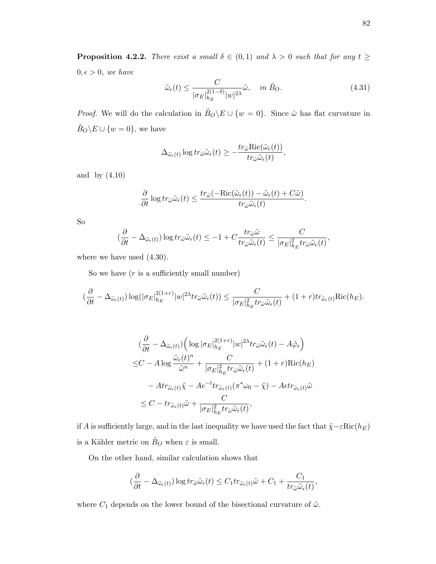**Proposition 4.2.2.** There exist a small  $\delta \in (0,1)$  and  $\lambda > 0$  such that for any  $t \geq$  $0, \epsilon > 0$ , we have

$$
\tilde{\omega}_{\epsilon}(t) \le \frac{C}{|\sigma_E|_{h_E}^{2(1-\delta)}|w|^{2\lambda}} \tilde{\omega}, \quad in \ \tilde{B}_O. \tag{4.31}
$$

*Proof.* We will do the calculation in  $\tilde{B}_O \backslash E \cup \{w = 0\}$ . Since  $\hat{\omega}$  has flat curvature in  $\tilde{B}_O\backslash E\cup\{w=0\},$  we have

$$
\Delta_{\tilde{\omega}_{\epsilon}(t)} \log tr_{\hat{\omega}} \tilde{\omega}_{\epsilon}(t) \geq -\frac{tr_{\hat{\omega}} \text{Ric}(\tilde{\omega}_{\epsilon}(t))}{tr_{\hat{\omega}} \tilde{\omega}_{\epsilon}(t)},
$$

and by (4.10)

$$
\frac{\partial}{\partial t} \log tr_{\hat{\omega}} \tilde{\omega}_{\epsilon}(t) \leq \frac{tr_{\hat{\omega}}(-\text{Ric}(\tilde{\omega}_{\epsilon}(t)) - \tilde{\omega}_{\epsilon}(t) + C\tilde{\omega})}{tr_{\hat{\omega}} \tilde{\omega}_{\epsilon}(t)}.
$$

So

$$
\left(\frac{\partial}{\partial t} - \Delta_{\tilde{\omega}_{\epsilon}(t)}\right) \log tr_{\hat{\omega}} \tilde{\omega}_{\epsilon}(t) \leq -1 + C \frac{tr_{\hat{\omega}} \tilde{\omega}}{tr_{\hat{\omega}} \tilde{\omega}_{\epsilon}(t)} \leq \frac{C}{|\sigma_E|_{h_E}^2 tr_{\hat{\omega}} \tilde{\omega}_{\epsilon}(t)},
$$

where we have used  $(4.30)$ .

So we have  $(r \text{ is a sufficiently small number})$ 

$$
(\frac{\partial}{\partial t}-\Delta_{\tilde{\omega}_{\epsilon}(t)})\log(|\sigma_E|_{h_E}^{2(1+r)}|w|^{2\lambda}tr_{\hat{\omega}}\tilde{\omega}_{\epsilon}(t))\leq \frac{C}{|\sigma_E|_{h_E}^2tr_{\hat{\omega}}\tilde{\omega}_{\epsilon}(t)}+(1+r)tr_{\tilde{\omega}_{\epsilon}(t)}\mathrm{Ric}(h_E).
$$

$$
\begin{split}\n&\quad\left(\frac{\partial}{\partial t} - \Delta_{\tilde{\omega}_{\epsilon}(t)}\right) \left(\log|\sigma_{E}|_{h_{E}}^{2(1+r)}|w|^{2\lambda}tr_{\hat{\omega}}\tilde{\omega}_{\epsilon}(t) - A\tilde{\varphi}_{\epsilon}\right) \\
&\leq C - A \log \frac{\tilde{\omega}_{\epsilon}(t)^{n}}{\tilde{\omega}^{n}} + \frac{C}{|\sigma_{E}|_{h_{E}}^{2}tr_{\hat{\omega}}\tilde{\omega}_{\epsilon}(t)} + (1+r)\text{Ric}(h_{E}) \\
&- Atr_{\tilde{\omega}_{\epsilon}(t)}\tilde{\chi} - Ae^{-t}tr_{\tilde{\omega}_{\epsilon}(t)}(\pi^{*}\omega_{0} - \tilde{\chi}) - Aetr_{\tilde{\omega}_{\epsilon}(t)}\tilde{\omega} \\
&\leq C - tr_{\tilde{\omega}_{\epsilon}(t)}\tilde{\omega} + \frac{C}{|\sigma_{E}|_{h_{E}}^{2}tr_{\hat{\omega}}\tilde{\omega}_{\epsilon}(t)},\n\end{split}
$$

if A is sufficiently large, and in the last inequality we have used the fact that  $\tilde{\chi}-\varepsilon\textnormal{Ric}(h_E)$ is a Kähler metric on  $\tilde B_O$  when  $\varepsilon$  is small.

On the other hand, similar calculation shows that

$$
(\frac{\partial}{\partial t} - \Delta_{\tilde{\omega}_{\epsilon}(t)}) \log tr_{\tilde{\omega}} \tilde{\omega}_{\epsilon}(t) \leq C_1 tr_{\tilde{\omega}_{\epsilon}(t)} \tilde{\omega} + C_1 + \frac{C_1}{tr_{\tilde{\omega}} \tilde{\omega}_{\epsilon}(t)},
$$

where  $C_1$  depends on the lower bound of the bisectional curvature of  $\tilde{\omega}$ .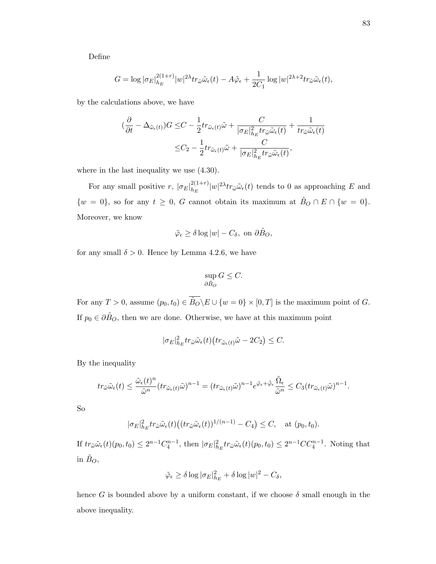Define

$$
G = \log |\sigma_E|_{h_E}^{2(1+r)} |w|^{2\lambda} tr_{\hat{\omega}} \tilde{\omega}_{\epsilon}(t) - A\tilde{\varphi}_{\epsilon} + \frac{1}{2C_1} \log |w|^{2\lambda + 2} tr_{\tilde{\omega}} \tilde{\omega}_{\epsilon}(t),
$$

by the calculations above, we have

$$
\begin{aligned} (\frac{\partial}{\partial t}-\Delta_{\tilde{\omega}_{\epsilon}(t)})G\leq &C-\frac{1}{2}tr_{\tilde{\omega}_{\epsilon}(t)}\tilde{\omega}+\frac{C}{|\sigma_E|^2_{h_E}tr_{\hat{\omega}}\tilde{\omega}_{\epsilon}(t)}+\frac{1}{tr_{\tilde{\omega}}\tilde{\omega}_{\epsilon}(t)}\\ \leq &C_2-\frac{1}{2}tr_{\tilde{\omega}_{\epsilon}(t)}\tilde{\omega}+\frac{C}{|\sigma_E|^2_{h_E}tr_{\hat{\omega}}\tilde{\omega}_{\epsilon}(t)}, \end{aligned}
$$

where in the last inequality we use  $(4.30)$ .

For any small positive  $r, |\sigma_E|_{h_F}^{2(1+r)}$  $\frac{2(1+r)}{h_E}|w|^{2\lambda}tr_{\hat{\omega}}\tilde{\omega}_{\epsilon}(t)$  tends to 0 as approaching E and  $\{w = 0\}$ , so for any  $t \geq 0$ , G cannot obtain its maximum at  $\tilde{B}_O \cap E \cap \{w = 0\}$ . Moreover, we know

$$
\tilde{\varphi}_{\epsilon} \ge \delta \log |w| - C_{\delta}, \text{ on } \partial \tilde{B}_O,
$$

for any small  $\delta > 0$ . Hence by Lemma 4.2.6, we have

$$
\sup_{\partial \tilde{B}_O} G \leq C.
$$

For any  $T > 0$ , assume  $(p_0, t_0) \in \overline{B_O} \backslash E \cup \{w = 0\} \times [0, T]$  is the maximum point of G. If  $p_0 \in \partial \tilde{B}_O$ , then we are done. Otherwise, we have at this maximum point

$$
|\sigma_E|^2_{h_E} tr_{\hat{\omega}} \tilde{\omega}_{\epsilon}(t) \big( tr_{\tilde{\omega}_{\epsilon}(t)} \tilde{\omega} - 2C_2 \big) \leq C.
$$

By the inequality

$$
tr_{\tilde{\omega}}\tilde{\omega}_{\epsilon}(t)\leq \frac{\tilde{\omega}_{\epsilon}(t)^n}{\tilde{\omega}^n}(tr_{\tilde{\omega}_{\epsilon}(t)}\tilde{\omega})^{n-1}=(tr_{\tilde{\omega}_{\epsilon}(t)}\tilde{\omega})^{n-1}e^{\tilde{\varphi}_{\epsilon}+\dot{\tilde{\varphi}}_{\epsilon}}\frac{\tilde{\Omega}_{\epsilon}}{\tilde{\omega}^n}\leq C_3(tr_{\tilde{\omega}_{\epsilon}(t)}\tilde{\omega})^{n-1}.
$$

So

$$
|\sigma_E|^2_{h_E} tr_{\hat{\omega}} \tilde{\omega}_{\epsilon}(t) \big( (tr_{\tilde{\omega}} \tilde{\omega}_{\epsilon}(t))^{1/(n-1)} - C_4 \big) \le C, \quad \text{at } (p_0, t_0).
$$

If  $tr_{\tilde{\omega}}\tilde{\omega}_{\epsilon}(t)(p_0, t_0) \leq 2^{n-1}C_4^{n-1}$ , then  $|\sigma_E|^2_{h_E} tr_{\tilde{\omega}}\tilde{\omega}_{\epsilon}(t)(p_0, t_0) \leq 2^{n-1}CC_4^{n-1}$ . Noting that in  $\tilde{B}_O$ ,

$$
\tilde{\varphi}_{\epsilon} \ge \delta \log |\sigma_E|_{h_E}^2 + \delta \log |w|^2 - C_{\delta},
$$

hence G is bounded above by a uniform constant, if we choose  $\delta$  small enough in the above inequality.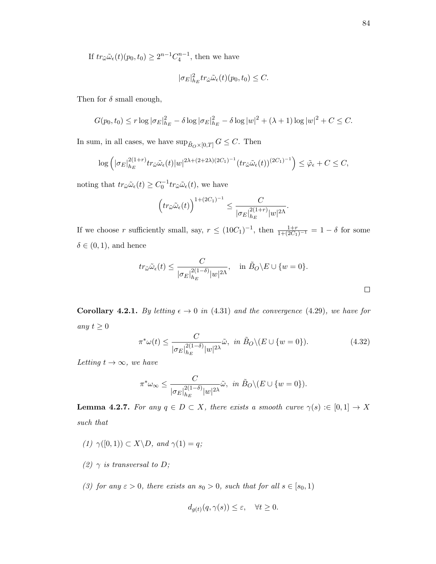If  $tr_{\tilde{\omega}}\tilde{\omega}_{\epsilon}(t)(p_0, t_0) \geq 2^{n-1}C_4^{n-1}$ , then we have

$$
|\sigma_E|^2_{h_E} tr_{\hat{\omega}} \tilde{\omega}_{\epsilon}(t)(p_0, t_0) \leq C.
$$

Then for  $\delta$  small enough,

$$
G(p_0, t_0) \le r \log |\sigma_E|_{h_E}^2 - \delta \log |\sigma_E|_{h_E}^2 - \delta \log |w|^2 + (\lambda + 1) \log |w|^2 + C \le C.
$$

In sum, in all cases, we have  $\sup_{\tilde{B}_O\times[0,T]}G\leq C.$  Then

$$
\log\left(|\sigma_E|_{h_E}^{2(1+r)}tr_{\hat{\omega}}\tilde{\omega}_{\epsilon}(t)|w|^{2\lambda+(2+2\lambda)(2C_1)^{-1}}(tr_{\tilde{\omega}}\tilde{\omega}_{\epsilon}(t))^{(2C_1)^{-1}}\right)\leq \tilde{\varphi}_{\epsilon}+C\leq C,
$$

noting that  $tr_{\hat{\omega}}\tilde{\omega}_{\epsilon}(t) \geq C_0^{-1} tr_{\tilde{\omega}}\tilde{\omega}_{\epsilon}(t)$ , we have

$$
\left(tr_{\tilde{\omega}}\tilde{\omega}_{\epsilon}(t)\right)^{1+(2C_1)^{-1}} \leq \frac{C}{|\sigma_E|_{h_E}^{2(1+r)}|w|^{2\Lambda}}.
$$

If we choose r sufficiently small, say,  $r \leq (10C_1)^{-1}$ , then  $\frac{1+r}{1+(2C_1)^{-1}} = 1-\delta$  for some  $\delta \in (0,1)$ , and hence

$$
tr_{\tilde{\omega}}\tilde{\omega}_{\epsilon}(t) \le \frac{C}{|\sigma_E|_{h_E}^{2(1-\delta)}|w|^{2\Lambda}}, \quad \text{in } \tilde{B}_O \backslash E \cup \{w=0\}.
$$

**Corollary 4.2.1.** By letting  $\epsilon \to 0$  in (4.31) and the convergence (4.29), we have for any  $t \geq 0$ 

$$
\pi^* \omega(t) \le \frac{C}{|\sigma_E|_{h_E}^{2(1-\delta)} |w|^{2\lambda}} \tilde{\omega}, \ \ in \ \tilde{B}_O \setminus (E \cup \{w = 0\}). \tag{4.32}
$$

Letting  $t \to \infty$ , we have

$$
\pi^*\omega_{\infty} \le \frac{C}{|\sigma_E|_{h_E}^{2(1-\delta)}|w|^{2\lambda}}\tilde{\omega}, \ \ in \ \tilde{B}_O\backslash (E\cup\{w=0\}).
$$

**Lemma 4.2.7.** For any  $q \in D \subset X$ , there exists a smooth curve  $\gamma(s) := [0,1] \to X$ such that

- (1)  $\gamma([0,1)) \subset X \backslash D$ , and  $\gamma(1) = q$ ;
- (2)  $\gamma$  is transversal to D;
- (3) for any  $\varepsilon > 0$ , there exists an  $s_0 > 0$ , such that for all  $s \in [s_0, 1)$

$$
d_{g(t)}(q, \gamma(s)) \le \varepsilon, \quad \forall t \ge 0.
$$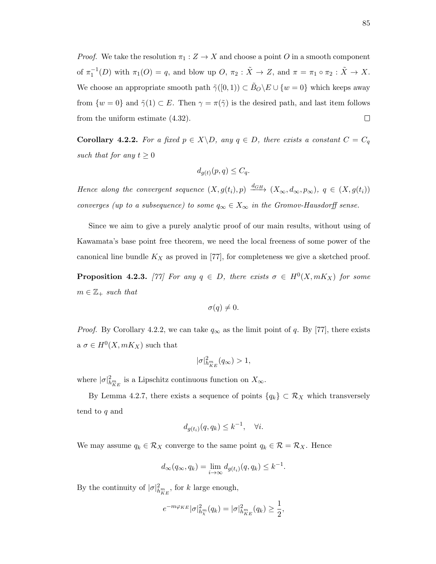*Proof.* We take the resolution  $\pi_1 : Z \to X$  and choose a point O in a smooth component of  $\pi_1^{-1}(D)$  with  $\pi_1(O) = q$ , and blow up  $O, \pi_2 : \tilde{X} \to Z$ , and  $\pi = \pi_1 \circ \pi_2 : \tilde{X} \to X$ . We choose an appropriate smooth path  $\tilde{\gamma}([0,1)) \subset \tilde{B}_O \backslash E \cup \{w = 0\}$  which keeps away from  $\{w=0\}$  and  $\tilde{\gamma}(1) \subset E$ . Then  $\gamma = \pi(\tilde{\gamma})$  is the desired path, and last item follows from the uniform estimate (4.32).  $\Box$ 

Corollary 4.2.2. For a fixed  $p \in X \backslash D$ , any  $q \in D$ , there exists a constant  $C = C_q$ such that for any  $t \geq 0$ 

$$
d_{g(t)}(p,q) \le C_q.
$$

Hence along the convergent sequence  $(X, g(t_i), p) \xrightarrow{d_{GH}} (X_\infty, d_\infty, p_\infty)$ ,  $q \in (X, g(t_i))$ converges (up to a subsequence) to some  $q_{\infty} \in X_{\infty}$  in the Gromov-Hausdorff sense.

Since we aim to give a purely analytic proof of our main results, without using of Kawamata's base point free theorem, we need the local freeness of some power of the canonical line bundle  $K_X$  as proved in [77], for completeness we give a sketched proof. **Proposition 4.2.3.** [77] For any  $q \in D$ , there exists  $\sigma \in H^0(X, mK_X)$  for some  $m \in \mathbb{Z}_+$  such that

$$
\sigma(q)\neq 0.
$$

*Proof.* By Corollary 4.2.2, we can take  $q_{\infty}$  as the limit point of q. By [77], there exists  $a \sigma \in H^0(X, mK_X)$  such that

$$
|\sigma|^2_{h_{KE}^m}(q_{\infty}) > 1,
$$

where  $|\sigma|^2_{h_{KE}^m}$  is a Lipschitz continuous function on  $X_{\infty}$ .

By Lemma 4.2.7, there exists a sequence of points  ${q_k} \subset \mathcal{R}_X$  which transversely tend to q and

$$
d_{g(t_i)}(q, q_k) \le k^{-1}, \quad \forall i.
$$

We may assume  $q_k \in \mathcal{R}_X$  converge to the same point  $q_k \in \mathcal{R} = \mathcal{R}_X$ . Hence

$$
d_{\infty}(q_{\infty}, q_k) = \lim_{i \to \infty} d_{g(t_i)}(q, q_k) \leq k^{-1}.
$$

By the continuity of  $|\sigma|^2_{h_{KE}^m}$ , for k large enough,

$$
e^{-m\varphi_{KE}} |\sigma|^2_{h_X^m}(q_k) = |\sigma|^2_{h_{KE}^m}(q_k) \ge \frac{1}{2},
$$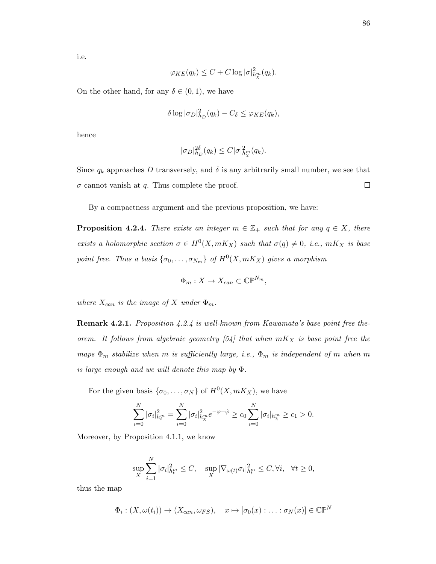i.e.

$$
\varphi_{KE}(q_k) \le C + C \log |\sigma|_{h_{\chi}^m}^2(q_k).
$$

On the other hand, for any  $\delta \in (0,1)$ , we have

$$
\delta \log |\sigma_D|_{h_D}^2(q_k) - C_{\delta} \leq \varphi_{KE}(q_k),
$$

hence

$$
|\sigma_D|_{h_D}^{2\delta}(q_k) \le C |\sigma|_{h_{\chi}^m}^2(q_k).
$$

Since  $q_k$  approaches D transversely, and  $\delta$  is any arbitrarily small number, we see that  $\Box$  $\sigma$  cannot vanish at q. Thus complete the proof.

By a compactness argument and the previous proposition, we have:

**Proposition 4.2.4.** There exists an integer  $m \in \mathbb{Z}_+$  such that for any  $q \in X$ , there exists a holomorphic section  $\sigma \in H^0(X, mK_X)$  such that  $\sigma(q) \neq 0$ , i.e.,  $mK_X$  is base point free. Thus a basis  $\{\sigma_0, \ldots, \sigma_{N_m}\}\,$  of  $H^0(X, mK_X)$  gives a morphism

$$
\Phi_m: X \to X_{can} \subset \mathbb{CP}^{N_m},
$$

where  $X_{can}$  is the image of X under  $\Phi_m$ .

**Remark 4.2.1.** Proposition 4.2.4 is well-known from Kawamata's base point free theorem. It follows from algebraic geometry [54] that when  $mK_X$  is base point free the maps  $\Phi_m$  stabilize when m is sufficiently large, i.e.,  $\Phi_m$  is independent of m when m is large enough and we will denote this map by Φ.

For the given basis  $\{\sigma_0, \ldots, \sigma_N\}$  of  $H^0(X, mK_X)$ , we have

$$
\sum_{i=0}^{N} |\sigma_i|_{h_t^m}^2 = \sum_{i=0}^{N} |\sigma_i|_{h_x^m}^2 e^{-\varphi - \varphi} \ge c_0 \sum_{i=0}^{N} |\sigma_i|_{h_x^m} \ge c_1 > 0.
$$

Moreover, by Proposition 4.1.1, we know

$$
\sup_{X}\sum_{i=1}^{N}|\sigma_{i}|_{h_{t}^{m}}^{2} \leq C, \quad \sup_{X}|\nabla_{\omega(t)}\sigma_{i}|_{h_{t}^{m}}^{2} \leq C, \forall i, \quad \forall t \geq 0,
$$

thus the map

$$
\Phi_i: (X, \omega(t_i)) \to (X_{can}, \omega_{FS}), \quad x \mapsto [\sigma_0(x) : \ldots : \sigma_N(x)] \in \mathbb{CP}^N
$$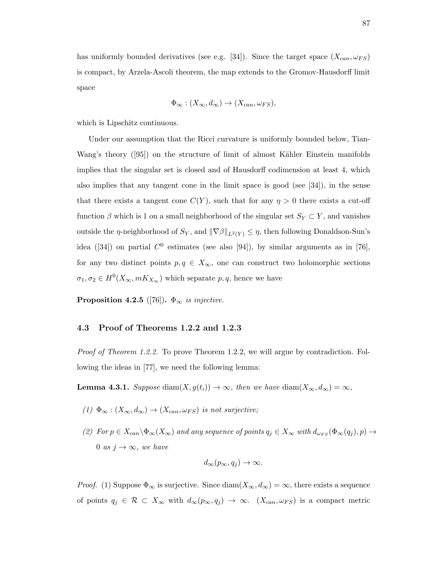has uniformly bounded derivatives (see e.g. [34]). Since the target space  $(X_{can}, \omega_{FS})$ is compact, by Arzela-Ascoli theorem, the map extends to the Gromov-Hausdorff limit space

$$
\Phi_{\infty} : (X_{\infty}, d_{\infty}) \to (X_{can}, \omega_{FS}),
$$

which is Lipschitz continuous.

Under our assumption that the Ricci curvature is uniformly bounded below, Tian-Wang's theory  $(95)$  on the structure of limit of almost Kähler Einstein manifolds implies that the singular set is closed and of Hausdorff codimension at least 4, which also implies that any tangent cone in the limit space is good (see [34]), in the sense that there exists a tangent cone  $C(Y)$ , such that for any  $\eta > 0$  there exists a cut-off function  $\beta$  which is 1 on a small neighborhood of the singular set  $S_Y \subset Y$ , and vanishes outside the *η*-neighborhood of  $S_Y$ , and  $\|\nabla \beta\|_{L^2(Y)} \leq \eta$ , then following Donaldson-Sun's idea ([34]) on partial  $C^0$  estimates (see also [94]), by similar arguments as in [76], for any two distinct points  $p, q \in X_{\infty}$ , one can construct two holomorphic sections  $\sigma_1, \sigma_2 \in H^0(X_\infty, mK_{X_\infty})$  which separate  $p, q$ , hence we have

**Proposition 4.2.5** ([76]).  $\Phi_{\infty}$  is injective.

#### 4.3 Proof of Theorems 1.2.2 and 1.2.3

Proof of Theorem 1.2.2. To prove Theorem 1.2.2, we will argue by contradiction. Following the ideas in [77], we need the following lemma:

**Lemma 4.3.1.** Suppose diam $(X, g(t_i)) \to \infty$ , then we have diam $(X_{\infty}, d_{\infty}) = \infty$ ,

- (1)  $\Phi_{\infty} : (X_{\infty}, d_{\infty}) \to (X_{can}, \omega_{FS})$  is not surjective;
- (2) For  $p \in X_{can} \setminus \Phi_\infty(X_\infty)$  and any sequence of points  $q_j \in X_\infty$  with  $d_{\omega_{FS}}(\Phi_\infty(q_j), p) \to$ 0 as  $j \to \infty$ , we have

$$
d_{\infty}(p_{\infty}, q_j) \to \infty.
$$

*Proof.* (1) Suppose  $\Phi_{\infty}$  is surjective. Since  $\text{diam}(X_{\infty}, d_{\infty}) = \infty$ , there exists a sequence of points  $q_j \in \mathcal{R} \subset X_\infty$  with  $d_\infty(p_\infty, q_j) \to \infty$ .  $(X_{can}, \omega_{FS})$  is a compact metric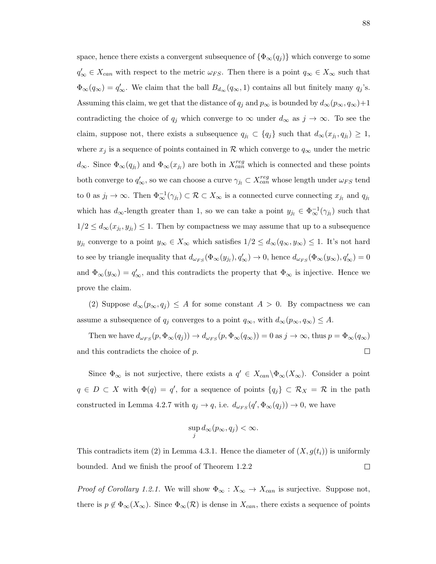space, hence there exists a convergent subsequence of  $\{\Phi_{\infty}(q_j)\}\$  which converge to some  $q'_{\infty} \in X_{can}$  with respect to the metric  $\omega_{FS}$ . Then there is a point  $q_{\infty} \in X_{\infty}$  such that  $\Phi_{\infty}(q_{\infty}) = q'_{\infty}$ . We claim that the ball  $B_{d_{\infty}}(q_{\infty}, 1)$  contains all but finitely many  $q_j$ 's. Assuming this claim, we get that the distance of  $q_j$  and  $p_\infty$  is bounded by  $d_\infty(p_\infty, q_\infty)+1$ contradicting the choice of  $q_j$  which converge to  $\infty$  under  $d_{\infty}$  as  $j \to \infty$ . To see the claim, suppose not, there exists a subsequence  $q_{j_l} \subset \{q_j\}$  such that  $d_{\infty}(x_{j_l}, q_{j_l}) \geq 1$ , where  $x_j$  is a sequence of points contained in R which converge to  $q_\infty$  under the metric  $d_{\infty}$ . Since  $\Phi_{\infty}(q_{j_l})$  and  $\Phi_{\infty}(x_{j_l})$  are both in  $X_{can}^{reg}$  which is connected and these points both converge to  $q'_\infty$ , so we can choose a curve  $\gamma_{j_l} \subset X^{reg}_{can}$  whose length under  $\omega_{FS}$  tend to 0 as  $j_l \to \infty$ . Then  $\Phi_{\infty}^{-1}(\gamma_{j_l}) \subset \mathcal{R} \subset X_{\infty}$  is a connected curve connecting  $x_{j_l}$  and  $q_{j_l}$ which has  $d_{\infty}$ -length greater than 1, so we can take a point  $y_{j_l} \in \Phi_{\infty}^{-1}(\gamma_{j_l})$  such that  $1/2 \leq d_{\infty}(x_{j_l}, y_{j_l}) \leq 1$ . Then by compactness we may assume that up to a subsequence  $y_{j_l}$  converge to a point  $y_\infty \in X_\infty$  which satisfies  $1/2 \leq d_\infty(q_\infty, y_\infty) \leq 1$ . It's not hard to see by triangle inequality that  $d_{\omega_{FS}}(\Phi_\infty(y_{j_l}), q'_\infty) \to 0$ , hence  $d_{\omega_{FS}}(\Phi_\infty(y_\infty), q'_\infty) = 0$ and  $\Phi_{\infty}(y_{\infty}) = q'_{\infty}$ , and this contradicts the property that  $\Phi_{\infty}$  is injective. Hence we prove the claim.

(2) Suppose  $d_{\infty}(p_{\infty}, q_j) \leq A$  for some constant  $A > 0$ . By compactness we can assume a subsequence of  $q_j$  converges to a point  $q_{\infty}$ , with  $d_{\infty}(p_{\infty}, q_{\infty}) \leq A$ .

Then we have  $d_{\omega_{FS}}(p, \Phi_{\infty}(q_j)) \to d_{\omega_{FS}}(p, \Phi_{\infty}(q_{\infty})) = 0$  as  $j \to \infty$ , thus  $p = \Phi_{\infty}(q_{\infty})$ and this contradicts the choice of p.  $\Box$ 

Since  $\Phi_{\infty}$  is not surjective, there exists a  $q' \in X_{can}\backslash \Phi_{\infty}(X_{\infty})$ . Consider a point  $q \in D \subset X$  with  $\Phi(q) = q'$ , for a sequence of points  $\{q_j\} \subset \mathcal{R}_X = \mathcal{R}$  in the path constructed in Lemma 4.2.7 with  $q_j \to q$ , i.e.  $d_{\omega_{FS}}(q', \Phi_\infty(q_j)) \to 0$ , we have

$$
\sup_j d_\infty(p_\infty, q_j) < \infty.
$$

This contradicts item (2) in Lemma 4.3.1. Hence the diameter of  $(X, g(t_i))$  is uniformly bounded. And we finish the proof of Theorem 1.2.2  $\Box$ 

*Proof of Corollary 1.2.1.* We will show  $\Phi_{\infty}: X_{\infty} \to X_{can}$  is surjective. Suppose not, there is  $p \notin \Phi_{\infty}(X_{\infty})$ . Since  $\Phi_{\infty}(\mathcal{R})$  is dense in  $X_{can}$ , there exists a sequence of points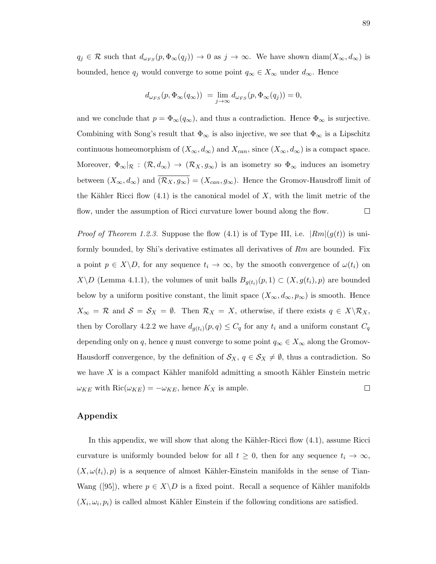$q_j \in \mathcal{R}$  such that  $d_{\omega_{FS}}(p, \Phi_\infty(q_j)) \to 0$  as  $j \to \infty$ . We have shown  $\text{diam}(X_\infty, d_\infty)$  is bounded, hence  $q_j$  would converge to some point  $q_\infty \in X_\infty$  under  $d_\infty$ . Hence

$$
d_{\omega_{FS}}(p, \Phi_{\infty}(q_{\infty})) = \lim_{j \to \infty} d_{\omega_{FS}}(p, \Phi_{\infty}(q_j)) = 0,
$$

and we conclude that  $p = \Phi_{\infty}(q_{\infty})$ , and thus a contradiction. Hence  $\Phi_{\infty}$  is surjective. Combining with Song's result that  $\Phi_{\infty}$  is also injective, we see that  $\Phi_{\infty}$  is a Lipschitz continuous homeomorphism of  $(X_{\infty}, d_{\infty})$  and  $X_{can}$ , since  $(X_{\infty}, d_{\infty})$  is a compact space. Moreover,  $\Phi_{\infty}|\mathcal{R} : (\mathcal{R}, d_{\infty}) \to (\mathcal{R}_X, g_{\infty})$  is an isometry so  $\Phi_{\infty}$  induces an isometry between  $(X_{\infty}, d_{\infty})$  and  $\overline{(\mathcal{R}_X, g_{\infty})} = (X_{can}, g_{\infty})$ . Hence the Gromov-Hausdroff limit of the Kähler Ricci flow  $(4.1)$  is the canonical model of X, with the limit metric of the flow, under the assumption of Ricci curvature lower bound along the flow.  $\Box$ 

*Proof of Theorem 1.2.3.* Suppose the flow (4.1) is of Type III, i.e.  $|Rm|(g(t))$  is uniformly bounded, by Shi's derivative estimates all derivatives of  $Rm$  are bounded. Fix a point  $p \in X \backslash D$ , for any sequence  $t_i \to \infty$ , by the smooth convergence of  $\omega(t_i)$  on  $X\ D$  (Lemma 4.1.1), the volumes of unit balls  $B_{g(t_i)}(p,1) \subset (X, g(t_i), p)$  are bounded below by a uniform positive constant, the limit space  $(X_{\infty}, d_{\infty}, p_{\infty})$  is smooth. Hence  $X_{\infty} = \mathcal{R}$  and  $\mathcal{S} = \mathcal{S}_X = \emptyset$ . Then  $\mathcal{R}_X = X$ , otherwise, if there exists  $q \in X \backslash \mathcal{R}_X$ , then by Corollary 4.2.2 we have  $d_{g(t_i)}(p,q) \leq C_q$  for any  $t_i$  and a uniform constant  $C_q$ depending only on q, hence q must converge to some point  $q_{\infty} \in X_{\infty}$  along the Gromov-Hausdorff convergence, by the definition of  $\mathcal{S}_X$ ,  $q \in \mathcal{S}_X \neq \emptyset$ , thus a contradiction. So we have  $X$  is a compact Kähler manifold admitting a smooth Kähler Einstein metric  $\omega_{KE}$  with  $\text{Ric}(\omega_{KE}) = -\omega_{KE}$ , hence  $K_X$  is ample.  $\Box$ 

## Appendix

In this appendix, we will show that along the Kähler-Ricci flow  $(4.1)$ , assume Ricci curvature is uniformly bounded below for all  $t \geq 0$ , then for any sequence  $t_i \to \infty$ ,  $(X, \omega(t_i), p)$  is a sequence of almost Kähler-Einstein manifolds in the sense of Tian-Wang ([95]), where  $p \in X \backslash D$  is a fixed point. Recall a sequence of Kähler manifolds  $(X_i, \omega_i, p_i)$  is called almost Kähler Einstein if the following conditions are satisfied.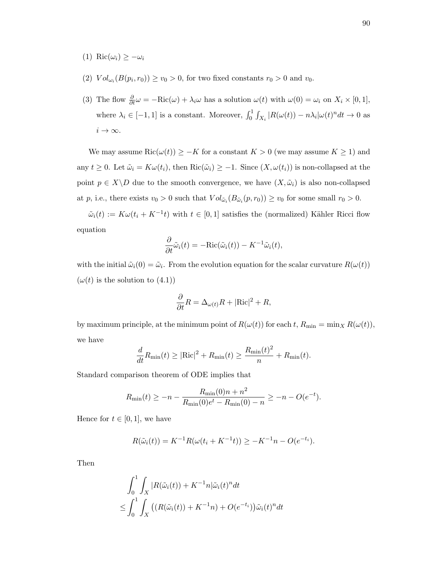- (1) Ric $(\omega_i) \geq -\omega_i$
- (2)  $Vol_{\omega_i}(B(p_i, r_0)) \ge v_0 > 0$ , for two fixed constants  $r_0 > 0$  and  $v_0$ .
- (3) The flow  $\frac{\partial}{\partial t}\omega = -Ric(\omega) + \lambda_i\omega$  has a solution  $\omega(t)$  with  $\omega(0) = \omega_i$  on  $X_i \times [0,1],$ where  $\lambda_i \in [-1, 1]$  is a constant. Moreover,  $\int_0^1 \int_{X_i} |R(\omega(t)) - n \lambda_i| \omega(t)^n dt \to 0$  as  $i \to \infty$ .

We may assume  $\text{Ric}(\omega(t)) \geq -K$  for a constant  $K > 0$  (we may assume  $K \geq 1$ ) and any  $t \geq 0$ . Let  $\tilde{\omega}_i = K\omega(t_i)$ , then  $\text{Ric}(\tilde{\omega}_i) \geq -1$ . Since  $(X, \omega(t_i))$  is non-collapsed at the point  $p \in X \backslash D$  due to the smooth convergence, we have  $(X, \tilde{\omega}_i)$  is also non-collapsed at p, i.e., there exists  $v_0 > 0$  such that  $Vol_{\tilde{\omega}_i}(B_{\tilde{\omega}_i}(p,r_0)) \ge v_0$  for some small  $r_0 > 0$ .

 $\tilde{\omega}_i(t) := K\omega(t_i + K^{-1}t)$  with  $t \in [0,1]$  satisfies the (normalized) Kähler Ricci flow equation

$$
\frac{\partial}{\partial t}\tilde{\omega}_i(t) = -\text{Ric}(\tilde{\omega}_i(t)) - K^{-1}\tilde{\omega}_i(t),
$$

with the initial  $\tilde{\omega}_i(0) = \tilde{\omega}_i$ . From the evolution equation for the scalar curvature  $R(\omega(t))$  $(\omega(t)$  is the solution to  $(4.1)$ )

$$
\frac{\partial}{\partial t}R = \Delta_{\omega(t)}R + |\text{Ric}|^2 + R,
$$

by maximum principle, at the minimum point of  $R(\omega(t))$  for each t,  $R_{\min} = \min_X R(\omega(t)),$ we have

$$
\frac{d}{dt}R_{\min}(t) \geq |\text{Ric}|^2 + R_{\min}(t) \geq \frac{R_{\min}(t)^2}{n} + R_{\min}(t).
$$

Standard comparison theorem of ODE implies that

$$
R_{\min}(t) \ge -n - \frac{R_{\min}(0)n + n^2}{R_{\min}(0)e^t - R_{\min}(0) - n} \ge -n - O(e^{-t}).
$$

Hence for  $t \in [0,1]$ , we have

$$
R(\tilde{\omega}_i(t)) = K^{-1}R(\omega(t_i + K^{-1}t)) \ge -K^{-1}n - O(e^{-t_i}).
$$

Then

$$
\int_0^1 \int_X |R(\tilde{\omega}_i(t)) + K^{-1}n|\tilde{\omega}_i(t)^n dt
$$
  
\n
$$
\leq \int_0^1 \int_X \left( (R(\tilde{\omega}_i(t)) + K^{-1}n) + O(e^{-t_i}) \right) \tilde{\omega}_i(t)^n dt
$$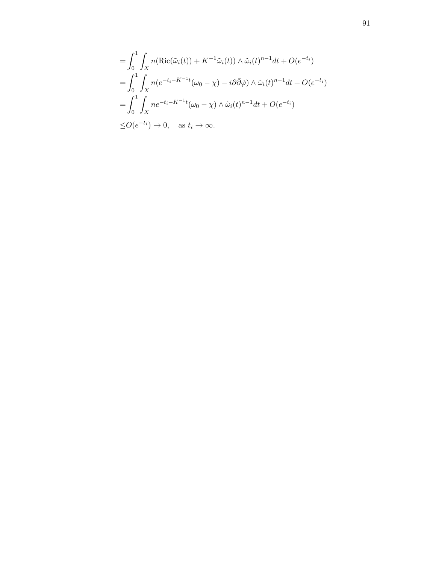$$
= \int_0^1 \int_X n(\text{Ric}(\tilde{\omega}_i(t)) + K^{-1}\tilde{\omega}_i(t)) \wedge \tilde{\omega}_i(t)^{n-1} dt + O(e^{-t_i})
$$
  
\n
$$
= \int_0^1 \int_X n(e^{-t_i - K^{-1}t}(\omega_0 - \chi) - i\partial \bar{\partial}\dot{\varphi}) \wedge \tilde{\omega}_i(t)^{n-1} dt + O(e^{-t_i})
$$
  
\n
$$
= \int_0^1 \int_X n e^{-t_i - K^{-1}t}(\omega_0 - \chi) \wedge \tilde{\omega}_i(t)^{n-1} dt + O(e^{-t_i})
$$
  
\n
$$
\leq O(e^{-t_i}) \to 0, \text{ as } t_i \to \infty.
$$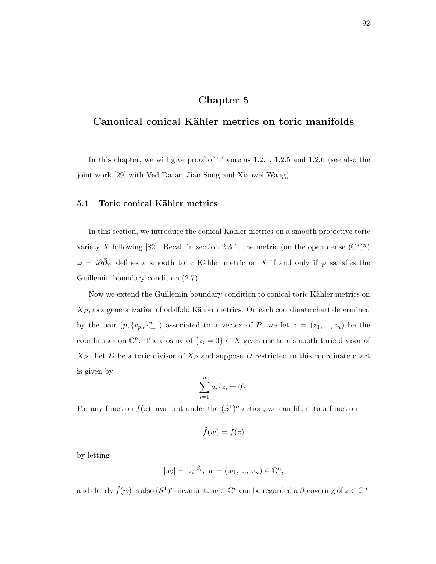# Chapter 5

# Canonical conical Kähler metrics on toric manifolds

In this chapter, we will give proof of Theorems 1.2.4, 1.2.5 and 1.2.6 (see also the joint work [29] with Ved Datar, Jian Song and Xiaowei Wang).

# 5.1 Toric conical Kähler metrics

In this section, we introduce the conical Kähler metrics on a smooth projective toric variety X following [82]. Recall in section 2.3.1, the metric (on the open dense  $(\mathbb{C}^*)^n$ )  $\omega = i\partial\bar{\partial}\varphi$  defines a smooth toric Kähler metric on X if and only if  $\varphi$  satisfies the Guillemin boundary condition (2.7).

Now we extend the Guillemin boundary condition to conical toric Kähler metrics on  $X_P$ , as a generalization of orbifold Kähler metrics. On each coordinate chart determined by the pair  $(p, \{v_{p,i}\}_{i=1}^n)$  associated to a vertex of P, we let  $z = (z_1, ..., z_n)$  be the coordinates on  $\mathbb{C}^n$ . The closure of  $\{z_i = 0\} \subset X$  gives rise to a smooth toric divisor of  $X_P$ . Let D be a toric divisor of  $X_P$  and suppose D restricted to this coordinate chart is given by

$$
\sum_{i=1}^n a_i \{z_i = 0\}.
$$

For any function  $f(z)$  invariant under the  $(S^1)^n$ -action, we can lift it to a function

$$
\tilde{f}(w) = f(z)
$$

by letting

$$
|w_i| = |z_i|^{\beta_i}, \ w = (w_1, ..., w_n) \in \mathbb{C}^n,
$$

and clearly  $\tilde{f}(w)$  is also  $(S^1)^n$ -invariant.  $w \in \mathbb{C}^n$  can be regarded a  $\beta$ -covering of  $z \in \mathbb{C}^n$ .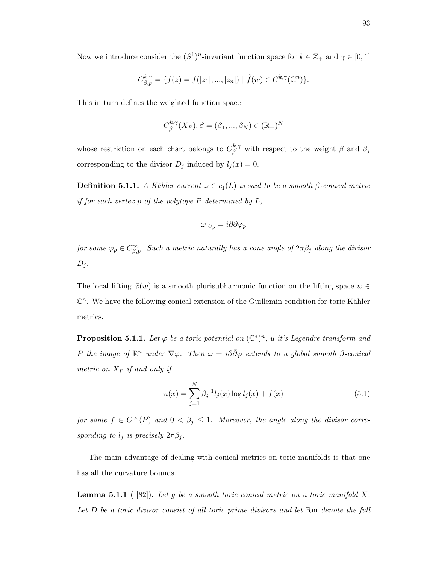Now we introduce consider the  $(S^1)^n$ -invariant function space for  $k \in \mathbb{Z}_+$  and  $\gamma \in [0,1]$ 

$$
C_{\beta,p}^{k,\gamma} = \{ f(z) = f(|z_1|, ..., |z_n|) \mid \tilde{f}(w) \in C^{k,\gamma}(\mathbb{C}^n) \}.
$$

This in turn defines the weighted function space

$$
C_{\beta}^{k,\gamma}(X_P), \beta = (\beta_1, ..., \beta_N) \in (\mathbb{R}_+)^N
$$

whose restriction on each chart belongs to  $C^{k,\gamma}_{\beta}$  with respect to the weight  $\beta$  and  $\beta_j$ corresponding to the divisor  $D_j$  induced by  $l_j(x) = 0$ .

**Definition 5.1.1.** A Kähler current  $\omega \in c_1(L)$  is said to be a smooth  $\beta$ -conical metric if for each vertex  $p$  of the polytope  $P$  determined by  $L$ ,

$$
\omega|_{U_p} = i\partial\bar{\partial}\varphi_p
$$

for some  $\varphi_p \in C^{\infty}_{\beta,p}$ . Such a metric naturally has a cone angle of  $2\pi\beta_j$  along the divisor  $D_i$ .

The local lifting  $\tilde{\varphi}(w)$  is a smooth plurisubharmonic function on the lifting space  $w \in$  $\mathbb{C}^n$ . We have the following conical extension of the Guillemin condition for toric Kähler metrics.

**Proposition 5.1.1.** Let  $\varphi$  be a toric potential on  $(\mathbb{C}^*)^n$ , u it's Legendre transform and P the image of  $\mathbb{R}^n$  under  $\nabla\varphi$ . Then  $\omega = i\partial\bar{\partial}\varphi$  extends to a global smooth  $\beta$ -conical metric on  $X_P$  if and only if

$$
u(x) = \sum_{j=1}^{N} \beta_j^{-1} l_j(x) \log l_j(x) + f(x)
$$
\n(5.1)

for some  $f \in C^{\infty}(\overline{P})$  and  $0 < \beta_j \leq 1$ . Moreover, the angle along the divisor corresponding to  $l_j$  is precisely  $2\pi\beta_j$ .

The main advantage of dealing with conical metrics on toric manifolds is that one has all the curvature bounds.

**Lemma 5.1.1** (  $[82]$ ). Let g be a smooth toric conical metric on a toric manifold X. Let D be a toric divisor consist of all toric prime divisors and let Rm denote the full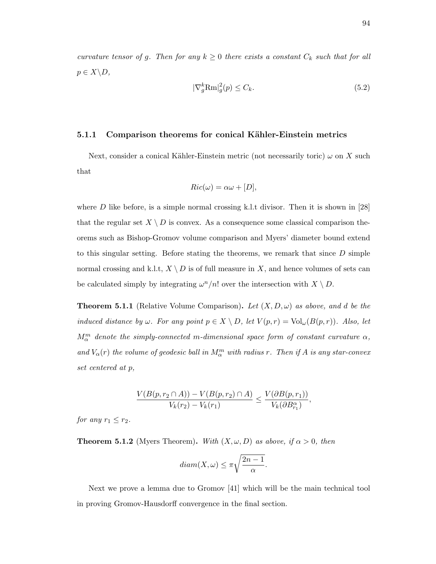curvature tensor of g. Then for any  $k \geq 0$  there exists a constant  $C_k$  such that for all  $p \in X \backslash D$ ,

$$
|\nabla_g^k \text{Rm}|_g^2(p) \le C_k. \tag{5.2}
$$

## 5.1.1 Comparison theorems for conical Kähler-Einstein metrics

Next, consider a conical Kähler-Einstein metric (not necessarily toric)  $\omega$  on X such that

$$
Ric(\omega) = \alpha \omega + [D],
$$

where  $D$  like before, is a simple normal crossing k.l.t divisor. Then it is shown in [28] that the regular set  $X \setminus D$  is convex. As a consequence some classical comparison theorems such as Bishop-Gromov volume comparison and Myers' diameter bound extend to this singular setting. Before stating the theorems, we remark that since  $D$  simple normal crossing and k.l.t,  $X \setminus D$  is of full measure in X, and hence volumes of sets can be calculated simply by integrating  $\omega^n/n!$  over the intersection with  $X \setminus D$ .

**Theorem 5.1.1** (Relative Volume Comparison). Let  $(X, D, \omega)$  as above, and d be the induced distance by  $\omega$ . For any point  $p \in X \setminus D$ , let  $V(p,r) = Vol_{\omega}(B(p,r))$ . Also, let  $M^m_\alpha$  denote the simply-connected m-dimensional space form of constant curvature  $\alpha$ , and  $V_{\alpha}(r)$  the volume of geodesic ball in  $M_{\alpha}^{m}$  with radius r. Then if A is any star-convex set centered at p,

$$
\frac{V(B(p, r_2 \cap A)) - V(B(p, r_2) \cap A)}{V_k(r_2) - V_k(r_1)} \le \frac{V(\partial B(p, r_1))}{V_k(\partial B_{r_1}^{\alpha})},
$$

for any  $r_1 \leq r_2$ .

**Theorem 5.1.2** (Myers Theorem). With  $(X, \omega, D)$  as above, if  $\alpha > 0$ , then

$$
diam(X, \omega) \le \pi \sqrt{\frac{2n-1}{\alpha}}.
$$

Next we prove a lemma due to Gromov [41] which will be the main technical tool in proving Gromov-Hausdorff convergence in the final section.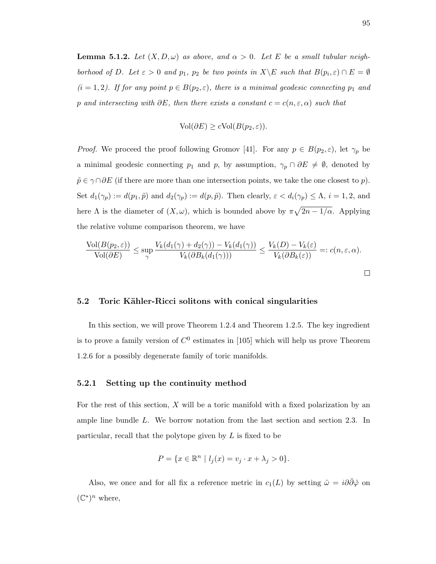**Lemma 5.1.2.** Let  $(X, D, \omega)$  as above, and  $\alpha > 0$ . Let E be a small tubular neighborhood of D. Let  $\varepsilon > 0$  and  $p_1$ ,  $p_2$  be two points in  $X \backslash E$  such that  $B(p_i, \varepsilon) \cap E = \emptyset$  $(i = 1, 2)$ . If for any point  $p \in B(p_2, \varepsilon)$ , there is a minimal geodesic connecting  $p_1$  and p and intersecting with  $\partial E$ , then there exists a constant  $c = c(n, \varepsilon, \alpha)$  such that

$$
Vol(\partial E) \ge c Vol(B(p_2, \varepsilon)).
$$

*Proof.* We proceed the proof following Gromov [41]. For any  $p \in B(p_2, \varepsilon)$ , let  $\gamma_p$  be a minimal geodesic connecting  $p_1$  and  $p$ , by assumption,  $\gamma_p \cap \partial E \neq \emptyset$ , denoted by  $\tilde{p} \in \gamma \cap \partial E$  (if there are more than one intersection points, we take the one closest to p). Set  $d_1(\gamma_p) := d(p_1, \tilde{p})$  and  $d_2(\gamma_p) := d(p, \tilde{p})$ . Then clearly,  $\varepsilon < d_i(\gamma_p) \leq \Lambda$ ,  $i = 1, 2$ , and here  $\Lambda$  is the diameter of  $(X, \omega)$ , which is bounded above by  $\pi \sqrt{2n-1/\alpha}$ . Applying the relative volume comparison theorem, we have

$$
\frac{\text{Vol}(B(p_2,\varepsilon))}{\text{Vol}(\partial E)} \le \sup_{\gamma} \frac{V_k(d_1(\gamma) + d_2(\gamma)) - V_k(d_1(\gamma))}{V_k(\partial B_k(d_1(\gamma)))} \le \frac{V_k(D) - V_k(\varepsilon)}{V_k(\partial B_k(\varepsilon))} =: c(n,\varepsilon,\alpha).
$$

## 5.2 Toric Kähler-Ricci solitons with conical singularities

In this section, we will prove Theorem 1.2.4 and Theorem 1.2.5. The key ingredient is to prove a family version of  $C^0$  estimates in [105] which will help us prove Theorem 1.2.6 for a possibly degenerate family of toric manifolds.

### 5.2.1 Setting up the continuity method

For the rest of this section,  $X$  will be a toric manifold with a fixed polarization by an ample line bundle L. We borrow notation from the last section and section 2.3. In particular, recall that the polytope given by L is fixed to be

$$
P = \{ x \in \mathbb{R}^n \mid l_j(x) = v_j \cdot x + \lambda_j > 0 \}.
$$

Also, we once and for all fix a reference metric in  $c_1(L)$  by setting  $\hat{\omega} = i\partial\partial\hat{\varphi}$  on  $(\mathbb{C}^*)^n$  where,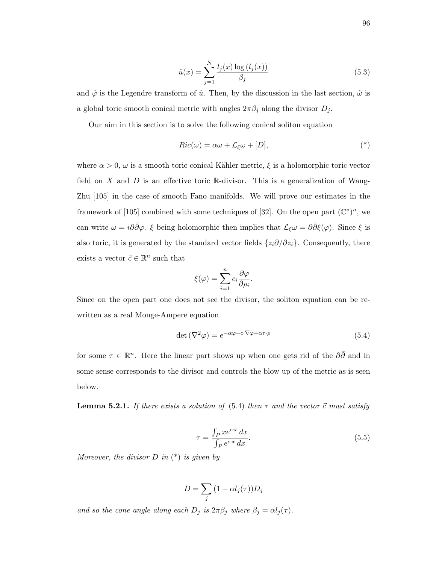$$
\hat{u}(x) = \sum_{j=1}^{N} \frac{l_j(x) \log(l_j(x))}{\beta_j} \tag{5.3}
$$

and  $\hat{\varphi}$  is the Legendre transform of  $\hat{u}$ . Then, by the discussion in the last section,  $\hat{\omega}$  is a global toric smooth conical metric with angles  $2\pi\beta_j$  along the divisor  $D_j$ .

Our aim in this section is to solve the following conical soliton equation

$$
Ric(\omega) = \alpha\omega + \mathcal{L}_{\xi}\omega + [D],
$$
\n<sup>(\*)</sup>

where  $\alpha > 0$ ,  $\omega$  is a smooth toric conical Kähler metric,  $\xi$  is a holomorphic toric vector field on  $X$  and  $D$  is an effective toric R-divisor. This is a generalization of Wang-Zhu [105] in the case of smooth Fano manifolds. We will prove our estimates in the framework of [105] combined with some techniques of [32]. On the open part  $(\mathbb{C}^*)^n$ , we can write  $\omega = i\partial\bar{\partial}\varphi$ . ξ being holomorphic then implies that  $\mathcal{L}_{\xi}\omega = \partial\bar{\partial}\xi(\varphi)$ . Since  $\xi$  is also toric, it is generated by the standard vector fields  $\{z_i\partial/\partial z_i\}$ . Consequently, there exists a vector  $\vec{c} \in \mathbb{R}^n$  such that

$$
\xi(\varphi) = \sum_{i=1}^{n} c_i \frac{\partial \varphi}{\partial \rho_i}.
$$

Since on the open part one does not see the divisor, the soliton equation can be rewritten as a real Monge-Ampere equation

$$
\det(\nabla^2 \varphi) = e^{-\alpha \varphi - c \cdot \nabla \varphi + \alpha \tau \cdot \rho} \tag{5.4}
$$

for some  $\tau \in \mathbb{R}^n$ . Here the linear part shows up when one gets rid of the  $\partial\bar{\partial}$  and in some sense corresponds to the divisor and controls the blow up of the metric as is seen below.

**Lemma 5.2.1.** If there exists a solution of (5.4) then  $\tau$  and the vector  $\vec{c}$  must satisfy

$$
\tau = \frac{\int_{P} x e^{cx} dx}{\int_{P} e^{cx} dx}.
$$
\n(5.5)

Moreover, the divisor  $D$  in  $(*)$  is given by

$$
D = \sum_j (1 - \alpha l_j(\tau)) D_j
$$

and so the cone angle along each  $D_j$  is  $2\pi\beta_j$  where  $\beta_j = \alpha l_j(\tau)$ .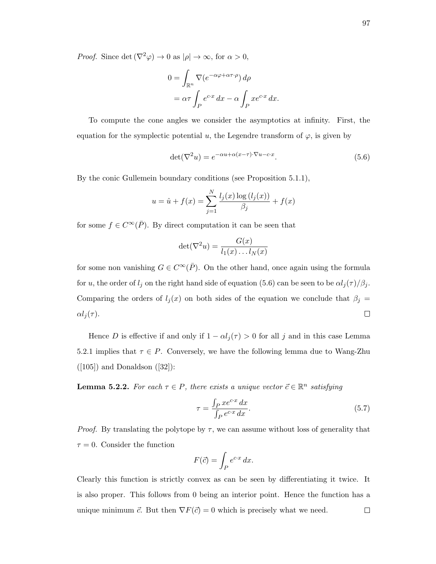*Proof.* Since det  $(\nabla^2 \varphi) \to 0$  as  $|\rho| \to \infty$ , for  $\alpha > 0$ ,

$$
0 = \int_{\mathbb{R}^n} \nabla (e^{-\alpha \varphi + \alpha \tau \cdot \rho}) d\rho
$$
  
=  $\alpha \tau \int_P e^{cx} dx - \alpha \int_P x e^{cx} dx.$ 

To compute the cone angles we consider the asymptotics at infinity. First, the equation for the symplectic potential u, the Legendre transform of  $\varphi$ , is given by

$$
\det(\nabla^2 u) = e^{-\alpha u + \alpha(x-\tau)\cdot \nabla u - c \cdot x}.\tag{5.6}
$$

By the conic Gullemein boundary conditions (see Proposition 5.1.1),

$$
u = \hat{u} + f(x) = \sum_{j=1}^{N} \frac{l_j(x) \log (l_j(x))}{\beta_j} + f(x)
$$

for some  $f \in C^{\infty}(\overline{P})$ . By direct computation it can be seen that

$$
\det(\nabla^2 u) = \frac{G(x)}{l_1(x) \dots l_N(x)}
$$

for some non vanishing  $G \in C^{\infty}(\overline{P})$ . On the other hand, once again using the formula for u, the order of  $l_j$  on the right hand side of equation (5.6) can be seen to be  $\alpha l_j(\tau)/\beta_j$ . Comparing the orders of  $l_j(x)$  on both sides of the equation we conclude that  $\beta_j =$  $\alpha l_i(\tau)$ .  $\Box$ 

Hence D is effective if and only if  $1 - \alpha l_j(\tau) > 0$  for all j and in this case Lemma 5.2.1 implies that  $\tau \in P$ . Conversely, we have the following lemma due to Wang-Zhu  $([105])$  and Donaldson  $([32])$ :

**Lemma 5.2.2.** For each  $\tau \in P$ , there exists a unique vector  $\vec{c} \in \mathbb{R}^n$  satisfying

$$
\tau = \frac{\int_P x e^{cx} dx}{\int_P e^{cx} dx}.
$$
\n(5.7)

*Proof.* By translating the polytope by  $\tau$ , we can assume without loss of generality that  $\tau = 0$ . Consider the function

$$
F(\vec{c}) = \int_P e^{cx} dx.
$$

Clearly this function is strictly convex as can be seen by differentiating it twice. It is also proper. This follows from 0 being an interior point. Hence the function has a unique minimum  $\vec{c}$ . But then  $\nabla F(\vec{c}) = 0$  which is precisely what we need.  $\Box$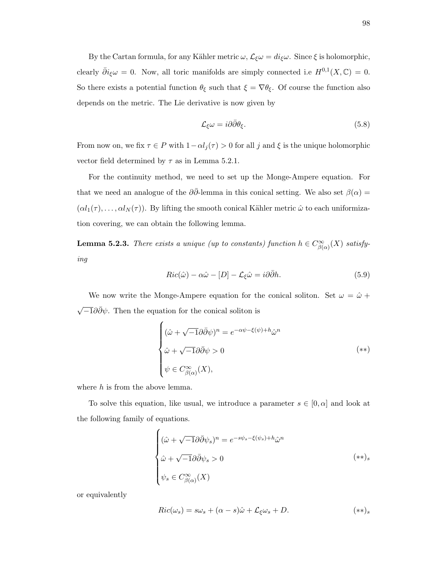By the Cartan formula, for any Kähler metric  $\omega$ ,  $\mathcal{L}_{\xi}\omega = di_{\xi}\omega$ . Since  $\xi$  is holomorphic, clearly  $\bar{\partial} i_{\xi}\omega = 0$ . Now, all toric manifolds are simply connected i.e  $H^{0,1}(X,\mathbb{C}) = 0$ . So there exists a potential function  $\theta_{\xi}$  such that  $\xi = \nabla \theta_{\xi}$ . Of course the function also depends on the metric. The Lie derivative is now given by

$$
\mathcal{L}_{\xi}\omega = i\partial\bar{\partial}\theta_{\xi}.\tag{5.8}
$$

From now on, we fix  $\tau \in P$  with  $1-\alpha l_j(\tau) > 0$  for all j and  $\xi$  is the unique holomorphic vector field determined by  $\tau$  as in Lemma 5.2.1.

For the continuity method, we need to set up the Monge-Ampere equation. For that we need an analogue of the  $\partial \bar{\partial}$ -lemma in this conical setting. We also set  $\beta(\alpha)$  =  $(\alpha l_1(\tau), \ldots, \alpha l_N(\tau))$ . By lifting the smooth conical Kähler metric  $\hat{\omega}$  to each uniformization covering, we can obtain the following lemma.

**Lemma 5.2.3.** There exists a unique (up to constants) function  $h \in C^{\infty}_{\beta(\alpha)}(X)$  satisfying

$$
Ric(\hat{\omega}) - \alpha \hat{\omega} - [D] - \mathcal{L}_{\xi} \hat{\omega} = i \partial \bar{\partial} h.
$$
\n(5.9)

We now write the Monge-Ampere equation for the conical soliton. Set  $\omega = \hat{\omega} +$  $\sqrt{-1}\partial\bar{\partial}\psi$ . Then the equation for the conical soliton is

$$
\begin{cases}\n(\hat{\omega} + \sqrt{-1}\partial\bar{\partial}\psi)^n = e^{-\alpha\psi - \xi(\psi) + h}\hat{\omega}^n \\
\hat{\omega} + \sqrt{-1}\partial\bar{\partial}\psi > 0 \\
\psi \in C_{\beta(\alpha)}^{\infty}(X),\n\end{cases} \tag{**}
$$

where  $h$  is from the above lemma.

To solve this equation, like usual, we introduce a parameter  $s \in [0, \alpha]$  and look at the following family of equations.

$$
\begin{cases}\n(\hat{\omega} + \sqrt{-1}\partial\bar{\partial}\psi_s)^n = e^{-s\psi_s - \xi(\psi_s) + h}\hat{\omega}^n \\
\hat{\omega} + \sqrt{-1}\partial\bar{\partial}\psi_s > 0 \\
\psi_s \in C_{\beta(\alpha)}^{\infty}(X)\n\end{cases} \tag{**}_s
$$

or equivalently

$$
Ric(\omega_s) = s\omega_s + (\alpha - s)\hat{\omega} + \mathcal{L}_{\xi}\omega_s + D. \tag{**}_s
$$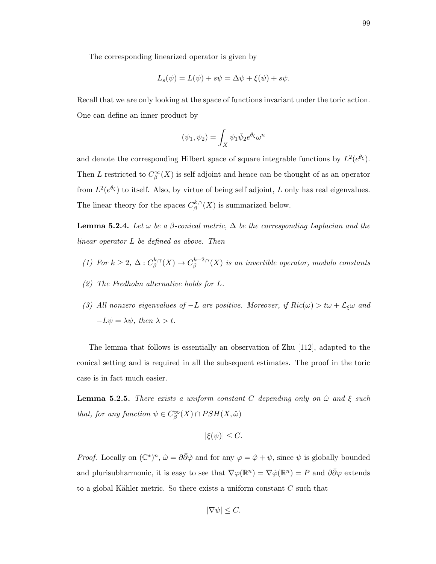The corresponding linearized operator is given by

$$
L_s(\psi) = L(\psi) + s\psi = \Delta\psi + \xi(\psi) + s\psi.
$$

Recall that we are only looking at the space of functions invariant under the toric action. One can define an inner product by

$$
(\psi_1, \psi_2) = \int_X \psi_1 \bar{\psi}_2 e^{\theta_\xi} \omega^n
$$

and denote the corresponding Hilbert space of square integrable functions by  $L^2(e^{\theta_{\xi}})$ . Then L restricted to  $C^{\infty}_{\beta}(X)$  is self adjoint and hence can be thought of as an operator from  $L^2(e^{\theta_{\xi}})$  to itself. Also, by virtue of being self adjoint, L only has real eigenvalues. The linear theory for the spaces  $C^{k,\gamma}_{\beta}$  $\int_{\beta}^{\kappa,\gamma}(X)$  is summarized below.

**Lemma 5.2.4.** Let  $\omega$  be a  $\beta$ -conical metric,  $\Delta$  be the corresponding Laplacian and the linear operator L be defined as above. Then

- (1) For  $k \geq 2$ ,  $\Delta: C^{k,\gamma}_{\beta}$  $\iota_{\beta}^{k,\gamma}(X) \to C_{\beta}^{k-2,\gamma}$  $\int_{\beta}^{k-2,\gamma}(X)$  is an invertible operator, modulo constants
- (2) The Fredholm alternative holds for L.
- (3) All nonzero eigenvalues of  $-L$  are positive. Moreover, if  $Ric(\omega) > t\omega + \mathcal{L}_{\xi}\omega$  and  $-L\psi = \lambda \psi$ , then  $\lambda > t$ .

The lemma that follows is essentially an observation of Zhu [112], adapted to the conical setting and is required in all the subsequent estimates. The proof in the toric case is in fact much easier.

**Lemma 5.2.5.** There exists a uniform constant C depending only on  $\hat{\omega}$  and  $\xi$  such that, for any function  $\psi \in C^{\infty}_{\beta}(X) \cap PSH(X, \hat{\omega})$ 

$$
|\xi(\psi)| \leq C.
$$

*Proof.* Locally on  $(\mathbb{C}^*)^n$ ,  $\hat{\omega} = \partial \bar{\partial} \hat{\varphi}$  and for any  $\varphi = \hat{\varphi} + \psi$ , since  $\psi$  is globally bounded and plurisubharmonic, it is easy to see that  $\nabla \varphi(\mathbb{R}^n) = \nabla \hat{\varphi}(\mathbb{R}^n) = P$  and  $\partial \bar{\partial} \varphi$  extends to a global Kähler metric. So there exists a uniform constant  $C$  such that

$$
|\nabla \psi| \le C.
$$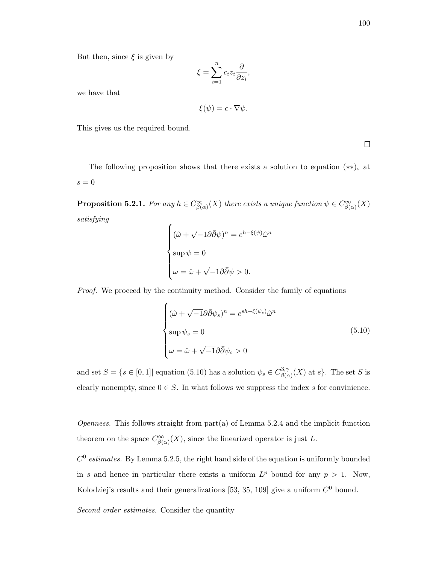But then, since  $\xi$  is given by

$$
\xi = \sum_{i=1}^{n} c_i z_i \frac{\partial}{\partial z_i},
$$

we have that

$$
\xi(\psi) = c \cdot \nabla \psi.
$$

This gives us the required bound.

 $\Box$ 

The following proposition shows that there exists a solution to equation  $(**)$ <sub>s</sub> at  $s = 0$ 

**Proposition 5.2.1.** For any  $h \in C^{\infty}_{\beta(\alpha)}(X)$  there exists a unique function  $\psi \in C^{\infty}_{\beta(\alpha)}(X)$ satisfying

$$
\begin{cases} (\hat{\omega} + \sqrt{-1}\partial\bar{\partial}\psi)^n = e^{h-\xi(\psi)}\hat{\omega}^n \\ \sup \psi = 0 \\ \omega = \hat{\omega} + \sqrt{-1}\partial\bar{\partial}\psi > 0. \end{cases}
$$

Proof. We proceed by the continuity method. Consider the family of equations

$$
\begin{cases}\n(\hat{\omega} + \sqrt{-1}\partial\bar{\partial}\psi_s)^n = e^{sh - \xi(\psi_s)}\hat{\omega}^n \\
\sup \psi_s = 0 \\
\omega = \hat{\omega} + \sqrt{-1}\partial\bar{\partial}\psi_s > 0\n\end{cases}
$$
\n(5.10)

and set  $S = \{s \in [0, 1] \mid \text{equation (5.10) has a solution } \psi_s \in C_{\beta G}^{3, \gamma}$  $\beta_{\beta(\alpha)}^{(3,\gamma)}(X)$  at s. The set S is clearly nonempty, since  $0 \in S$ . In what follows we suppress the index s for convinience.

*Openness.* This follows straight from part(a) of Lemma 5.2.4 and the implicit function theorem on the space  $C^{\infty}_{\beta(\alpha)}(X)$ , since the linearized operator is just L.

 $C<sup>0</sup>$  estimates. By Lemma 5.2.5, the right hand side of the equation is uniformly bounded in s and hence in particular there exists a uniform  $L^p$  bound for any  $p > 1$ . Now, Kolodziej's results and their generalizations [53, 35, 109] give a uniform  $C^0$  bound.

Second order estimates. Consider the quantity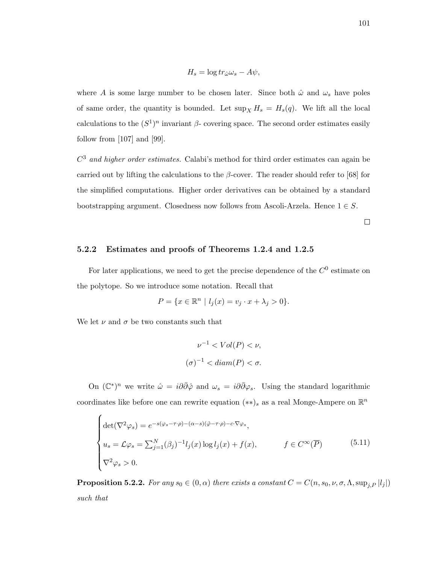$$
H_s = \log tr_{\hat{\omega}} \omega_s - A \psi,
$$

where A is some large number to be chosen later. Since both  $\hat{\omega}$  and  $\omega_s$  have poles of same order, the quantity is bounded. Let  $\sup_X H_s = H_s(q)$ . We lift all the local calculations to the  $(S^1)^n$  invariant  $\beta$ - covering space. The second order estimates easily follow from [107] and [99].

 $C<sup>3</sup>$  and higher order estimates. Calabi's method for third order estimates can again be carried out by lifting the calculations to the  $\beta$ -cover. The reader should refer to [68] for the simplified computations. Higher order derivatives can be obtained by a standard bootstrapping argument. Closedness now follows from Ascoli-Arzela. Hence  $1 \in S$ .

 $\Box$ 

#### 5.2.2 Estimates and proofs of Theorems 1.2.4 and 1.2.5

For later applications, we need to get the precise dependence of the  $C^0$  estimate on the polytope. So we introduce some notation. Recall that

$$
P = \{ x \in \mathbb{R}^n \mid l_j(x) = v_j \cdot x + \lambda_j > 0 \}.
$$

We let  $\nu$  and  $\sigma$  be two constants such that

$$
\nu^{-1} < Vol(P) < \nu,
$$
\n
$$
(\sigma)^{-1} < diam(P) < \sigma.
$$

On  $(\mathbb{C}^*)^n$  we write  $\hat{\omega} = i\partial\bar{\partial}\hat{\varphi}$  and  $\omega_s = i\partial\bar{\partial}\varphi_s$ . Using the standard logarithmic coordinates like before one can rewrite equation  $(**)$ <sub>s</sub> as a real Monge-Ampere on  $\mathbb{R}^n$ 

$$
\begin{cases}\n\det(\nabla^2 \varphi_s) = e^{-s(\varphi_s - \tau \cdot \rho) - (\alpha - s)(\hat{\varphi} - \tau \cdot \rho) - c \cdot \nabla \varphi_s}, \\
u_s = \mathcal{L} \varphi_s = \sum_{j=1}^N (\beta_j)^{-1} l_j(x) \log l_j(x) + f(x), \qquad f \in C^\infty(\overline{P}) \\
\nabla^2 \varphi_s > 0.\n\end{cases} (5.11)
$$

**Proposition 5.2.2.** For any  $s_0 \in (0, \alpha)$  there exists a constant  $C = C(n, s_0, \nu, \sigma, \Lambda, \sup_{i \in I} |l_j|)$ such that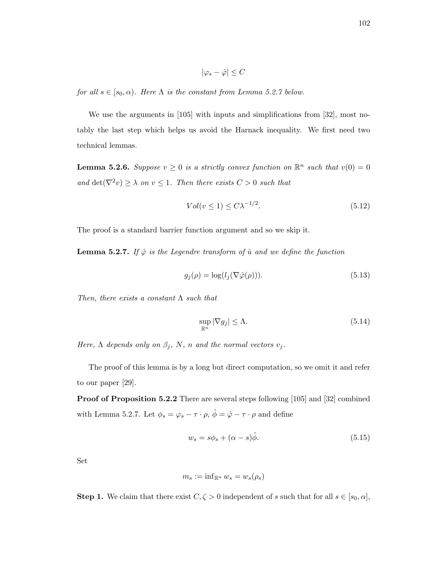$$
|\varphi_s - \hat{\varphi}| \leq C
$$

for all  $s \in [s_0, \alpha)$ . Here  $\Lambda$  is the constant from Lemma 5.2.7 below.

We use the arguments in [105] with inputs and simplifications from [32], most notably the last step which helps us avoid the Harnack inequality. We first need two technical lemmas.

**Lemma 5.2.6.** Suppose  $v \geq 0$  is a strictly convex function on  $\mathbb{R}^n$  such that  $v(0) = 0$ and  $\det(\nabla^2 v) \geq \lambda$  on  $v \leq 1$ . Then there exists  $C > 0$  such that

$$
Vol(v \le 1) \le C\lambda^{-1/2}.\tag{5.12}
$$

The proof is a standard barrier function argument and so we skip it.

**Lemma 5.2.7.** If  $\hat{\varphi}$  is the Legendre transform of  $\hat{u}$  and we define the function

$$
g_j(\rho) = \log(l_j(\nabla \hat{\varphi}(\rho))). \tag{5.13}
$$

Then, there exists a constant  $\Lambda$  such that

$$
\sup_{\mathbb{R}^n} |\nabla g_j| \le \Lambda. \tag{5.14}
$$

Here,  $\Lambda$  depends only on  $\beta_j$ , N, n and the normal vectors  $v_j$ .

The proof of this lemma is by a long but direct computation, so we omit it and refer to our paper [29].

Proof of Proposition 5.2.2 There are several steps following [105] and [32] combined with Lemma 5.2.7. Let  $\phi_s = \varphi_s - \tau \cdot \rho$ ,  $\hat{\phi} = \hat{\varphi} - \tau \cdot \rho$  and define

$$
w_s = s\phi_s + (\alpha - s)\hat{\phi}.\tag{5.15}
$$

Set

$$
m_s:=\inf\nolimits_{\mathbb{R}^n}w_s=w_s(\rho_s)
$$

**Step 1.** We claim that there exist  $C, \zeta > 0$  independent of s such that for all  $s \in [s_0, \alpha]$ ,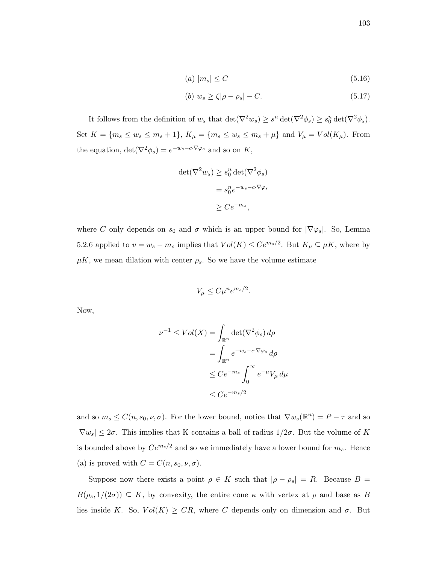$$
(a) |m_s| \le C \tag{5.16}
$$

$$
(b) \ w_s \ge \zeta |\rho - \rho_s| - C. \tag{5.17}
$$

It follows from the definition of  $w_s$  that  $\det(\nabla^2 w_s) \geq s^n \det(\nabla^2 \phi_s) \geq s_0^n \det(\nabla^2 \phi_s)$ . Set  $K = \{m_s \le w_s \le m_s + 1\}, K_\mu = \{m_s \le w_s \le m_s + \mu\}$  and  $V_\mu = Vol(K_\mu)$ . From the equation,  $\det(\nabla^2 \phi_s) = e^{-w_s - c \cdot \nabla \varphi_s}$  and so on K,

$$
det(\nabla^2 w_s) \ge s_0^n det(\nabla^2 \phi_s)
$$
  
=  $s_0^n e^{-w_s - c \cdot \nabla \phi_s}$   

$$
\ge C e^{-m_s},
$$

where C only depends on  $s_0$  and  $\sigma$  which is an upper bound for  $|\nabla \varphi_s|$ . So, Lemma 5.2.6 applied to  $v = w_s - m_s$  implies that  $Vol(K) \leq Ce^{m_s/2}$ . But  $K_\mu \subseteq \mu K$ , where by  $\mu$ K, we mean dilation with center  $\rho_s$ . So we have the volume estimate

$$
V_{\mu} \leq C\mu^{n}e^{m_{s}/2}.
$$

Now,

$$
\nu^{-1} \le Vol(X) = \int_{\mathbb{R}^n} \det(\nabla^2 \phi_s) d\rho
$$

$$
= \int_{\mathbb{R}^n} e^{-w_s - c \cdot \nabla \varphi_s} d\rho
$$

$$
\le Ce^{-m_s} \int_0^\infty e^{-\mu} V_\mu d\mu
$$

$$
\le Ce^{-m_s/2}
$$

and so  $m_s \leq C(n, s_0, \nu, \sigma)$ . For the lower bound, notice that  $\nabla w_s(\mathbb{R}^n) = P - \tau$  and so  $|\nabla w_s| \leq 2\sigma$ . This implies that K contains a ball of radius  $1/2\sigma$ . But the volume of K is bounded above by  $Ce^{m_s/2}$  and so we immediately have a lower bound for  $m_s$ . Hence (a) is proved with  $C = C(n, s_0, \nu, \sigma)$ .

Suppose now there exists a point  $\rho \in K$  such that  $|\rho - \rho_s| = R$ . Because  $B =$  $B(\rho_s, 1/(2\sigma)) \subseteq K$ , by convexity, the entire cone  $\kappa$  with vertex at  $\rho$  and base as B lies inside K. So,  $Vol(K) \geq CR$ , where C depends only on dimension and  $\sigma$ . But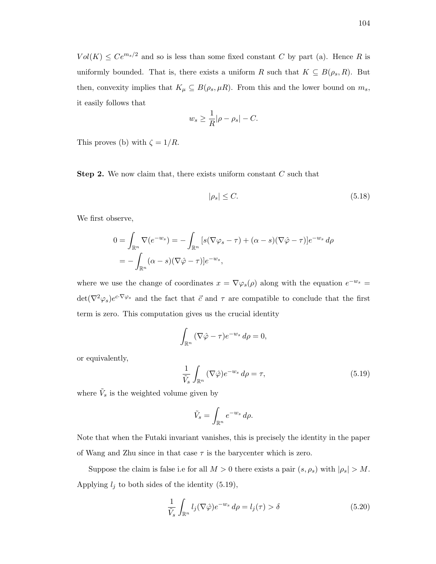$Vol(K) \leq Ce^{m_s/2}$  and so is less than some fixed constant C by part (a). Hence R is uniformly bounded. That is, there exists a uniform R such that  $K \subseteq B(\rho_s, R)$ . But then, convexity implies that  $K_{\mu} \subseteq B(\rho_s, \mu R)$ . From this and the lower bound on  $m_s$ , it easily follows that

$$
w_s \ge \frac{1}{R} |\rho - \rho_s| - C.
$$

This proves (b) with  $\zeta = 1/R$ .

**Step 2.** We now claim that, there exists uniform constant  $C$  such that

$$
|\rho_s| \le C. \tag{5.18}
$$

We first observe,

$$
0 = \int_{\mathbb{R}^n} \nabla(e^{-w_s}) = -\int_{\mathbb{R}^n} \left[ s(\nabla \varphi_s - \tau) + (\alpha - s)(\nabla \hat{\varphi} - \tau) \right] e^{-w_s} d\rho
$$
  
= 
$$
-\int_{\mathbb{R}^n} (\alpha - s)(\nabla \hat{\varphi} - \tau) e^{-w_s},
$$

where we use the change of coordinates  $x = \nabla \varphi_s(\rho)$  along with the equation  $e^{-w_s}$  $\det(\nabla^2 \varphi_s)e^{c\cdot\nabla \varphi_s}$  and the fact that  $\vec{c}$  and  $\tau$  are compatible to conclude that the first term is zero. This computation gives us the crucial identity

$$
\int_{\mathbb{R}^n} (\nabla \hat{\varphi} - \tau) e^{-w_s} d\rho = 0,
$$

or equivalently,

$$
\frac{1}{\tilde{V}_s} \int_{\mathbb{R}^n} (\nabla \hat{\varphi}) e^{-w_s} d\rho = \tau,
$$
\n(5.19)

where  $\tilde{V}_s$  is the weighted volume given by

$$
\tilde{V}_s = \int_{\mathbb{R}^n} e^{-w_s} d\rho.
$$

Note that when the Futaki invariant vanishes, this is precisely the identity in the paper of Wang and Zhu since in that case  $\tau$  is the barycenter which is zero.

Suppose the claim is false i.e for all  $M > 0$  there exists a pair  $(s, \rho_s)$  with  $|\rho_s| > M$ . Applying  $l_j$  to both sides of the identity (5.19),

$$
\frac{1}{\tilde{V}_s} \int_{\mathbb{R}^n} l_j(\nabla \hat{\varphi}) e^{-w_s} d\rho = l_j(\tau) > \delta
$$
\n(5.20)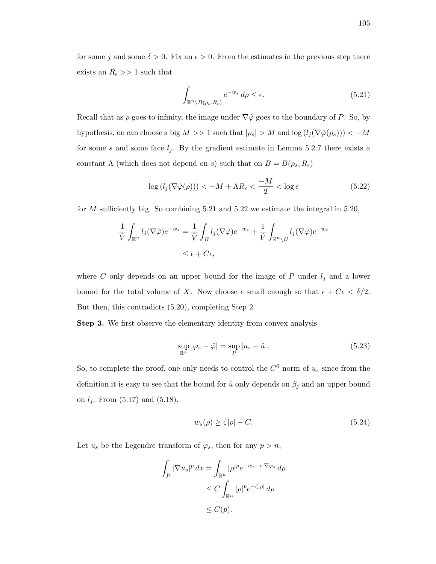for some j and some  $\delta > 0$ . Fix an  $\epsilon > 0$ . From the estimates in the previous step there exists an  $R_{\epsilon} >> 1$  such that

$$
\int_{\mathbb{R}^n \setminus B(\rho_s, R_\epsilon)} e^{-w_s} \, d\rho \le \epsilon. \tag{5.21}
$$

Recall that as  $\rho$  goes to infinity, the image under  $\nabla \hat{\varphi}$  goes to the boundary of P. So, by hypothesis, on can choose a big  $M >> 1$  such that  $|\rho_s| > M$  and  $\log (l_j(\nabla \hat{\varphi}(\rho_s))) < -M$ for some s and some face  $l_j$ . By the gradient estimate in Lemma 5.2.7 there exists a constant  $\Lambda$  (which does not depend on s) such that on  $B = B(\rho_s, R_{\epsilon})$ 

$$
\log\left(l_j(\nabla\hat{\varphi}(\rho))\right) < -M + \Lambda R_{\epsilon} < \frac{-M}{2} < \log\epsilon \tag{5.22}
$$

for  $M$  sufficiently big. So combining 5.21 and 5.22 we estimate the integral in 5.20,

$$
\frac{1}{\tilde{V}} \int_{\mathbb{R}^n} l_j(\nabla \hat{\varphi}) e^{-w_s} = \frac{1}{\tilde{V}} \int_B l_j(\nabla \hat{\varphi}) e^{-w_s} + \frac{1}{\tilde{V}} \int_{\mathbb{R}^n \setminus B} l_j(\nabla \hat{\varphi}) e^{-w_s}
$$
  

$$
\leq \epsilon + C\epsilon,
$$

where  $C$  only depends on an upper bound for the image of  $P$  under  $l_j$  and a lower bound for the total volume of X. Now choose  $\epsilon$  small enough so that  $\epsilon + C\epsilon < \delta/2$ . But then, this contradicts (5.20), completing Step 2.

Step 3. We first observe the elementary identity from convex analysis

$$
\sup_{\mathbb{R}^n} |\varphi_s - \hat{\varphi}| = \sup_P |u_s - \hat{u}|.
$$
\n(5.23)

So, to complete the proof, one only needs to control the  $C^0$  norm of  $u_s$  since from the definition it is easy to see that the bound for  $\hat{u}$  only depends on  $\beta_j$  and an upper bound on  $l_j$ . From  $(5.17)$  and  $(5.18)$ ,

$$
w_s(\rho) \ge \zeta |\rho| - C. \tag{5.24}
$$

Let  $u_s$  be the Legendre transform of  $\varphi_s$ , then for any  $p > n$ ,

$$
\int_P |\nabla u_s|^p dx = \int_{\mathbb{R}^n} |\rho|^p e^{-w_s - c \cdot \nabla \varphi_s} d\rho
$$
  
\n
$$
\leq C \int_{\mathbb{R}^n} |\rho|^p e^{-\zeta |\rho|} d\rho
$$
  
\n
$$
\leq C(p).
$$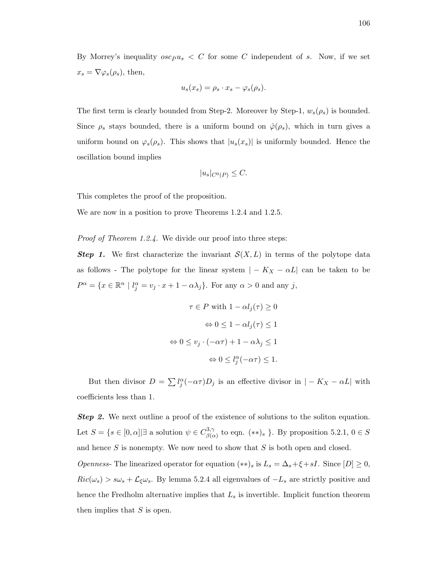By Morrey's inequality  $osc_{\bar{P}}u_s < C$  for some C independent of s. Now, if we set  $x_s = \nabla \varphi_s(\rho_s)$ , then,

$$
u_s(x_s) = \rho_s \cdot x_s - \varphi_s(\rho_s).
$$

The first term is clearly bounded from Step-2. Moreover by Step-1,  $w_s(\rho_s)$  is bounded. Since  $\rho_s$  stays bounded, there is a uniform bound on  $\hat{\varphi}(\rho_s)$ , which in turn gives a uniform bound on  $\varphi_s(\rho_s)$ . This shows that  $|u_s(x_s)|$  is uniformly bounded. Hence the oscillation bound implies

$$
|u_s|_{C^0(P)} \leq C.
$$

This completes the proof of the proposition.

We are now in a position to prove Theorems 1.2.4 and 1.2.5.

Proof of Theorem 1.2.4. We divide our proof into three steps:

**Step 1.** We first characterize the invariant  $\mathcal{S}(X, L)$  in terms of the polytope data as follows - The polytope for the linear system  $|-K_X - \alpha L|$  can be taken to be  $P^{\alpha} = \{x \in \mathbb{R}^n \mid l_j^{\alpha} = v_j \cdot x + 1 - \alpha \lambda_j\}.$  For any  $\alpha > 0$  and any j,

$$
\tau \in P \text{ with } 1 - \alpha l_j(\tau) \ge 0
$$

$$
\Leftrightarrow 0 \le 1 - \alpha l_j(\tau) \le 1
$$

$$
\Leftrightarrow 0 \le v_j \cdot (-\alpha \tau) + 1 - \alpha \lambda_j \le 1
$$

$$
\Leftrightarrow 0 \le l_j^{\alpha}(-\alpha \tau) \le 1.
$$

But then divisor  $D = \sum l_j^{\alpha}(-\alpha \tau)D_j$  is an effective divisor in  $|-K_X - \alpha L|$  with coefficients less than 1.

**Step 2.** We next outline a proof of the existence of solutions to the soliton equation. Let  $S = \{s \in [0, \alpha] | \exists \text{ a solution } \psi \in C_{\beta G}^{3, \gamma}$  $\beta_{\beta(\alpha)}^{(3, \gamma)}$  to eqn.  $(**)_s$  }. By proposition 5.2.1,  $0 \in S$ and hence  $S$  is nonempty. We now need to show that  $S$  is both open and closed. *Openness*- The linearized operator for equation  $(**)_s$  is  $L_s = \Delta_s + \xi + sI$ . Since  $[D] \geq 0$ ,  $Ric(\omega_s) > s\omega_s + \mathcal{L}_\xi\omega_s$ . By lemma 5.2.4 all eigenvalues of  $-L_s$  are strictly positive and hence the Fredholm alternative implies that  $L_s$  is invertible. Implicit function theorem then implies that  $S$  is open.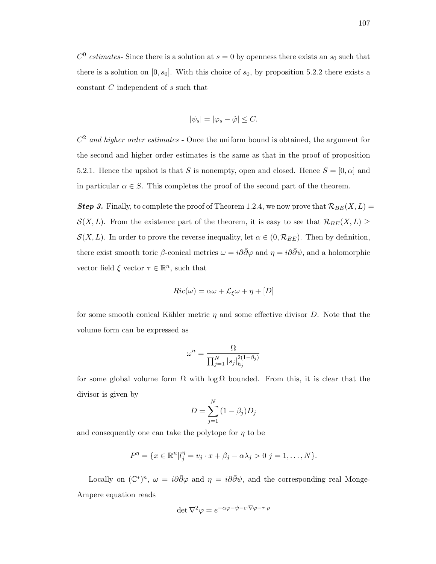$C^0$  estimates- Since there is a solution at  $s = 0$  by openness there exists an  $s_0$  such that there is a solution on  $[0, s_0]$ . With this choice of  $s_0$ , by proposition 5.2.2 there exists a constant C independent of s such that

$$
|\psi_s| = |\varphi_s - \hat{\varphi}| \leq C.
$$

 $C<sup>2</sup>$  and higher order estimates - Once the uniform bound is obtained, the argument for the second and higher order estimates is the same as that in the proof of proposition 5.2.1. Hence the upshot is that S is nonempty, open and closed. Hence  $S = [0, \alpha]$  and in particular  $\alpha \in S$ . This completes the proof of the second part of the theorem.

**Step 3.** Finally, to complete the proof of Theorem 1.2.4, we now prove that  $\mathcal{R}_{BE}(X, L) =$  $S(X, L)$ . From the existence part of the theorem, it is easy to see that  $\mathcal{R}_{BE}(X, L) \geq$  $\mathcal{S}(X, L)$ . In order to prove the reverse inequality, let  $\alpha \in (0, \mathcal{R}_{BE})$ . Then by definition, there exist smooth toric β-conical metrics  $\omega = i\partial\bar{\partial}\varphi$  and  $\eta = i\partial\bar{\partial}\psi$ , and a holomorphic vector field  $\xi$  vector  $\tau \in \mathbb{R}^n$ , such that

$$
Ric(\omega) = \alpha\omega + \mathcal{L}_{\xi}\omega + \eta + [D]
$$

for some smooth conical Kähler metric  $\eta$  and some effective divisor D. Note that the volume form can be expressed as

$$
\omega^n = \frac{\Omega}{\prod_{j=1}^N |s_j|_{h_j}^{2(1-\beta_j)}}
$$

for some global volume form  $\Omega$  with log  $\Omega$  bounded. From this, it is clear that the divisor is given by

$$
D = \sum_{j=1}^{N} (1 - \beta_j) D_j
$$

and consequently one can take the polytope for  $\eta$  to be

$$
P^{\eta} = \{ x \in \mathbb{R}^n | l_j^{\eta} = v_j \cdot x + \beta_j - \alpha \lambda_j > 0 \; j = 1, ..., N \}.
$$

Locally on  $(\mathbb{C}^*)^n$ ,  $\omega = i\partial\bar{\partial}\varphi$  and  $\eta = i\partial\bar{\partial}\psi$ , and the corresponding real Monge-Ampere equation reads

$$
\det \nabla^2 \varphi = e^{-\alpha \varphi - \psi - c \cdot \nabla \varphi - \tau \cdot \rho}
$$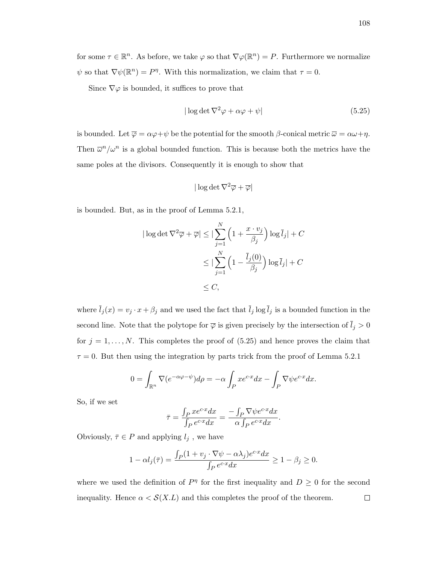for some  $\tau \in \mathbb{R}^n$ . As before, we take  $\varphi$  so that  $\nabla \varphi(\mathbb{R}^n) = P$ . Furthermore we normalize  $\psi$  so that  $\nabla \psi(\mathbb{R}^n) = P^{\eta}$ . With this normalization, we claim that  $\tau = 0$ .

Since  $\nabla\varphi$  is bounded, it suffices to prove that

$$
|\log \det \nabla^2 \varphi + \alpha \varphi + \psi| \tag{5.25}
$$

is bounded. Let  $\overline{\varphi} = \alpha \varphi + \psi$  be the potential for the smooth  $\beta$ -conical metric  $\overline{\omega} = \alpha \omega + \eta$ . Then  $\bar{\omega}^n/\omega^n$  is a global bounded function. This is because both the metrics have the same poles at the divisors. Consequently it is enough to show that

$$
|\log \det \nabla^2 \overline{\varphi} + \overline{\varphi}|
$$

is bounded. But, as in the proof of Lemma 5.2.1,

$$
|\log \det \nabla^2 \overline{\varphi} + \overline{\varphi}| \le |\sum_{j=1}^N \left(1 + \frac{x \cdot v_j}{\beta_j}\right) \log \overline{l}_j| + C
$$
  

$$
\le |\sum_{j=1}^N \left(1 - \frac{\overline{l}_j(0)}{\beta_j}\right) \log \overline{l}_j| + C
$$
  

$$
\le C,
$$

where  $\bar{l}_j(x) = v_j \cdot x + \beta_j$  and we used the fact that  $\bar{l}_j \log \bar{l}_j$  is a bounded function in the second line. Note that the polytope for  $\overline{\varphi}$  is given precisely by the intersection of  $\overline{l}_j > 0$ for  $j = 1, \ldots, N$ . This completes the proof of  $(5.25)$  and hence proves the claim that  $\tau = 0$ . But then using the integration by parts trick from the proof of Lemma 5.2.1

$$
0 = \int_{\mathbb{R}^n} \nabla (e^{-\alpha \varphi - \psi}) d\rho = -\alpha \int_P x e^{cx} dx - \int_P \nabla \psi e^{cx} dx.
$$

So, if we set

$$
\bar{\tau} = \frac{\int_P x e^{c \cdot x} dx}{\int_P e^{c \cdot x} dx} = \frac{-\int_P \nabla \psi e^{c \cdot x} dx}{\alpha \int_P e^{c \cdot x} dx}.
$$

Obviously,  $\bar{\tau}\in P$  and applying  $l_j$  , we have

$$
1 - \alpha l_j(\bar{\tau}) = \frac{\int_P (1 + v_j \cdot \nabla \psi - \alpha \lambda_j) e^{c \cdot x} dx}{\int_P e^{c \cdot x} dx} \ge 1 - \beta_j \ge 0.
$$

where we used the definition of  $P^{\eta}$  for the first inequality and  $D \geq 0$  for the second inequality. Hence  $\alpha < \mathcal{S}(X.L)$  and this completes the proof of the theorem.  $\Box$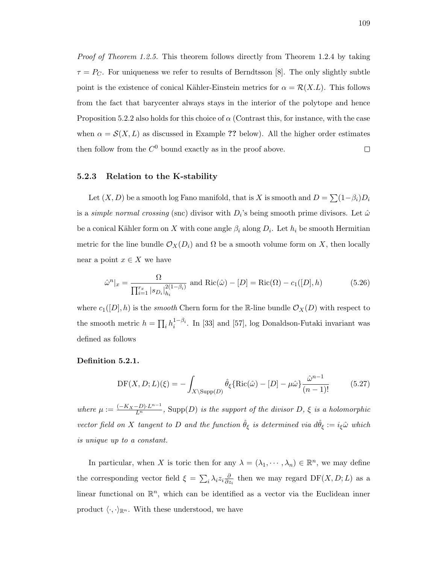Proof of Theorem 1.2.5. This theorem follows directly from Theorem 1.2.4 by taking  $\tau = P_C$ . For uniqueness we refer to results of Berndtsson [8]. The only slightly subtle point is the existence of conical Kähler-Einstein metrics for  $\alpha = \mathcal{R}(X.L)$ . This follows from the fact that barycenter always stays in the interior of the polytope and hence Proposition 5.2.2 also holds for this choice of  $\alpha$  (Contrast this, for instance, with the case when  $\alpha = \mathcal{S}(X, L)$  as discussed in Example ?? below). All the higher order estimates then follow from the  $C^0$  bound exactly as in the proof above.  $\Box$ 

#### 5.2.3 Relation to the K-stability

Let  $(X, D)$  be a smooth log Fano manifold, that is X is smooth and  $D = \sum (1 - \beta_i)D_i$ is a *simple normal crossing* (snc) divisor with  $D_i$ 's being smooth prime divisors. Let  $\hat{\omega}$ be a conical Kähler form on X with cone angle  $\beta_i$  along  $D_i$ . Let  $h_i$  be smooth Hermitian metric for the line bundle  $\mathcal{O}_X(D_i)$  and  $\Omega$  be a smooth volume form on X, then locally near a point  $x \in X$  we have

$$
\hat{\omega}^n|_x = \frac{\Omega}{\prod_{i=1}^{r_x} |s_{D_i}|_{h_i}^{2(1-\beta_i)}} \text{ and } Ric(\hat{\omega}) - [D] = Ric(\Omega) - c_1([D], h)
$$
(5.26)

where  $c_1([D], h)$  is the *smooth* Chern form for the R-line bundle  $\mathcal{O}_X(D)$  with respect to the smooth metric  $h = \prod_i h_i^{1-\beta_i}$ . In [33] and [57], log Donaldson-Futaki invariant was defined as follows

#### Definition 5.2.1.

$$
\text{DF}(X, D; L)(\xi) = -\int_{X \setminus \text{Supp}(D)} \hat{\theta}_{\xi} \{\text{Ric}(\hat{\omega}) - [D] - \mu \hat{\omega} \} \frac{\hat{\omega}^{n-1}}{(n-1)!} \tag{5.27}
$$

where  $\mu := \frac{(-K_X - D) \cdot L^{n-1}}{L^n}$ , Supp $(D)$  is the support of the divisor D,  $\xi$  is a holomorphic vector field on X tangent to D and the function  $\hat{\theta}_{\xi}$  is determined via  $d\hat{\theta}_{\xi} := i_{\xi}\hat{\omega}$  which is unique up to a constant.

In particular, when X is toric then for any  $\lambda = (\lambda_1, \dots, \lambda_n) \in \mathbb{R}^n$ , we may define the corresponding vector field  $\xi = \sum_i \lambda_i z_i \frac{\partial}{\partial z_i}$  $\frac{\partial}{\partial z_i}$  then we may regard DF(X, D; L) as a linear functional on  $\mathbb{R}^n$ , which can be identified as a vector via the Euclidean inner product  $\langle \cdot, \cdot \rangle_{\mathbb{R}^n}$ . With these understood, we have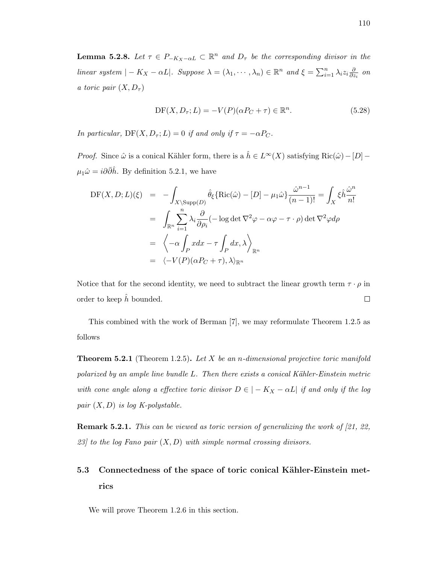**Lemma 5.2.8.** Let  $\tau \in P_{-K_X-\alpha L} \subset \mathbb{R}^n$  and  $D_{\tau}$  be the corresponding divisor in the linear system  $|-K_X - \alpha L|$ . Suppose  $\lambda = (\lambda_1, \dots, \lambda_n) \in \mathbb{R}^n$  and  $\xi = \sum_{i=1}^n \lambda_i z_i \frac{\partial}{\partial z_i}$  $\frac{\partial}{\partial z_i}$  on a toric pair  $(X, D<sub>\tau</sub>)$ 

$$
DF(X, D_{\tau}; L) = -V(P)(\alpha P_C + \tau) \in \mathbb{R}^n.
$$
\n(5.28)

In particular,  $DF(X, D_{\tau}; L) = 0$  if and only if  $\tau = -\alpha P_C$ .

*Proof.* Since  $\hat{\omega}$  is a conical Kähler form, there is a  $\hat{h} \in L^{\infty}(X)$  satisfying  $\text{Ric}(\hat{\omega}) - [D] \mu_1 \hat{\omega} = i \partial \bar{\partial} \hat{h}$ . By definition 5.2.1, we have

$$
DF(X, D; L)(\xi) = -\int_{X \setminus \text{Supp}(D)} \hat{\theta}_{\xi} \{\text{Ric}(\hat{\omega}) - [D] - \mu_1 \hat{\omega} \} \frac{\hat{\omega}^{n-1}}{(n-1)!} = \int_{X} \xi \hat{h} \frac{\hat{\omega}^{n}}{n!}
$$

$$
= \int_{\mathbb{R}^n} \sum_{i=1}^{n} \lambda_i \frac{\partial}{\partial \rho_i} (-\log \det \nabla^2 \varphi - \alpha \varphi - \tau \cdot \rho) \det \nabla^2 \varphi d\rho
$$

$$
= \left\langle -\alpha \int_{P} x dx - \tau \int_{P} dx, \lambda \right\rangle_{\mathbb{R}^n}
$$

$$
= \left\langle -V(P)(\alpha P_C + \tau), \lambda \right\rangle_{\mathbb{R}^n}
$$

Notice that for the second identity, we need to subtract the linear growth term  $\tau \cdot \rho$  in order to keep  $h$  bounded.  $\Box$ 

This combined with the work of Berman [7], we may reformulate Theorem 1.2.5 as follows

**Theorem 5.2.1** (Theorem 1.2.5). Let X be an n-dimensional projective toric manifold polarized by an ample line bundle  $L$ . Then there exists a conical Kähler-Einstein metric with cone angle along a effective toric divisor  $D \in |-K_X - \alpha L|$  if and only if the log pair  $(X, D)$  is log K-polystable.

**Remark 5.2.1.** This can be viewed as toric version of generalizing the work of [21, 22, 23] to the log Fano pair  $(X, D)$  with simple normal crossing divisors.

# 5.3 Connectedness of the space of toric conical Kähler-Einstein metrics

We will prove Theorem 1.2.6 in this section.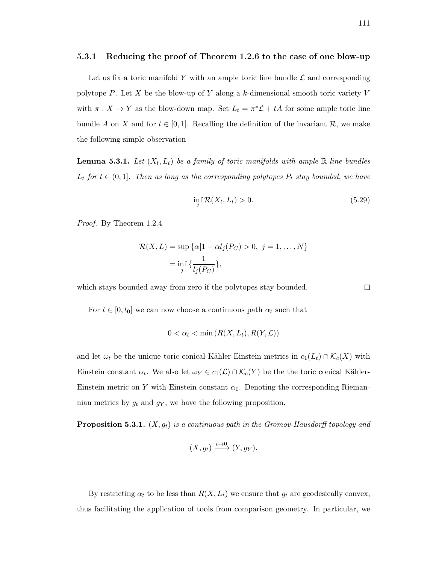#### 5.3.1 Reducing the proof of Theorem 1.2.6 to the case of one blow-up

Let us fix a toric manifold Y with an ample toric line bundle  $\mathcal L$  and corresponding polytope P. Let X be the blow-up of Y along a k-dimensional smooth toric variety V with  $\pi: X \to Y$  as the blow-down map. Set  $L_t = \pi^* \mathcal{L} + tA$  for some ample toric line bundle A on X and for  $t \in [0,1]$ . Recalling the definition of the invariant R, we make the following simple observation

**Lemma 5.3.1.** Let  $(X_t, L_t)$  be a family of toric manifolds with ample R-line bundles  $L_t$  for  $t \in (0,1]$ . Then as long as the corresponding polytopes  $P_t$  stay bounded, we have

$$
\inf_{t} \mathcal{R}(X_t, L_t) > 0. \tag{5.29}
$$

Proof. By Theorem 1.2.4

$$
\mathcal{R}(X, L) = \sup \{ \alpha | 1 - \alpha l_j(P_C) > 0, \ j = 1, \dots, N \}
$$
\n
$$
= \inf_j \{ \frac{1}{l_j(P_C)} \},
$$

which stays bounded away from zero if the polytopes stay bounded.

For  $t \in [0, t_0]$  we can now choose a continuous path  $\alpha_t$  such that

$$
0 < \alpha_t < \min\left(R(X, L_t), R(Y, \mathcal{L})\right)
$$

and let  $\omega_t$  be the unique toric conical Kähler-Einstein metrics in  $c_1(L_t) \cap \mathcal{K}_c(X)$  with Einstein constant  $\alpha_t$ . We also let  $\omega_Y \in c_1(\mathcal{L}) \cap \mathcal{K}_c(Y)$  be the the toric conical Kähler-Einstein metric on Y with Einstein constant  $\alpha_0$ . Denoting the corresponding Riemannian metrics by  $g_t$  and  $g_y$ , we have the following proposition.

**Proposition 5.3.1.**  $(X, g_t)$  is a continuous path in the Gromov-Hausdorff topology and

$$
(X, g_t) \xrightarrow{t \to 0} (Y, g_Y).
$$

By restricting  $\alpha_t$  to be less than  $R(X, L_t)$  we ensure that  $g_t$  are geodesically convex, thus facilitating the application of tools from comparison geometry. In particular, we

 $\Box$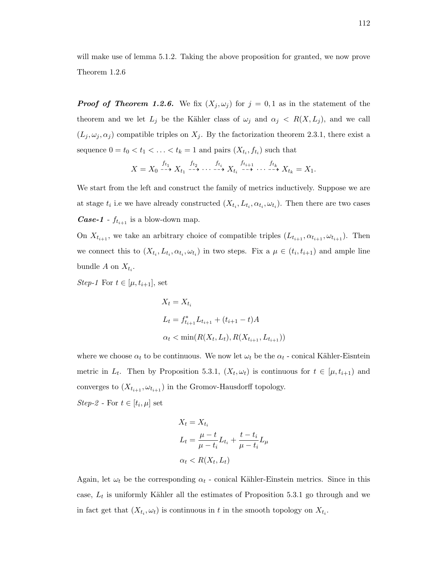will make use of lemma 5.1.2. Taking the above proposition for granted, we now prove Theorem 1.2.6

**Proof of Theorem 1.2.6.** We fix  $(X_j, \omega_j)$  for  $j = 0, 1$  as in the statement of the theorem and we let  $L_j$  be the Kähler class of  $\omega_j$  and  $\alpha_j \langle R(X, L_j), \rangle$  and we call  $(L_j, \omega_j, \alpha_j)$  compatible triples on  $X_j$ . By the factorization theorem 2.3.1, there exist a sequence  $0 = t_0 < t_1 < \ldots < t_k = 1$  and pairs  $(X_{t_i}, f_{t_i})$  such that

$$
X = X_0 \xrightarrow{f_{t_1}} X_{t_1} \xrightarrow{f_{t_2}} \cdots \xrightarrow{f_{t_i}} X_{t_i} \xrightarrow{f_{t_{i+1}}} \cdots \xrightarrow{f_{t_k}} X_{t_k} = X_1.
$$

We start from the left and construct the family of metrics inductively. Suppose we are at stage  $t_i$  i.e we have already constructed  $(X_{t_i}, L_{t_i}, \alpha_{t_i}, \omega_{t_i})$ . Then there are two cases **Case-1** -  $f_{t_{i+1}}$  is a blow-down map.

On  $X_{t_{i+1}}$ , we take an arbitrary choice of compatible triples  $(L_{t_{i+1}}, \alpha_{t_{i+1}}, \omega_{t_{i+1}})$ . Then we connect this to  $(X_{t_i}, L_{t_i}, \alpha_{t_i}, \omega_{t_i})$  in two steps. Fix a  $\mu \in (t_i, t_{i+1})$  and ample line bundle A on  $X_{t_i}$ .

*Step-1* For  $t \in [\mu, t_{i+1}]$ , set

$$
X_t = X_{t_i}
$$
  
\n
$$
L_t = f_{t_{i+1}}^* L_{t_{i+1}} + (t_{i+1} - t)A
$$
  
\n
$$
\alpha_t < \min(R(X_t, L_t), R(X_{t_{i+1}}, L_{t_{i+1}}))
$$

where we choose  $\alpha_t$  to be continuous. We now let  $\omega_t$  be the  $\alpha_t$  - conical Kähler-Eisntein metric in  $L_t$ . Then by Proposition 5.3.1,  $(X_t, \omega_t)$  is continuous for  $t \in [\mu, t_{i+1})$  and converges to  $(X_{t_{i+1}}, \omega_{t_{i+1}})$  in the Gromov-Hausdorff topology.

Step-2 - For  $t \in [t_i, \mu]$  set

$$
X_t = X_{t_i}
$$
  
\n
$$
L_t = \frac{\mu - t}{\mu - t_i} L_{t_i} + \frac{t - t_i}{\mu - t_i} L_{\mu}
$$
  
\n
$$
\alpha_t < R(X_t, L_t)
$$

Again, let  $\omega_t$  be the corresponding  $\alpha_t$  - conical Kähler-Einstein metrics. Since in this case,  $L_t$  is uniformly Kähler all the estimates of Proposition 5.3.1 go through and we in fact get that  $(X_{t_i}, \omega_t)$  is continuous in t in the smooth topology on  $X_{t_i}$ .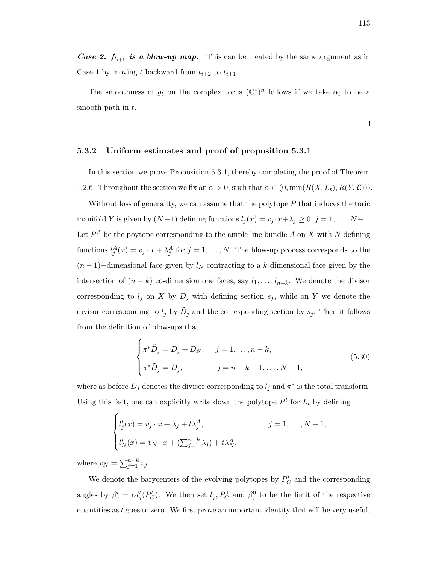The smoothness of  $g_t$  on the complex torus  $(\mathbb{C}^*)^n$  follows if we take  $\alpha_t$  to be a smooth path in  $t$ .

### 5.3.2 Uniform estimates and proof of proposition 5.3.1

In this section we prove Proposition 5.3.1, thereby completing the proof of Theorem 1.2.6. Throughout the section we fix an  $\alpha > 0$ , such that  $\alpha \in (0, \min(R(X, L_t), R(Y, \mathcal{L})))$ .

Without loss of generality, we can assume that the polytope  $P$  that induces the toric manifold Y is given by  $(N-1)$  defining functions  $l_j(x) = v_j \cdot x + \lambda_j \geq 0, j = 1, \ldots, N-1$ . Let  $P^A$  be the poytope corresponding to the ample line bundle A on X with N defining functions  $l_j^A(x) = v_j \cdot x + \lambda_j^A$  for  $j = 1, ..., N$ . The blow-up process corresponds to the  $(n-1)$ –dimensional face given by  $l_N$  contracting to a k-dimensional face given by the intersection of  $(n - k)$  co-dimension one faces, say  $l_1, \ldots, l_{n-k}$ . We denote the divisor corresponding to  $l_j$  on X by  $D_j$  with defining section  $s_j$ , while on Y we denote the divisor corresponding to  $l_j$  by  $\tilde{D}_j$  and the corresponding section by  $\tilde{s}_j$ . Then it follows from the definition of blow-ups that

$$
\begin{cases}\n\pi^* \tilde{D}_j = D_j + D_N, & j = 1, ..., n - k, \\
\pi^* \tilde{D}_j = D_j, & j = n - k + 1, ..., N - 1,\n\end{cases}
$$
\n(5.30)

where as before  $D_j$  denotes the divisor corresponding to  $l_j$  and  $\pi^*$  is the total transform. Using this fact, one can explicitly write down the polytope  $P<sup>t</sup>$  for  $L<sub>t</sub>$  by defining

$$
\begin{cases}\n l_j^t(x) = v_j \cdot x + \lambda_j + t \lambda_j^A, & j = 1, \dots, N - 1, \\
 l_N^t(x) = v_N \cdot x + (\sum_{j=1}^{n-k} \lambda_j) + t \lambda_N^A,\n\end{cases}
$$

where  $v_N = \sum_{j=1}^{n-k} v_j$ .

We denote the barycenters of the evolving polytopes by  $P_C^t$  and the corresponding angles by  $\beta_j^t = \alpha l_j^t(P_C^t)$ . We then set  $l_j^0, P_C^0$  and  $\beta_j^0$  to be the limit of the respective quantities as  $t$  goes to zero. We first prove an important identity that will be very useful,

 $\Box$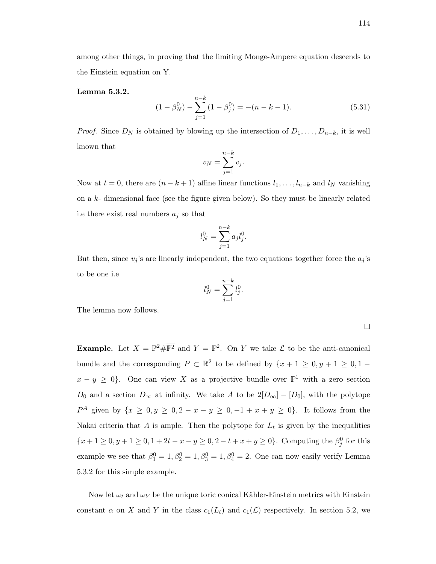among other things, in proving that the limiting Monge-Ampere equation descends to the Einstein equation on Y.

#### Lemma 5.3.2.

$$
(1 - \beta_N^0) - \sum_{j=1}^{n-k} (1 - \beta_j^0) = -(n - k - 1). \tag{5.31}
$$

*Proof.* Since  $D_N$  is obtained by blowing up the intersection of  $D_1, \ldots, D_{n-k}$ , it is well known that

$$
v_N = \sum_{j=1}^{n-k} v_j.
$$

Now at  $t = 0$ , there are  $(n - k + 1)$  affine linear functions  $l_1, \ldots, l_{n-k}$  and  $l_N$  vanishing on a  $k$ - dimensional face (see the figure given below). So they must be linearly related i.e there exist real numbers  $a_j$  so that

$$
l_N^0 = \sum_{j=1}^{n-k} a_j l_j^0
$$

.

But then, since  $v_j$ 's are linearly independent, the two equations together force the  $a_j$ 's to be one i.e

$$
l_N^0 = \sum_{j=1}^{n-k} l_j^0.
$$

The lemma now follows.

**Example.** Let  $X = \mathbb{P}^2 \# \overline{\mathbb{P}^2}$  and  $Y = \mathbb{P}^2$ . On Y we take L to be the anti-canonical bundle and the corresponding  $P \subset \mathbb{R}^2$  to be defined by  $\{x+1 \geq 0, y+1 \geq 0, 1-\}$  $x - y \geq 0$ . One can view X as a projective bundle over  $\mathbb{P}^1$  with a zero section  $D_0$  and a section  $D_{\infty}$  at infinity. We take A to be  $2[D_{\infty}] - [D_0]$ , with the polytope  $P^A$  given by  $\{x \geq 0, y \geq 0, 2 - x - y \geq 0, -1 + x + y \geq 0\}$ . It follows from the Nakai criteria that A is ample. Then the polytope for  $L_t$  is given by the inequalities  ${x + 1 \ge 0, y + 1 \ge 0, 1 + 2t - x - y \ge 0, 2 - t + x + y \ge 0}.$  Computing the  $\beta_j^0$  for this example we see that  $\beta_1^0 = 1, \beta_2^0 = 1, \beta_3^0 = 1, \beta_4^0 = 2$ . One can now easily verify Lemma 5.3.2 for this simple example.

Now let  $\omega_t$  and  $\omega_Y$  be the unique toric conical Kähler-Einstein metrics with Einstein constant  $\alpha$  on X and Y in the class  $c_1(L_t)$  and  $c_1(\mathcal{L})$  respectively. In section 5.2, we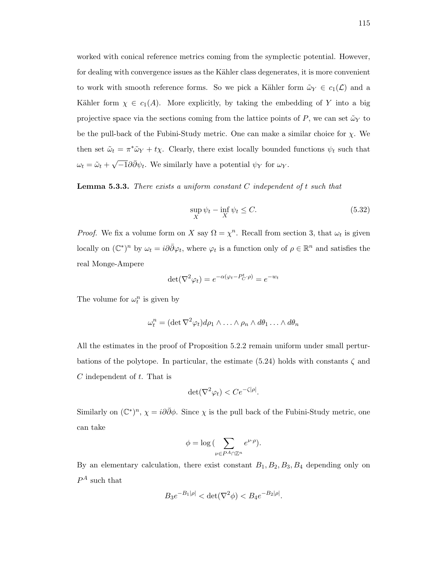worked with conical reference metrics coming from the symplectic potential. However, for dealing with convergence issues as the Kähler class degenerates, it is more convenient to work with smooth reference forms. So we pick a Kähler form  $\tilde{\omega}_Y \in c_1(\mathcal{L})$  and a Kähler form  $\chi \in c_1(A)$ . More explicitly, by taking the embedding of Y into a big projective space via the sections coming from the lattice points of P, we can set  $\tilde{\omega}_Y$  to be the pull-back of the Fubini-Study metric. One can make a similar choice for  $\chi$ . We then set  $\tilde{\omega}_t = \pi^* \tilde{\omega}_Y + t \chi$ . Clearly, there exist locally bounded functions  $\psi_t$  such that  $\omega_t = \tilde{\omega}_t +$  $\sqrt{-1}\partial\bar{\partial}\psi_t$ . We similarly have a potential  $\psi_Y$  for  $\omega_Y$ .

**Lemma 5.3.3.** There exists a uniform constant  $C$  independent of  $t$  such that

$$
\sup_{X} \psi_t - \inf_{X} \psi_t \le C. \tag{5.32}
$$

*Proof.* We fix a volume form on X say  $\Omega = \chi^n$ . Recall from section 3, that  $\omega_t$  is given locally on  $(\mathbb{C}^*)^n$  by  $\omega_t = i\partial\bar{\partial}\varphi_t$ , where  $\varphi_t$  is a function only of  $\rho \in \mathbb{R}^n$  and satisfies the real Monge-Ampere

$$
\det(\nabla^2 \varphi_t) = e^{-\alpha(\varphi_t - P_C^t \cdot \rho)} = e^{-w_t}
$$

The volume for  $\omega_t^n$  is given by

$$
\omega_t^n = (\det \nabla^2 \varphi_t) d\rho_1 \wedge \ldots \wedge \rho_n \wedge d\theta_1 \ldots \wedge d\theta_n
$$

All the estimates in the proof of Proposition 5.2.2 remain uniform under small perturbations of the polytope. In particular, the estimate (5.24) holds with constants  $\zeta$  and C independent of t. That is

$$
\det(\nabla^2 \varphi_t) < Ce^{-\zeta|\rho|}.
$$

Similarly on  $(\mathbb{C}^*)^n$ ,  $\chi = i\partial\bar{\partial}\phi$ . Since  $\chi$  is the pull back of the Fubini-Study metric, one can take

$$
\phi = \log \big( \sum_{\nu \in P^A \cap \mathbb{Z}^n} e^{\nu \cdot \rho} \big).
$$

By an elementary calculation, there exist constant  $B_1, B_2, B_3, B_4$  depending only on  $P^A$  such that

$$
B_3 e^{-B_1|\rho|} < \det(\nabla^2 \phi) < B_4 e^{-B_2|\rho|}.
$$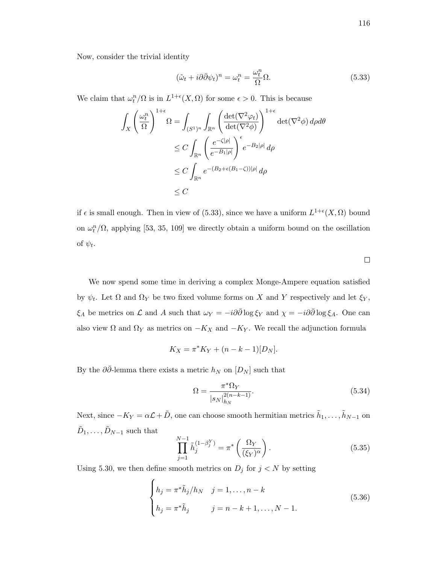Now, consider the trivial identity

$$
(\tilde{\omega}_t + i\partial\bar{\partial}\psi_t)^n = \omega_t^n = \frac{\omega_t^n}{\Omega}\Omega.
$$
\n(5.33)

We claim that  $\omega_t^n/\Omega$  is in  $L^{1+\epsilon}(X,\Omega)$  for some  $\epsilon > 0$ . This is because

$$
\int_{X} \left(\frac{\omega_t^n}{\Omega}\right)^{1+\epsilon} \Omega = \int_{(S^1)^n} \int_{\mathbb{R}^n} \left(\frac{\det(\nabla^2 \varphi_t)}{\det(\nabla^2 \phi)}\right)^{1+\epsilon} \det(\nabla^2 \phi) d\rho d\theta
$$
\n
$$
\leq C \int_{\mathbb{R}^n} \left(\frac{e^{-\zeta|\rho|}}{e^{-B_1|\rho|}}\right)^{\epsilon} e^{-B_2|\rho|} d\rho
$$
\n
$$
\leq C \int_{\mathbb{R}^n} e^{-(B_2 + \epsilon(B_1 - \zeta)) |\rho|} d\rho
$$
\n
$$
\leq C
$$

if  $\epsilon$  is small enough. Then in view of (5.33), since we have a uniform  $L^{1+\epsilon}(X,\Omega)$  bound on  $\omega_t^n/\Omega$ , applying [53, 35, 109] we directly obtain a uniform bound on the oscillation of  $\psi_t$ .

 $\Box$ 

We now spend some time in deriving a complex Monge-Ampere equation satisfied by  $\psi_t$ . Let  $\Omega$  and  $\Omega_Y$  be two fixed volume forms on X and Y respectively and let  $\xi_Y$ ,  $\xi_A$  be metrics on  $\mathcal L$  and A such that  $\omega_Y = -i\partial\bar\partial \log \xi_Y$  and  $\chi = -i\partial\bar\partial \log \xi_A$ . One can also view  $\Omega$  and  $\Omega_Y$  as metrics on  $-K_X$  and  $-K_Y$ . We recall the adjunction formula

$$
K_X = \pi^* K_Y + (n - k - 1)[D_N].
$$

By the  $\partial \bar{\partial}$ -lemma there exists a metric  $h_N$  on  $[D_N]$  such that

$$
\Omega = \frac{\pi^* \Omega_Y}{|s_N|_{h_N}^{2(n-k-1)}}.
$$
\n(5.34)

Next, since  $-K_Y = \alpha \mathcal{L} + \tilde{D}$ , one can choose smooth hermitian metrics  $\tilde{h}_1, \ldots, \tilde{h}_{N-1}$  on  $\tilde{D}_1, \ldots, \tilde{D}_{N-1}$  such that

$$
\prod_{j=1}^{N-1} \tilde{h}_j^{(1-\beta_j^Y)} = \pi^* \left( \frac{\Omega_Y}{(\xi_Y)^\alpha} \right). \tag{5.35}
$$

Using 5.30, we then define smooth metrics on  $D_j$  for  $j < N$  by setting

$$
\begin{cases}\nh_j = \pi^* \tilde{h}_j / h_N & j = 1, ..., n - k \\
h_j = \pi^* \tilde{h}_j & j = n - k + 1, ..., N - 1.\n\end{cases}
$$
\n(5.36)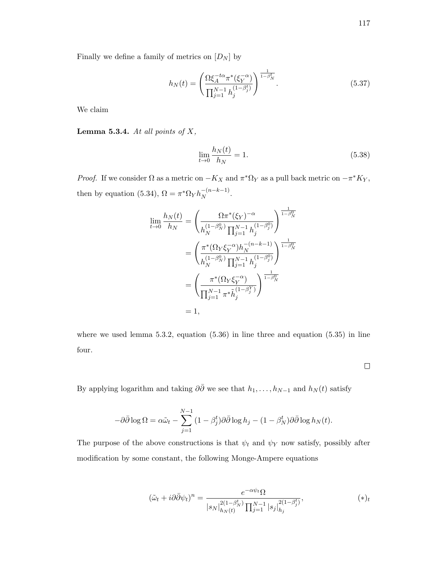$$
h_N(t) = \left(\frac{\Omega \xi_A^{-t\alpha} \pi^*(\xi_Y^{-\alpha})}{\prod_{j=1}^{N-1} h_j^{(1-\beta_j^t)}}\right)^{\frac{1}{1-\beta_N^t}}.\tag{5.37}
$$

We claim

Lemma 5.3.4. At all points of  $X$ ,

$$
\lim_{t \to 0} \frac{h_N(t)}{h_N} = 1.
$$
\n(5.38)

*Proof.* If we consider  $\Omega$  as a metric on  $-K_X$  and  $\pi^*\Omega_Y$  as a pull back metric on  $-\pi^*K_Y$ , then by equation (5.34),  $\Omega = \pi^* \Omega_Y h_N^{-(n-k-1)}$  $\frac{-(n-\kappa-1)}{N}$ .

$$
\lim_{t \to 0} \frac{h_N(t)}{h_N} = \left( \frac{\Omega \pi^*(\xi_Y)^{-\alpha}}{h_N^{(1-\beta_N^0)} \prod_{j=1}^{N-1} h_j^{(1-\beta_j^0)}} \right)^{\frac{1}{1-\beta_N^0}}
$$
\n
$$
= \left( \frac{\pi^*(\Omega_Y \xi_Y^{-\alpha}) h_N^{-(n-k-1)}}{h_N^{(1-\beta_N^0)} \prod_{j=1}^{N-1} h_j^{(1-\beta_j^0)}} \right)^{\frac{1}{1-\beta_N^0}}
$$
\n
$$
= \left( \frac{\pi^*(\Omega_Y \xi_Y^{-\alpha})}{\prod_{j=1}^{N-1} \pi^* \tilde{h}_j^{(1-\beta_j^Y)}} \right)^{\frac{1}{1-\beta_N^0}}
$$
\n
$$
= 1,
$$

where we used lemma 5.3.2, equation (5.36) in line three and equation (5.35) in line four.

 $\Box$ 

By applying logarithm and taking  $\partial \bar{\partial}$  we see that  $h_1, \ldots, h_{N-1}$  and  $h_N(t)$  satisfy

$$
-\partial\bar{\partial}\log\Omega = \alpha\tilde{\omega}_t - \sum_{j=1}^{N-1} (1-\beta_j^t)\partial\bar{\partial}\log h_j - (1-\beta_N^t)\partial\bar{\partial}\log h_N(t).
$$

The purpose of the above constructions is that  $\psi_t$  and  $\psi_Y$  now satisfy, possibly after modification by some constant, the following Monge-Ampere equations

$$
(\tilde{\omega}_t + i\partial\bar{\partial}\psi_t)^n = \frac{e^{-\alpha\psi_t}\Omega}{|s_N|_{h_N(t)}^{2(1-\beta_N^t)}\prod_{j=1}^{N-1}|s_j|_{h_j}^{2(1-\beta_j^t)}},\tag{*}
$$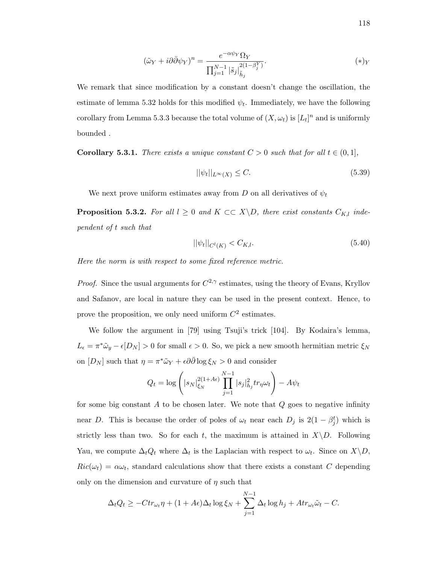$$
(\tilde{\omega}_Y + i\partial \bar{\partial} \psi_Y)^n = \frac{e^{-\alpha \psi_Y} \Omega_Y}{\prod_{j=1}^{N-1} |\tilde{s}_j|_{\tilde{h}_j}^{2(1-\beta_j^Y)}}.
$$
\n
$$
(*)_Y
$$

We remark that since modification by a constant doesn't change the oscillation, the estimate of lemma 5.32 holds for this modified  $\psi_t$ . Immediately, we have the following corollary from Lemma 5.3.3 because the total volume of  $(X, \omega_t)$  is  $[L_t]^n$  and is uniformly bounded .

**Corollary 5.3.1.** There exists a unique constant  $C > 0$  such that for all  $t \in (0,1]$ ,

$$
||\psi_t||_{L^{\infty}(X)} \le C. \tag{5.39}
$$

We next prove uniform estimates away from D on all derivatives of  $\psi_t$ 

**Proposition 5.3.2.** For all  $l \geq 0$  and  $K \subset\subset X\backslash D$ , there exist constants  $C_{K,l}$  independent of t such that

$$
||\psi_t||_{C^l(K)} < C_{K,l}.\tag{5.40}
$$

Here the norm is with respect to some fixed reference metric.

*Proof.* Since the usual arguments for  $C^{2,\gamma}$  estimates, using the theory of Evans, Kryllov and Safanov, are local in nature they can be used in the present context. Hence, to prove the proposition, we only need uniform  $C^2$  estimates.

We follow the argument in [79] using Tsuji's trick [104]. By Kodaira's lemma,  $L_{\epsilon} = \pi^* \tilde{\omega}_y - \epsilon [D_N] > 0$  for small  $\epsilon > 0$ . So, we pick a new smooth hermitian metric  $\xi_N$ on  $[D_N]$  such that  $\eta = \pi^* \tilde{\omega}_Y + \epsilon \partial \bar{\partial} \log \xi_N > 0$  and consider

$$
Q_t = \log \left( |s_N|_{\xi_N}^{2(1+A\epsilon)} \prod_{j=1}^{N-1} |s_j|_{h_j}^2 tr_\eta \omega_t \right) - A \psi_t
$$

for some big constant  $A$  to be chosen later. We note that  $Q$  goes to negative infinity near D. This is because the order of poles of  $\omega_t$  near each  $D_j$  is  $2(1 - \beta_j^t)$  which is strictly less than two. So for each t, the maximum is attained in  $X\backslash D$ . Following Yau, we compute  $\Delta_t Q_t$  where  $\Delta_t$  is the Laplacian with respect to  $\omega_t$ . Since on  $X\backslash D$ ,  $Ric(\omega_t) = \alpha \omega_t$ , standard calculations show that there exists a constant C depending only on the dimension and curvature of  $\eta$  such that

$$
\Delta_t Q_t \geq -Ctr_{\omega_t} \eta + (1 + A\epsilon)\Delta_t \log \xi_N + \sum_{j=1}^{N-1} \Delta_t \log h_j + A tr_{\omega_t} \tilde{\omega}_t - C.
$$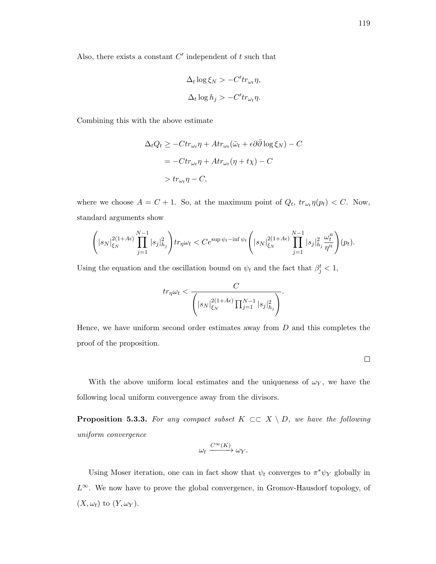$$
\Delta_t \log \xi_N > -C'tr_{\omega_t}\eta,
$$
  

$$
\Delta_t \log h_j > -C'tr_{\omega_t}\eta.
$$

Combining this with the above estimate

$$
\Delta_t Q_t \ge -Ctr_{\omega_t} \eta + Ar_{\omega_t}(\tilde{\omega}_t + \epsilon \partial \bar{\partial} \log \xi_N) - C
$$
  
=  $-Ctr_{\omega_t} \eta + Ar_{\omega_t}(\eta + t\chi) - C$   
>  $tr_{\omega_t} \eta - C$ ,

where we choose  $A = C + 1$ . So, at the maximum point of  $Q_t$ ,  $tr_{\omega_t} \eta(p_t) < C$ . Now, standard arguments show

$$
\left( |s_N|_{\xi_N}^{2(1+A\epsilon)} \prod_{j=1}^{N-1} |s_j|_{h_j}^2 \right) \! tr_{\eta} \omega_t \, \! < C e^{\sup \psi_t - \inf \psi_t} \left( |s_N|_{\xi_N}^{2(1+A\epsilon)} \prod_{j=1}^{N-1} |s_j|_{h_j}^2 \frac{\omega_t^n}{\eta^n} \right) \! (p_t).
$$

Using the equation and the oscillation bound on  $\psi_t$  and the fact that  $\beta_j^t < 1$ ,

$$
tr_{\eta}\omega_t < \frac{C}{\left(|s_N|_{\xi_N}^{2(1+A\epsilon)}\prod_{j=1}^{N-1}|s_j|_{h_j}^2\right)}.
$$

Hence, we have uniform second order estimates away from  $D$  and this completes the proof of the proposition.

 $\Box$ 

With the above uniform local estimates and the uniqueness of  $\omega_Y$ , we have the following local uniform convergence away from the divisors.

**Proposition 5.3.3.** For any compact subset  $K \subset\subset X \setminus D$ , we have the following uniform convergence

$$
\omega_t \xrightarrow{C^\infty(K)} \omega_Y.
$$

Using Moser iteration, one can in fact show that  $\psi_t$  converges to  $\pi^* \psi_Y$  globally in  $L^{\infty}$ . We now have to prove the global convergence, in Gromov-Hausdorf topology, of  $(X, \omega_t)$  to  $(Y, \omega_Y)$ .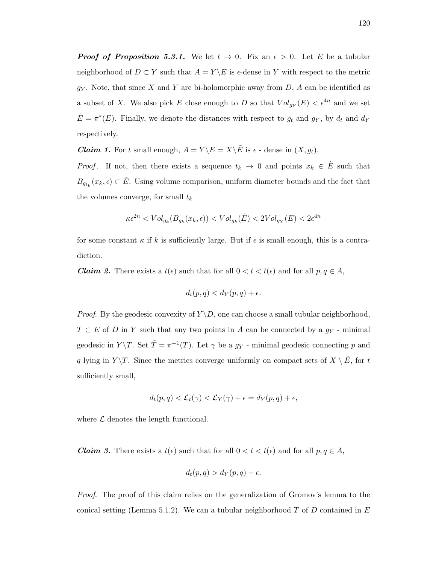**Proof of Proposition 5.3.1.** We let  $t \to 0$ . Fix an  $\epsilon > 0$ . Let E be a tubular neighborhood of  $D \subset Y$  such that  $A = Y \setminus E$  is  $\epsilon$ -dense in Y with respect to the metric  $g<sub>Y</sub>$ . Note, that since X and Y are bi-holomorphic away from D, A can be identified as a subset of X. We also pick E close enough to D so that  $Vol_{g_Y}(E) < \epsilon^{4n}$  and we set  $\tilde{E} = \pi^*(E)$ . Finally, we denote the distances with respect to  $g_t$  and  $g_Y$ , by  $d_t$  and  $d_Y$ respectively.

**Claim 1.** For t small enough,  $A = Y \setminus E = X \setminus \tilde{E}$  is  $\epsilon$  - dense in  $(X, g_t)$ .

*Proof.* If not, then there exists a sequence  $t_k \to 0$  and points  $x_k \in \tilde{E}$  such that  $B_{g_{t_k}}(x_k, \epsilon) \subset \tilde{E}$ . Using volume comparison, uniform diameter bounds and the fact that the volumes converge, for small  $t_k$ 

$$
\kappa \epsilon^{2n} < \operatorname{Vol}_{g_k}(B_{g_k}(x_k, \epsilon)) < \operatorname{Vol}_{g_k}(\tilde{E}) < 2\operatorname{Vol}_{g_Y}(E) < 2\epsilon^{4n}
$$

for some constant  $\kappa$  if k is sufficiently large. But if  $\epsilon$  is small enough, this is a contradiction.

**Claim 2.** There exists a  $t(\epsilon)$  such that for all  $0 < t < t(\epsilon)$  and for all  $p, q \in A$ ,

$$
d_t(p,q) < d_Y(p,q) + \epsilon.
$$

*Proof.* By the geodesic convexity of  $Y \ D$ , one can choose a small tubular neighborhood,  $T \subset E$  of D in Y such that any two points in A can be connected by a  $g_Y$  - minimal geodesic in  $Y \backslash T$ . Set  $\tilde{T} = \pi^{-1}(T)$ . Let  $\gamma$  be a  $g_Y$  - minimal geodesic connecting p and q lying in  $Y \backslash T$ . Since the metrics converge uniformly on compact sets of  $X \backslash \tilde{E}$ , for t sufficiently small,

$$
d_t(p,q) < \mathcal{L}_t(\gamma) < \mathcal{L}_Y(\gamma) + \epsilon = d_Y(p,q) + \epsilon,
$$

where  $\mathcal L$  denotes the length functional.

**Claim 3.** There exists a  $t(\epsilon)$  such that for all  $0 < t < t(\epsilon)$  and for all  $p, q \in A$ ,

$$
d_t(p,q) > d_Y(p,q) - \epsilon.
$$

Proof. The proof of this claim relies on the generalization of Gromov's lemma to the conical setting (Lemma 5.1.2). We can a tubular neighborhood  $T$  of  $D$  contained in  $E$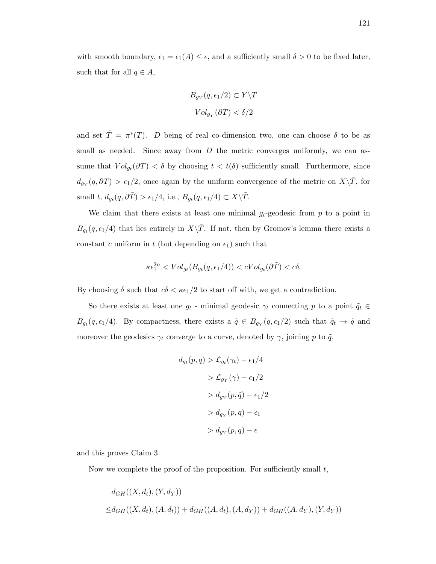with smooth boundary,  $\epsilon_1 = \epsilon_1(A) \leq \epsilon$ , and a sufficiently small  $\delta > 0$  to be fixed later, such that for all  $q \in A$ ,

$$
B_{g_Y}(q, \epsilon_1/2) \subset Y \backslash T
$$

$$
Vol_{g_Y}(\partial T) < \delta/2
$$

and set  $\tilde{T} = \pi^*(T)$ . D being of real co-dimension two, one can choose  $\delta$  to be as small as needed. Since away from  $D$  the metric converges uniformly, we can assume that  $Vol_{g_t}(\partial T) < \delta$  by choosing  $t < t(\delta)$  sufficiently small. Furthermore, since  $d_{g_Y}(q, \partial T) > \epsilon_1/2$ , once again by the uniform convergence of the metric on  $X\backslash\tilde{T}$ , for small  $t, d_{g_t}(q, \partial \tilde{T}) > \epsilon_1/4$ , i.e.,  $B_{g_t}(q, \epsilon_1/4) \subset X \backslash \tilde{T}$ .

We claim that there exists at least one minimal  $g_t$ -geodesic from p to a point in  $B_{g_t}(q, \epsilon_1/4)$  that lies entirely in  $X\backslash\tilde{T}$ . If not, then by Gromov's lemma there exists a constant c uniform in t (but depending on  $\epsilon_1$ ) such that

$$
\kappa \epsilon_1^{2n} < Vol_{g_t}(B_{g_t}(q, \epsilon_1/4)) < cVol_{g_t}(\partial \tilde{T}) < c\delta.
$$

By choosing  $\delta$  such that  $c\delta < \kappa \epsilon_1/2$  to start off with, we get a contradiction.

So there exists at least one  $g_t$  - minimal geodesic  $\gamma_t$  connecting p to a point  $\tilde{q}_t \in$  $B_{g_t}(q, \epsilon_1/4)$ . By compactness, there exists a  $\tilde{q} \in B_{g_Y}(q, \epsilon_1/2)$  such that  $\tilde{q}_t \to \tilde{q}$  and moreover the geodesics  $\gamma_t$  converge to a curve, denoted by  $\gamma$ , joining p to  $\tilde{q}$ .

$$
d_{g_t}(p,q) > \mathcal{L}_{g_t}(\gamma_t) - \epsilon_1/4
$$
  
> 
$$
\mathcal{L}_{g_Y}(\gamma) - \epsilon_1/2
$$
  
> 
$$
d_{g_Y}(p,\tilde{q}) - \epsilon_1/2
$$
  
> 
$$
d_{g_Y}(p,q) - \epsilon_1
$$
  
> 
$$
d_{g_Y}(p,q) - \epsilon
$$

and this proves Claim 3.

Now we complete the proof of the proposition. For sufficiently small  $t$ ,

$$
d_{GH}((X, d_t), (Y, d_Y))
$$
  

$$
\leq d_{GH}((X, d_t), (A, d_t)) + d_{GH}((A, d_t), (A, d_Y)) + d_{GH}((A, d_Y), (Y, d_Y))
$$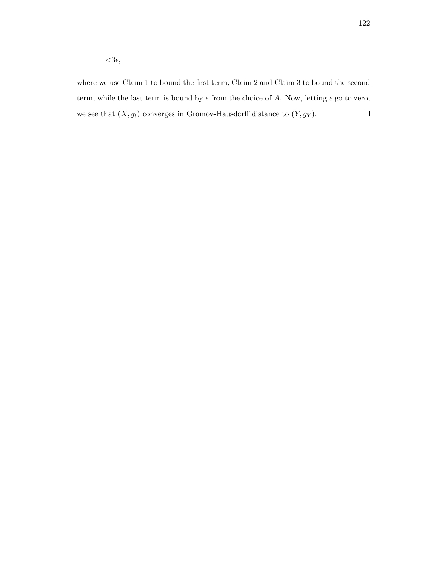where we use Claim 1 to bound the first term, Claim 2 and Claim 3 to bound the second term, while the last term is bound by  $\epsilon$  from the choice of A. Now, letting  $\epsilon$  go to zero, we see that  $(X, g_t)$  converges in Gromov-Hausdorff distance to  $(Y, g_Y)$ .  $\Box$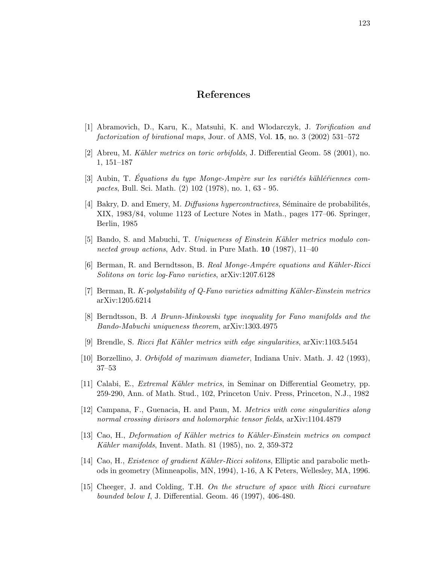## References

- [1] Abramovich, D., Karu, K., Matsuhi, K. and Wlodarczyk, J. Torification and factorization of birational maps, Jour. of AMS, Vol. 15, no. 3 (2002) 531–572
- [2] Abreu, M. Kähler metrics on toric orbifolds, J. Differential Geom. 58 (2001), no. 1, 151–187
- [3] Aubin, T. Equations du type Monge-Ampère sur les variétés kählériennes compactes, Bull. Sci. Math. (2) 102 (1978), no. 1, 63 - 95.
- [4] Bakry, D. and Emery, M. *Diffusions hypercontractives*, Séminaire de probabilités, XIX, 1983/84, volume 1123 of Lecture Notes in Math., pages 177–06. Springer, Berlin, 1985
- [5] Bando, S. and Mabuchi, T. Uniqueness of Einstein Kähler metrics modulo connected group actions, Adv. Stud. in Pure Math. **10** (1987), 11–40
- [6] Berman, R. and Berndtsson, B. Real Monge-Ampére equations and Kähler-Ricci Solitons on toric log-Fano varieties, arXiv:1207.6128
- [7] Berman, R. K-polystability of Q-Fano varieties admitting Kähler-Einstein metrics arXiv:1205.6214
- [8] Berndtsson, B. A Brunn-Minkowski type inequality for Fano manifolds and the Bando-Mabuchi uniqueness theorem, arXiv:1303.4975
- [9] Brendle, S. Ricci flat Kähler metrics with edge singularities,  $arXiv:1103.5454$
- [10] Borzellino, J. Orbifold of maximum diameter, Indiana Univ. Math. J. 42 (1993), 37–53
- [11] Calabi, E., *Extremal Kähler metrics*, in Seminar on Differential Geometry, pp. 259-290, Ann. of Math. Stud., 102, Princeton Univ. Press, Princeton, N.J., 1982
- [12] Campana, F., Guenacia, H. and Paun, M. Metrics with cone singularities along normal crossing divisors and holomorphic tensor fields,  $\alpha$ Xiv:1104.4879
- [13] Cao, H., Deformation of K¨ahler metrics to K¨ahler-Einstein metrics on compact Kähler manifolds, Invent. Math. 81  $(1985)$ , no. 2, 359-372
- [14] Cao, H., *Existence of gradient Kähler-Ricci solitons*, Elliptic and parabolic methods in geometry (Minneapolis, MN, 1994), 1-16, A K Peters, Wellesley, MA, 1996.
- [15] Cheeger, J. and Colding, T.H. On the structure of space with Ricci curvature bounded below I, J. Differential. Geom. 46 (1997), 406-480.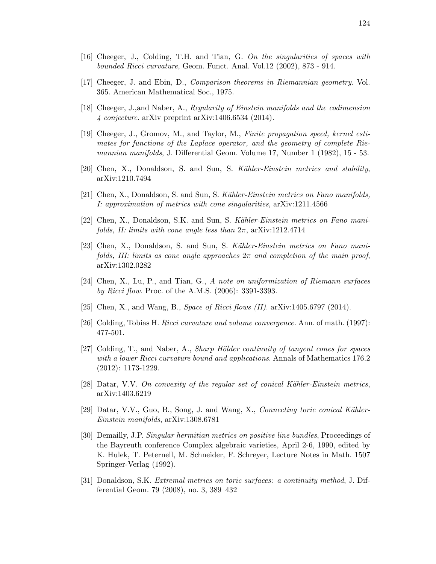- [16] Cheeger, J., Colding, T.H. and Tian, G. On the singularities of spaces with bounded Ricci curvature, Geom. Funct. Anal. Vol.12 (2002), 873 - 914.
- [17] Cheeger, J. and Ebin, D., Comparison theorems in Riemannian geometry. Vol. 365. American Mathematical Soc., 1975.
- [18] Cheeger, J.,and Naber, A., Regularity of Einstein manifolds and the codimension 4 conjecture. arXiv preprint arXiv:1406.6534 (2014).
- [19] Cheeger, J., Gromov, M., and Taylor, M., Finite propagation speed, kernel estimates for functions of the Laplace operator, and the geometry of complete Riemannian manifolds, J. Differential Geom. Volume 17, Number 1 (1982), 15 - 53.
- [20] Chen, X., Donaldson, S. and Sun, S. Kähler-Einstein metrics and stability, arXiv:1210.7494
- [21] Chen, X., Donaldson, S. and Sun, S. Kähler-Einstein metrics on Fano manifolds, I: approximation of metrics with cone singularities, arXiv:1211.4566
- [22] Chen, X., Donaldson, S.K. and Sun, S. Kähler-Einstein metrics on Fano manifolds, II: limits with cone angle less than  $2\pi$ , arXiv:1212.4714
- [23] Chen, X., Donaldson, S. and Sun, S. Kähler-Einstein metrics on Fano manifolds, III: limits as cone angle approaches  $2\pi$  and completion of the main proof, arXiv:1302.0282
- [24] Chen, X., Lu, P., and Tian, G., A note on uniformization of Riemann surfaces by Ricci flow. Proc. of the A.M.S. (2006): 3391-3393.
- [25] Chen, X., and Wang, B., *Space of Ricci flows (II).* arXiv:1405.6797 (2014).
- [26] Colding, Tobias H. Ricci curvature and volume convergence. Ann. of math. (1997): 477-501.
- [27] Colding, T., and Naber, A., *Sharp Hölder continuity of tangent cones for spaces* with a lower Ricci curvature bound and applications. Annals of Mathematics 176.2 (2012): 1173-1229.
- [28] Datar, V.V. On convexity of the regular set of conical Kähler-Einstein metrics, arXiv:1403.6219
- $[29]$  Datar, V.V., Guo, B., Song, J. and Wang, X., Connecting toric conical Kähler-Einstein manifolds, arXiv:1308.6781
- [30] Demailly, J.P. Singular hermitian metrics on positive line bundles, Proceedings of the Bayreuth conference Complex algebraic varieties, April 2-6, 1990, edited by K. Hulek, T. Peternell, M. Schneider, F. Schreyer, Lecture Notes in Math. 1507 Springer-Verlag (1992).
- [31] Donaldson, S.K. Extremal metrics on toric surfaces: a continuity method, J. Differential Geom. 79 (2008), no. 3, 389–432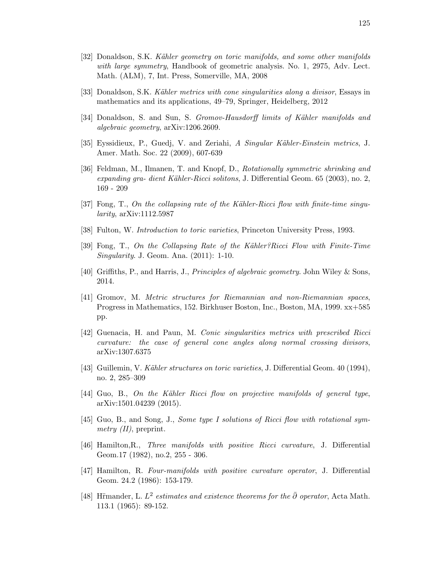- [33] Donaldson, S.K. Kähler metrics with cone singularities along a divisor, Essays in mathematics and its applications, 49–79, Springer, Heidelberg, 2012
- [34] Donaldson, S. and Sun, S. Gromov-Hausdorff limits of Kähler manifolds and algebraic geometry, arXiv:1206.2609.
- [35] Eyssidieux, P., Guedj, V. and Zeriahi, A Singular Kähler-Einstein metrics, J. Amer. Math. Soc. 22 (2009), 607-639
- [36] Feldman, M., Ilmanen, T. and Knopf, D., Rotationally symmetric shrinking and expanding gra- dient Kähler-Ricci solitons, J. Differential Geom.  $65$  (2003), no. 2, 169 - 209
- [37] Fong, T., On the collapsing rate of the Kähler-Ricci flow with finite-time singu $larity$ , arXiv:1112.5987
- [38] Fulton, W. Introduction to toric varieties, Princeton University Press, 1993.
- [39] Fong, T., On the Collapsing Rate of the Kähler?Ricci Flow with Finite-Time Singularity. J. Geom. Ana. (2011): 1-10.
- [40] Griffiths, P., and Harris, J., Principles of algebraic geometry. John Wiley & Sons, 2014.
- [41] Gromov, M. Metric structures for Riemannian and non-Riemannian spaces, Progress in Mathematics, 152. Birkhuser Boston, Inc., Boston, MA, 1999. xx+585 pp.
- [42] Guenacia, H. and Paun, M. Conic singularities metrics with prescribed Ricci curvature: the case of general cone angles along normal crossing divisors, arXiv:1307.6375
- [43] Guillemin, V. Kähler structures on toric varieties, J. Differential Geom. 40 (1994), no. 2, 285–309
- $[44]$  Guo, B., On the Kähler Ricci flow on projective manifolds of general type, arXiv:1501.04239 (2015).
- [45] Guo, B., and Song, J., Some type I solutions of Ricci flow with rotational symmetry  $(II)$ , preprint.
- [46] Hamilton,R., Three manifolds with positive Ricci curvature, J. Differential Geom.17 (1982), no.2, 255 - 306.
- [47] Hamilton, R. Four-manifolds with positive curvature operator, J. Differential Geom. 24.2 (1986): 153-179.
- [48] Himander, L.  $L^2$  estimates and existence theorems for the  $\bar{\partial}$  operator, Acta Math. 113.1 (1965): 89-152.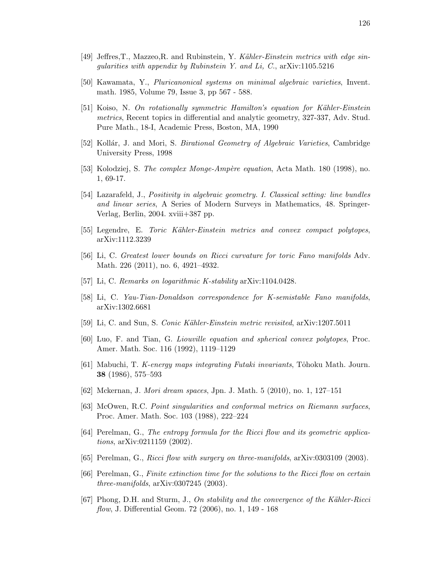- [50] Kawamata, Y., Pluricanonical systems on minimal algebraic varieties, Invent. math. 1985, Volume 79, Issue 3, pp 567 - 588.
- [51] Koiso, N. On rotationally symmetric Hamilton's equation for Kähler-Einstein metrics, Recent topics in differential and analytic geometry, 327-337, Adv. Stud. Pure Math., 18-I, Academic Press, Boston, MA, 1990
- [52] Kollár, J. and Mori, S. *Birational Geometry of Algebraic Varieties*, Cambridge University Press, 1998
- [53] Kolodziej, S. The complex Monge-Ampère equation, Acta Math. 180 (1998), no. 1, 69-17.
- [54] Lazarafeld, J., Positivity in algebraic geometry. I. Classical setting: line bundles and linear series, A Series of Modern Surveys in Mathematics, 48. Springer-Verlag, Berlin, 2004. xviii+387 pp.
- [55] Legendre, E. Toric Kähler-Einstein metrics and convex compact polytopes, arXiv:1112.3239
- [56] Li, C. Greatest lower bounds on Ricci curvature for toric Fano manifolds Adv. Math. 226 (2011), no. 6, 4921–4932.
- [57] Li, C. Remarks on logarithmic K-stability arXiv:1104.0428.
- [58] Li, C. Yau-Tian-Donaldson correspondence for K-semistable Fano manifolds, arXiv:1302.6681
- [59] Li, C. and Sun, S. Conic Kähler-Einstein metric revisited, arXiv:1207.5011
- [60] Luo, F. and Tian, G. Liouville equation and spherical convex polytopes, Proc. Amer. Math. Soc. 116 (1992), 1119–1129
- [61] Mabuchi, T. K-energy maps integrating Futaki invariants, Tôhoku Math. Journ. 38 (1986), 575–593
- [62] Mckernan, J. Mori dream spaces, Jpn. J. Math. 5 (2010), no. 1, 127–151
- [63] McOwen, R.C. Point singularities and conformal metrics on Riemann surfaces, Proc. Amer. Math. Soc. 103 (1988), 222–224
- [64] Perelman, G., The entropy formula for the Ricci flow and its geometric applications, arXiv:0211159 (2002).
- [65] Perelman, G., Ricci flow with surgery on three-manifolds, arXiv:0303109 (2003).
- [66] Perelman, G., Finite extinction time for the solutions to the Ricci flow on certain three-manifolds,  $arXiv:0307245$  (2003).
- [67] Phong, D.H. and Sturm, J., On stability and the convergence of the Kähler-Ricci flow, J. Differential Geom. 72 (2006), no. 1, 149 - 168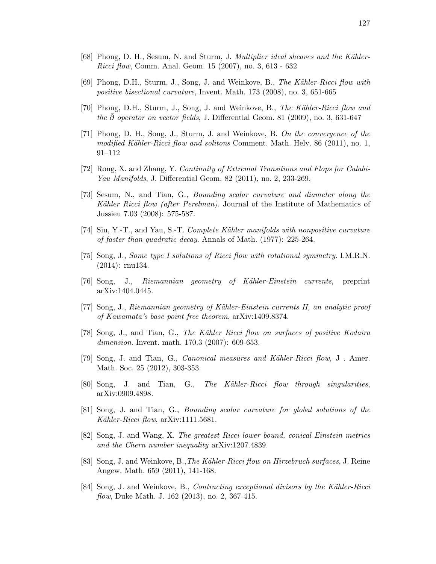- [68] Phong, D. H., Sesum, N. and Sturm, J. Multiplier ideal sheaves and the Kähler-Ricci flow, Comm. Anal. Geom. 15 (2007), no. 3, 613 - 632
- [69] Phong, D.H., Sturm, J., Song, J. and Weinkove, B., The Kähler-Ricci flow with positive bisectional curvature, Invent. Math. 173 (2008), no. 3, 651-665
- [70] Phong, D.H., Sturm, J., Song, J. and Weinkove, B., The Kähler-Ricci flow and the  $\partial$  operator on vector fields, J. Differential Geom. 81 (2009), no. 3, 631-647
- [71] Phong, D. H., Song, J., Sturm, J. and Weinkove, B. On the convergence of the modified Kähler-Ricci flow and solitons Comment. Math. Helv. 86 (2011), no. 1, 91–112
- [72] Rong, X. and Zhang, Y. Continuity of Extremal Transitions and Flops for Calabi-Yau Manifolds, J. Differential Geom. 82 (2011), no. 2, 233-269.
- [73] Sesum, N., and Tian, G., Bounding scalar curvature and diameter along the Kähler Ricci flow (after Perelman). Journal of the Institute of Mathematics of Jussieu 7.03 (2008): 575-587.
- [74] Siu, Y.-T., and Yau, S.-T. Complete Kähler manifolds with nonpositive curvature of faster than quadratic decay. Annals of Math. (1977): 225-264.
- [75] Song, J., Some type I solutions of Ricci flow with rotational symmetry. I.M.R.N. (2014): rnu134.
- [76] Song, J., Riemannian geometry of Kähler-Einstein currents, preprint arXiv:1404.0445.
- [77] Song, J., Riemannian geometry of Kähler-Einstein currents II, an analytic proof of Kawamata's base point free theorem, arXiv:1409.8374.
- [78] Song, J., and Tian, G., The Kähler Ricci flow on surfaces of positive Kodaira dimension. Invent. math. 170.3 (2007): 609-653.
- [79] Song, J. and Tian, G., *Canonical measures and Kähler-Ricci flow*, J. Amer. Math. Soc. 25 (2012), 303-353.
- [80] Song, J. and Tian, G., The Kähler-Ricci flow through singularities, arXiv:0909.4898.
- [81] Song, J. and Tian, G., Bounding scalar curvature for global solutions of the Kähler-Ricci flow,  $arXiv:1111.5681$ .
- [82] Song, J. and Wang, X. The greatest Ricci lower bound, conical Einstein metrics and the Chern number inequality arXiv:1207.4839.
- [83] Song, J. and Weinkove, B., The Kähler-Ricci flow on Hirzebruch surfaces, J. Reine Angew. Math. 659 (2011), 141-168.
- [84] Song, J. and Weinkove, B., Contracting exceptional divisors by the Kähler-Ricci flow, Duke Math. J. 162 (2013), no. 2, 367-415.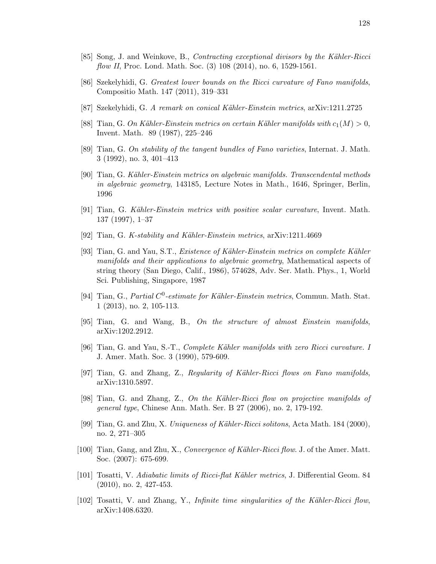- [86] Szekelyhidi, G. Greatest lower bounds on the Ricci curvature of Fano manifolds, Compositio Math. 147 (2011), 319–331
- [87] Szekelyhidi, G. A remark on conical K¨ahler-Einstein metrics, arXiv:1211.2725
- [88] Tian, G. On Kähler-Einstein metrics on certain Kähler manifolds with  $c_1(M) > 0$ , Invent. Math. 89 (1987), 225–246
- [89] Tian, G. On stability of the tangent bundles of Fano varieties, Internat. J. Math. 3 (1992), no. 3, 401–413
- [90] Tian, G. Kähler-Einstein metrics on algebraic manifolds. Transcendental methods in algebraic geometry, 143185, Lecture Notes in Math., 1646, Springer, Berlin, 1996
- [91] Tian, G. Kähler-Einstein metrics with positive scalar curvature, Invent. Math. 137 (1997), 1–37
- [92] Tian, G. K-stability and Kähler-Einstein metrics, arXiv:1211.4669
- [93] Tian, G. and Yau, S.T., *Existence of Kähler-Einstein metrics on complete Kähler* manifolds and their applications to algebraic geometry, Mathematical aspects of string theory (San Diego, Calif., 1986), 574628, Adv. Ser. Math. Phys., 1, World Sci. Publishing, Singapore, 1987
- [94] Tian, G., Partial C<sup>0</sup>-estimate for Kähler-Einstein metrics, Commun. Math. Stat. 1 (2013), no. 2, 105-113.
- [95] Tian, G. and Wang, B., On the structure of almost Einstein manifolds, arXiv:1202.2912.
- [96] Tian, G. and Yau, S.-T., Complete Kähler manifolds with zero Ricci curvature. I J. Amer. Math. Soc. 3 (1990), 579-609.
- [97] Tian, G. and Zhang, Z., Regularity of Kähler-Ricci flows on Fano manifolds, arXiv:1310.5897.
- [98] Tian, G. and Zhang, Z., On the Kähler-Ricci flow on projective manifolds of general type, Chinese Ann. Math. Ser. B 27 (2006), no. 2, 179-192.
- [99] Tian, G. and Zhu, X. Uniqueness of Kähler-Ricci solitons, Acta Math. 184 (2000), no. 2, 271–305
- [100] Tian, Gang, and Zhu, X., Convergence of Kähler-Ricci flow. J. of the Amer. Matt. Soc. (2007): 675-699.
- [101] Tosatti, V. Adiabatic limits of Ricci-flat Kähler metrics, J. Differential Geom. 84 (2010), no. 2, 427-453.
- [102] Tosatti, V. and Zhang, Y., Infinite time singularities of the Kähler-Ricci flow, arXiv:1408.6320.